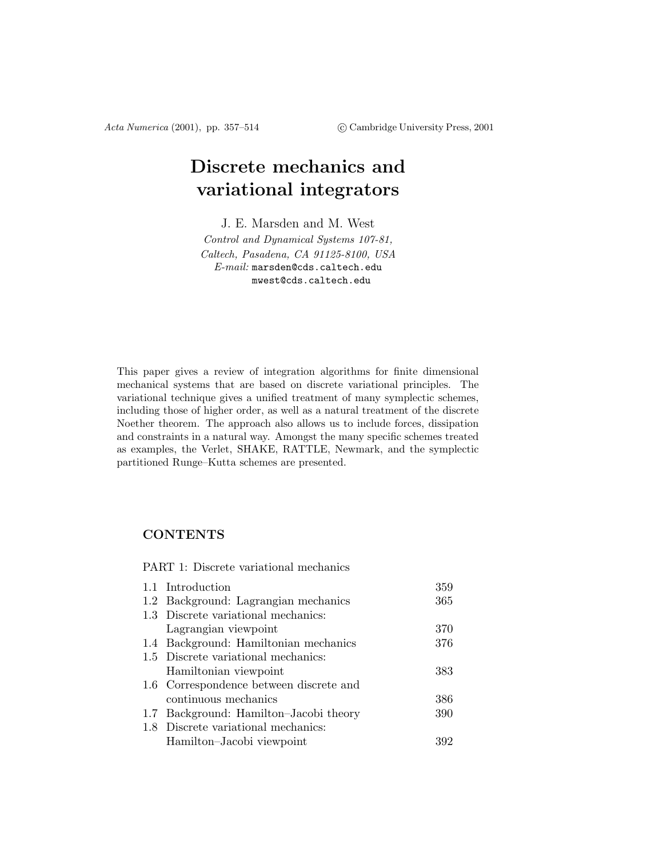# Discrete mechanics and variational integrators

J. E. Marsden and M. West

Control and Dynamical Systems 107-81, Caltech, Pasadena, CA 91125-8100, USA E-mail: marsden@cds.caltech.edu mwest@cds.caltech.edu

This paper gives a review of integration algorithms for finite dimensional mechanical systems that are based on discrete variational principles. The variational technique gives a unified treatment of many symplectic schemes, including those of higher order, as well as a natural treatment of the discrete Noether theorem. The approach also allows us to include forces, dissipation and constraints in a natural way. Amongst the many specific schemes treated as examples, the Verlet, SHAKE, RATTLE, Newmark, and the symplectic partitioned Runge–Kutta schemes are presented.

# **CONTENTS**

PART 1: Discrete variational mechanics

| 1.1 Introduction                        | 359 |
|-----------------------------------------|-----|
| 1.2 Background: Lagrangian mechanics    | 365 |
| 1.3 Discrete variational mechanics:     |     |
| Lagrangian viewpoint                    | 370 |
| 1.4 Background: Hamiltonian mechanics   | 376 |
| 1.5 Discrete variational mechanics:     |     |
| Hamiltonian viewpoint                   | 383 |
| 1.6 Correspondence between discrete and |     |
| continuous mechanics                    | 386 |
| 1.7 Background: Hamilton-Jacobi theory  | 390 |
| 1.8 Discrete variational mechanics:     |     |
| Hamilton-Jacobi viewpoint               | 392 |
|                                         |     |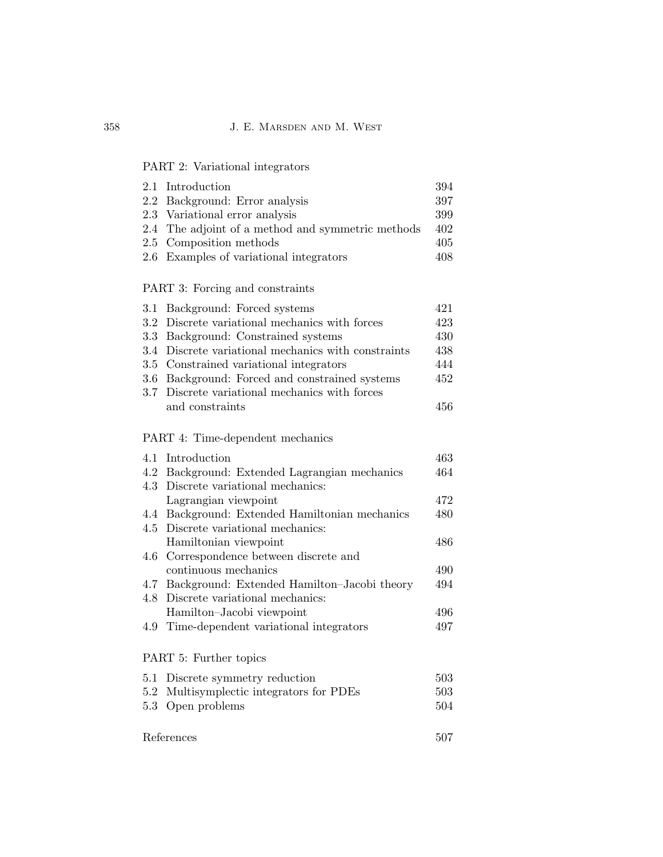### PART 2: Variational integrators

| 2.1 Introduction                                  | 394  |
|---------------------------------------------------|------|
| 2.2 Background: Error analysis                    | 397  |
| 2.3 Variational error analysis                    | 399  |
| 2.4 The adjoint of a method and symmetric methods | 402  |
| 2.5 Composition methods                           | 405  |
| 2.6 Examples of variational integrators           | 408. |

# PART 3: Forcing and constraints

| 3.1 Background: Forced systems                      | 421  |
|-----------------------------------------------------|------|
| 3.2 Discrete variational mechanics with forces      | 423  |
| 3.3 Background: Constrained systems                 | 430  |
| 3.4 Discrete variational mechanics with constraints | 438  |
| 3.5 Constrained variational integrators             | 444  |
| 3.6 Background: Forced and constrained systems      | 452  |
| 3.7 Discrete variational mechanics with forces      |      |
| and constraints                                     | 456. |

# PART 4: Time-dependent mechanics

| 4.1 Introduction                                | 463 |
|-------------------------------------------------|-----|
| 4.2 Background: Extended Lagrangian mechanics   | 464 |
| 4.3 Discrete variational mechanics:             |     |
| Lagrangian viewpoint                            | 472 |
| 4.4 Background: Extended Hamiltonian mechanics  | 480 |
| 4.5 Discrete variational mechanics:             |     |
| Hamiltonian viewpoint                           | 486 |
| 4.6 Correspondence between discrete and         |     |
| continuous mechanics                            | 490 |
| 4.7 Background: Extended Hamilton-Jacobi theory | 494 |
| 4.8 Discrete variational mechanics:             |     |
| Hamilton-Jacobi viewpoint                       | 496 |
| 4.9 Time-dependent variational integrators      | 497 |
|                                                 |     |
| PART 5: Further topics                          |     |
| 5.1 Discrete symmetry reduction                 | 503 |
| 5.2 Multisymplectic integrators for PDEs        | 503 |
| 5.3 Open problems                               | 504 |
|                                                 |     |
|                                                 |     |

## $\begin{tabular}{c} References \end{tabular} \begin{tabular}{c} \includegraphics[width=0.35\textwidth]{figs/1000}} \end{tabular}$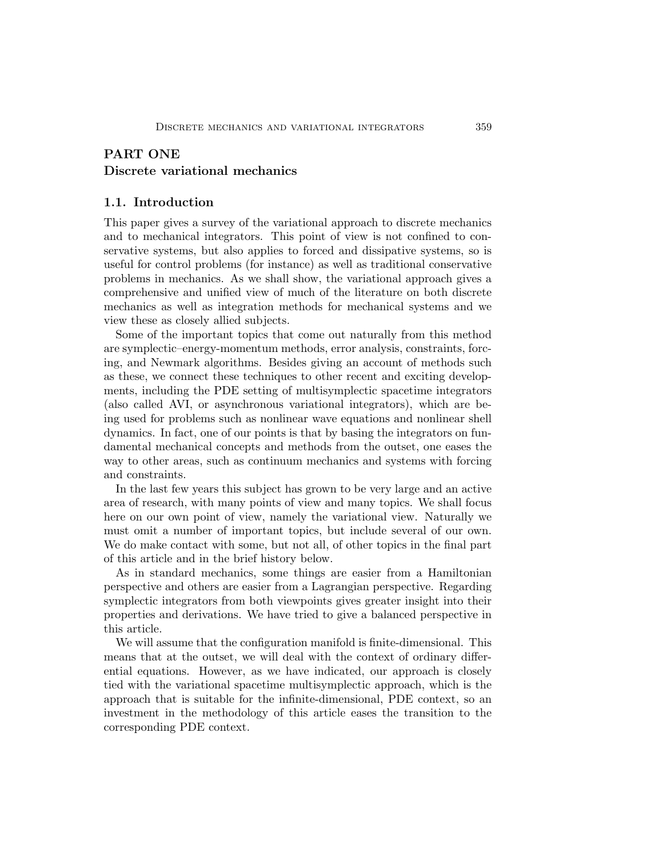## PART ONE Discrete variational mechanics

#### 1.1. Introduction

This paper gives a survey of the variational approach to discrete mechanics and to mechanical integrators. This point of view is not confined to conservative systems, but also applies to forced and dissipative systems, so is useful for control problems (for instance) as well as traditional conservative problems in mechanics. As we shall show, the variational approach gives a comprehensive and unified view of much of the literature on both discrete mechanics as well as integration methods for mechanical systems and we view these as closely allied subjects.

Some of the important topics that come out naturally from this method are symplectic–energy-momentum methods, error analysis, constraints, forcing, and Newmark algorithms. Besides giving an account of methods such as these, we connect these techniques to other recent and exciting developments, including the PDE setting of multisymplectic spacetime integrators (also called AVI, or asynchronous variational integrators), which are being used for problems such as nonlinear wave equations and nonlinear shell dynamics. In fact, one of our points is that by basing the integrators on fundamental mechanical concepts and methods from the outset, one eases the way to other areas, such as continuum mechanics and systems with forcing and constraints.

In the last few years this subject has grown to be very large and an active area of research, with many points of view and many topics. We shall focus here on our own point of view, namely the variational view. Naturally we must omit a number of important topics, but include several of our own. We do make contact with some, but not all, of other topics in the final part of this article and in the brief history below.

As in standard mechanics, some things are easier from a Hamiltonian perspective and others are easier from a Lagrangian perspective. Regarding symplectic integrators from both viewpoints gives greater insight into their properties and derivations. We have tried to give a balanced perspective in this article.

We will assume that the configuration manifold is finite-dimensional. This means that at the outset, we will deal with the context of ordinary differential equations. However, as we have indicated, our approach is closely tied with the variational spacetime multisymplectic approach, which is the approach that is suitable for the infinite-dimensional, PDE context, so an investment in the methodology of this article eases the transition to the corresponding PDE context.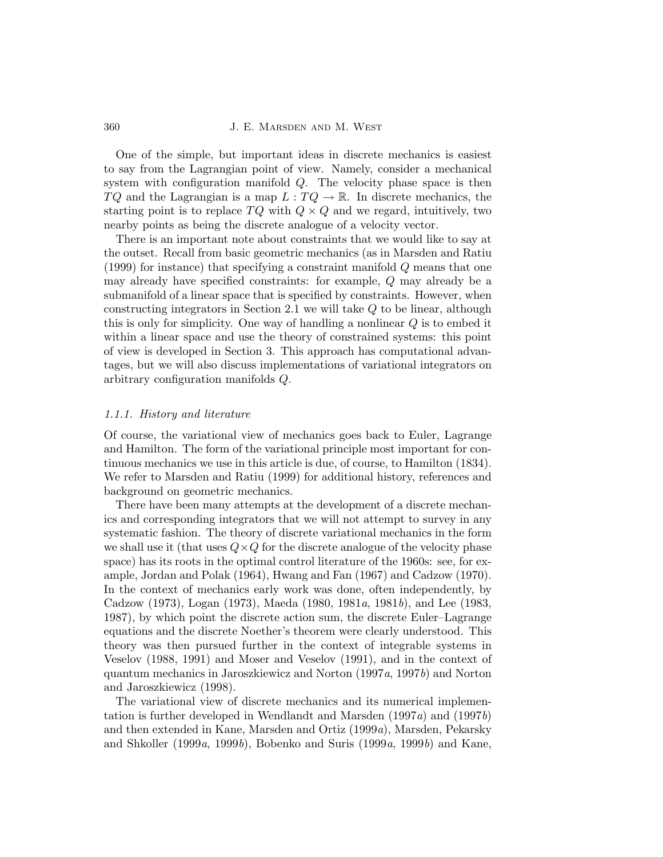#### 360 J. E. MARSDEN AND M. WEST

One of the simple, but important ideas in discrete mechanics is easiest to say from the Lagrangian point of view. Namely, consider a mechanical system with configuration manifold  $Q$ . The velocity phase space is then  $TQ$  and the Lagrangian is a map  $L: TQ \to \mathbb{R}$ . In discrete mechanics, the starting point is to replace  $TQ$  with  $Q \times Q$  and we regard, intuitively, two nearby points as being the discrete analogue of a velocity vector.

There is an important note about constraints that we would like to say at the outset. Recall from basic geometric mechanics (as in Marsden and Ratiu (1999) for instance) that specifying a constraint manifold Q means that one may already have specified constraints: for example, Q may already be a submanifold of a linear space that is specified by constraints. However, when constructing integrators in Section 2.1 we will take  $Q$  to be linear, although this is only for simplicity. One way of handling a nonlinear Q is to embed it within a linear space and use the theory of constrained systems: this point of view is developed in Section 3. This approach has computational advantages, but we will also discuss implementations of variational integrators on arbitrary configuration manifolds Q.

#### 1.1.1. History and literature

Of course, the variational view of mechanics goes back to Euler, Lagrange and Hamilton. The form of the variational principle most important for continuous mechanics we use in this article is due, of course, to Hamilton (1834). We refer to Marsden and Ratiu (1999) for additional history, references and background on geometric mechanics.

There have been many attempts at the development of a discrete mechanics and corresponding integrators that we will not attempt to survey in any systematic fashion. The theory of discrete variational mechanics in the form we shall use it (that uses  $Q \times Q$  for the discrete analogue of the velocity phase space) has its roots in the optimal control literature of the 1960s: see, for example, Jordan and Polak (1964), Hwang and Fan (1967) and Cadzow (1970). In the context of mechanics early work was done, often independently, by Cadzow (1973), Logan (1973), Maeda (1980, 1981a, 1981b), and Lee (1983, 1987), by which point the discrete action sum, the discrete Euler–Lagrange equations and the discrete Noether's theorem were clearly understood. This theory was then pursued further in the context of integrable systems in Veselov (1988, 1991) and Moser and Veselov (1991), and in the context of quantum mechanics in Jaroszkiewicz and Norton (1997a, 1997b) and Norton and Jaroszkiewicz (1998).

The variational view of discrete mechanics and its numerical implementation is further developed in Wendlandt and Marsden (1997a) and (1997b) and then extended in Kane, Marsden and Ortiz (1999a), Marsden, Pekarsky and Shkoller (1999a, 1999b), Bobenko and Suris (1999a, 1999b) and Kane,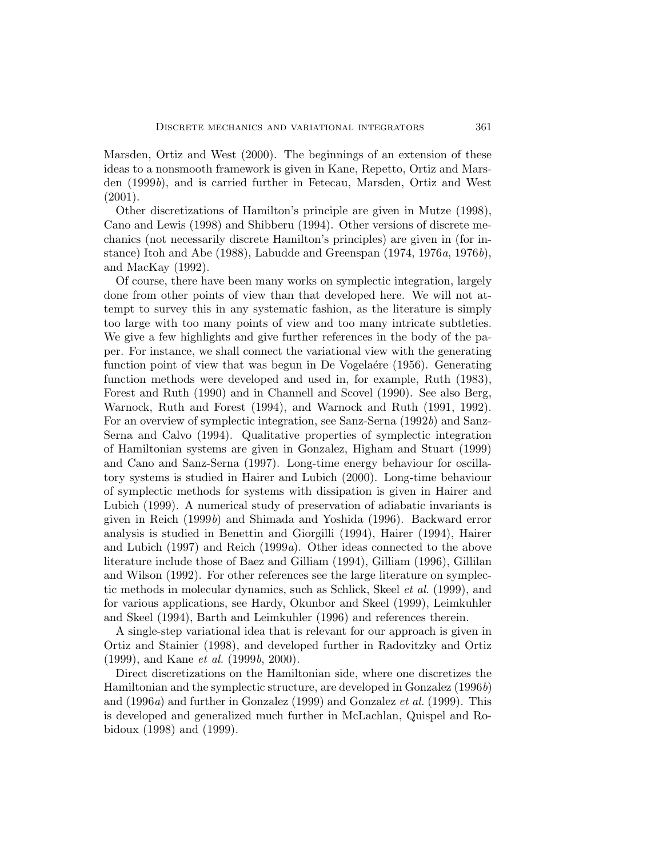Marsden, Ortiz and West (2000). The beginnings of an extension of these ideas to a nonsmooth framework is given in Kane, Repetto, Ortiz and Marsden (1999b), and is carried further in Fetecau, Marsden, Ortiz and West (2001).

Other discretizations of Hamilton's principle are given in Mutze (1998), Cano and Lewis (1998) and Shibberu (1994). Other versions of discrete mechanics (not necessarily discrete Hamilton's principles) are given in (for instance) Itoh and Abe (1988), Labudde and Greenspan (1974, 1976 $a$ , 1976 $b$ ), and MacKay (1992).

Of course, there have been many works on symplectic integration, largely done from other points of view than that developed here. We will not attempt to survey this in any systematic fashion, as the literature is simply too large with too many points of view and too many intricate subtleties. We give a few highlights and give further references in the body of the paper. For instance, we shall connect the variational view with the generating function point of view that was begun in De Vogelaere (1956). Generating function methods were developed and used in, for example, Ruth (1983), Forest and Ruth (1990) and in Channell and Scovel (1990). See also Berg, Warnock, Ruth and Forest (1994), and Warnock and Ruth (1991, 1992). For an overview of symplectic integration, see Sanz-Serna (1992b) and Sanz-Serna and Calvo (1994). Qualitative properties of symplectic integration of Hamiltonian systems are given in Gonzalez, Higham and Stuart (1999) and Cano and Sanz-Serna (1997). Long-time energy behaviour for oscillatory systems is studied in Hairer and Lubich (2000). Long-time behaviour of symplectic methods for systems with dissipation is given in Hairer and Lubich (1999). A numerical study of preservation of adiabatic invariants is given in Reich (1999b) and Shimada and Yoshida (1996). Backward error analysis is studied in Benettin and Giorgilli (1994), Hairer (1994), Hairer and Lubich (1997) and Reich (1999a). Other ideas connected to the above literature include those of Baez and Gilliam (1994), Gilliam (1996), Gillilan and Wilson (1992). For other references see the large literature on symplectic methods in molecular dynamics, such as Schlick, Skeel et al. (1999), and for various applications, see Hardy, Okunbor and Skeel (1999), Leimkuhler and Skeel (1994), Barth and Leimkuhler (1996) and references therein.

A single-step variational idea that is relevant for our approach is given in Ortiz and Stainier (1998), and developed further in Radovitzky and Ortiz (1999), and Kane et al. (1999b, 2000).

Direct discretizations on the Hamiltonian side, where one discretizes the Hamiltonian and the symplectic structure, are developed in Gonzalez (1996b) and  $(1996a)$  and further in Gonzalez (1999) and Gonzalez *et al.* (1999). This is developed and generalized much further in McLachlan, Quispel and Robidoux (1998) and (1999).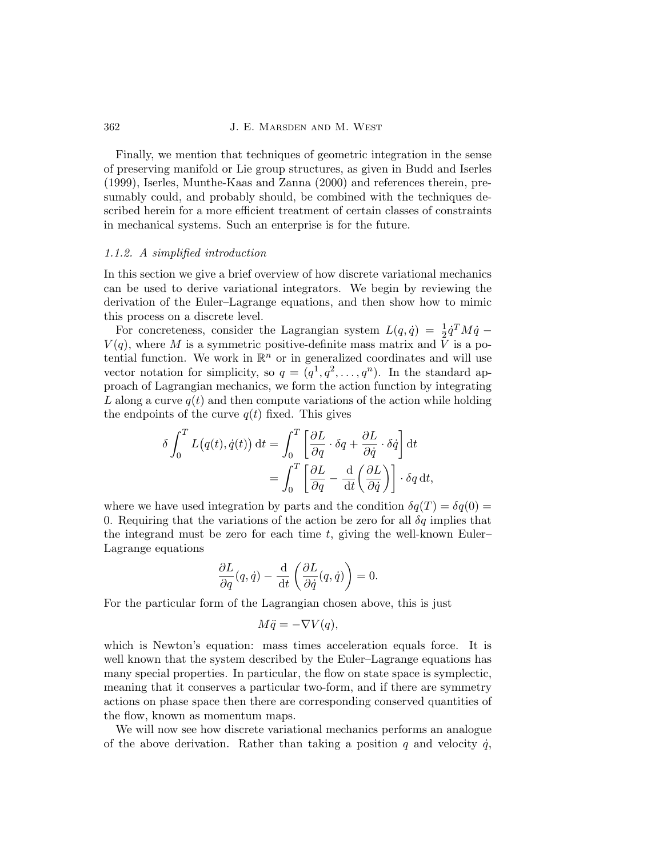#### 362 J. E. MARSDEN AND M. WEST

Finally, we mention that techniques of geometric integration in the sense of preserving manifold or Lie group structures, as given in Budd and Iserles (1999), Iserles, Munthe-Kaas and Zanna (2000) and references therein, presumably could, and probably should, be combined with the techniques described herein for a more efficient treatment of certain classes of constraints in mechanical systems. Such an enterprise is for the future.

#### 1.1.2. A simplified introduction

In this section we give a brief overview of how discrete variational mechanics can be used to derive variational integrators. We begin by reviewing the derivation of the Euler–Lagrange equations, and then show how to mimic this process on a discrete level.

For concreteness, consider the Lagrangian system  $L(q, \dot{q}) = \frac{1}{2}$  $\frac{1}{2}\dot{q}^T M \dot{q}$  –  $V(q)$ , where M is a symmetric positive-definite mass matrix and V is a potential function. We work in  $\mathbb{R}^n$  or in generalized coordinates and will use vector notation for simplicity, so  $q = (q^1, q^2, \dots, q^n)$ . In the standard approach of Lagrangian mechanics, we form the action function by integrating L along a curve  $q(t)$  and then compute variations of the action while holding the endpoints of the curve  $q(t)$  fixed. This gives

$$
\delta \int_0^T L(q(t), \dot{q}(t)) dt = \int_0^T \left[ \frac{\partial L}{\partial q} \cdot \delta q + \frac{\partial L}{\partial \dot{q}} \cdot \delta \dot{q} \right] dt
$$
  
= 
$$
\int_0^T \left[ \frac{\partial L}{\partial q} - \frac{d}{dt} \left( \frac{\partial L}{\partial \dot{q}} \right) \right] \cdot \delta q dt,
$$

where we have used integration by parts and the condition  $\delta q(T) = \delta q(0)$ 0. Requiring that the variations of the action be zero for all  $\delta q$  implies that the integrand must be zero for each time  $t$ , giving the well-known Euler-Lagrange equations

$$
\frac{\partial L}{\partial q}(q,\dot{q})-\frac{\mathrm{d}}{\mathrm{d} t}\left(\frac{\partial L}{\partial \dot{q}}(q,\dot{q})\right)=0.
$$

For the particular form of the Lagrangian chosen above, this is just

$$
M\ddot{q} = -\nabla V(q),
$$

which is Newton's equation: mass times acceleration equals force. It is well known that the system described by the Euler–Lagrange equations has many special properties. In particular, the flow on state space is symplectic, meaning that it conserves a particular two-form, and if there are symmetry actions on phase space then there are corresponding conserved quantities of the flow, known as momentum maps.

We will now see how discrete variational mechanics performs an analogue of the above derivation. Rather than taking a position q and velocity  $\dot{q}$ ,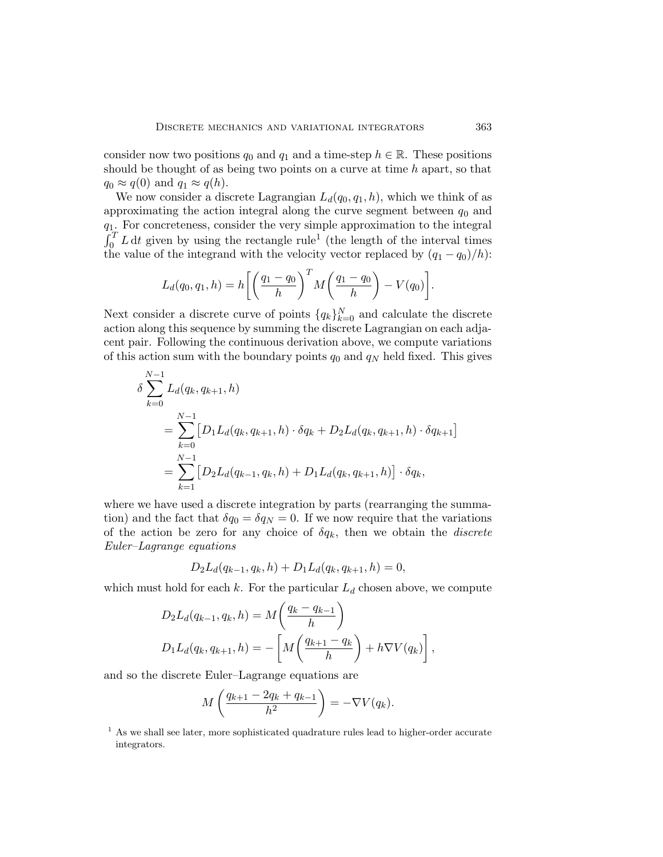consider now two positions  $q_0$  and  $q_1$  and a time-step  $h \in \mathbb{R}$ . These positions should be thought of as being two points on a curve at time  $h$  apart, so that  $q_0 \approx q(0)$  and  $q_1 \approx q(h)$ .

We now consider a discrete Lagrangian  $L_d(q_0, q_1, h)$ , which we think of as approximating the action integral along the curve segment between  $q_0$  and  $q_1$ . For concreteness, consider the very simple approximation to the integral  $\int_0^T L dt$  given by using the rectangle rule<sup>1</sup> (the length of the interval times the value of the integrand with the velocity vector replaced by  $(q_1 - q_0)/h$ :

$$
L_d(q_0, q_1, h) = h \left[ \left( \frac{q_1 - q_0}{h} \right)^T M \left( \frac{q_1 - q_0}{h} \right) - V(q_0) \right].
$$

Next consider a discrete curve of points  ${q_k}_{k=0}^N$  and calculate the discrete action along this sequence by summing the discrete Lagrangian on each adjacent pair. Following the continuous derivation above, we compute variations of this action sum with the boundary points  $q_0$  and  $q_N$  held fixed. This gives

$$
\delta \sum_{k=0}^{N-1} L_d(q_k, q_{k+1}, h)
$$
  
= 
$$
\sum_{k=0}^{N-1} [D_1 L_d(q_k, q_{k+1}, h) \cdot \delta q_k + D_2 L_d(q_k, q_{k+1}, h) \cdot \delta q_{k+1}]
$$
  
= 
$$
\sum_{k=1}^{N-1} [D_2 L_d(q_{k-1}, q_k, h) + D_1 L_d(q_k, q_{k+1}, h)] \cdot \delta q_k,
$$

where we have used a discrete integration by parts (rearranging the summation) and the fact that  $\delta q_0 = \delta q_N = 0$ . If we now require that the variations of the action be zero for any choice of  $\delta q_k$ , then we obtain the *discrete* Euler–Lagrange equations

$$
D_2L_d(q_{k-1}, q_k, h) + D_1L_d(q_k, q_{k+1}, h) = 0,
$$

which must hold for each  $k$ . For the particular  $L_d$  chosen above, we compute

$$
D_2L_d(q_{k-1}, q_k, h) = M\left(\frac{q_k - q_{k-1}}{h}\right)
$$
  

$$
D_1L_d(q_k, q_{k+1}, h) = -\left[M\left(\frac{q_{k+1} - q_k}{h}\right) + h\nabla V(q_k)\right],
$$

and so the discrete Euler–Lagrange equations are

$$
M\left(\frac{q_{k+1}-2q_k+q_{k-1}}{h^2}\right) = -\nabla V(q_k).
$$

 $1$  As we shall see later, more sophisticated quadrature rules lead to higher-order accurate integrators.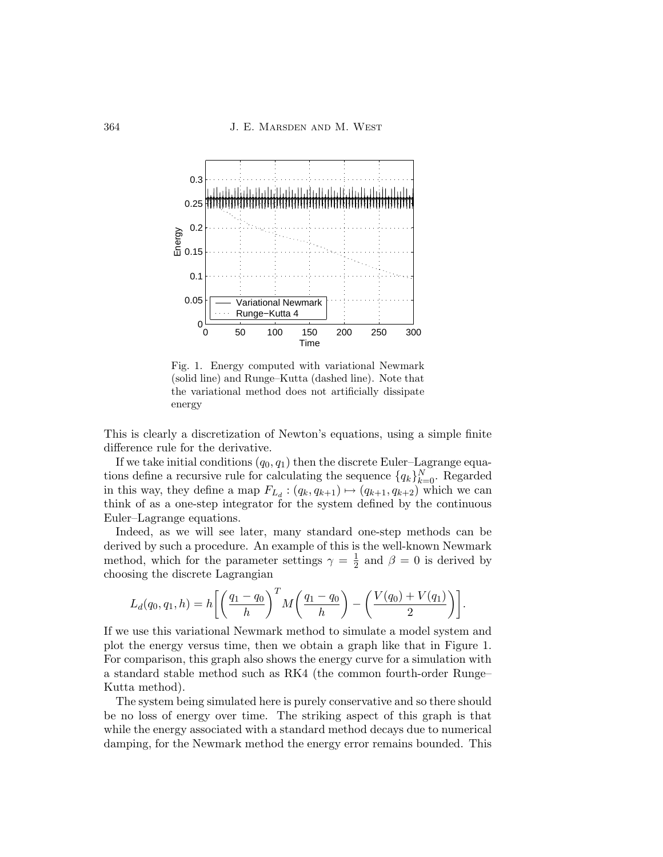

Fig. 1. Energy computed with variational Newmark (solid line) and Runge–Kutta (dashed line). Note that the variational method does not artificially dissipate energy

This is clearly a discretization of Newton's equations, using a simple finite difference rule for the derivative.

If we take initial conditions  $(q_0, q_1)$  then the discrete Euler–Lagrange equations define a recursive rule for calculating the sequence  ${q_k}_{k=0}^N$ . Regarded in this way, they define a map  $F_{L_d} : (q_k, q_{k+1}) \mapsto (q_{k+1}, q_{k+2})$  which we can think of as a one-step integrator for the system defined by the continuous Euler–Lagrange equations.

Indeed, as we will see later, many standard one-step methods can be derived by such a procedure. An example of this is the well-known Newmark method, which for the parameter settings  $\gamma = \frac{1}{2}$  $\frac{1}{2}$  and  $\beta = 0$  is derived by choosing the discrete Lagrangian

$$
L_d(q_0, q_1, h) = h \left[ \left( \frac{q_1 - q_0}{h} \right)^T M \left( \frac{q_1 - q_0}{h} \right) - \left( \frac{V(q_0) + V(q_1)}{2} \right) \right].
$$

If we use this variational Newmark method to simulate a model system and plot the energy versus time, then we obtain a graph like that in Figure 1. For comparison, this graph also shows the energy curve for a simulation with a standard stable method such as RK4 (the common fourth-order Runge– Kutta method).

The system being simulated here is purely conservative and so there should be no loss of energy over time. The striking aspect of this graph is that while the energy associated with a standard method decays due to numerical damping, for the Newmark method the energy error remains bounded. This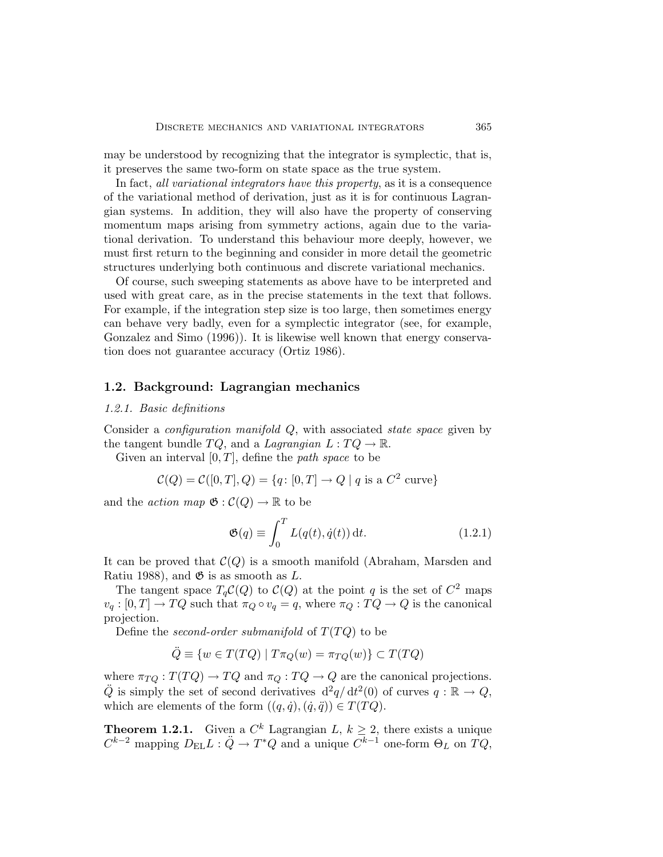may be understood by recognizing that the integrator is symplectic, that is, it preserves the same two-form on state space as the true system.

In fact, all variational integrators have this property, as it is a consequence of the variational method of derivation, just as it is for continuous Lagrangian systems. In addition, they will also have the property of conserving momentum maps arising from symmetry actions, again due to the variational derivation. To understand this behaviour more deeply, however, we must first return to the beginning and consider in more detail the geometric structures underlying both continuous and discrete variational mechanics.

Of course, such sweeping statements as above have to be interpreted and used with great care, as in the precise statements in the text that follows. For example, if the integration step size is too large, then sometimes energy can behave very badly, even for a symplectic integrator (see, for example, Gonzalez and Simo (1996)). It is likewise well known that energy conservation does not guarantee accuracy (Ortiz 1986).

#### 1.2. Background: Lagrangian mechanics

#### 1.2.1. Basic definitions

Consider a *configuration manifold*  $Q$ , with associated *state space* given by the tangent bundle  $TQ$ , and a Lagrangian  $L: TQ \to \mathbb{R}$ .

Given an interval  $[0, T]$ , define the *path space* to be

$$
\mathcal{C}(Q) = \mathcal{C}([0, T], Q) = \{q \colon [0, T] \to Q \mid q \text{ is a } C^2 \text{ curve}\}
$$

and the *action map*  $\mathfrak{G} : \mathcal{C}(Q) \to \mathbb{R}$  to be

$$
\mathfrak{G}(q) \equiv \int_0^T L(q(t), \dot{q}(t)) dt.
$$
 (1.2.1)

It can be proved that  $\mathcal{C}(Q)$  is a smooth manifold (Abraham, Marsden and Ratiu 1988), and  $\mathfrak{G}$  is as smooth as L.

The tangent space  $T_qC(Q)$  to  $C(Q)$  at the point q is the set of  $C^2$  maps  $v_q : [0, T] \to TQ$  such that  $\pi_Q \circ v_q = q$ , where  $\pi_Q : TQ \to Q$  is the canonical projection.

Define the *second-order submanifold* of  $T(TQ)$  to be

$$
\ddot{Q} \equiv \{w \in T(TQ) \mid T\pi_Q(w) = \pi_{TQ}(w)\} \subset T(TQ)
$$

where  $\pi_{TQ}: T(TQ) \to TQ$  and  $\pi_Q: TQ \to Q$  are the canonical projections.  $\ddot{Q}$  is simply the set of second derivatives  $d^2q/dt^2(0)$  of curves  $q : \mathbb{R} \to Q$ , which are elements of the form  $((q, \dot{q}),(\dot{q}, \ddot{q})) \in T(TQ)$ .

**Theorem 1.2.1.** Given a  $C^k$  Lagrangian  $L, k \geq 2$ , there exists a unique  $C^{k-2}$  mapping  $D_{\text{EL}}L : \ddot{Q} \to T^*Q$  and a unique  $C^{k-1}$  one-form  $\Theta_L$  on  $TQ$ ,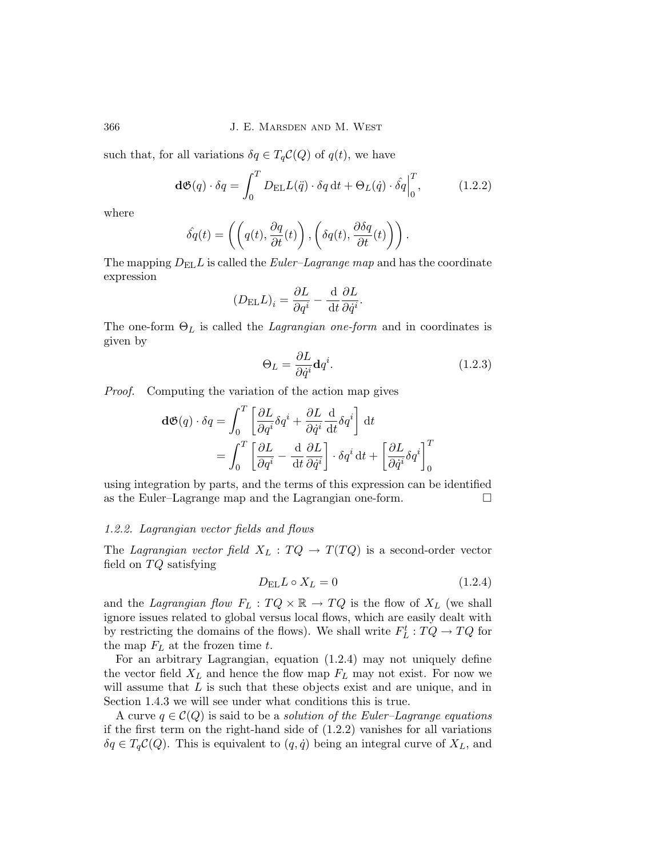such that, for all variations  $\delta q \in T_q\mathcal{C}(Q)$  of  $q(t)$ , we have

$$
\mathbf{d}\mathfrak{G}(q) \cdot \delta q = \int_0^T D_{\rm EL} L(\ddot{q}) \cdot \delta q \, \mathrm{d}t + \Theta_L(\dot{q}) \cdot \hat{\delta q} \Big|_0^T, \tag{1.2.2}
$$

where

$$
\hat{\delta q}(t) = \left( \left( q(t), \frac{\partial q}{\partial t}(t) \right), \left( \delta q(t), \frac{\partial \delta q}{\partial t}(t) \right) \right).
$$

The mapping  $D_{EL}L$  is called the *Euler–Lagrange map* and has the coordinate expression

$$
(D_{\rm EL}L)_i = \frac{\partial L}{\partial q^i} - \frac{\mathrm{d}}{\mathrm{d} t} \frac{\partial L}{\partial \dot{q}^i}.
$$

The one-form  $\Theta_L$  is called the *Lagrangian one-form* and in coordinates is given by

$$
\Theta_L = \frac{\partial L}{\partial \dot{q}^i} \mathbf{d} q^i. \tag{1.2.3}
$$

Proof. Computing the variation of the action map gives

$$
\mathbf{d}\mathfrak{G}(q) \cdot \delta q = \int_0^T \left[ \frac{\partial L}{\partial q^i} \delta q^i + \frac{\partial L}{\partial \dot{q}^i} \frac{\mathrm{d}}{\mathrm{d}t} \delta q^i \right] dt
$$
  
= 
$$
\int_0^T \left[ \frac{\partial L}{\partial q^i} - \frac{\mathrm{d}}{\mathrm{d}t} \frac{\partial L}{\partial \dot{q}^i} \right] \cdot \delta q^i dt + \left[ \frac{\partial L}{\partial \dot{q}^i} \delta q^i \right]_0^T
$$

using integration by parts, and the terms of this expression can be identified as the Euler–Lagrange map and the Lagrangian one-form.  $\Box$ 

#### 1.2.2. Lagrangian vector fields and flows

The Lagrangian vector field  $X_L : TQ \to T(TQ)$  is a second-order vector field on  $TQ$  satisfying

$$
D_{\rm EL} L \circ X_L = 0 \tag{1.2.4}
$$

and the Lagrangian flow  $F_L: TQ \times \mathbb{R} \to TQ$  is the flow of  $X_L$  (we shall ignore issues related to global versus local flows, which are easily dealt with by restricting the domains of the flows). We shall write  $F_L^t: TQ \to TQ$  for the map  $F_L$  at the frozen time t.

For an arbitrary Lagrangian, equation (1.2.4) may not uniquely define the vector field  $X_L$  and hence the flow map  $F_L$  may not exist. For now we will assume that  $L$  is such that these objects exist and are unique, and in Section 1.4.3 we will see under what conditions this is true.

A curve  $q \in \mathcal{C}(Q)$  is said to be a *solution of the Euler–Lagrange equations* if the first term on the right-hand side of (1.2.2) vanishes for all variations  $\delta q \in T_qC(Q)$ . This is equivalent to  $(q, \dot{q})$  being an integral curve of  $X_L$ , and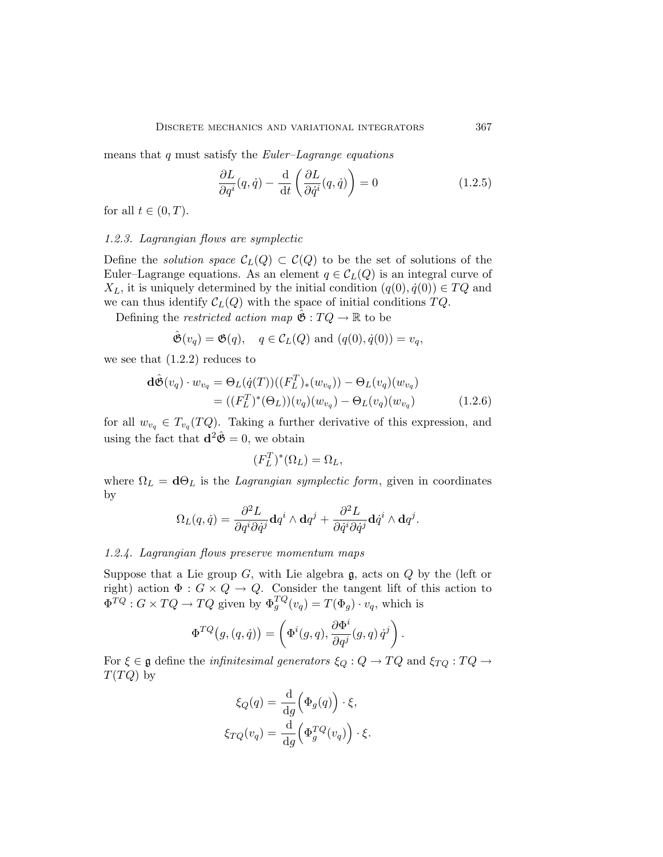means that  $q$  must satisfy the *Euler–Lagrange equations* 

$$
\frac{\partial L}{\partial q^i}(q, \dot{q}) - \frac{\mathrm{d}}{\mathrm{d}t} \left( \frac{\partial L}{\partial \dot{q}^i}(q, \dot{q}) \right) = 0 \tag{1.2.5}
$$

for all  $t \in (0, T)$ .

#### 1.2.3. Lagrangian flows are symplectic

Define the *solution space*  $\mathcal{C}_L(Q) \subset \mathcal{C}(Q)$  to be the set of solutions of the Euler–Lagrange equations. As an element  $q \in C<sub>L</sub>(Q)$  is an integral curve of  $X_L$ , it is uniquely determined by the initial condition  $(q(0), \dot{q}(0)) \in TQ$  and we can thus identify  $C<sub>L</sub>(Q)$  with the space of initial conditions  $TQ$ .

Defining the *restricted action map*  $\mathfrak{G}: TQ \to \mathbb{R}$  to be

$$
\hat{\mathfrak{G}}(v_q) = \mathfrak{G}(q), \quad q \in \mathcal{C}_L(Q) \text{ and } (q(0), \dot{q}(0)) = v_q,
$$

we see that (1.2.2) reduces to

$$
\mathbf{d}\hat{\mathfrak{G}}(v_q) \cdot w_{v_q} = \Theta_L(\dot{q}(T))((F_L^T)_*(w_{v_q})) - \Theta_L(v_q)(w_{v_q})
$$
  
= ((F\_L^T)^\*(\Theta\_L))(v\_q)(w\_{v\_q}) - \Theta\_L(v\_q)(w\_{v\_q}) \t(1.2.6)

for all  $w_{v_q} \in T_{v_q}(TQ)$ . Taking a further derivative of this expression, and using the fact that  $\mathbf{d}^2\hat{\mathbf{\mathscr{C}}} = 0$ , we obtain

$$
(F_L^T)^*(\Omega_L) = \Omega_L,
$$

where  $\Omega_L = d\Theta_L$  is the Lagrangian symplectic form, given in coordinates by

$$
\Omega_L(q,\dot{q})=\frac{\partial^2 L}{\partial q^i\partial \dot{q}^j}{\bf d} q^i\wedge {\bf d} q^j+\frac{\partial^2 L}{\partial \dot{q}^i\partial \dot{q}^j}{\bf d} \dot{q}^i\wedge {\bf d} q^j.
$$

#### 1.2.4. Lagrangian flows preserve momentum maps

Suppose that a Lie group G, with Lie algebra  $\mathfrak{g}$ , acts on Q by the (left or right) action  $\Phi: G \times Q \to Q$ . Consider the tangent lift of this action to  $\Phi^{TQ}: G \times TQ \to TQ$  given by  $\Phi_g^{TQ}(v_q) = T(\Phi_g) \cdot v_q$ , which is

$$
\Phi^{TQ}(g,(q,\dot{q})) = \left(\Phi^{i}(g,q), \frac{\partial \Phi^{i}}{\partial q^{j}}(g,q) \dot{q}^{j}\right).
$$

For  $\xi \in \mathfrak{g}$  define the *infinitesimal generators*  $\xi_Q : Q \to TQ$  and  $\xi_{TQ} : TQ \to$  $T(TQ)$  by

$$
\xi_Q(q) = \frac{\mathrm{d}}{\mathrm{d}g} \Big( \Phi_g(q) \Big) \cdot \xi,
$$
  

$$
\xi_{TQ}(v_q) = \frac{\mathrm{d}}{\mathrm{d}g} \Big( \Phi_g^{TQ}(v_q) \Big) \cdot \xi.
$$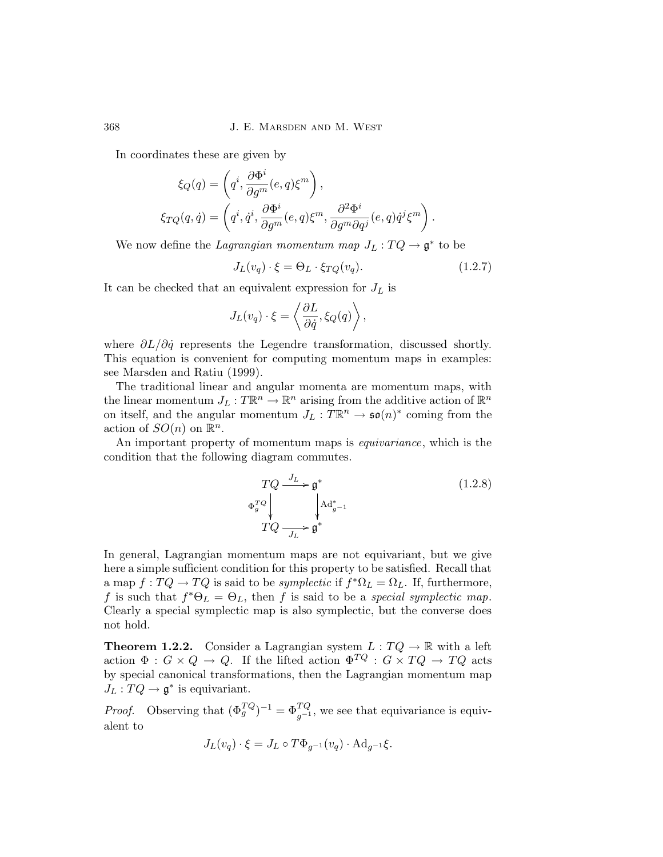In coordinates these are given by

$$
\xi_Q(q) = \left(q^i, \frac{\partial \Phi^i}{\partial g^m}(e, q)\xi^m\right),
$$
  
\n
$$
\xi_{TQ}(q, \dot{q}) = \left(q^i, \dot{q}^i, \frac{\partial \Phi^i}{\partial g^m}(e, q)\xi^m, \frac{\partial^2 \Phi^i}{\partial g^m \partial q^j}(e, q)\dot{q}^j\xi^m\right).
$$

We now define the Lagrangian momentum map  $J_L: TQ \to \mathfrak{g}^*$  to be

$$
J_L(v_q) \cdot \xi = \Theta_L \cdot \xi_{TQ}(v_q). \tag{1.2.7}
$$

It can be checked that an equivalent expression for  $J_L$  is

$$
J_L(v_q) \cdot \xi = \left\langle \frac{\partial L}{\partial \dot{q}}, \xi_Q(q) \right\rangle,
$$

where  $\partial L/\partial \dot{q}$  represents the Legendre transformation, discussed shortly. This equation is convenient for computing momentum maps in examples: see Marsden and Ratiu (1999).

The traditional linear and angular momenta are momentum maps, with the linear momentum  $J_L: T\mathbb{R}^n \to \mathbb{R}^n$  arising from the additive action of  $\mathbb{R}^n$ on itself, and the angular momentum  $J_L: T\mathbb{R}^n \to \mathfrak{so}(n)^*$  coming from the action of  $SO(n)$  on  $\mathbb{R}^n$ .

An important property of momentum maps is *equivariance*, which is the condition that the following diagram commutes.

$$
TQ \xrightarrow{J_L} \mathfrak{g}^*
$$
  
\n
$$
\Phi_g^{TQ} \downarrow \qquad \qquad \downarrow \text{Ad}^*_{g-1}
$$
  
\n
$$
TQ \xrightarrow{J_L} \mathfrak{g}^*
$$
\n(1.2.8)

In general, Lagrangian momentum maps are not equivariant, but we give here a simple sufficient condition for this property to be satisfied. Recall that a map  $f: TQ \to TQ$  is said to be *symplectic* if  $f^* \Omega_L = \Omega_L$ . If, furthermore, f is such that  $f^*\Theta_L = \Theta_L$ , then f is said to be a special symplectic map. Clearly a special symplectic map is also symplectic, but the converse does not hold.

**Theorem 1.2.2.** Consider a Lagrangian system  $L: TQ \to \mathbb{R}$  with a left action  $\Phi: G \times Q \to Q$ . If the lifted action  $\Phi^{TQ}: G \times TQ \to TQ$  acts by special canonical transformations, then the Lagrangian momentum map  $J_L: TQ \to \mathfrak{g}^*$  is equivariant.

*Proof.* Observing that  $(\Phi_g^{TQ})^{-1} = \Phi_{g-1}^{TQ}$  $\frac{d}{g}$ , we see that equivariance is equivalent to

$$
J_L(v_q) \cdot \xi = J_L \circ T\Phi_{g^{-1}}(v_q) \cdot \mathrm{Ad}_{g^{-1}}\xi.
$$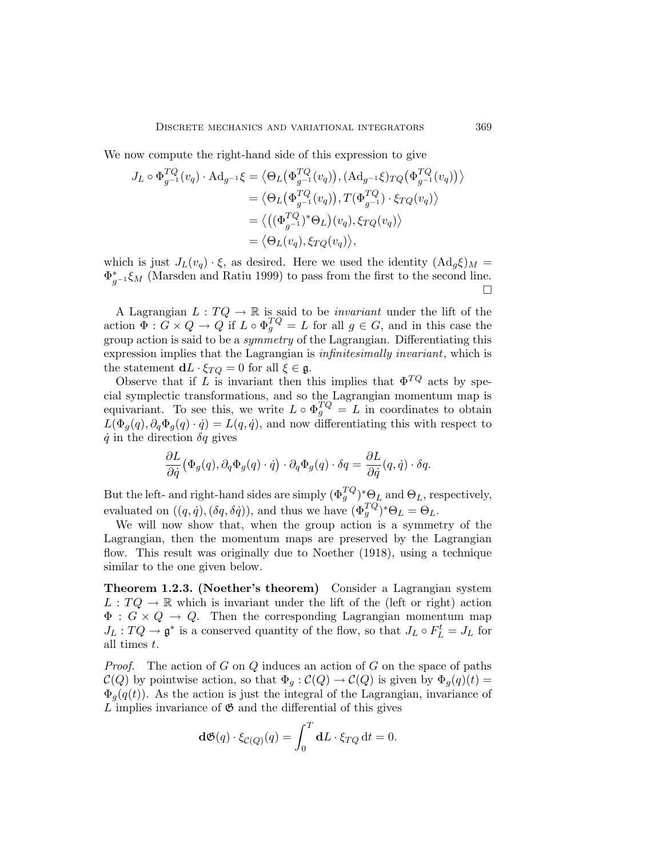We now compute the right-hand side of this expression to give

$$
J_L \circ \Phi_{g^{-1}}^{TQ}(v_q) \cdot \mathrm{Ad}_{g^{-1}}\xi = \left\langle \Theta_L\big(\Phi_{g^{-1}}^{TQ}(v_q)\big), (\mathrm{Ad}_{g^{-1}}\xi)_{TQ}\big(\Phi_{g^{-1}}^{TQ}(v_q)\big) \right\rangle
$$
  
\n
$$
= \left\langle \Theta_L\big(\Phi_{g^{-1}}^{TQ}(v_q)\big), T\big(\Phi_{g^{-1}}^{TQ}\big) \cdot \xi_{TQ}(v_q) \right\rangle
$$
  
\n
$$
= \left\langle \big((\Phi_{g^{-1}}^{TQ})^* \Theta_L\big)(v_q), \xi_{TQ}(v_q) \right\rangle
$$
  
\n
$$
= \left\langle \Theta_L(v_q), \xi_{TQ}(v_q) \right\rangle,
$$

which is just  $J_L(v_q) \cdot \xi$ , as desired. Here we used the identity  $(\text{Ad}_g \xi)_M =$  $\Phi_{g^{-1}}^*\xi_M$  (Marsden and Ratiu 1999) to pass from the first to the second line. ¤

A Lagrangian  $L: TQ \to \mathbb{R}$  is said to be *invariant* under the lift of the action  $\Phi: \tilde{G} \times Q \to Q$  if  $L \circ \Phi_g^{TQ} = L$  for all  $g \in G$ , and in this case the group action is said to be a *symmetry* of the Lagrangian. Differentiating this expression implies that the Lagrangian is *infinitesimally invariant*, which is the statement  $\mathbf{d}L \cdot \xi_{TQ} = 0$  for all  $\xi \in \mathfrak{g}$ .

Observe that if L is invariant then this implies that  $\Phi^{TQ}$  acts by special symplectic transformations, and so the Lagrangian momentum map is equivariant. To see this, we write  $L \circ \Phi_g^{TQ} = L$  in coordinates to obtain  $L(\Phi_q(q), \partial_q \Phi_q(q) \cdot \dot{q}) = L(q, \dot{q})$ , and now differentiating this with respect to  $\dot{q}$  in the direction  $\delta q$  gives

$$
\frac{\partial L}{\partial \dot{q}}\left(\Phi_g(q),\partial_q\Phi_g(q)\cdot\dot{q}\right)\cdot\partial_q\Phi_g(q)\cdot\delta q=\frac{\partial L}{\partial \dot{q}}(q,\dot{q})\cdot\delta q.
$$

But the left- and right-hand sides are simply  $(\Phi_g^{TQ})^* \Theta_L$  and  $\Theta_L$ , respectively, evaluated on  $((q, \dot{q}), (\delta q, \delta \dot{q}))$ , and thus we have  $(\Phi_g^{TQ})^* \Theta_L = \Theta_L$ .

We will now show that, when the group action is a symmetry of the Lagrangian, then the momentum maps are preserved by the Lagrangian flow. This result was originally due to Noether (1918), using a technique similar to the one given below.

Theorem 1.2.3. (Noether's theorem) Consider a Lagrangian system  $L: TQ \to \mathbb{R}$  which is invariant under the lift of the (left or right) action  $\Phi: G \times Q \to Q$ . Then the corresponding Lagrangian momentum map  $J_L: TQ \to \mathfrak{g}^*$  is a conserved quantity of the flow, so that  $J_L \circ F_L^t = J_L$  for all times t.

*Proof.* The action of G on Q induces an action of G on the space of paths  $\mathcal{C}(Q)$  by pointwise action, so that  $\Phi_q : \mathcal{C}(Q) \to \mathcal{C}(Q)$  is given by  $\Phi_q(q)(t) =$  $\Phi_q(q(t))$ . As the action is just the integral of the Lagrangian, invariance of L implies invariance of  $\mathfrak{G}$  and the differential of this gives

$$
\mathbf{d}\mathfrak{G}(q) \cdot \xi_{\mathcal{C}(Q)}(q) = \int_0^T \mathbf{d}L \cdot \xi_{TQ} dt = 0.
$$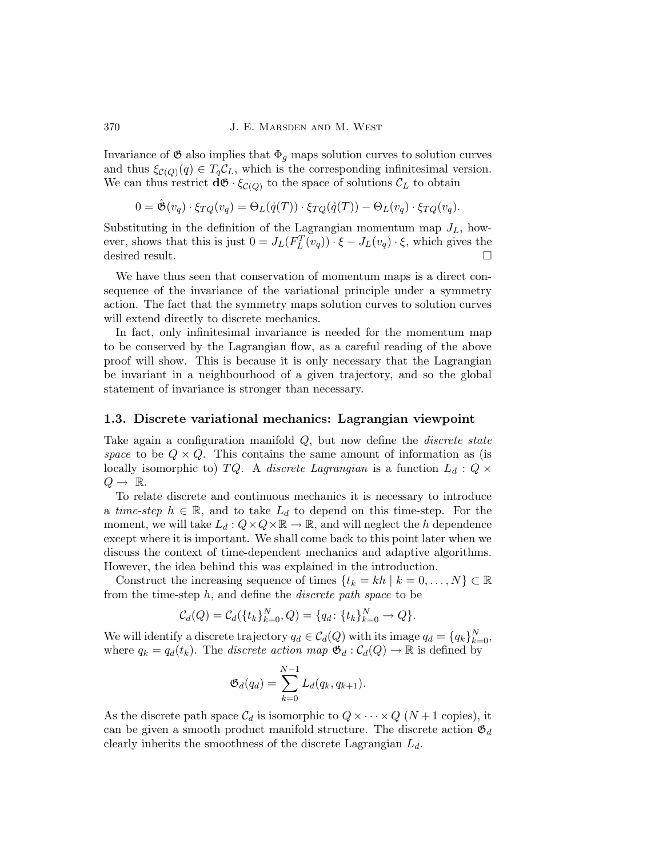Invariance of  $\mathfrak G$  also implies that  $\Phi_q$  maps solution curves to solution curves and thus  $\xi_{\mathcal{C}(Q)}(q) \in T_q\mathcal{C}_L$ , which is the corresponding infinitesimal version. We can thus restrict  $\mathbf{d}\mathfrak{G} \cdot \xi_{\mathcal{C}(Q)}$  to the space of solutions  $\mathcal{C}_L$  to obtain

$$
0 = \hat{\mathfrak{G}}(v_q) \cdot \xi_{TQ}(v_q) = \Theta_L(\dot{q}(T)) \cdot \xi_{TQ}(\dot{q}(T)) - \Theta_L(v_q) \cdot \xi_{TQ}(v_q).
$$

Substituting in the definition of the Lagrangian momentum map  $J_L$ , however, shows that this is just  $0 = J_L(F_L^T(v_q)) \cdot \xi - J_L(v_q) \cdot \xi$ , which gives the desired result.  $\Box$ 

We have thus seen that conservation of momentum maps is a direct consequence of the invariance of the variational principle under a symmetry action. The fact that the symmetry maps solution curves to solution curves will extend directly to discrete mechanics.

In fact, only infinitesimal invariance is needed for the momentum map to be conserved by the Lagrangian flow, as a careful reading of the above proof will show. This is because it is only necessary that the Lagrangian be invariant in a neighbourhood of a given trajectory, and so the global statement of invariance is stronger than necessary.

#### 1.3. Discrete variational mechanics: Lagrangian viewpoint

Take again a configuration manifold  $Q$ , but now define the *discrete state* space to be  $Q \times Q$ . This contains the same amount of information as (is locally isomorphic to) TQ. A discrete Lagrangian is a function  $L_d: Q \times$  $Q \rightarrow \mathbb{R}$ .

To relate discrete and continuous mechanics it is necessary to introduce a time-step  $h \in \mathbb{R}$ , and to take  $L_d$  to depend on this time-step. For the moment, we will take  $L_d: Q \times Q \times \mathbb{R} \to \mathbb{R}$ , and will neglect the h dependence except where it is important. We shall come back to this point later when we discuss the context of time-dependent mechanics and adaptive algorithms. However, the idea behind this was explained in the introduction.

Construct the increasing sequence of times  $\{t_k = kh \mid k = 0, \ldots, N\} \subset \mathbb{R}$ from the time-step  $h$ , and define the *discrete path space* to be

$$
C_d(Q) = C_d({t_k}_{k=0}^N, Q) = {q_d: {t_k}_{k=0}^N \to Q}.
$$

We will identify a discrete trajectory  $q_d \in C_d(Q)$  with its image  $q_d = \{q_k\}_{k=0}^N$ , where  $q_k = q_d(t_k)$ . The discrete action map  $\mathfrak{G}_d : C_d(Q) \to \mathbb{R}$  is defined by

$$
\mathfrak{G}_d(q_d) = \sum_{k=0}^{N-1} L_d(q_k, q_{k+1}).
$$

As the discrete path space  $C_d$  is isomorphic to  $Q \times \cdots \times Q$  ( $N+1$  copies), it can be given a smooth product manifold structure. The discrete action  $\mathfrak{G}_d$ clearly inherits the smoothness of the discrete Lagrangian  $L_d$ .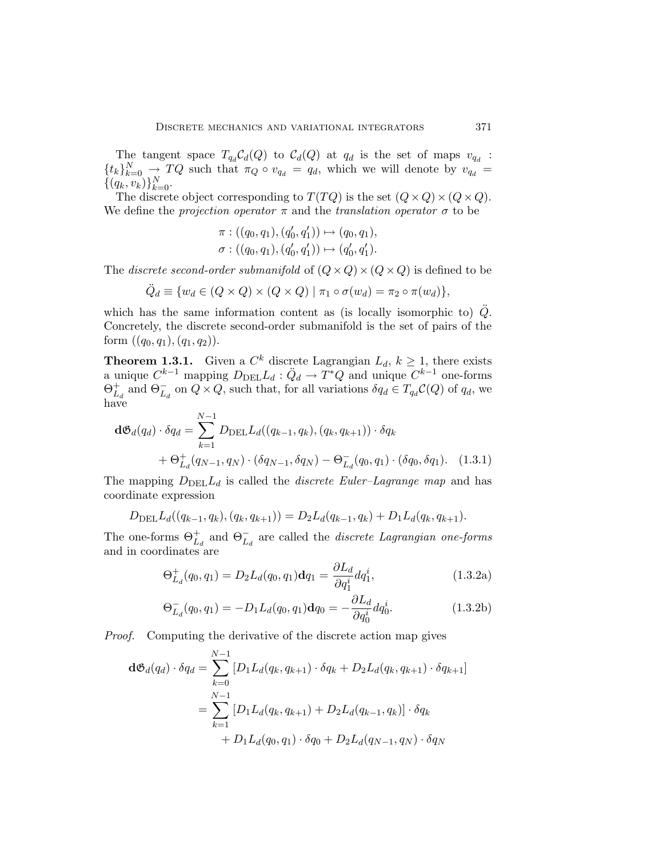The tangent space  $T_{q_d} C_d(Q)$  to  $C_d(Q)$  at  $q_d$  is the set of maps  $v_{q_d}$ :  ${t_k}_{k=0}^N \rightarrow TQ$  such that  $\pi_Q \circ v_{q_d} = q_d$ , which we will denote by  $v_{q_d} =$  $\{(q_k, v_k)\}_{k=0}^N$ .

The discrete object corresponding to  $T(TQ)$  is the set  $(Q \times Q) \times (Q \times Q)$ . We define the projection operator  $\pi$  and the translation operator  $\sigma$  to be

$$
\pi: ((q_0, q_1), (q'_0, q'_1)) \mapsto (q_0, q_1),
$$
  

$$
\sigma: ((q_0, q_1), (q'_0, q'_1)) \mapsto (q'_0, q'_1).
$$

The *discrete second-order submanifold* of  $(Q \times Q) \times (Q \times Q)$  is defined to be

$$
\ddot{Q}_d \equiv \{w_d \in (Q \times Q) \times (Q \times Q) \mid \pi_1 \circ \sigma(w_d) = \pi_2 \circ \pi(w_d)\},
$$

which has the same information content as (is locally isomorphic to)  $\ddot{Q}$ . Concretely, the discrete second-order submanifold is the set of pairs of the form  $((q_0, q_1), (q_1, q_2)).$ 

**Theorem 1.3.1.** Given a  $C^k$  discrete Lagrangian  $L_d$ ,  $k \geq 1$ , there exists a unique  $C^{k-1}$  mapping  $D_{\mathrm{DEL}} L_d : \ddot{Q}_d \to T^*Q$  and unique  $C^{k-1}$  one-forms  $\Theta_L^+$  $_{L_d}^+$  and  $\Theta_{L_d}^ L_d$  on  $Q \times Q$ , such that, for all variations  $\delta q_d \in T_{q_d} C(Q)$  of  $q_d$ , we have  $\lambda \tau = 1$ 

$$
\mathbf{d}\mathfrak{G}_d(q_d) \cdot \delta q_d = \sum_{k=1}^{N-1} D_{\text{DEL}}L_d((q_{k-1}, q_k), (q_k, q_{k+1})) \cdot \delta q_k
$$
  
+  $\Theta_{L_d}^+(q_{N-1}, q_N) \cdot (\delta q_{N-1}, \delta q_N) - \Theta_{L_d}^-(q_0, q_1) \cdot (\delta q_0, \delta q_1).$  (1.3.1)

The mapping  $D<sub>DEL</sub>L<sub>d</sub>$  is called the *discrete Euler–Lagrange map* and has coordinate expression

$$
D_{\text{DEL}}L_d((q_{k-1}, q_k), (q_k, q_{k+1})) = D_2L_d(q_{k-1}, q_k) + D_1L_d(q_k, q_{k+1}).
$$

The one-forms  $\Theta_L^+$  $_{L_d}^+$  and  $\Theta_{L_d}^ L_d$  are called the *discrete Lagrangian one-forms* and in coordinates are

$$
\Theta_{L_d}^+(q_0, q_1) = D_2 L_d(q_0, q_1) \mathbf{d} q_1 = \frac{\partial L_d}{\partial q_1^i} dq_1^i,
$$
\n(1.3.2a)

$$
\Theta_{L_d}^-(q_0, q_1) = -D_1 L_d(q_0, q_1) \mathbf{d}q_0 = -\frac{\partial L_d}{\partial q_0^i} dq_0^i.
$$
 (1.3.2b)

Proof. Computing the derivative of the discrete action map gives

$$
\mathbf{d}\mathfrak{G}_d(q_d) \cdot \delta q_d = \sum_{k=0}^{N-1} \left[ D_1 L_d(q_k, q_{k+1}) \cdot \delta q_k + D_2 L_d(q_k, q_{k+1}) \cdot \delta q_{k+1} \right]
$$
  
= 
$$
\sum_{k=1}^{N-1} \left[ D_1 L_d(q_k, q_{k+1}) + D_2 L_d(q_{k-1}, q_k) \right] \cdot \delta q_k
$$
  
+ 
$$
D_1 L_d(q_0, q_1) \cdot \delta q_0 + D_2 L_d(q_{N-1}, q_N) \cdot \delta q_N
$$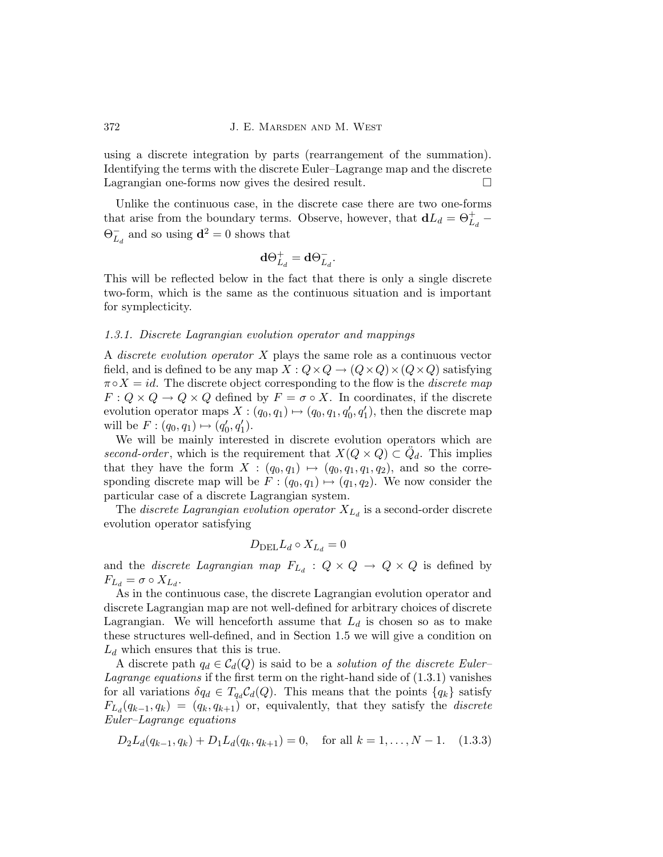using a discrete integration by parts (rearrangement of the summation). Identifying the terms with the discrete Euler–Lagrange map and the discrete Lagrangian one-forms now gives the desired result.  $\Box$ 

Unlike the continuous case, in the discrete case there are two one-forms that arise from the boundary terms. Observe, however, that  $dL_d = \Theta_L^+$  $^+_{L_d}$   $\Theta_L^ \bar{L}_d$  and so using  $\mathbf{d}^2 = 0$  shows that

$$
\mathbf{d} \Theta^+_{L_d} = \mathbf{d} \Theta^-_{L_d}.
$$

This will be reflected below in the fact that there is only a single discrete two-form, which is the same as the continuous situation and is important for symplecticity.

#### 1.3.1. Discrete Lagrangian evolution operator and mappings

A discrete evolution operator X plays the same role as a continuous vector field, and is defined to be any map  $X: Q \times Q \to (Q \times Q) \times (Q \times Q)$  satisfying  $\pi \circ X = id$ . The discrete object corresponding to the flow is the *discrete map*  $F: Q \times Q \to Q \times Q$  defined by  $F = \sigma \circ X$ . In coordinates, if the discrete evolution operator maps  $X: (q_0, q_1) \mapsto (q_0, q_1, q'_0, q'_1)$ , then the discrete map will be  $F: (q_0, q_1) \mapsto (q'_0, q'_1).$ 

We will be mainly interested in discrete evolution operators which are second-order, which is the requirement that  $X(Q \times Q) \subset \ddot{Q}_d$ . This implies that they have the form  $X : (q_0, q_1) \mapsto (q_0, q_1, q_1, q_2)$ , and so the corresponding discrete map will be  $F : (q_0, q_1) \mapsto (q_1, q_2)$ . We now consider the particular case of a discrete Lagrangian system.

The *discrete Lagrangian evolution operator*  $X_{L_d}$  is a second-order discrete evolution operator satisfying

$$
D_{\mathrm{DEL}}L_d \circ X_{L_d} = 0
$$

and the *discrete Lagrangian map*  $F_{L_d}$  :  $Q \times Q \rightarrow Q \times Q$  is defined by  $F_{L_d} = \sigma \circ X_{L_d}.$ 

As in the continuous case, the discrete Lagrangian evolution operator and discrete Lagrangian map are not well-defined for arbitrary choices of discrete Lagrangian. We will henceforth assume that  $L_d$  is chosen so as to make these structures well-defined, and in Section 1.5 we will give a condition on  $L_d$  which ensures that this is true.

A discrete path  $q_d \in C_d(Q)$  is said to be a *solution of the discrete Euler–* Lagrange equations if the first term on the right-hand side of  $(1.3.1)$  vanishes for all variations  $\delta q_d \in T_{q_d} C_d(Q)$ . This means that the points  $\{q_k\}$  satisfy  $F_{L_d}(q_{k-1}, q_k) = (q_k, q_{k+1})$  or, equivalently, that they satisfy the *discrete* Euler–Lagrange equations

$$
D_2L_d(q_{k-1}, q_k) + D_1L_d(q_k, q_{k+1}) = 0, \text{ for all } k = 1, ..., N-1.
$$
 (1.3.3)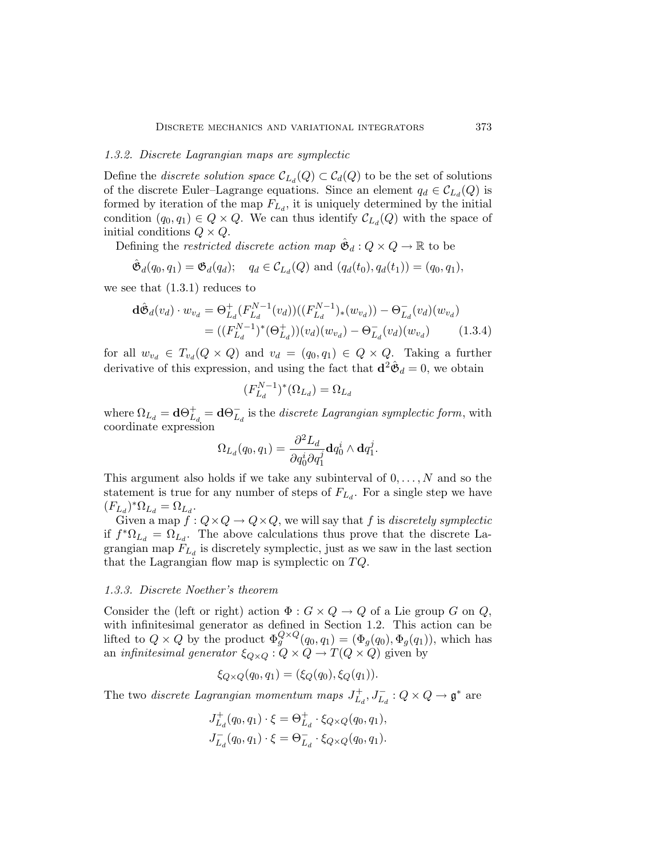#### 1.3.2. Discrete Lagrangian maps are symplectic

Define the *discrete solution space*  $\mathcal{C}_{L_d}(Q) \subset \mathcal{C}_d(Q)$  to be the set of solutions of the discrete Euler–Lagrange equations. Since an element  $q_d \in C_{L_d}(Q)$  is formed by iteration of the map  $F_{L_d}$ , it is uniquely determined by the initial condition  $(q_0, q_1) \in Q \times Q$ . We can thus identify  $\mathcal{C}_{L_d}(Q)$  with the space of initial conditions  $Q \times Q$ .

Defining the *restricted discrete action map*  $\hat{\mathfrak{G}}_d : Q \times Q \to \mathbb{R}$  to be

$$
\hat{\mathfrak{G}}_d(q_0,q_1)=\mathfrak{G}_d(q_d); \quad q_d\in \mathcal{C}_{L_d}(Q) \text{ and } (q_d(t_0),q_d(t_1))=(q_0,q_1),
$$

we see that (1.3.1) reduces to

$$
\mathbf{d}\hat{\mathfrak{G}}_{d}(v_{d}) \cdot w_{v_{d}} = \Theta_{L_{d}}^{+}(F_{L_{d}}^{N-1}(v_{d}))((F_{L_{d}}^{N-1})_{*}(w_{v_{d}})) - \Theta_{L_{d}}^{-}(v_{d})(w_{v_{d}})
$$

$$
= ((F_{L_{d}}^{N-1})^{*}(\Theta_{L_{d}}^{+}))(v_{d})(w_{v_{d}}) - \Theta_{L_{d}}^{-}(v_{d})(w_{v_{d}})
$$
(1.3.4)

for all  $w_{v_d} \in T_{v_d}(Q \times Q)$  and  $v_d = (q_0, q_1) \in Q \times Q$ . Taking a further derivative of this expression, and using the fact that  $\mathbf{d}^2 \hat{\mathbf{\mathcal{B}}}_d = 0$ , we obtain

$$
(F_{L_d}^{N-1})^*(\Omega_{L_d}) = \Omega_{L_d}
$$

where  $\Omega_{L_d} = \mathbf{d}\Theta_{L_d}^+$  $_{L_d}^+=\mathbf{d}\Theta_L^ \bar{L}_d$  is the *discrete Lagrangian symplectic form*, with coordinate expression

$$
\Omega_{L_d}(q_0,q_1)=\frac{\partial^2 L_d}{\partial q_0^i \partial q_1^j}\mathbf{d} q_0^i \wedge \mathbf{d} q_1^j.
$$

This argument also holds if we take any subinterval of  $0, \ldots, N$  and so the statement is true for any number of steps of  $F_{L_d}$ . For a single step we have  $(F_{L_d})^* \Omega_{L_d} = \Omega_{L_d}.$ 

Given a map  $f: Q \times Q \to Q \times Q$ , we will say that f is discretely symplectic if  $f^* \Omega_{L_d} = \Omega_{L_d}$ . The above calculations thus prove that the discrete Lagrangian map  $F_{L_d}$  is discretely symplectic, just as we saw in the last section that the Lagrangian flow map is symplectic on  $TQ$ .

#### 1.3.3. Discrete Noether's theorem

Consider the (left or right) action  $\Phi: G \times Q \to Q$  of a Lie group G on Q, with infinitesimal generator as defined in Section 1.2. This action can be lifted to  $Q \times Q$  by the product  $\Phi_g^{Q \times Q}(q_0, q_1) = (\Phi_g(q_0), \Phi_g(q_1)),$  which has an infinitesimal generator  $\xi_{Q\times Q}: Q\times Q\to T(Q\times Q)$  given by

$$
\xi_{Q\times Q}(q_0,q_1)=(\xi_Q(q_0),\xi_Q(q_1)).
$$

The two discrete Lagrangian momentum maps  $J_L^+$  $L_d^+, J_{L_d}^ L_d: Q \times Q \rightarrow \mathfrak{g}^*$  are

$$
J_{L_d}^+(q_0, q_1) \cdot \xi = \Theta_{L_d}^+ \cdot \xi_{Q \times Q}(q_0, q_1),
$$
  

$$
J_{L_d}^-(q_0, q_1) \cdot \xi = \Theta_{L_d}^- \cdot \xi_{Q \times Q}(q_0, q_1).
$$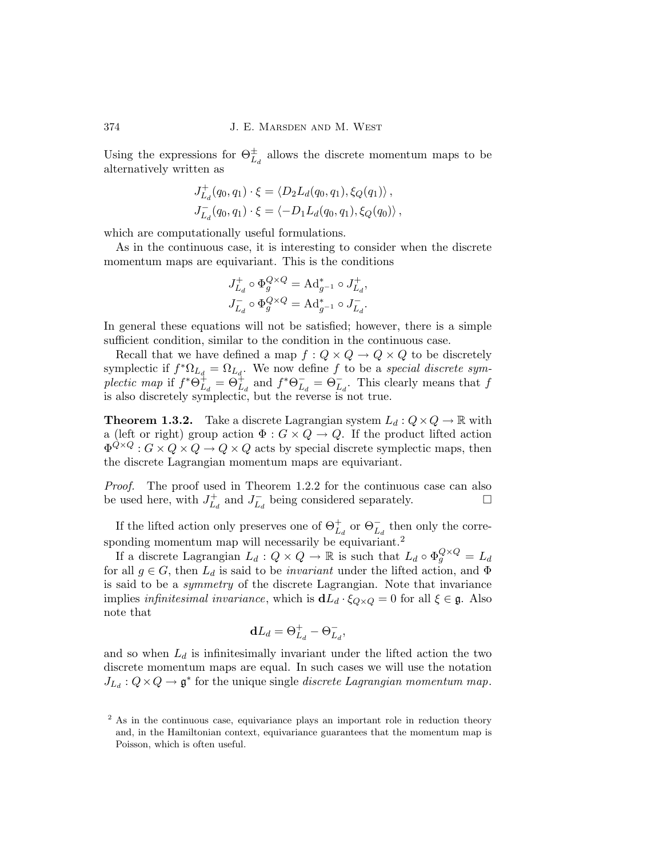Using the expressions for  $\Theta_L^{\pm}$  $\mathcal{L}_d$  allows the discrete momentum maps to be alternatively written as

$$
J_{L_d}^+(q_0, q_1) \cdot \xi = \langle D_2 L_d(q_0, q_1), \xi_Q(q_1) \rangle ,
$$
  

$$
J_{L_d}^-(q_0, q_1) \cdot \xi = \langle -D_1 L_d(q_0, q_1), \xi_Q(q_0) \rangle ,
$$

which are computationally useful formulations.

As in the continuous case, it is interesting to consider when the discrete momentum maps are equivariant. This is the conditions

$$
\begin{aligned} J_{L_d}^+ \circ \Phi_g^{Q \times Q} &= \mathrm{Ad}_{g^{-1}}^* \circ J_{L_d}^+, \\ J_{L_d}^- \circ \Phi_g^{Q \times Q} &= \mathrm{Ad}_{g^{-1}}^* \circ J_{L_d}^-.\end{aligned}
$$

In general these equations will not be satisfied; however, there is a simple sufficient condition, similar to the condition in the continuous case.

Recall that we have defined a map  $f: Q \times Q \to Q \times Q$  to be discretely symplectic if  $f^* \Omega_{L_d} = \Omega_{L_d}$ . We now define f to be a special discrete symplectic map if  $f^*\Theta_L^+$  $\mathcal{L}_d^{\mathfrak{p}} = \Theta_L^{\mathfrak{p}}$  $L_d$  and  $f^*\Theta_L^ L_d = \Theta_L^ \bar{L}_d$ . This clearly means that f is also discretely symplectic, but the reverse is not true.

**Theorem 1.3.2.** Take a discrete Lagrangian system  $L_d: Q \times Q \to \mathbb{R}$  with a (left or right) group action  $\Phi: G \times Q \to Q$ . If the product lifted action  $\Phi^{Q\times Q}: G\times Q\times Q\to Q\times Q$  acts by special discrete symplectic maps, then the discrete Lagrangian momentum maps are equivariant.

Proof. The proof used in Theorem 1.2.2 for the continuous case can also be used here, with  $J_L^+$  $L_d^+$  and  $J_L^ \overline{L}_d$  being considered separately.  $\Box$ 

If the lifted action only preserves one of  $\Theta_L^+$  $^+_{L_d}$  or  $\Theta^-_{L_d}$  $\overline{L}_d$  then only the corresponding momentum map will necessarily be equivariant.<sup>2</sup>

If a discrete Lagrangian  $L_d: Q \times Q \to \mathbb{R}$  is such that  $L_d \circ \Phi_g^{Q \times Q} = L_d$ for all  $g \in G$ , then  $L_d$  is said to be *invariant* under the lifted action, and  $\Phi$ is said to be a symmetry of the discrete Lagrangian. Note that invariance implies infinitesimal invariance, which is  $dL_d \cdot \xi_{Q\times Q} = 0$  for all  $\xi \in \mathfrak{g}$ . Also note that

$$
\mathbf{d}L_d = \Theta_{L_d}^+ - \Theta_{L_d}^-,
$$

and so when  $L_d$  is infinitesimally invariant under the lifted action the two discrete momentum maps are equal. In such cases we will use the notation  $J_{L_d}: Q \times Q \to \mathfrak{g}^*$  for the unique single *discrete Lagrangian momentum map*.

<sup>&</sup>lt;sup>2</sup> As in the continuous case, equivariance plays an important role in reduction theory and, in the Hamiltonian context, equivariance guarantees that the momentum map is Poisson, which is often useful.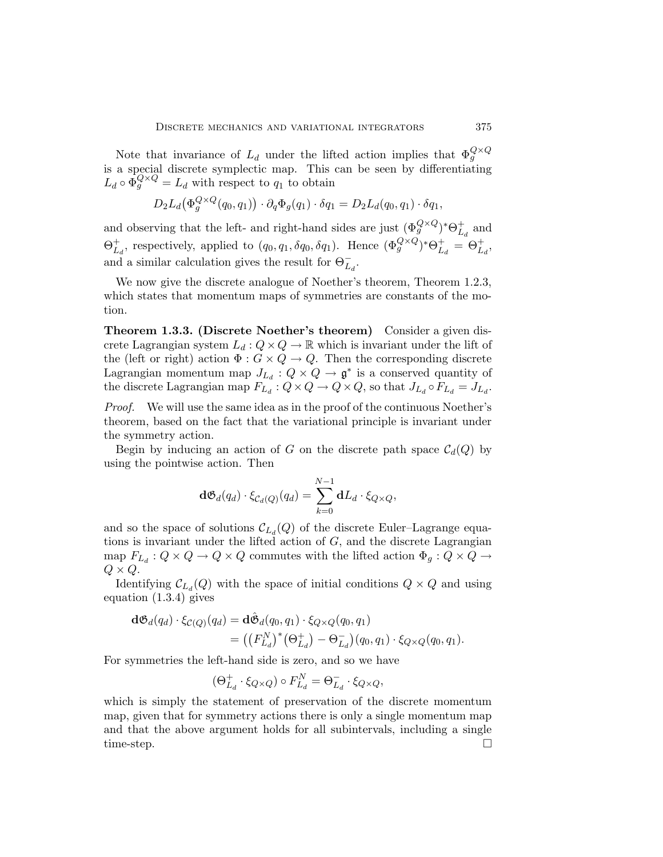Note that invariance of  $L_d$  under the lifted action implies that  $\Phi_g^{Q\times Q}$ is a special discrete symplectic map. This can be seen by differentiating  $L_d \circ \tilde{\Phi}_g^{Q \times Q} = L_d$  with respect to  $q_1$  to obtain

$$
D_2L_d(\Phi_g^{Q\times Q}(q_0,q_1))\cdot \partial_q\Phi_g(q_1)\cdot \delta q_1=D_2L_d(q_0,q_1)\cdot \delta q_1,
$$

and observing that the left- and right-hand sides are just  $(\Phi_g^{Q\times Q})^*\Theta_L^+$  $_{L_d}^+$  and  $\Theta_L^+$ <sup>+</sup><sub>L<sub>d</sub></sub>, respectively, applied to  $(q_0, q_1, \delta q_0, \delta q_1)$ . Hence  $(\Phi_g^{Q \times Q})^* \Theta_L^+$  $L_d^+ = \Theta_{L_d}^+$  $_{L_d}^+$ and a similar calculation gives the result for  $\Theta_L^ L_d$ .

We now give the discrete analogue of Noether's theorem, Theorem 1.2.3, which states that momentum maps of symmetries are constants of the motion.

Theorem 1.3.3. (Discrete Noether's theorem) Consider a given discrete Lagrangian system  $L_d: Q \times Q \to \mathbb{R}$  which is invariant under the lift of the (left or right) action  $\Phi: G \times Q \to Q$ . Then the corresponding discrete Lagrangian momentum map  $J_{L_d}: Q \times Q \to \mathfrak{g}^*$  is a conserved quantity of the discrete Lagrangian map  $F_{L_d}: Q \times Q \to Q \times Q$ , so that  $J_{L_d} \circ F_{L_d} = J_{L_d}$ .

Proof. We will use the same idea as in the proof of the continuous Noether's theorem, based on the fact that the variational principle is invariant under the symmetry action.

Begin by inducing an action of G on the discrete path space  $\mathcal{C}_d(Q)$  by using the pointwise action. Then

$$
\mathbf{d} \mathfrak{G}_d(q_d) \cdot \xi_{\mathcal{C}_d(Q)}(q_d) = \sum_{k=0}^{N-1} \mathbf{d} L_d \cdot \xi_{Q \times Q},
$$

and so the space of solutions  $\mathcal{C}_{L_d}(Q)$  of the discrete Euler–Lagrange equations is invariant under the lifted action of  $G$ , and the discrete Lagrangian map  $F_{L_d}: Q \times Q \to Q \times Q$  commutes with the lifted action  $\Phi_g: Q \times Q \to Q$  $Q \times Q$ .

Identifying  $\mathcal{C}_{L_d}(Q)$  with the space of initial conditions  $Q \times Q$  and using equation (1.3.4) gives

$$
\begin{aligned} \mathbf{d} \mathfrak{G}_d(q_d) \cdot \xi_{\mathcal{C}(Q)}(q_d) &= \mathbf{d} \hat{\mathfrak{G}}_d(q_0, q_1) \cdot \xi_{Q \times Q}(q_0, q_1) \\ &= \left( \left( F_{L_d}^N \right)^* \left( \Theta_{L_d}^+ \right) - \Theta_{L_d}^- \right) (q_0, q_1) \cdot \xi_{Q \times Q}(q_0, q_1). \end{aligned}
$$

For symmetries the left-hand side is zero, and so we have

$$
(\Theta^+_{L_d}\cdot \xi_{Q\times Q})\circ F^N_{L_d}=\Theta^-_{L_d}\cdot \xi_{Q\times Q},
$$

which is simply the statement of preservation of the discrete momentum map, given that for symmetry actions there is only a single momentum map and that the above argument holds for all subintervals, including a single  $time\text{-step}$ .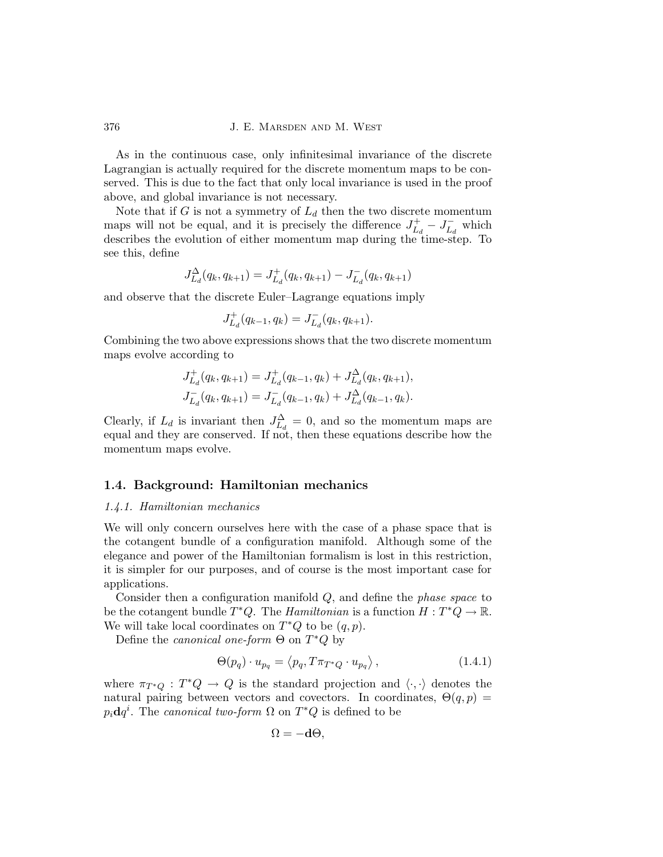As in the continuous case, only infinitesimal invariance of the discrete Lagrangian is actually required for the discrete momentum maps to be conserved. This is due to the fact that only local invariance is used in the proof above, and global invariance is not necessary.

Note that if G is not a symmetry of  $L_d$  then the two discrete momentum maps will not be equal, and it is precisely the difference  $J_L^+$  $L_d^+ - J_{L_d}^ \overline{L}_d$  which describes the evolution of either momentum map during the time-step. To see this, define

$$
J_{L_d}^{\Delta}(q_k, q_{k+1}) = J_{L_d}^+(q_k, q_{k+1}) - J_{L_d}^-(q_k, q_{k+1})
$$

and observe that the discrete Euler–Lagrange equations imply

$$
J_{L_d}^+(q_{k-1}, q_k) = J_{L_d}^-(q_k, q_{k+1}).
$$

Combining the two above expressions shows that the two discrete momentum maps evolve according to

$$
J_{L_d}^+(q_k, q_{k+1}) = J_{L_d}^+(q_{k-1}, q_k) + J_{L_d}^{\Delta}(q_k, q_{k+1}),
$$
  

$$
J_{L_d}^-(q_k, q_{k+1}) = J_{L_d}^-(q_{k-1}, q_k) + J_{L_d}^{\Delta}(q_{k-1}, q_k).
$$

Clearly, if  $L_d$  is invariant then  $J_{L_d}^{\Delta} = 0$ , and so the momentum maps are equal and they are conserved. If not, then these equations describe how the momentum maps evolve.

### 1.4. Background: Hamiltonian mechanics

#### 1.4.1. Hamiltonian mechanics

We will only concern ourselves here with the case of a phase space that is the cotangent bundle of a configuration manifold. Although some of the elegance and power of the Hamiltonian formalism is lost in this restriction, it is simpler for our purposes, and of course is the most important case for applications.

Consider then a configuration manifold Q, and define the phase space to be the cotangent bundle  $T^*Q$ . The *Hamiltonian* is a function  $H: T^*Q \to \mathbb{R}$ . We will take local coordinates on  $T^*Q$  to be  $(q, p)$ .

Define the *canonical one-form*  $\Theta$  on  $T^*Q$  by

$$
\Theta(p_q) \cdot u_{p_q} = \langle p_q, T\pi_{T^*Q} \cdot u_{p_q} \rangle, \qquad (1.4.1)
$$

where  $\pi_{T^*Q}: T^*Q \to Q$  is the standard projection and  $\langle \cdot, \cdot \rangle$  denotes the natural pairing between vectors and covectors. In coordinates,  $\Theta(q, p)$  =  $p_i dq^i$ . The *canonical two-form*  $\Omega$  on  $T^*Q$  is defined to be

$$
\Omega = -\mathbf{d}\Theta,
$$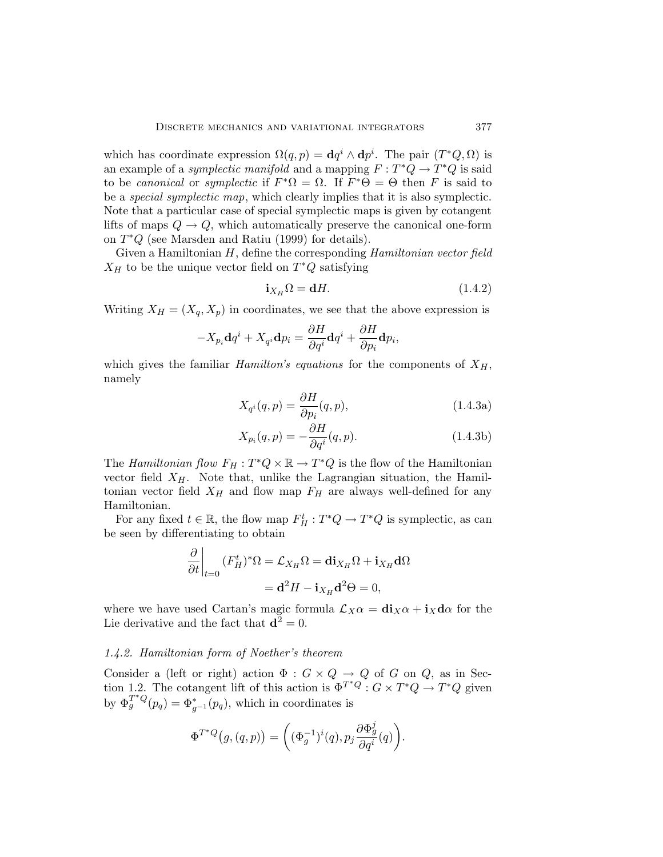which has coordinate expression  $\Omega(q, p) = \mathbf{d}q^{i} \wedge \mathbf{d}p^{i}$ . The pair  $(T^{*}Q, \Omega)$  is an example of a *symplectic manifold* and a mapping  $F: T^*Q \to T^*Q$  is said to be *canonical* or *symplectic* if  $F^*\Omega = \Omega$ . If  $F^*\Theta = \Theta$  then F is said to be a special symplectic map, which clearly implies that it is also symplectic. Note that a particular case of special symplectic maps is given by cotangent lifts of maps  $Q \to Q$ , which automatically preserve the canonical one-form on T <sup>∗</sup>Q (see Marsden and Ratiu (1999) for details).

Given a Hamiltonian  $H$ , define the corresponding  $Hamiltonian vector field$  $X_H$  to be the unique vector field on  $T^*Q$  satisfying

$$
\mathbf{i}_{X_H} \Omega = \mathbf{d}H. \tag{1.4.2}
$$

Writing  $X_H = (X_q, X_p)$  in coordinates, we see that the above expression is

$$
-X_{p_i}\mathbf{d} q^i + X_{q^i}\mathbf{d} p_i = \frac{\partial H}{\partial q^i}\mathbf{d} q^i + \frac{\partial H}{\partial p_i}\mathbf{d} p_i,
$$

which gives the familiar *Hamilton's equations* for the components of  $X_H$ , namely

$$
X_{q^{i}}(q,p) = \frac{\partial H}{\partial p_{i}}(q,p),
$$
\n(1.4.3a)

$$
X_{p_i}(q, p) = -\frac{\partial H}{\partial q^i}(q, p). \tag{1.4.3b}
$$

The Hamiltonian flow  $F_H: T^*Q \times \mathbb{R} \to T^*Q$  is the flow of the Hamiltonian vector field  $X_H$ . Note that, unlike the Lagrangian situation, the Hamiltonian vector field  $X_H$  and flow map  $F_H$  are always well-defined for any Hamiltonian.

For any fixed  $t \in \mathbb{R}$ , the flow map  $F_H^t : T^*Q \to T^*Q$  is symplectic, as can be seen by differentiating to obtain

$$
\frac{\partial}{\partial t}\bigg|_{t=0} (F_H^t)^*\Omega = \mathcal{L}_{X_H}\Omega = \mathbf{di}_{X_H}\Omega + \mathbf{i}_{X_H}\mathbf{d}\Omega
$$

$$
= \mathbf{d}^2 H - \mathbf{i}_{X_H}\mathbf{d}^2\Theta = 0,
$$

where we have used Cartan's magic formula  $\mathcal{L}_X\alpha = \mathbf{di}_X\alpha + \mathbf{i}_X\mathbf{d}\alpha$  for the Lie derivative and the fact that  $\mathbf{d}^2 = 0$ .

#### 1.4.2. Hamiltonian form of Noether's theorem

Consider a (left or right) action  $\Phi : G \times Q \rightarrow Q$  of G on Q, as in Section 1.2. The cotangent lift of this action is  $\Phi^{T*Q}: G \times T^*Q \to T^*Q$  given by  $\Phi_g^{T^*Q}(p_q) = \Phi_{g^{-1}}^*(p_q)$ , which in coordinates is

$$
\Phi^{T^*Q}\bigl(g,(q,p)\bigr)=\biggl((\Phi_g^{-1})^i(q),p_j\frac{\partial\Phi_g^j}{\partial q^i}(q)\biggr).
$$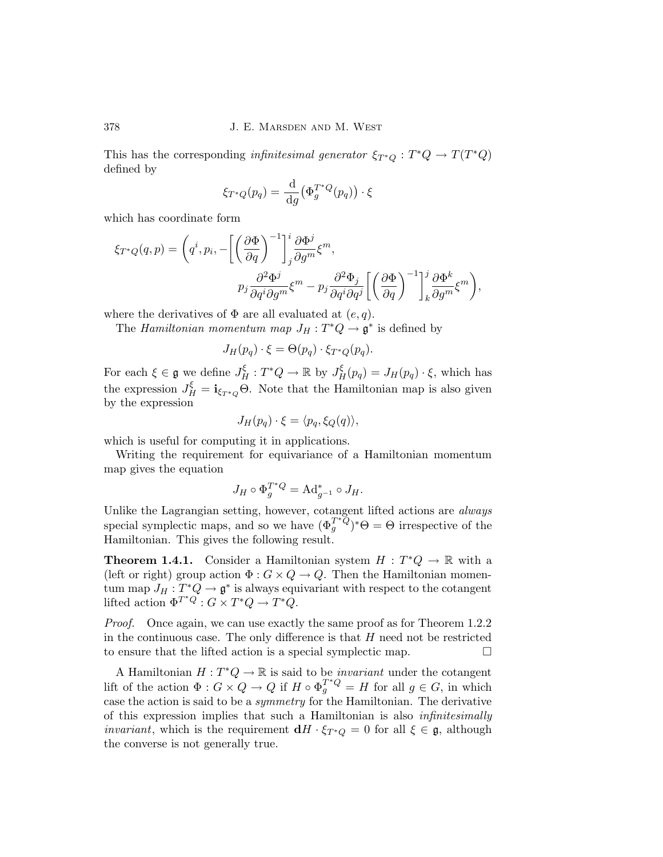This has the corresponding *infinitesimal generator*  $\xi_{T^*Q} : T^*Q \to T(T^*Q)$ defined by

$$
\xi_{T^*Q}(p_q) = \frac{\mathrm{d}}{\mathrm{d}g} (\Phi_g^{T^*Q}(p_q)) \cdot \xi
$$

which has coordinate form

$$
\begin{split} \xi_{T^*Q}(q,p) = \bigg(q^i,p_i,-\bigg[\bigg(\frac{\partial\Phi}{\partial q}\bigg)^{-1}\bigg]_j^i\frac{\partial\Phi^j}{\partial g^m}\xi^m,\\ p_j\frac{\partial^2\Phi^j}{\partial q^i\partial g^m}\xi^m-p_j\frac{\partial^2\Phi_j}{\partial q^i\partial q^j}\bigg[\bigg(\frac{\partial\Phi}{\partial q}\bigg)^{-1}\bigg]_k^j\frac{\partial\Phi^k}{\partial g^m}\xi^m\bigg), \end{split}
$$

where the derivatives of  $\Phi$  are all evaluated at  $(e, q)$ .

The Hamiltonian momentum map  $J_H: T^*Q \to \mathfrak{g}^*$  is defined by

$$
J_H(p_q) \cdot \xi = \Theta(p_q) \cdot \xi_{T^*Q}(p_q).
$$

For each  $\xi \in \mathfrak{g}$  we define  $J_H^{\xi}: T^*Q \to \mathbb{R}$  by  $J_H^{\xi}(p_q) = J_H(p_q) \cdot \xi$ , which has the expression  $J_H^{\xi} = \mathbf{i}_{\xi_{T^*Q}} \Theta$ . Note that the Hamiltonian map is also given by the expression

$$
J_H(p_q) \cdot \xi = \langle p_q, \xi_Q(q) \rangle,
$$

which is useful for computing it in applications.

Writing the requirement for equivariance of a Hamiltonian momentum map gives the equation

$$
J_H \circ \Phi_g^{T^*Q} = \mathrm{Ad}^*_{g^{-1}} \circ J_H.
$$

Unlike the Lagrangian setting, however, cotangent lifted actions are always special symplectic maps, and so we have  $(\Phi_g^{T*Q})^* \Theta = \Theta$  irrespective of the Hamiltonian. This gives the following result.

**Theorem 1.4.1.** Consider a Hamiltonian system  $H : T^*Q \to \mathbb{R}$  with a (left or right) group action  $\Phi: G \times Q \to Q$ . Then the Hamiltonian momentum map  $J_H: T^*Q \to \mathfrak{g}^*$  is always equivariant with respect to the cotangent lifted action  $\Phi^{T*Q}: G \times T^*Q \to T^*Q$ .

Proof. Once again, we can use exactly the same proof as for Theorem 1.2.2 in the continuous case. The only difference is that  $H$  need not be restricted to ensure that the lifted action is a special symplectic map. ¤

A Hamiltonian  $H: T^*Q \to \mathbb{R}$  is said to be *invariant* under the cotangent lift of the action  $\Phi: G \times Q \to Q$  if  $H \circ \Phi_g^{T^*Q} = H$  for all  $g \in G$ , in which case the action is said to be a symmetry for the Hamiltonian. The derivative of this expression implies that such a Hamiltonian is also infinitesimally *invariant*, which is the requirement  $dH \cdot \xi_{T^*Q} = 0$  for all  $\xi \in \mathfrak{g}$ , although the converse is not generally true.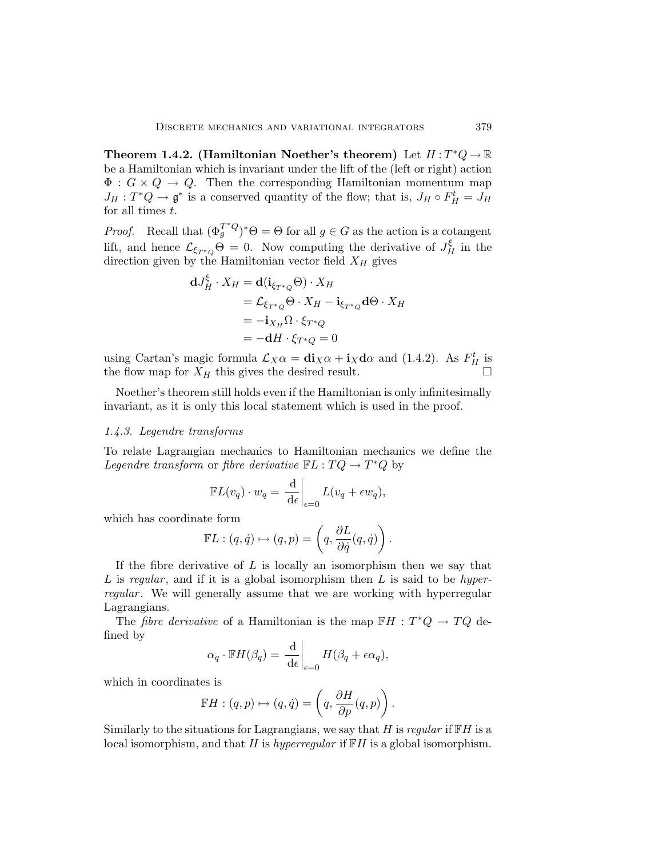Theorem 1.4.2. (Hamiltonian Noether's theorem) Let  $H: T^*Q \to \mathbb{R}$ be a Hamiltonian which is invariant under the lift of the (left or right) action  $\Phi: G \times Q \to Q$ . Then the corresponding Hamiltonian momentum map  $J_H: T^*Q \to \mathfrak{g}^*$  is a conserved quantity of the flow; that is,  $J_H \circ F_H^t = J_H$ for all times t.

*Proof.* Recall that  $(\Phi_g^{T^*Q})^* \Theta = \Theta$  for all  $g \in G$  as the action is a cotangent lift, and hence  $\mathcal{L}_{\xi_{T} *_{Q}} \Theta = 0$ . Now computing the derivative of  $J_H^{\xi}$  in the direction given by the Hamiltonian vector field  $X_H$  gives

$$
\begin{aligned} \mathbf{d}J_H^{\xi} \cdot X_H &= \mathbf{d}(\mathbf{i}_{\xi_T *_{Q}} \Theta) \cdot X_H \\ &= \mathcal{L}_{\xi_T *_{Q}} \Theta \cdot X_H - \mathbf{i}_{\xi_T *_{Q}} \mathbf{d} \Theta \cdot X_H \\ &= -\mathbf{i}_{X_H} \Omega \cdot \xi_{T^*Q} \\ &= -\mathbf{d}H \cdot \xi_{T^*Q} = 0 \end{aligned}
$$

using Cartan's magic formula  $\mathcal{L}_X \alpha = \mathbf{di}_X \alpha + \mathbf{i}_X \mathbf{d} \alpha$  and (1.4.2). As  $F_H^t$  is the flow map for  $X_H$  this gives the desired result.

Noether's theorem still holds even if the Hamiltonian is only infinitesimally invariant, as it is only this local statement which is used in the proof.

#### 1.4.3. Legendre transforms

To relate Lagrangian mechanics to Hamiltonian mechanics we define the Legendre transform or fibre derivative  $\mathbb{F}L: TQ \to T^*Q$  by

$$
\mathbb{F}L(v_q) \cdot w_q = \left. \frac{\mathrm{d}}{\mathrm{d}\epsilon} \right|_{\epsilon=0} L(v_q + \epsilon w_q),
$$

which has coordinate form

$$
\mathbb{F}L : (q, \dot{q}) \mapsto (q, p) = \left( q, \frac{\partial L}{\partial \dot{q}}(q, \dot{q}) \right).
$$

If the fibre derivative of  $L$  is locally an isomorphism then we say that L is regular, and if it is a global isomorphism then L is said to be hyperregular. We will generally assume that we are working with hyperregular Lagrangians.

The *fibre derivative* of a Hamiltonian is the map  $\mathbb{F}H : T^*Q \to TQ$  defined by

$$
\alpha_q \cdot \mathbb{F}H(\beta_q) = \left. \frac{\mathrm{d}}{\mathrm{d}\epsilon} \right|_{\epsilon=0} H(\beta_q + \epsilon \alpha_q),
$$

which in coordinates is

$$
\mathbb{F}H:(q,p)\mapsto(q,\dot{q})=\left(q,\frac{\partial H}{\partial p}(q,p)\right).
$$

Similarly to the situations for Lagrangians, we say that H is regular if  $\mathbb{F}H$  is a local isomorphism, and that  $H$  is *hyperregular* if  $\mathbb{F}H$  is a global isomorphism.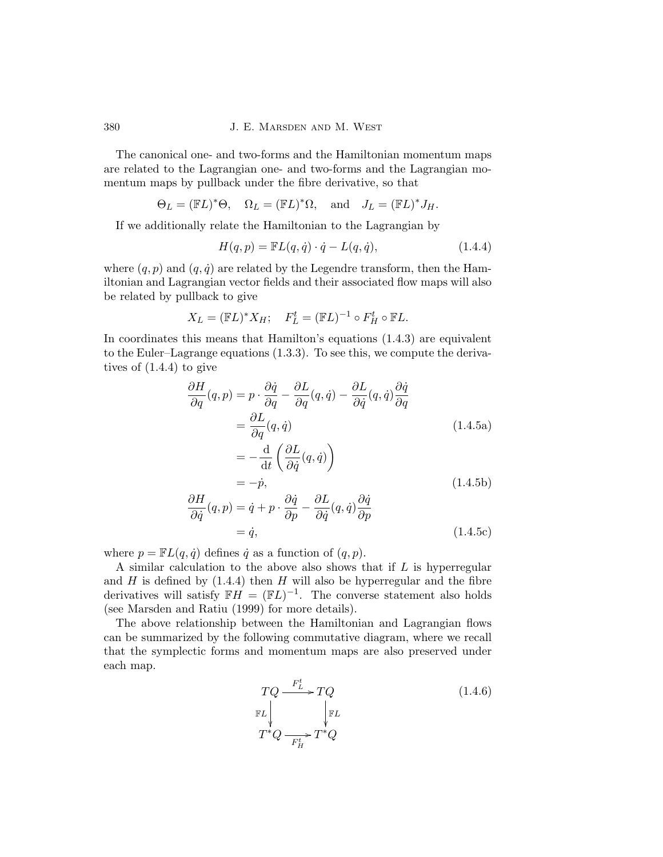The canonical one- and two-forms and the Hamiltonian momentum maps are related to the Lagrangian one- and two-forms and the Lagrangian momentum maps by pullback under the fibre derivative, so that

$$
\Theta_L = (\mathbb{F}L)^*\Theta
$$
,  $\Omega_L = (\mathbb{F}L)^*\Omega$ , and  $J_L = (\mathbb{F}L)^*J_H$ .

If we additionally relate the Hamiltonian to the Lagrangian by

$$
H(q, p) = \mathbb{F}L(q, \dot{q}) \cdot \dot{q} - L(q, \dot{q}), \qquad (1.4.4)
$$

where  $(q, p)$  and  $(q, \dot{q})$  are related by the Legendre transform, then the Hamiltonian and Lagrangian vector fields and their associated flow maps will also be related by pullback to give

$$
X_L = (\mathbb{F}L)^* X_H; \quad F_L^t = (\mathbb{F}L)^{-1} \circ F_H^t \circ \mathbb{F}L.
$$

In coordinates this means that Hamilton's equations (1.4.3) are equivalent to the Euler–Lagrange equations (1.3.3). To see this, we compute the derivatives of (1.4.4) to give

$$
\frac{\partial H}{\partial q}(q, p) = p \cdot \frac{\partial \dot{q}}{\partial q} - \frac{\partial L}{\partial q}(q, \dot{q}) - \frac{\partial L}{\partial \dot{q}}(q, \dot{q})\frac{\partial \dot{q}}{\partial q} \n= \frac{\partial L}{\partial q}(q, \dot{q}) \qquad (1.4.5a) \n= -\frac{d}{dt}\left(\frac{\partial L}{\partial \dot{q}}(q, \dot{q})\right) \n= -\dot{p}, \qquad (1.4.5b) \n\frac{\partial H}{\partial \dot{q}}(q, p) = \dot{q} + p \cdot \frac{\partial \dot{q}}{\partial p} - \frac{\partial L}{\partial \dot{q}}(q, \dot{q})\frac{\partial \dot{q}}{\partial p} \n= \dot{q}, \qquad (1.4.5c)
$$

where  $p = \mathbb{F}L(q, \dot{q})$  defines  $\dot{q}$  as a function of  $(q, p)$ .

A similar calculation to the above also shows that if L is hyperregular and  $H$  is defined by  $(1.4.4)$  then  $H$  will also be hyperregular and the fibre derivatives will satisfy  $\mathbb{F}H = (\mathbb{F}L)^{-1}$ . The converse statement also holds (see Marsden and Ratiu (1999) for more details).

The above relationship between the Hamiltonian and Lagrangian flows can be summarized by the following commutative diagram, where we recall that the symplectic forms and momentum maps are also preserved under each map.

$$
TQ \xrightarrow{F_L^t} TQ
$$
  
\n
$$
\mathbb{E}L \downarrow \qquad \qquad \downarrow \mathbb{E}L
$$
  
\n
$$
T^*Q \xrightarrow{F_H^t} T^*Q
$$
\n(1.4.6)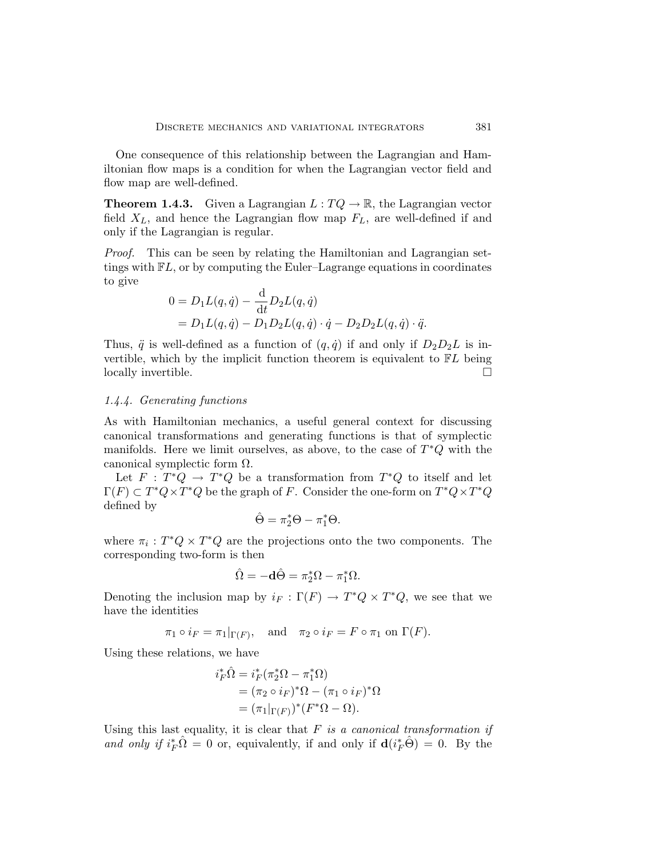One consequence of this relationship between the Lagrangian and Hamiltonian flow maps is a condition for when the Lagrangian vector field and flow map are well-defined.

**Theorem 1.4.3.** Given a Lagrangian  $L: TQ \to \mathbb{R}$ , the Lagrangian vector field  $X_L$ , and hence the Lagrangian flow map  $F_L$ , are well-defined if and only if the Lagrangian is regular.

Proof. This can be seen by relating the Hamiltonian and Lagrangian settings with  $\mathbb{F}L$ , or by computing the Euler–Lagrange equations in coordinates to give

$$
0 = D_1 L(q, \dot{q}) - \frac{d}{dt} D_2 L(q, \dot{q})
$$
  
=  $D_1 L(q, \dot{q}) - D_1 D_2 L(q, \dot{q}) \cdot \dot{q} - D_2 D_2 L(q, \dot{q}) \cdot \ddot{q}.$ 

Thus,  $\ddot{q}$  is well-defined as a function of  $(q, \dot{q})$  if and only if  $D_2D_2L$  is invertible, which by the implicit function theorem is equivalent to  $\mathbb{F}L$  being  $\Box$  locally invertible.  $\Box$ 

#### 1.4.4. Generating functions

As with Hamiltonian mechanics, a useful general context for discussing canonical transformations and generating functions is that of symplectic manifolds. Here we limit ourselves, as above, to the case of  $T^*Q$  with the canonical symplectic form Ω.

Let  $F: T^*Q \to T^*Q$  be a transformation from  $T^*Q$  to itself and let  $\Gamma(F) \subset T^*Q \times T^*Q$  be the graph of F. Consider the one-form on  $T^*Q \times T^*Q$ defined by

$$
\hat{\Theta} = \pi_2^* \Theta - \pi_1^* \Theta.
$$

where  $\pi_i : T^*Q \times T^*Q$  are the projections onto the two components. The corresponding two-form is then

$$
\hat{\Omega} = -\mathbf{d}\hat{\Theta} = \pi_2^* \Omega - \pi_1^* \Omega.
$$

Denoting the inclusion map by  $i_F : \Gamma(F) \to T^*Q \times T^*Q$ , we see that we have the identities

$$
\pi_1 \circ i_F = \pi_1|_{\Gamma(F)}
$$
, and  $\pi_2 \circ i_F = F \circ \pi_1$  on  $\Gamma(F)$ .

Using these relations, we have

$$
i_F^*\hat{\Omega} = i_F^*(\pi_2^*\Omega - \pi_1^*\Omega)
$$
  
=  $(\pi_2 \circ i_F)^*\Omega - (\pi_1 \circ i_F)^*\Omega$   
=  $(\pi_1|_{\Gamma(F)})^*(F^*\Omega - \Omega).$ 

Using this last equality, it is clear that  $F$  is a canonical transformation if and only if  $i_F^*\hat{\Omega} = 0$  or, equivalently, if and only if  $\mathbf{d}(i_F^*\hat{\Theta}) = 0$ . By the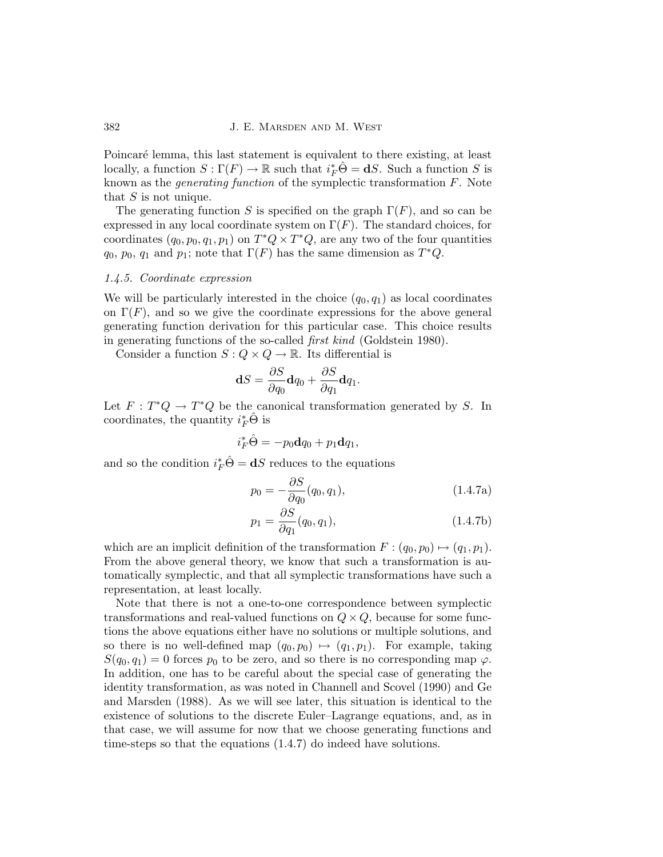Poincaré lemma, this last statement is equivalent to there existing, at least locally, a function  $S: \Gamma(F) \to \mathbb{R}$  such that  $i_F^* \hat{\Theta} = \mathbf{d}S$ . Such a function S is known as the *generating function* of the symplectic transformation  $F$ . Note that  $S$  is not unique.

The generating function S is specified on the graph  $\Gamma(F)$ , and so can be expressed in any local coordinate system on  $\Gamma(F)$ . The standard choices, for coordinates  $(q_0, p_0, q_1, p_1)$  on  $T^*Q \times T^*Q$ , are any two of the four quantities  $q_0, p_0, q_1$  and  $p_1$ ; note that  $\Gamma(F)$  has the same dimension as  $T^*Q$ .

#### 1.4.5. Coordinate expression

We will be particularly interested in the choice  $(q_0, q_1)$  as local coordinates on  $\Gamma(F)$ , and so we give the coordinate expressions for the above general generating function derivation for this particular case. This choice results in generating functions of the so-called first kind (Goldstein 1980).

Consider a function  $S: Q \times Q \to \mathbb{R}$ . Its differential is

$$
\label{eq:1D1V:G} \mathbf{d}S = \frac{\partial S}{\partial q_0}\mathbf{d}q_0 + \frac{\partial S}{\partial q_1}\mathbf{d}q_1.
$$

Let  $F: T^*Q \to T^*Q$  be the canonical transformation generated by S. In coordinates, the quantity  $i_F^*\hat{\Theta}$  is

$$
i_F^*\hat{\Theta} = -p_0\mathbf{d}q_0 + p_1\mathbf{d}q_1,
$$

and so the condition  $i_F^* \hat{\Theta} = \mathbf{d}S$  reduces to the equations

$$
p_0 = -\frac{\partial S}{\partial q_0}(q_0, q_1),\tag{1.4.7a}
$$

$$
p_1 = \frac{\partial S}{\partial q_1}(q_0, q_1),\tag{1.4.7b}
$$

which are an implicit definition of the transformation  $F : (q_0, p_0) \mapsto (q_1, p_1)$ . From the above general theory, we know that such a transformation is automatically symplectic, and that all symplectic transformations have such a representation, at least locally.

Note that there is not a one-to-one correspondence between symplectic transformations and real-valued functions on  $Q \times Q$ , because for some functions the above equations either have no solutions or multiple solutions, and so there is no well-defined map  $(q_0, p_0) \mapsto (q_1, p_1)$ . For example, taking  $S(q_0, q_1) = 0$  forces  $p_0$  to be zero, and so there is no corresponding map  $\varphi$ . In addition, one has to be careful about the special case of generating the identity transformation, as was noted in Channell and Scovel (1990) and Ge and Marsden (1988). As we will see later, this situation is identical to the existence of solutions to the discrete Euler–Lagrange equations, and, as in that case, we will assume for now that we choose generating functions and time-steps so that the equations (1.4.7) do indeed have solutions.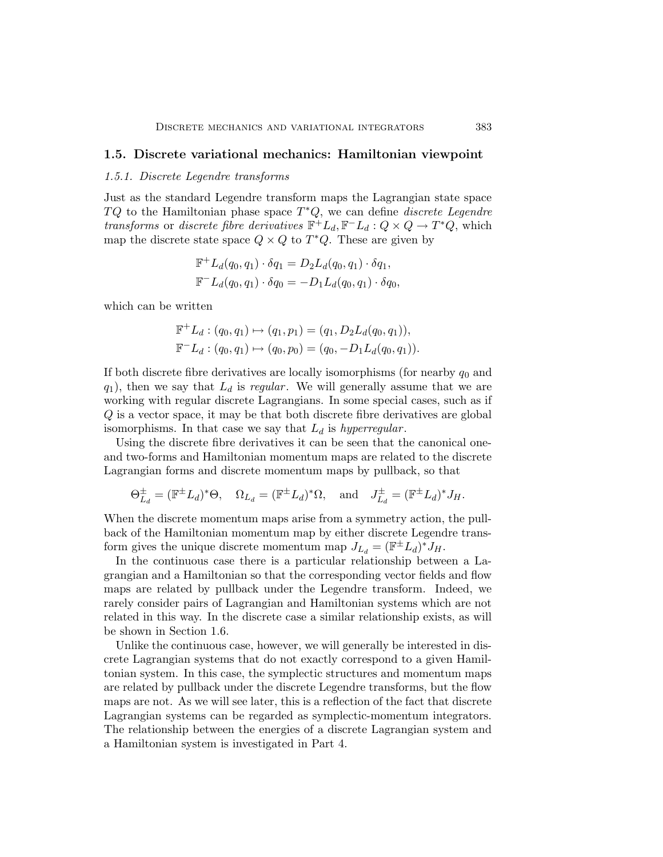#### 1.5. Discrete variational mechanics: Hamiltonian viewpoint

#### 1.5.1. Discrete Legendre transforms

Just as the standard Legendre transform maps the Lagrangian state space  $TQ$  to the Hamiltonian phase space  $T^*Q$ , we can define *discrete Legendre* transforms or discrete fibre derivatives  $\mathbb{F}^{\dagger}L_d, \mathbb{F}^{\dagger}L_d : Q \times Q \rightarrow T^*Q$ , which map the discrete state space  $Q \times Q$  to  $T^*Q$ . These are given by

$$
\mathbb{F}^+ L_d(q_0, q_1) \cdot \delta q_1 = D_2 L_d(q_0, q_1) \cdot \delta q_1,
$$
  

$$
\mathbb{F}^- L_d(q_0, q_1) \cdot \delta q_0 = -D_1 L_d(q_0, q_1) \cdot \delta q_0,
$$

which can be written

$$
\mathbb{F}^+ L_d : (q_0, q_1) \mapsto (q_1, p_1) = (q_1, D_2 L_d(q_0, q_1)),
$$
  

$$
\mathbb{F}^- L_d : (q_0, q_1) \mapsto (q_0, p_0) = (q_0, -D_1 L_d(q_0, q_1)).
$$

If both discrete fibre derivatives are locally isomorphisms (for nearby  $q_0$  and  $q_1$ ), then we say that  $L_d$  is regular. We will generally assume that we are working with regular discrete Lagrangians. In some special cases, such as if Q is a vector space, it may be that both discrete fibre derivatives are global isomorphisms. In that case we say that  $L_d$  is hyperregular.

Using the discrete fibre derivatives it can be seen that the canonical oneand two-forms and Hamiltonian momentum maps are related to the discrete Lagrangian forms and discrete momentum maps by pullback, so that

$$
\Theta_{L_d}^{\pm} = (\mathbb{F}^{\pm} L_d)^* \Theta, \quad \Omega_{L_d} = (\mathbb{F}^{\pm} L_d)^* \Omega, \quad \text{and} \quad J_{L_d}^{\pm} = (\mathbb{F}^{\pm} L_d)^* J_H.
$$

When the discrete momentum maps arise from a symmetry action, the pullback of the Hamiltonian momentum map by either discrete Legendre transform gives the unique discrete momentum map  $J_{L_d} = (\mathbb{F}^{\pm} L_d)^* J_H$ .

In the continuous case there is a particular relationship between a Lagrangian and a Hamiltonian so that the corresponding vector fields and flow maps are related by pullback under the Legendre transform. Indeed, we rarely consider pairs of Lagrangian and Hamiltonian systems which are not related in this way. In the discrete case a similar relationship exists, as will be shown in Section 1.6.

Unlike the continuous case, however, we will generally be interested in discrete Lagrangian systems that do not exactly correspond to a given Hamiltonian system. In this case, the symplectic structures and momentum maps are related by pullback under the discrete Legendre transforms, but the flow maps are not. As we will see later, this is a reflection of the fact that discrete Lagrangian systems can be regarded as symplectic-momentum integrators. The relationship between the energies of a discrete Lagrangian system and a Hamiltonian system is investigated in Part 4.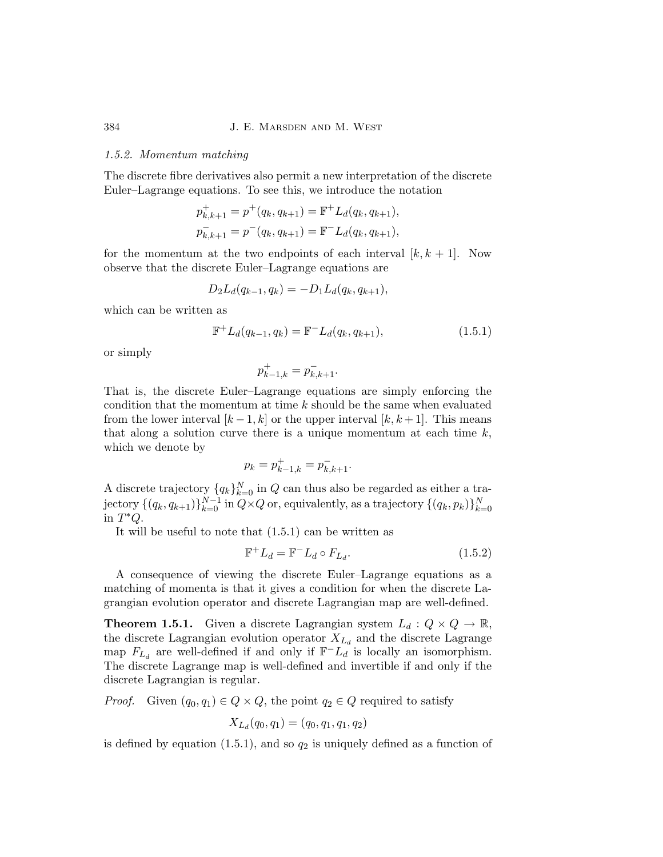#### 1.5.2. Momentum matching

The discrete fibre derivatives also permit a new interpretation of the discrete Euler–Lagrange equations. To see this, we introduce the notation

$$
p_{k,k+1}^+ = p^+(q_k, q_{k+1}) = \mathbb{F}^+ L_d(q_k, q_{k+1}),
$$
  

$$
p_{k,k+1}^- = p^-(q_k, q_{k+1}) = \mathbb{F}^- L_d(q_k, q_{k+1}),
$$

for the momentum at the two endpoints of each interval  $[k, k + 1]$ . Now observe that the discrete Euler–Lagrange equations are

$$
D_2L_d(q_{k-1}, q_k) = -D_1L_d(q_k, q_{k+1}),
$$

which can be written as

$$
\mathbb{F}^+ L_d(q_{k-1}, q_k) = \mathbb{F}^- L_d(q_k, q_{k+1}), \tag{1.5.1}
$$

or simply

$$
p_{k-1,k}^+ = p_{k,k+1}^-.
$$

That is, the discrete Euler–Lagrange equations are simply enforcing the condition that the momentum at time  $k$  should be the same when evaluated from the lower interval  $[k-1, k]$  or the upper interval  $[k, k+1]$ . This means that along a solution curve there is a unique momentum at each time  $k$ , which we denote by

$$
p_k = p_{k-1,k}^+ = p_{k,k+1}^-.
$$

A discrete trajectory  ${q_k}_{k=0}^N$  in Q can thus also be regarded as either a trajectory  $\{(q_k, q_{k+1})\}_{k=0}^{N-1}$  in  $Q \times Q$  or, equivalently, as a trajectory  $\{(q_k, p_k)\}_{k=0}^N$ in  $T^*Q$ .

It will be useful to note that (1.5.1) can be written as

$$
\mathbb{F}^+ L_d = \mathbb{F}^- L_d \circ F_{L_d}.\tag{1.5.2}
$$

A consequence of viewing the discrete Euler–Lagrange equations as a matching of momenta is that it gives a condition for when the discrete Lagrangian evolution operator and discrete Lagrangian map are well-defined.

**Theorem 1.5.1.** Given a discrete Lagrangian system  $L_d: Q \times Q \to \mathbb{R}$ , the discrete Lagrangian evolution operator  $X_{L_d}$  and the discrete Lagrange map  $F_{L_d}$  are well-defined if and only if  $\mathbb{F}^-L_d$  is locally an isomorphism. The discrete Lagrange map is well-defined and invertible if and only if the discrete Lagrangian is regular.

*Proof.* Given  $(q_0, q_1) \in Q \times Q$ , the point  $q_2 \in Q$  required to satisfy

$$
X_{L_d}(q_0, q_1) = (q_0, q_1, q_1, q_2)
$$

is defined by equation (1.5.1), and so  $q_2$  is uniquely defined as a function of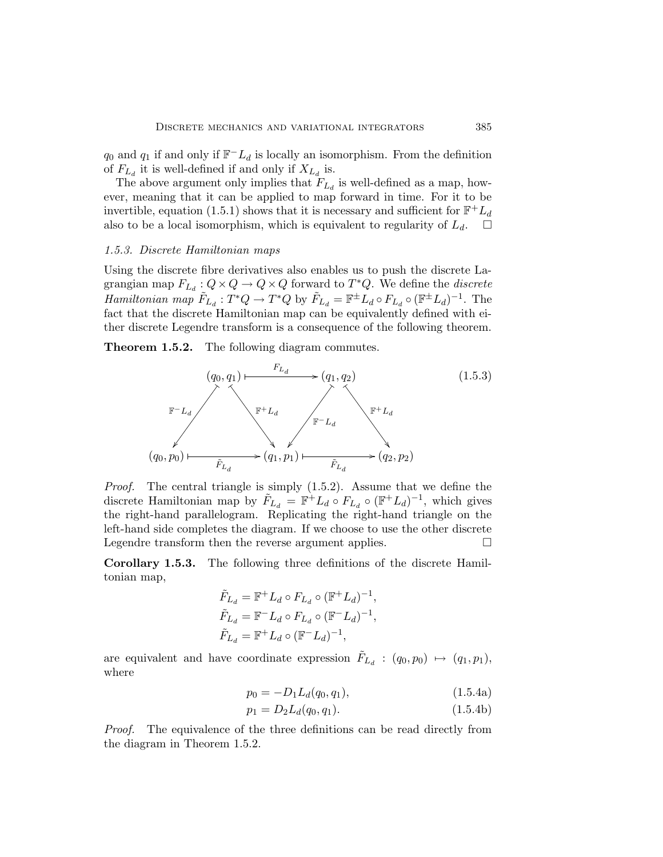$q_0$  and  $q_1$  if and only if  $\mathbb{F}^-L_d$  is locally an isomorphism. From the definition of  $F_{L_d}$  it is well-defined if and only if  $X_{L_d}$  is.

The above argument only implies that  $F_{L_d}$  is well-defined as a map, however, meaning that it can be applied to map forward in time. For it to be invertible, equation (1.5.1) shows that it is necessary and sufficient for  $\mathbb{F}^{\dagger}L_d$ also to be a local isomorphism, which is equivalent to regularity of  $L_d$ .  $\Box$ 

#### 1.5.3. Discrete Hamiltonian maps

Using the discrete fibre derivatives also enables us to push the discrete Lagrangian map  $F_{L_d}: Q \times Q \to Q \times Q$  forward to  $T^*Q$ . We define the *discrete Hamiltonian map*  $\tilde{F}_{L_d}: T^*Q \to T^*Q$  by  $\tilde{F}_{L_d} = \mathbb{F}^{\pm}L_d \circ F_{L_d} \circ (\mathbb{F}^{\pm}L_d)^{-1}$ . The fact that the discrete Hamiltonian map can be equivalently defined with either discrete Legendre transform is a consequence of the following theorem.

**Theorem 1.5.2.** The following diagram commutes.



Proof. The central triangle is simply (1.5.2). Assume that we define the discrete Hamiltonian map by  $\tilde{F}_{L_d} = \mathbb{F}^{\dagger} L_d \circ F_{L_d} \circ (\mathbb{F}^{\dagger} L_d)^{-1}$ , which gives the right-hand parallelogram. Replicating the right-hand triangle on the left-hand side completes the diagram. If we choose to use the other discrete Legendre transform then the reverse argument applies.  $\Box$ 

Corollary 1.5.3. The following three definitions of the discrete Hamiltonian map,

$$
\tilde{F}_{L_d} = \mathbb{F}^+ L_d \circ F_{L_d} \circ (\mathbb{F}^+ L_d)^{-1},
$$
  
\n
$$
\tilde{F}_{L_d} = \mathbb{F}^- L_d \circ F_{L_d} \circ (\mathbb{F}^- L_d)^{-1},
$$
  
\n
$$
\tilde{F}_{L_d} = \mathbb{F}^+ L_d \circ (\mathbb{F}^- L_d)^{-1},
$$

are equivalent and have coordinate expression  $\tilde{F}_{L_d}$  :  $(q_0, p_0) \mapsto (q_1, p_1)$ , where

$$
p_0 = -D_1 L_d(q_0, q_1), \qquad (1.5.4a)
$$

$$
p_1 = D_2 L_d(q_0, q_1). \tag{1.5.4b}
$$

Proof. The equivalence of the three definitions can be read directly from the diagram in Theorem 1.5.2.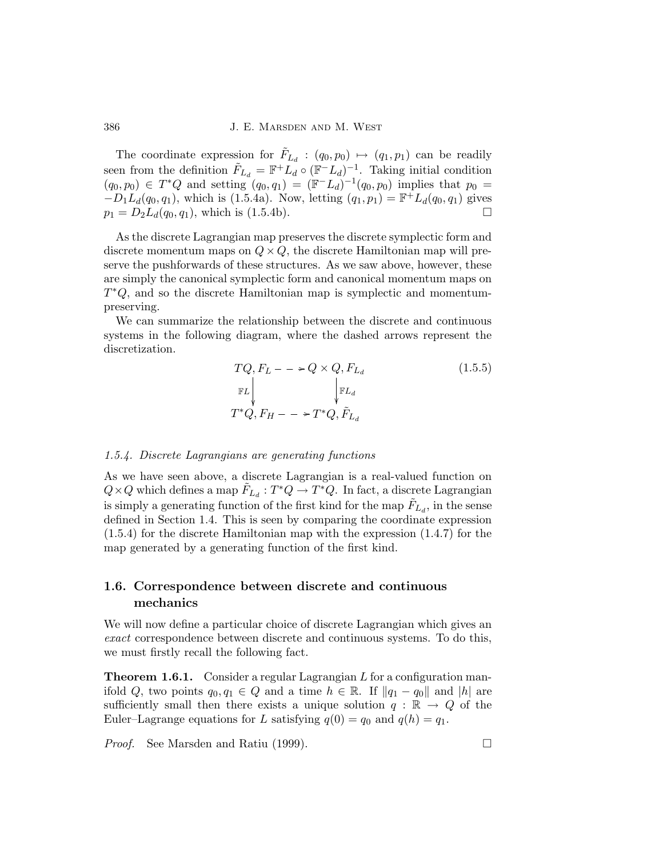The coordinate expression for  $\tilde{F}_{L_d}$ :  $(q_0, p_0) \mapsto (q_1, p_1)$  can be readily seen from the definition  $\tilde{F}_{L_d} = \mathbb{F}^{\dagger} L_d \circ (\mathbb{F}^{-} L_d)^{-1}$ . Taking initial condition  $(q_0, p_0) \in T^*Q$  and setting  $(q_0, q_1) = (\mathbb{F}^{-}L_d)^{-1}(q_0, p_0)$  implies that  $p_0 =$  $-D_1L_d(q_0, q_1)$ , which is (1.5.4a). Now, letting  $(q_1, p_1) = \mathbb{F}^+L_d(q_0, q_1)$  gives  $p_1 = D_2L_d(q_0, q_1)$ , which is (1.5.4b).

As the discrete Lagrangian map preserves the discrete symplectic form and discrete momentum maps on  $Q \times Q$ , the discrete Hamiltonian map will preserve the pushforwards of these structures. As we saw above, however, these are simply the canonical symplectic form and canonical momentum maps on T<sup>\*</sup>Q, and so the discrete Hamiltonian map is symplectic and momentumpreserving.

We can summarize the relationship between the discrete and continuous systems in the following diagram, where the dashed arrows represent the discretization.

$$
TQ, F_L -- ~ > Q \times Q, F_{L_d}
$$
\n
$$
\begin{array}{c}\n\mathbb{F}_L \Big| \\
T^*Q, F_H -- ~ > T^*Q, \tilde{F}_{L_d}\n\end{array}
$$
\n(1.5.5)

#### 1.5.4. Discrete Lagrangians are generating functions

As we have seen above, a discrete Lagrangian is a real-valued function on  $Q \times Q$  which defines a map  $\tilde{F}_{L_d}: T^*Q \to T^*Q$ . In fact, a discrete Lagrangian is simply a generating function of the first kind for the map  $\tilde{F}_{L_d}$ , in the sense defined in Section 1.4. This is seen by comparing the coordinate expression (1.5.4) for the discrete Hamiltonian map with the expression (1.4.7) for the map generated by a generating function of the first kind.

### 1.6. Correspondence between discrete and continuous mechanics

We will now define a particular choice of discrete Lagrangian which gives an exact correspondence between discrete and continuous systems. To do this, we must firstly recall the following fact.

**Theorem 1.6.1.** Consider a regular Lagrangian  $L$  for a configuration manifold Q, two points  $q_0, q_1 \in Q$  and a time  $h \in \mathbb{R}$ . If  $||q_1 - q_0||$  and  $|h|$  are sufficiently small then there exists a unique solution  $q : \mathbb{R} \to Q$  of the Euler–Lagrange equations for L satisfying  $q(0) = q_0$  and  $q(h) = q_1$ .

*Proof.* See Marsden and Ratiu (1999).  $\Box$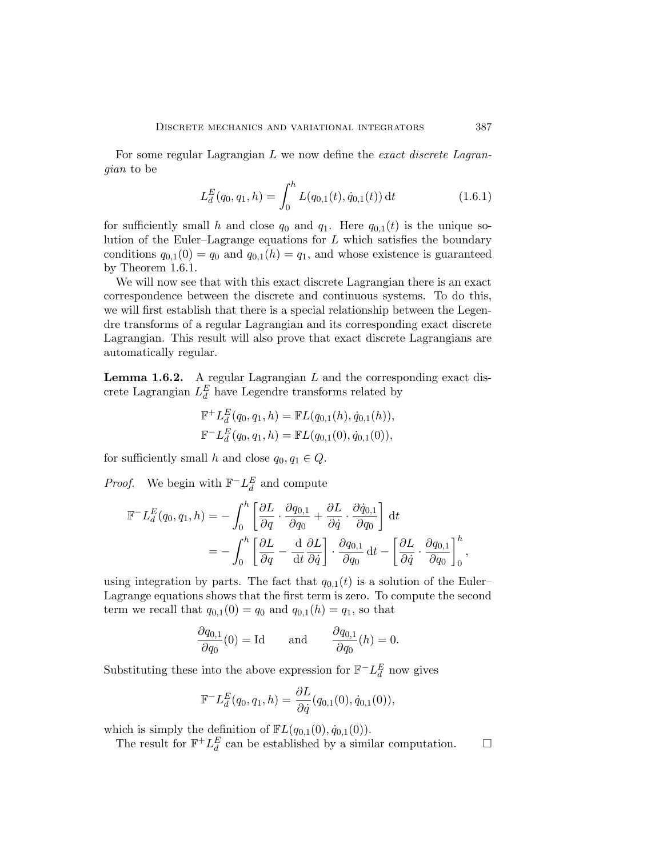For some regular Lagrangian L we now define the exact discrete Lagrangian to be

$$
L_d^E(q_0, q_1, h) = \int_0^h L(q_{0,1}(t), \dot{q}_{0,1}(t)) dt
$$
\n(1.6.1)

for sufficiently small h and close  $q_0$  and  $q_1$ . Here  $q_{0,1}(t)$  is the unique solution of the Euler–Lagrange equations for  $L$  which satisfies the boundary conditions  $q_{0,1}(0) = q_0$  and  $q_{0,1}(h) = q_1$ , and whose existence is guaranteed by Theorem 1.6.1.

We will now see that with this exact discrete Lagrangian there is an exact correspondence between the discrete and continuous systems. To do this, we will first establish that there is a special relationship between the Legendre transforms of a regular Lagrangian and its corresponding exact discrete Lagrangian. This result will also prove that exact discrete Lagrangians are automatically regular.

**Lemma 1.6.2.** A regular Lagrangian  $L$  and the corresponding exact discrete Lagrangian  $L_d^E$  have Legendre transforms related by

$$
\mathbb{F}^+ L_d^E(q_0, q_1, h) = \mathbb{F}L(q_{0,1}(h), \dot{q}_{0,1}(h)),
$$
  

$$
\mathbb{F}^- L_d^E(q_0, q_1, h) = \mathbb{F}L(q_{0,1}(0), \dot{q}_{0,1}(0)),
$$

for sufficiently small h and close  $q_0, q_1 \in Q$ .

*Proof.* We begin with  $\mathbb{F}$ <sup>-</sup> $L_d^E$  and compute

$$
\mathbb{F}^{-}L_{d}^{E}(q_{0},q_{1},h) = -\int_{0}^{h} \left[ \frac{\partial L}{\partial q} \cdot \frac{\partial q_{0,1}}{\partial q_{0}} + \frac{\partial L}{\partial \dot{q}} \cdot \frac{\partial \dot{q}_{0,1}}{\partial q_{0}} \right] dt
$$
  
= 
$$
-\int_{0}^{h} \left[ \frac{\partial L}{\partial q} - \frac{d}{dt} \frac{\partial L}{\partial \dot{q}} \right] \cdot \frac{\partial q_{0,1}}{\partial q_{0}} dt - \left[ \frac{\partial L}{\partial \dot{q}} \cdot \frac{\partial q_{0,1}}{\partial q_{0}} \right]_{0}^{h},
$$

using integration by parts. The fact that  $q_{0,1}(t)$  is a solution of the Euler– Lagrange equations shows that the first term is zero. To compute the second term we recall that  $q_{0,1}(0) = q_0$  and  $q_{0,1}(h) = q_1$ , so that

$$
\frac{\partial q_{0,1}}{\partial q_0}(0) = \text{Id} \quad \text{and} \quad \frac{\partial q_{0,1}}{\partial q_0}(h) = 0.
$$

Substituting these into the above expression for  $\mathbb{F}$ <sup>-</sup> $L_d^E$  now gives

$$
\mathbb{F}^{-}L_{d}^{E}(q_{0},q_{1},h)=\frac{\partial L}{\partial \dot{q}}(q_{0,1}(0),\dot{q}_{0,1}(0)),
$$

which is simply the definition of  $\mathbb{F}L(q_{0,1}(0), \dot{q}_{0,1}(0)).$ 

The result for  $\mathbb{F}^{\dagger} L_d^E$  can be established by a similar computation.  $\square$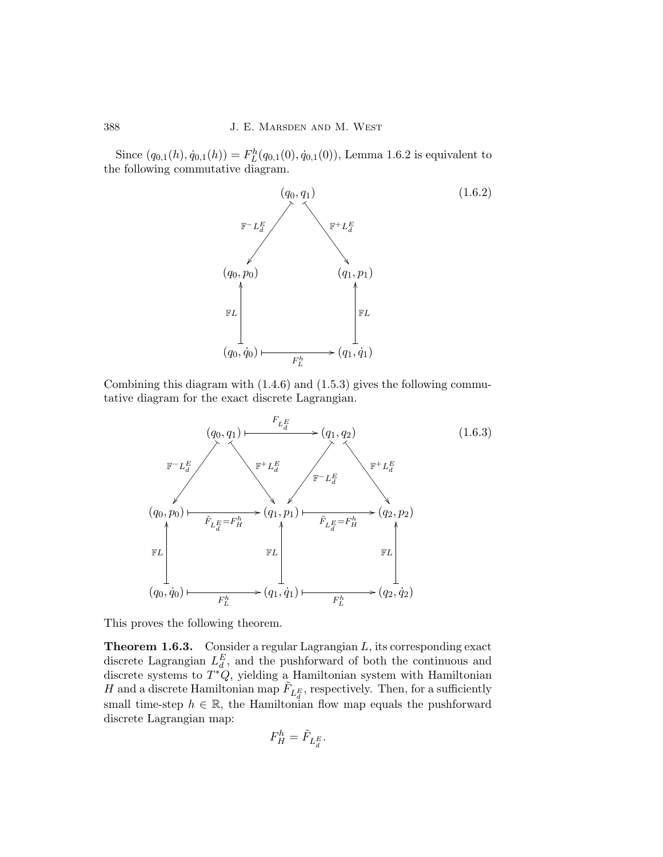Since  $(q_{0,1}(h), \dot{q}_{0,1}(h)) = F_L^h(q_{0,1}(0), \dot{q}_{0,1}(0))$ , Lemma 1.6.2 is equivalent to the following commutative diagram.



Combining this diagram with  $(1.4.6)$  and  $(1.5.3)$  gives the following commutative diagram for the exact discrete Lagrangian.



This proves the following theorem.

**Theorem 1.6.3.** Consider a regular Lagrangian  $L$ , its corresponding exact discrete Lagrangian  $L_d^E$ , and the pushforward of both the continuous and discrete Lagrangian  $L_d$ , and the pushion ward of both the continuous and discrete systems to  $T^*Q$ , yielding a Hamiltonian system with Hamiltonian H and a discrete Hamiltonian map  $\tilde{F}_{L_{d}^{E}}$ , respectively. Then, for a sufficiently small time-step  $h \in \mathbb{R}$ , the Hamiltonian flow map equals the pushforward discrete Lagrangian map:

$$
F_H^h = \tilde{F}_{L_d^E}.
$$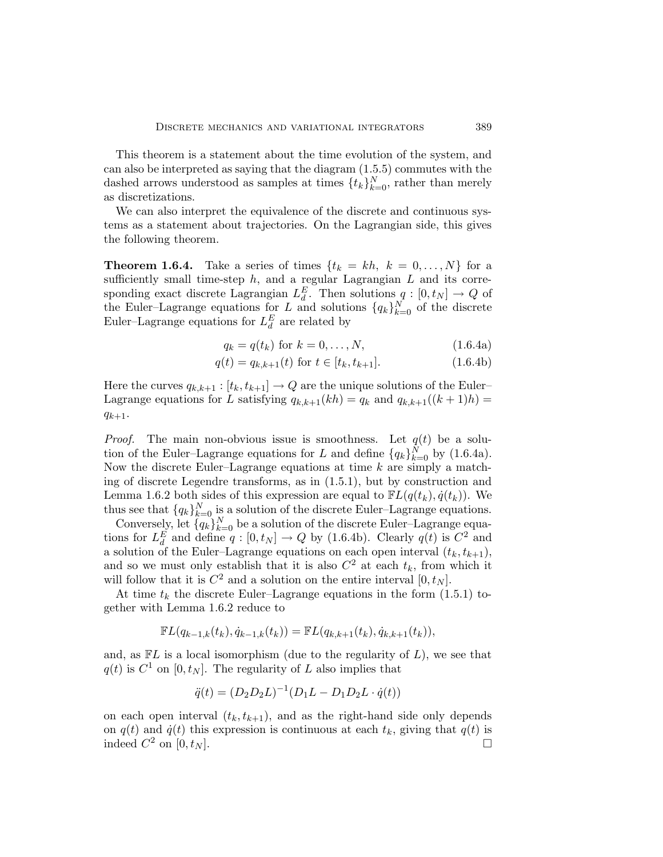This theorem is a statement about the time evolution of the system, and can also be interpreted as saying that the diagram (1.5.5) commutes with the dashed arrows understood as samples at times  $\{t_k\}_{k=0}^N$ , rather than merely as discretizations.

We can also interpret the equivalence of the discrete and continuous systems as a statement about trajectories. On the Lagrangian side, this gives the following theorem.

**Theorem 1.6.4.** Take a series of times  $\{t_k = kh, k = 0, \ldots, N\}$  for a sufficiently small time-step  $h$ , and a regular Lagrangian  $L$  and its corresponding exact discrete Lagrangian  $L_d^E$ . Then solutions  $q: [0, t_N] \to Q$  of the Euler–Lagrange equations for L and solutions  $\{q_k\}_{k=0}^N$  of the discrete Euler–Lagrange equations for  $L_d^E$  are related by

$$
q_k = q(t_k)
$$
 for  $k = 0, ..., N,$  (1.6.4a)

$$
q(t) = q_{k,k+1}(t) \text{ for } t \in [t_k, t_{k+1}]. \tag{1.6.4b}
$$

Here the curves  $q_{k,k+1} : [t_k, t_{k+1}] \to Q$  are the unique solutions of the Euler– Lagrange equations for L satisfying  $q_{k,k+1}(kh) = q_k$  and  $q_{k,k+1}((k+1)h) =$  $q_{k+1}.$ 

*Proof.* The main non-obvious issue is smoothness. Let  $q(t)$  be a solution of the Euler–Lagrange equations for L and define  $\{q_k\}_{k=0}^N$  by (1.6.4a). Now the discrete Euler–Lagrange equations at time  $k$  are simply a matching of discrete Legendre transforms, as in (1.5.1), but by construction and Lemma 1.6.2 both sides of this expression are equal to  $\mathbb{F}L(q(t_k), \dot{q}(t_k))$ . We thus see that  $\{q_k\}_{k=0}^N$  is a solution of the discrete Euler–Lagrange equations.

Conversely, let  $\{q_k\}_{k=0}^N$  be a solution of the discrete Euler–Lagrange equations for  $L_d^E$  and define  $q: [0, t_N] \to Q$  by (1.6.4b). Clearly  $q(t)$  is  $C^2$  and a solution of the Euler–Lagrange equations on each open interval  $(t_k, t_{k+1}),$ and so we must only establish that it is also  $C^2$  at each  $t_k$ , from which it will follow that it is  $C^2$  and a solution on the entire interval  $[0, t_N]$ .

At time  $t_k$  the discrete Euler–Lagrange equations in the form  $(1.5.1)$  together with Lemma 1.6.2 reduce to

$$
\mathbb{F}L(q_{k-1,k}(t_k), \dot{q}_{k-1,k}(t_k)) = \mathbb{F}L(q_{k,k+1}(t_k), \dot{q}_{k,k+1}(t_k)),
$$

and, as  $FL$  is a local isomorphism (due to the regularity of  $L$ ), we see that  $q(t)$  is  $C^1$  on  $[0, t_N]$ . The regularity of L also implies that

$$
\ddot{q}(t) = (D_2 D_2 L)^{-1} (D_1 L - D_1 D_2 L \cdot \dot{q}(t))
$$

on each open interval  $(t_k,t_{k+1})$ , and as the right-hand side only depends on  $q(t)$  and  $\dot{q}(t)$  this expression is continuous at each  $t_k$ , giving that  $q(t)$  is indeed  $C^2$  on  $[0, t_N]$ .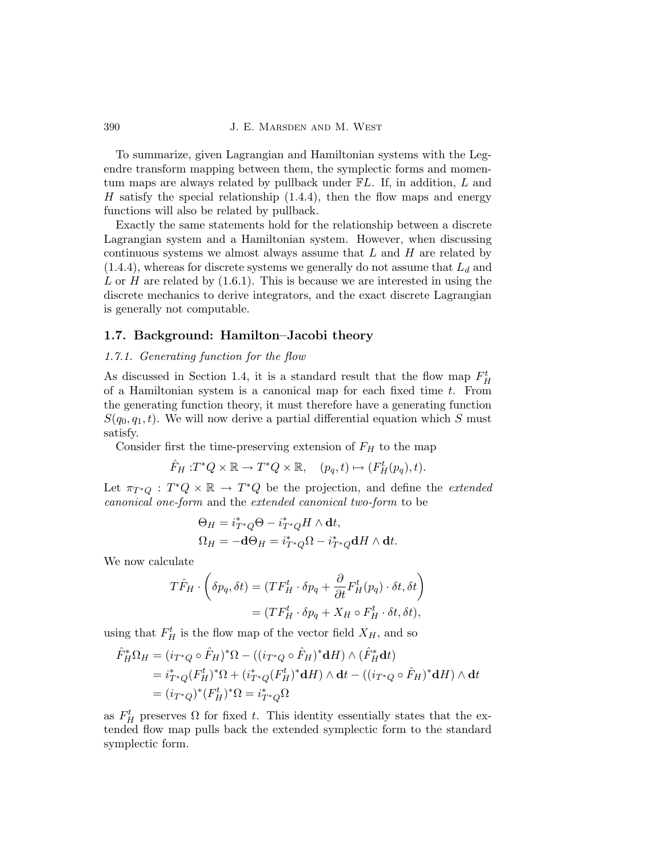To summarize, given Lagrangian and Hamiltonian systems with the Legendre transform mapping between them, the symplectic forms and momentum maps are always related by pullback under  $\mathbb{F}L$ . If, in addition, L and H satisfy the special relationship  $(1.4.4)$ , then the flow maps and energy functions will also be related by pullback.

Exactly the same statements hold for the relationship between a discrete Lagrangian system and a Hamiltonian system. However, when discussing continuous systems we almost always assume that  $L$  and  $H$  are related by  $(1.4.4)$ , whereas for discrete systems we generally do not assume that  $L_d$  and L or H are related by  $(1.6.1)$ . This is because we are interested in using the discrete mechanics to derive integrators, and the exact discrete Lagrangian is generally not computable.

#### 1.7. Background: Hamilton–Jacobi theory

#### 1.7.1. Generating function for the flow

As discussed in Section 1.4, it is a standard result that the flow map  $F_H^t$ of a Hamiltonian system is a canonical map for each fixed time  $t$ . From the generating function theory, it must therefore have a generating function  $S(q_0, q_1, t)$ . We will now derive a partial differential equation which S must satisfy.

Consider first the time-preserving extension of  $F_H$  to the map

$$
\hat{F}_H: T^*Q \times \mathbb{R} \to T^*Q \times \mathbb{R}, \quad (p_q, t) \mapsto (F^t_H(p_q), t).
$$

Let  $\pi_{T^*Q}: T^*Q \times \mathbb{R} \to T^*Q$  be the projection, and define the *extended* canonical one-form and the extended canonical two-form to be

$$
\Theta_H = i_{T^*Q}^* \Theta - i_{T^*Q}^* H \wedge \mathbf{d}t,
$$
  
\n
$$
\Omega_H = -\mathbf{d}\Theta_H = i_{T^*Q}^* \Omega - i_{T^*Q}^* \mathbf{d}H \wedge \mathbf{d}t.
$$

We now calculate

$$
T\hat{F}_H \cdot \left(\delta p_q, \delta t\right) = \left(TF_H^t \cdot \delta p_q + \frac{\partial}{\partial t}F_H^t(p_q) \cdot \delta t, \delta t\right)
$$

$$
= \left(TF_H^t \cdot \delta p_q + X_H \circ F_H^t \cdot \delta t, \delta t\right),
$$

using that  $F_H^t$  is the flow map of the vector field  $X_H$ , and so

$$
\hat{F}_H^* \Omega_H = (i_{T^*Q} \circ \hat{F}_H)^* \Omega - ((i_{T^*Q} \circ \hat{F}_H)^* \mathbf{d}H) \wedge (\hat{F}_H^* \mathbf{d}t)
$$
\n
$$
= i_{T^*Q}^* (F_H^t)^* \Omega + (i_{T^*Q}^* (F_H^t)^* \mathbf{d}H) \wedge \mathbf{d}t - ((i_{T^*Q} \circ \hat{F}_H)^* \mathbf{d}H) \wedge \mathbf{d}t
$$
\n
$$
= (i_{T^*Q})^* (F_H^t)^* \Omega = i_{T^*Q}^* \Omega
$$

as  $F_H^t$  preserves  $\Omega$  for fixed t. This identity essentially states that the extended flow map pulls back the extended symplectic form to the standard symplectic form.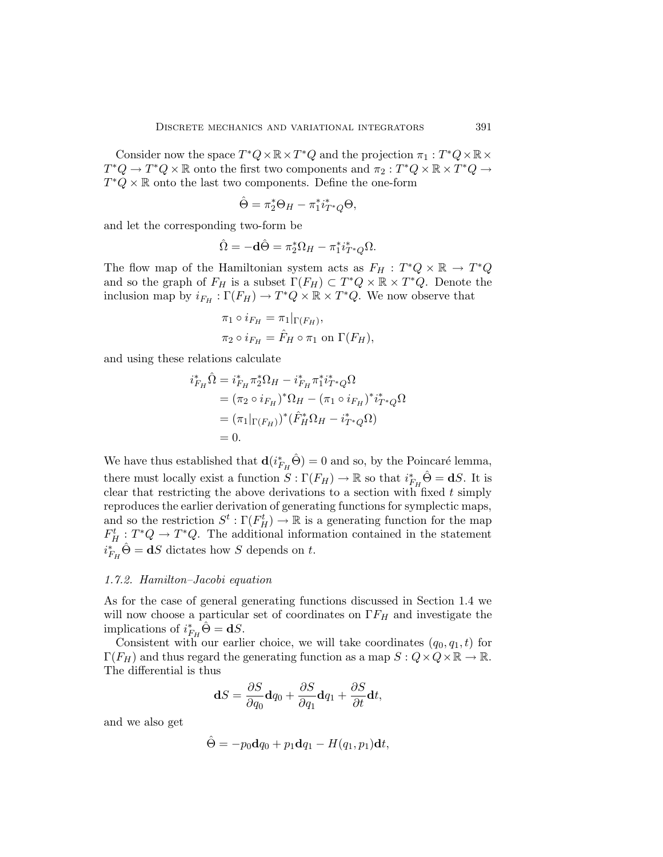Consider now the space  $T^*Q \times \mathbb{R} \times T^*Q$  and the projection  $\pi_1 : T^*Q \times \mathbb{R} \times T^*Q$  $T^*Q \to T^*Q \times \mathbb{R}$  onto the first two components and  $\pi_2: T^*Q \times \mathbb{R} \times T^*Q \to$  $T^*Q\times \mathbb{R}$  onto the last two components. Define the one-form

$$
\hat{\Theta} = \pi_2^* \Theta_H - \pi_1^* i_{T^*Q}^* \Theta,
$$

and let the corresponding two-form be

$$
\hat{\Omega} = -\mathbf{d}\hat{\Theta} = \pi_2^*\Omega_H - \pi_1^*i_{T^*Q}^*\Omega.
$$

The flow map of the Hamiltonian system acts as  $F_H : T^*Q \times \mathbb{R} \to T^*Q$ and so the graph of  $F_H$  is a subset  $\Gamma(F_H) \subset T^*Q \times \mathbb{R} \times T^*Q$ . Denote the inclusion map by  $i_{F_H}: \Gamma(F_H) \to T^*Q \times \mathbb{R} \times T^*Q$ . We now observe that

$$
\pi_1 \circ i_{F_H} = \pi_1|_{\Gamma(F_H)},
$$
  
\n
$$
\pi_2 \circ i_{F_H} = \hat{F}_H \circ \pi_1 \text{ on } \Gamma(F_H),
$$

and using these relations calculate

$$
i_{F_H}^* \hat{\Omega} = i_{F_H}^* \pi_2^* \Omega_H - i_{F_H}^* \pi_1^* i_{T^*Q}^* \Omega
$$
  
=  $(\pi_2 \circ i_{F_H})^* \Omega_H - (\pi_1 \circ i_{F_H})^* i_{T^*Q}^* \Omega$   
=  $(\pi_1|_{\Gamma(F_H)})^* (\hat{F}_H^* \Omega_H - i_{T^*Q}^* \Omega)$   
= 0.

We have thus established that  $\mathbf{d}(i_{F_H}^*\hat{\Theta}) = 0$  and so, by the Poincaré lemma, there must locally exist a function  $S: \Gamma(F_H) \to \mathbb{R}$  so that  $i_{F_H}^* \hat{\Theta} = \mathbf{d}S$ . It is clear that restricting the above derivations to a section with fixed  $t$  simply reproduces the earlier derivation of generating functions for symplectic maps, and so the restriction  $S^t : \Gamma(F_H^t) \to \mathbb{R}$  is a generating function for the map  $F_H^t: T^*Q \to T^*Q$ . The additional information contained in the statement  $i_{F_H}^* \hat{\Theta} = \mathbf{d}S$  dictates how S depends on t.

#### 1.7.2. Hamilton–Jacobi equation

As for the case of general generating functions discussed in Section 1.4 we will now choose a particular set of coordinates on  $\Gamma F_H$  and investigate the implications of  $i_{F_H}^* \hat{\Theta} = dS$ .

Consistent with our earlier choice, we will take coordinates  $(q_0, q_1, t)$  for  $\Gamma(F_H)$  and thus regard the generating function as a map  $S: Q \times Q \times \mathbb{R} \to \mathbb{R}$ . The differential is thus

$$
\mathbf{d}S = \frac{\partial S}{\partial q_0}\mathbf{d}q_0 + \frac{\partial S}{\partial q_1}\mathbf{d}q_1 + \frac{\partial S}{\partial t}\mathbf{d}t,
$$

and we also get

$$
\hat{\Theta} = -p_0 \mathbf{d}q_0 + p_1 \mathbf{d}q_1 - H(q_1, p_1) \mathbf{d}t,
$$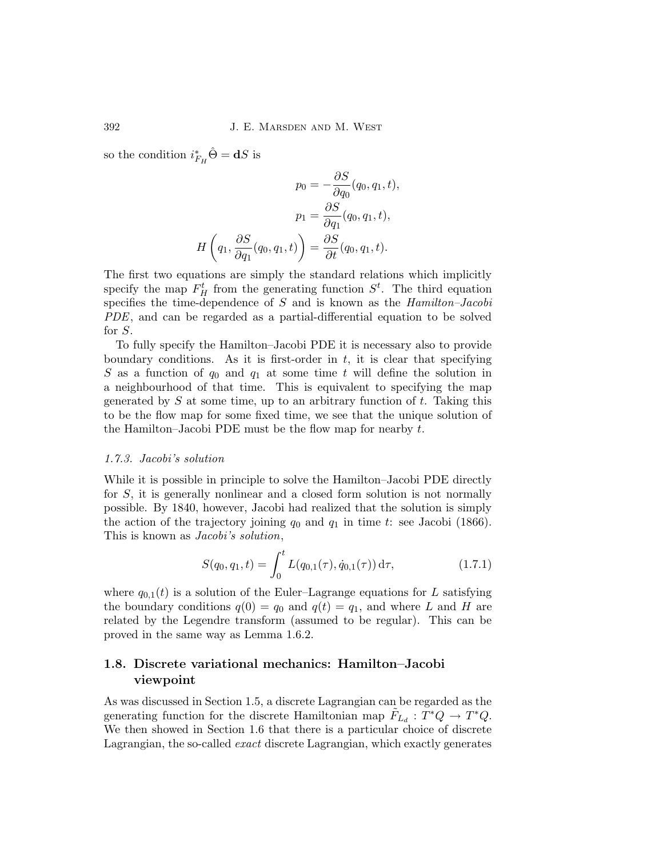so the condition  $i_{F_H}^* \hat{\Theta} = \mathbf{d}S$  is

$$
p_0 = -\frac{\partial S}{\partial q_0}(q_0, q_1, t),
$$

$$
p_1 = \frac{\partial S}{\partial q_1}(q_0, q_1, t),
$$

$$
H\left(q_1, \frac{\partial S}{\partial q_1}(q_0, q_1, t)\right) = \frac{\partial S}{\partial t}(q_0, q_1, t).
$$

The first two equations are simply the standard relations which implicitly specify the map  $F_H^t$  from the generating function  $S^t$ . The third equation specifies the time-dependence of  $S$  and is known as the  $Hamilton-Jacobi$ PDE, and can be regarded as a partial-differential equation to be solved for S.

To fully specify the Hamilton–Jacobi PDE it is necessary also to provide boundary conditions. As it is first-order in  $t$ , it is clear that specifying S as a function of  $q_0$  and  $q_1$  at some time t will define the solution in a neighbourhood of that time. This is equivalent to specifying the map generated by S at some time, up to an arbitrary function of t. Taking this to be the flow map for some fixed time, we see that the unique solution of the Hamilton–Jacobi PDE must be the flow map for nearby  $t$ .

#### 1.7.3. Jacobi's solution

While it is possible in principle to solve the Hamilton–Jacobi PDE directly for S, it is generally nonlinear and a closed form solution is not normally possible. By 1840, however, Jacobi had realized that the solution is simply the action of the trajectory joining  $q_0$  and  $q_1$  in time t: see Jacobi (1866). This is known as *Jacobi's solution*,

$$
S(q_0, q_1, t) = \int_0^t L(q_{0,1}(\tau), \dot{q}_{0,1}(\tau)) d\tau,
$$
\n(1.7.1)

where  $q_{0,1}(t)$  is a solution of the Euler–Lagrange equations for L satisfying the boundary conditions  $q(0) = q_0$  and  $q(t) = q_1$ , and where L and H are related by the Legendre transform (assumed to be regular). This can be proved in the same way as Lemma 1.6.2.

### 1.8. Discrete variational mechanics: Hamilton–Jacobi viewpoint

As was discussed in Section 1.5, a discrete Lagrangian can be regarded as the generating function for the discrete Hamiltonian map  $\tilde{F}_{L_d}: T^*Q \to T^*Q$ . We then showed in Section 1.6 that there is a particular choice of discrete Lagrangian, the so-called exact discrete Lagrangian, which exactly generates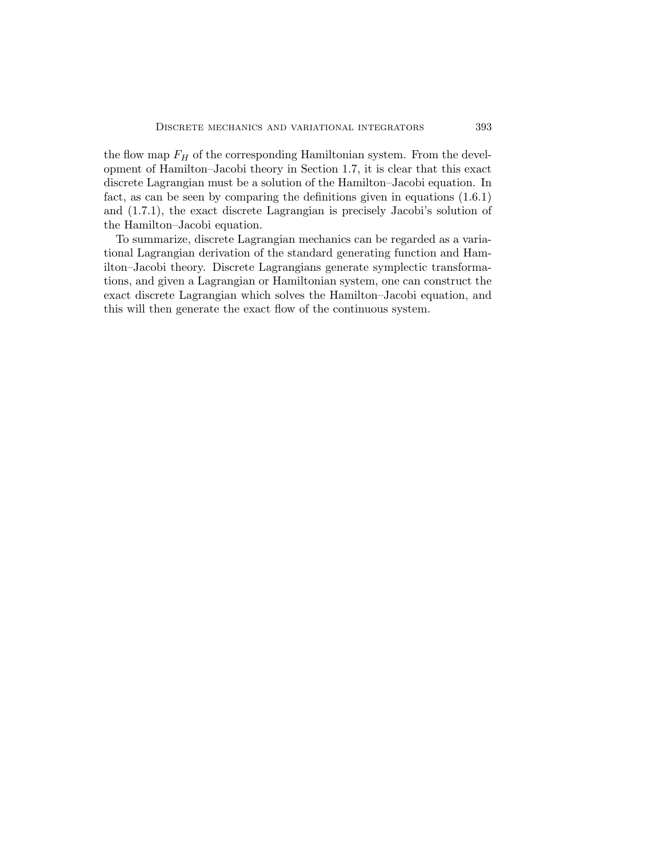the flow map  $F_H$  of the corresponding Hamiltonian system. From the development of Hamilton–Jacobi theory in Section 1.7, it is clear that this exact discrete Lagrangian must be a solution of the Hamilton–Jacobi equation. In fact, as can be seen by comparing the definitions given in equations (1.6.1) and (1.7.1), the exact discrete Lagrangian is precisely Jacobi's solution of the Hamilton–Jacobi equation.

To summarize, discrete Lagrangian mechanics can be regarded as a variational Lagrangian derivation of the standard generating function and Hamilton–Jacobi theory. Discrete Lagrangians generate symplectic transformations, and given a Lagrangian or Hamiltonian system, one can construct the exact discrete Lagrangian which solves the Hamilton–Jacobi equation, and this will then generate the exact flow of the continuous system.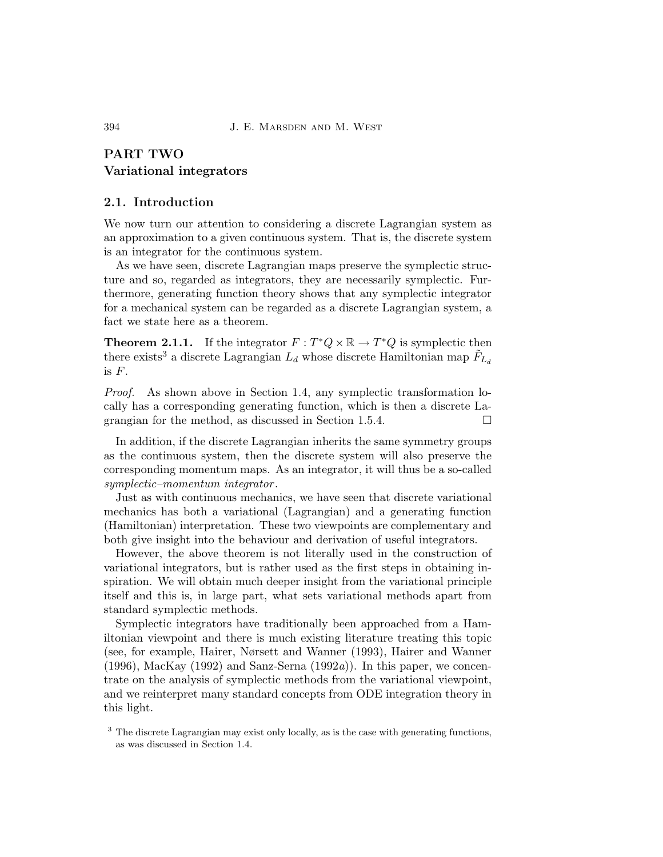394 J. E. MARSDEN AND M. WEST

# PART TWO Variational integrators

# 2.1. Introduction

We now turn our attention to considering a discrete Lagrangian system as an approximation to a given continuous system. That is, the discrete system is an integrator for the continuous system.

As we have seen, discrete Lagrangian maps preserve the symplectic structure and so, regarded as integrators, they are necessarily symplectic. Furthermore, generating function theory shows that any symplectic integrator for a mechanical system can be regarded as a discrete Lagrangian system, a fact we state here as a theorem.

**Theorem 2.1.1.** If the integrator  $F: T^*Q \times \mathbb{R} \to T^*Q$  is symplectic then there exists<sup>3</sup> a discrete Lagrangian  $L_d$  whose discrete Hamiltonian map  $\tilde{F}_{L_d}$ is F.

Proof. As shown above in Section 1.4, any symplectic transformation locally has a corresponding generating function, which is then a discrete Lagrangian for the method, as discussed in Section 1.5.4.  $\Box$ 

In addition, if the discrete Lagrangian inherits the same symmetry groups as the continuous system, then the discrete system will also preserve the corresponding momentum maps. As an integrator, it will thus be a so-called symplectic–momentum integrator .

Just as with continuous mechanics, we have seen that discrete variational mechanics has both a variational (Lagrangian) and a generating function (Hamiltonian) interpretation. These two viewpoints are complementary and both give insight into the behaviour and derivation of useful integrators.

However, the above theorem is not literally used in the construction of variational integrators, but is rather used as the first steps in obtaining inspiration. We will obtain much deeper insight from the variational principle itself and this is, in large part, what sets variational methods apart from standard symplectic methods.

Symplectic integrators have traditionally been approached from a Hamiltonian viewpoint and there is much existing literature treating this topic (see, for example, Hairer, Nørsett and Wanner (1993), Hairer and Wanner (1996), MacKay (1992) and Sanz-Serna (1992a)). In this paper, we concentrate on the analysis of symplectic methods from the variational viewpoint, and we reinterpret many standard concepts from ODE integration theory in this light.

<sup>&</sup>lt;sup>3</sup> The discrete Lagrangian may exist only locally, as is the case with generating functions, as was discussed in Section 1.4.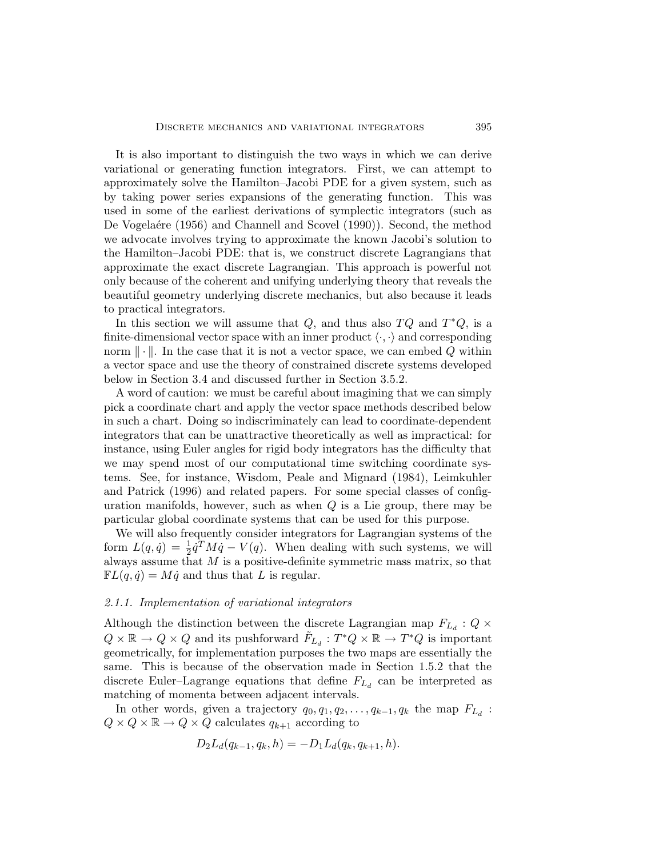It is also important to distinguish the two ways in which we can derive variational or generating function integrators. First, we can attempt to approximately solve the Hamilton–Jacobi PDE for a given system, such as by taking power series expansions of the generating function. This was used in some of the earliest derivations of symplectic integrators (such as De Vogelaére (1956) and Channell and Scovel (1990)). Second, the method we advocate involves trying to approximate the known Jacobi's solution to the Hamilton–Jacobi PDE: that is, we construct discrete Lagrangians that approximate the exact discrete Lagrangian. This approach is powerful not only because of the coherent and unifying underlying theory that reveals the beautiful geometry underlying discrete mechanics, but also because it leads to practical integrators.

In this section we will assume that  $Q$ , and thus also  $TQ$  and  $T^*Q$ , is a finite-dimensional vector space with an inner product  $\langle \cdot, \cdot \rangle$  and corresponding norm  $\|\cdot\|$ . In the case that it is not a vector space, we can embed Q within a vector space and use the theory of constrained discrete systems developed below in Section 3.4 and discussed further in Section 3.5.2.

A word of caution: we must be careful about imagining that we can simply pick a coordinate chart and apply the vector space methods described below in such a chart. Doing so indiscriminately can lead to coordinate-dependent integrators that can be unattractive theoretically as well as impractical: for instance, using Euler angles for rigid body integrators has the difficulty that we may spend most of our computational time switching coordinate systems. See, for instance, Wisdom, Peale and Mignard (1984), Leimkuhler and Patrick (1996) and related papers. For some special classes of configuration manifolds, however, such as when  $Q$  is a Lie group, there may be particular global coordinate systems that can be used for this purpose.

We will also frequently consider integrators for Lagrangian systems of the form  $L(q, \dot{q}) = \frac{1}{2}$  $\frac{1}{2} \dot{q}^T M \dot{q} - V(q)$ . When dealing with such systems, we will always assume that  $M$  is a positive-definite symmetric mass matrix, so that  $\mathbb{F}L(q, \dot{q}) = M\dot{q}$  and thus that L is regular.

#### 2.1.1. Implementation of variational integrators

Although the distinction between the discrete Lagrangian map  $F_{L_d}$ :  $Q \times$  $Q \times \mathbb{R} \to Q \times Q$  and its pushforward  $\tilde{F}_{L_d}: T^*Q \times \mathbb{R} \to T^*Q$  is important geometrically, for implementation purposes the two maps are essentially the same. This is because of the observation made in Section 1.5.2 that the discrete Euler-Lagrange equations that define  $F_{L_d}$  can be interpreted as matching of momenta between adjacent intervals.

In other words, given a trajectory  $q_0, q_1, q_2, \ldots, q_{k-1}, q_k$  the map  $F_{L_d}$ :  $Q \times Q \times \mathbb{R} \to Q \times Q$  calculates  $q_{k+1}$  according to

$$
D_2L_d(q_{k-1}, q_k, h) = -D_1L_d(q_k, q_{k+1}, h).
$$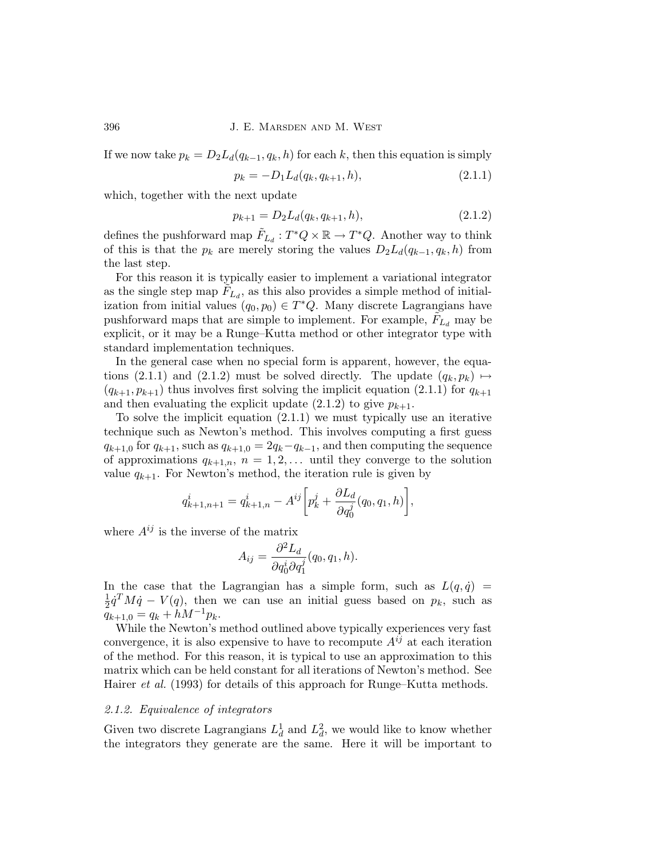If we now take  $p_k = D_2L_d(q_{k-1}, q_k, h)$  for each k, then this equation is simply

$$
p_k = -D_1 L_d(q_k, q_{k+1}, h), \tag{2.1.1}
$$

which, together with the next update

$$
p_{k+1} = D_2 L_d(q_k, q_{k+1}, h), \tag{2.1.2}
$$

defines the pushforward map  $\tilde{F}_{L_d}: T^*Q \times \mathbb{R} \to T^*Q$ . Another way to think of this is that the  $p_k$  are merely storing the values  $D_2L_d(q_{k-1}, q_k, h)$  from the last step.

For this reason it is typically easier to implement a variational integrator as the single step map  $\tilde{F}_{L_d}$ , as this also provides a simple method of initialization from initial values  $(q_0, p_0) \in T^*Q$ . Many discrete Lagrangians have pushforward maps that are simple to implement. For example,  $\tilde{F}_{L_d}$  may be explicit, or it may be a Runge–Kutta method or other integrator type with standard implementation techniques.

In the general case when no special form is apparent, however, the equations (2.1.1) and (2.1.2) must be solved directly. The update  $(q_k, p_k) \mapsto$  $(q_{k+1}, p_{k+1})$  thus involves first solving the implicit equation (2.1.1) for  $q_{k+1}$ and then evaluating the explicit update (2.1.2) to give  $p_{k+1}$ .

To solve the implicit equation (2.1.1) we must typically use an iterative technique such as Newton's method. This involves computing a first guess  $q_{k+1,0}$  for  $q_{k+1}$ , such as  $q_{k+1,0} = 2q_k-q_{k-1}$ , and then computing the sequence of approximations  $q_{k+1,n}$ ,  $n = 1, 2, \ldots$  until they converge to the solution value  $q_{k+1}$ . For Newton's method, the iteration rule is given by

$$
q_{k+1,n+1}^i = q_{k+1,n}^i - A^{ij} \left[ p_k^j + \frac{\partial L_d}{\partial q_0^j} (q_0, q_1, h) \right],
$$

where  $A^{ij}$  is the inverse of the matrix

$$
A_{ij} = \frac{\partial^2 L_d}{\partial q_0^i \partial q_1^j} (q_0, q_1, h).
$$

In the case that the Lagrangian has a simple form, such as  $L(q, \dot{q})$  = 1  $\frac{1}{2}\dot{q}^T M \dot{q} - V(q)$ , then we can use an initial guess based on  $p_k$ , such as  $q_{k+1,0} = q_k + hM^{-1}p_k.$ 

While the Newton's method outlined above typically experiences very fast convergence, it is also expensive to have to recompute  $A^{ij}$  at each iteration of the method. For this reason, it is typical to use an approximation to this matrix which can be held constant for all iterations of Newton's method. See Hairer *et al.* (1993) for details of this approach for Runge–Kutta methods.

## 2.1.2. Equivalence of integrators

Given two discrete Lagrangians  $L_d^1$  and  $L_d^2$ , we would like to know whether the integrators they generate are the same. Here it will be important to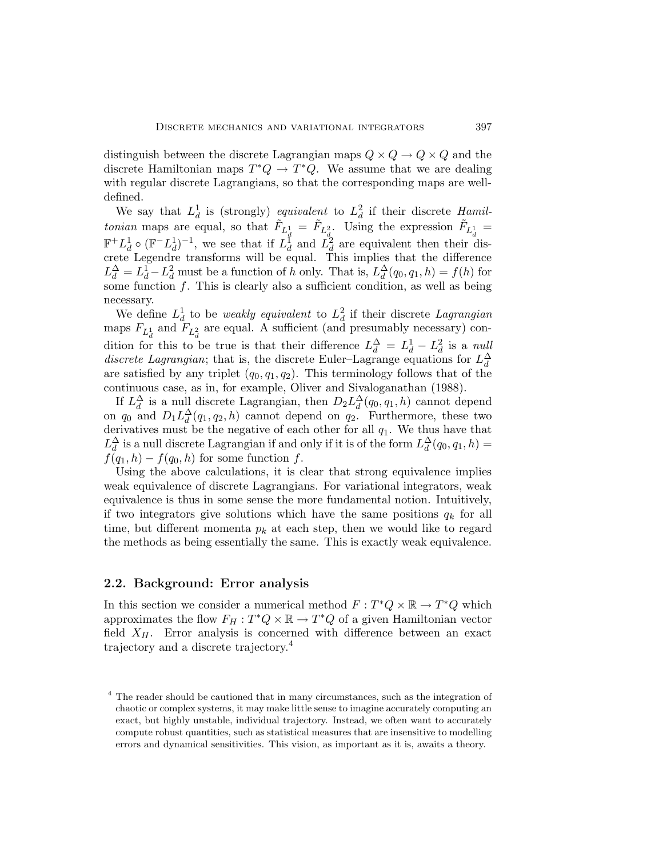distinguish between the discrete Lagrangian maps  $Q \times Q \rightarrow Q \times Q$  and the discrete Hamiltonian maps  $T^*Q \to T^*Q$ . We assume that we are dealing with regular discrete Lagrangians, so that the corresponding maps are welldefined.

We say that  $L_d^1$  is (strongly) *equivalent* to  $L_d^2$  if their discrete *Hamil*tonian maps are equal, so that  $\tilde{F}_{L_d^1} = \tilde{F}_{L_d^2}$ . Using the expression  $\tilde{F}_{L_d^1} =$  $\mathbb{F}^+L_d^1 \circ (\mathbb{F}^-L_d^1)^{-1}$ , we see that if  $L_d^1$  and  $L_d^2$  are equivalent then their discrete Legendre transforms will be equal. This implies that the difference  $L_d^{\Delta} = L_d^1 - L_d^2$  must be a function of h only. That is,  $L_d^{\Delta}(q_0, q_1, h) = f(h)$  for some function  $f$ . This is clearly also a sufficient condition, as well as being necessary.

We define  $L_d^1$  to be *weakly equivalent* to  $L_d^2$  if their discrete *Lagrangian* maps  $F_{L_d^1}$  and  $F_{L_d^2}$  are equal. A sufficient (and presumably necessary) condition for this to be true is that their difference  $L_d^{\Delta} = L_d^1 - L_d^2$  is a null discrete Lagrangian; that is, the discrete Euler–Lagrange equations for  $L_d^{\Delta}$ are satisfied by any triplet  $(q_0, q_1, q_2)$ . This terminology follows that of the continuous case, as in, for example, Oliver and Sivaloganathan (1988).

If  $L_d^{\Delta}$  is a null discrete Lagrangian, then  $D_2L_d^{\Delta}(q_0, q_1, h)$  cannot depend on  $q_0$  and  $D_1 L_d^{\Delta}(q_1, q_2, h)$  cannot depend on  $q_2$ . Furthermore, these two derivatives must be the negative of each other for all  $q_1$ . We thus have that  $L_d^{\Delta}$  is a null discrete Lagrangian if and only if it is of the form  $L_d^{\Delta}(q_0, q_1, h) =$  $f(q_1, h) - f(q_0, h)$  for some function f.

Using the above calculations, it is clear that strong equivalence implies weak equivalence of discrete Lagrangians. For variational integrators, weak equivalence is thus in some sense the more fundamental notion. Intuitively, if two integrators give solutions which have the same positions  $q_k$  for all time, but different momenta  $p_k$  at each step, then we would like to regard the methods as being essentially the same. This is exactly weak equivalence.

# 2.2. Background: Error analysis

In this section we consider a numerical method  $F: T^*Q \times \mathbb{R} \to T^*Q$  which approximates the flow  $F_H: T^*Q \times \mathbb{R} \to T^*Q$  of a given Hamiltonian vector field  $X_H$ . Error analysis is concerned with difference between an exact trajectory and a discrete trajectory. 4

<sup>&</sup>lt;sup>4</sup> The reader should be cautioned that in many circumstances, such as the integration of chaotic or complex systems, it may make little sense to imagine accurately computing an exact, but highly unstable, individual trajectory. Instead, we often want to accurately compute robust quantities, such as statistical measures that are insensitive to modelling errors and dynamical sensitivities. This vision, as important as it is, awaits a theory.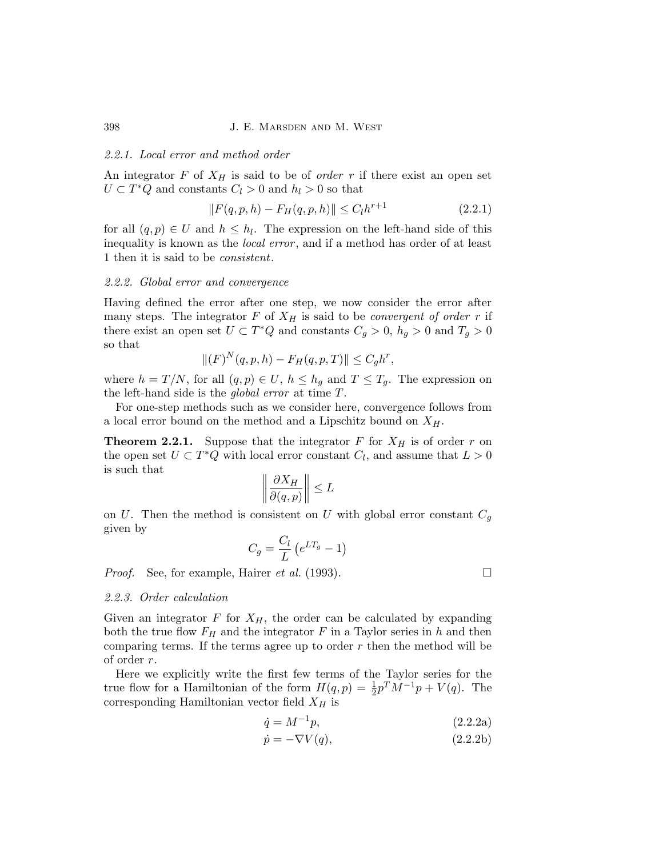### 2.2.1. Local error and method order

An integrator  $F$  of  $X_H$  is said to be of *order*  $r$  if there exist an open set  $U \subset T^*Q$  and constants  $C_l > 0$  and  $h_l > 0$  so that

$$
||F(q, p, h) - F_H(q, p, h)|| \le C_l h^{r+1}
$$
\n(2.2.1)

for all  $(q, p) \in U$  and  $h \leq h_l$ . The expression on the left-hand side of this inequality is known as the *local error*, and if a method has order of at least 1 then it is said to be consistent.

#### 2.2.2. Global error and convergence

Having defined the error after one step, we now consider the error after many steps. The integrator F of  $X_H$  is said to be *convergent of order* r if there exist an open set  $U \subset T^*Q$  and constants  $C_g > 0$ ,  $h_g > 0$  and  $T_g > 0$ so that

$$
||(F)^{N}(q, p, h) - F_{H}(q, p, T)|| \leq C_{g}h^{r},
$$

where  $h = T/N$ , for all  $(q, p) \in U$ ,  $h \leq h<sub>g</sub>$  and  $T \leq T<sub>g</sub>$ . The expression on the left-hand side is the *global error* at time  $T$ .

For one-step methods such as we consider here, convergence follows from a local error bound on the method and a Lipschitz bound on  $X_H$ .

**Theorem 2.2.1.** Suppose that the integrator F for  $X_H$  is of order r on the open set  $U \subset T^*Q$  with local error constant  $C_l$ , and assume that  $L > 0$ is such that

$$
\left\|\frac{\partial X_H}{\partial(q,p)}\right\| \le L
$$

on U. Then the method is consistent on U with global error constant  $C_q$ given by

$$
C_g = \frac{C_l}{L} \left( e^{LT_g} - 1 \right)
$$

*Proof.* See, for example, Hairer *et al.* (1993).

#### 2.2.3. Order calculation

Given an integrator  $F$  for  $X_H$ , the order can be calculated by expanding both the true flow  $F_H$  and the integrator F in a Taylor series in h and then comparing terms. If the terms agree up to order  $r$  then the method will be of order r.

Here we explicitly write the first few terms of the Taylor series for the true flow for a Hamiltonian of the form  $H(q, p) = \frac{1}{2}$  $\frac{1}{2}p^{T}M^{-1}p + V(q)$ . The corresponding Hamiltonian vector field  $X_H$  is

$$
\dot{q} = M^{-1}p,\tag{2.2.2a}
$$

$$
\dot{p} = -\nabla V(q),\tag{2.2.2b}
$$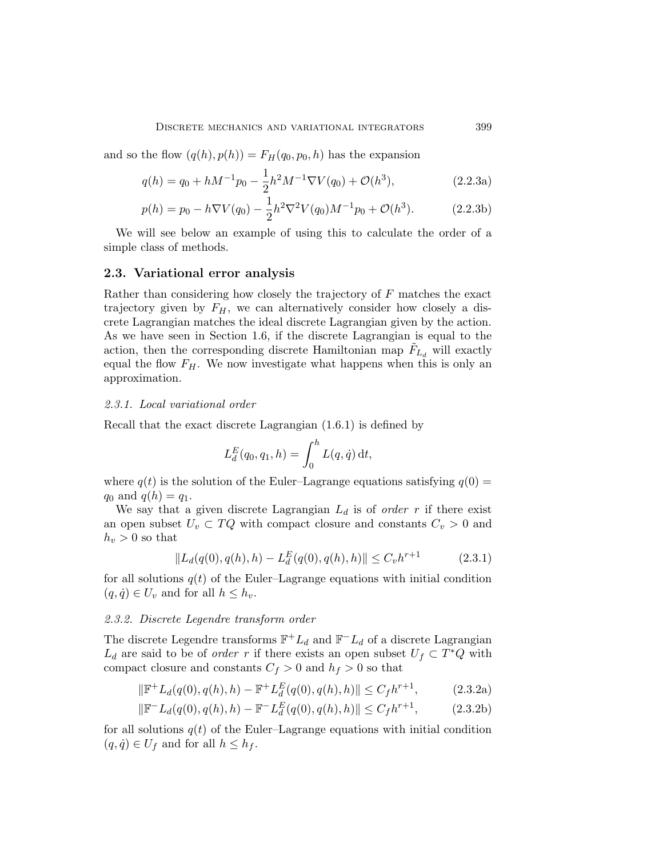and so the flow  $(q(h), p(h)) = F_H(q_0, p_0, h)$  has the expansion

$$
q(h) = q_0 + hM^{-1}p_0 - \frac{1}{2}h^2M^{-1}\nabla V(q_0) + \mathcal{O}(h^3),
$$
\n(2.2.3a)

$$
p(h) = p_0 - h\nabla V(q_0) - \frac{1}{2}h^2\nabla^2 V(q_0)M^{-1}p_0 + \mathcal{O}(h^3).
$$
 (2.2.3b)

We will see below an example of using this to calculate the order of a simple class of methods.

## 2.3. Variational error analysis

Rather than considering how closely the trajectory of F matches the exact trajectory given by  $F_H$ , we can alternatively consider how closely a discrete Lagrangian matches the ideal discrete Lagrangian given by the action. As we have seen in Section 1.6, if the discrete Lagrangian is equal to the action, then the corresponding discrete Hamiltonian map  $\tilde{F}_{L_d}$  will exactly equal the flow  $F_H$ . We now investigate what happens when this is only an approximation.

# 2.3.1. Local variational order

Recall that the exact discrete Lagrangian (1.6.1) is defined by

$$
L_d^E(q_0, q_1, h) = \int_0^h L(q, \dot{q}) dt,
$$

where  $q(t)$  is the solution of the Euler–Lagrange equations satisfying  $q(0)$  =  $q_0$  and  $q(h) = q_1$ .

We say that a given discrete Lagrangian  $L_d$  is of order r if there exist an open subset  $U_v \subset TQ$  with compact closure and constants  $C_v > 0$  and  $h_v > 0$  so that

$$
||L_d(q(0), q(h), h) - L_d^E(q(0), q(h), h)|| \le C_v h^{r+1}
$$
 (2.3.1)

for all solutions  $q(t)$  of the Euler–Lagrange equations with initial condition  $(q, \dot{q}) \in U_v$  and for all  $h \leq h_v$ .

### 2.3.2. Discrete Legendre transform order

The discrete Legendre transforms  $\mathbb{F}^{\dagger} L_d$  and  $\mathbb{F}^{-} L_d$  of a discrete Lagrangian  $L_d$  are said to be of *order* r if there exists an open subset  $U_f \subset T^*Q$  with compact closure and constants  $C_f > 0$  and  $h_f > 0$  so that

$$
\|\mathbb{F}^+ L_d(q(0), q(h), h) - \mathbb{F}^+ L_d^E(q(0), q(h), h)\| \le C_f h^{r+1}, \tag{2.3.2a}
$$

$$
\|\mathbb{F}^{-}L_{d}(q(0), q(h), h) - \mathbb{F}^{-}L_{d}^{E}(q(0), q(h), h)\| \leq C_{f}h^{r+1}, \qquad (2.3.2b)
$$

for all solutions  $q(t)$  of the Euler–Lagrange equations with initial condition  $(q, \dot{q}) \in U_f$  and for all  $h \leq h_f$ .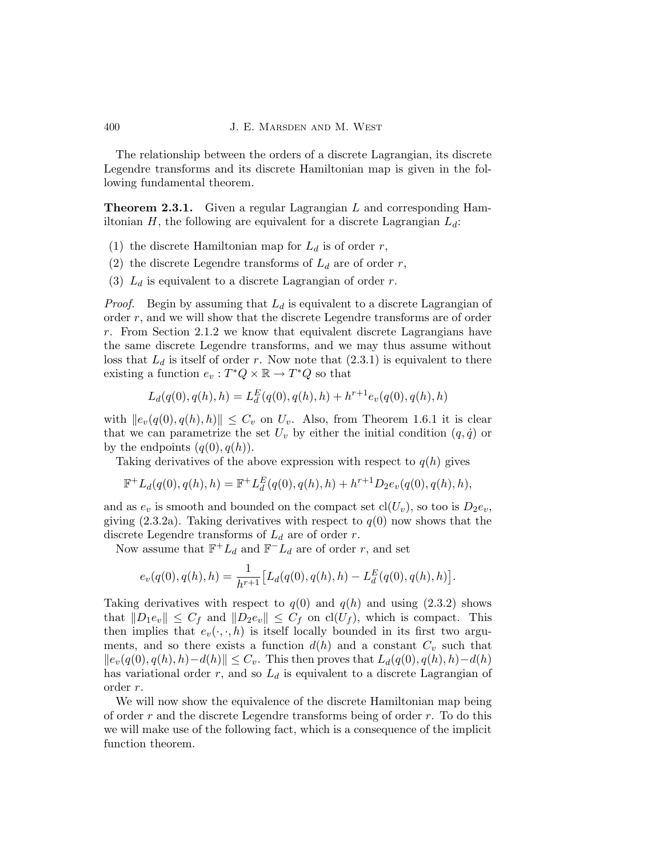The relationship between the orders of a discrete Lagrangian, its discrete Legendre transforms and its discrete Hamiltonian map is given in the following fundamental theorem.

**Theorem 2.3.1.** Given a regular Lagrangian L and corresponding Hamiltonian H, the following are equivalent for a discrete Lagrangian  $L_d$ :

- (1) the discrete Hamiltonian map for  $L_d$  is of order r,
- (2) the discrete Legendre transforms of  $L_d$  are of order r,
- (3)  $L_d$  is equivalent to a discrete Lagrangian of order r.

*Proof.* Begin by assuming that  $L_d$  is equivalent to a discrete Lagrangian of order  $r$ , and we will show that the discrete Legendre transforms are of order  $r$ . From Section 2.1.2 we know that equivalent discrete Lagrangians have the same discrete Legendre transforms, and we may thus assume without loss that  $L_d$  is itself of order r. Now note that  $(2.3.1)$  is equivalent to there existing a function  $e_v : T^*Q \times \mathbb{R} \to T^*Q$  so that

$$
L_d(q(0), q(h), h) = L_d^E(q(0), q(h), h) + h^{r+1}e_v(q(0), q(h), h)
$$

with  $||e_v(q(0), q(h), h)|| \leq C_v$  on  $U_v$ . Also, from Theorem 1.6.1 it is clear that we can parametrize the set  $U_v$  by either the initial condition  $(q, \dot{q})$  or by the endpoints  $(q(0), q(h))$ .

Taking derivatives of the above expression with respect to  $q(h)$  gives

$$
\mathbb{F}^+ L_d(q(0), q(h), h) = \mathbb{F}^+ L_d^E(q(0), q(h), h) + h^{r+1} D_2 e_v(q(0), q(h), h),
$$

and as  $e_v$  is smooth and bounded on the compact set  $\text{cl}(U_v)$ , so too is  $D_2e_v$ , giving (2.3.2a). Taking derivatives with respect to  $q(0)$  now shows that the discrete Legendre transforms of  $L_d$  are of order r.

Now assume that  $\mathbb{F}^{\dagger}L_d$  and  $\mathbb{F}^{\dagger}L_d$  are of order r, and set

$$
e_v(q(0), q(h), h) = \frac{1}{h^{r+1}} \left[ L_d(q(0), q(h), h) - L_d^E(q(0), q(h), h) \right]
$$

.

Taking derivatives with respect to  $q(0)$  and  $q(h)$  and using (2.3.2) shows that  $||D_1e_v|| \leq C_f$  and  $||D_2e_v|| \leq C_f$  on  $cl(U_f)$ , which is compact. This then implies that  $e_v(\cdot, \cdot, h)$  is itself locally bounded in its first two arguments, and so there exists a function  $d(h)$  and a constant  $C_v$  such that  $||e_v(q(0), q(h), h)-d(h)|| \leq C_v$ . This then proves that  $L_d(q(0), q(h), h)-d(h)$ has variational order  $r$ , and so  $L_d$  is equivalent to a discrete Lagrangian of order r.

We will now show the equivalence of the discrete Hamiltonian map being of order r and the discrete Legendre transforms being of order r. To do this we will make use of the following fact, which is a consequence of the implicit function theorem.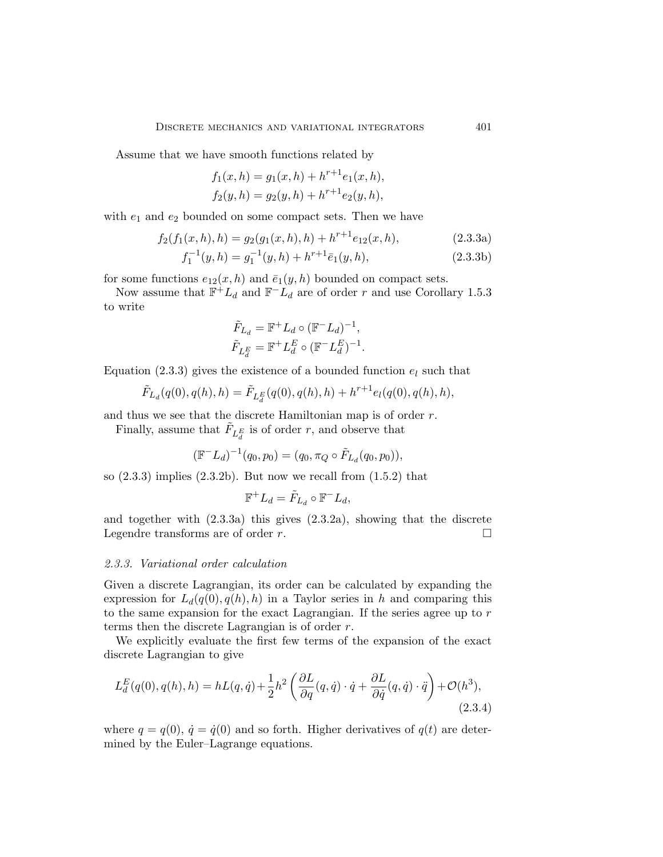Assume that we have smooth functions related by

$$
f_1(x,h) = g_1(x,h) + h^{r+1}e_1(x,h),
$$
  

$$
f_2(y,h) = g_2(y,h) + h^{r+1}e_2(y,h),
$$

with  $e_1$  and  $e_2$  bounded on some compact sets. Then we have

$$
f_2(f_1(x,h),h) = g_2(g_1(x,h),h) + h^{r+1}e_{12}(x,h),
$$
\n(2.3.3a)

$$
f_1^{-1}(y,h) = g_1^{-1}(y,h) + h^{r+1}\bar{e}_1(y,h),
$$
\n(2.3.3b)

for some functions  $e_{12}(x, h)$  and  $\bar{e}_1(y, h)$  bounded on compact sets.

Now assume that  $\mathbb{F}^{\dagger}L_d$  and  $\mathbb{F}^{\dagger}L_d$  are of order r and use Corollary 1.5.3 to write

$$
\tilde{F}_{L_d} = \mathbb{F}^+ L_d \circ (\mathbb{F}^- L_d)^{-1},
$$
\n
$$
\tilde{F}_{L_d^E} = \mathbb{F}^+ L_d^E \circ (\mathbb{F}^- L_d^E)^{-1}.
$$

Equation (2.3.3) gives the existence of a bounded function  $e_l$  such that

$$
\tilde{F}_{L_d}(q(0), q(h), h) = \tilde{F}_{L_d^E}(q(0), q(h), h) + h^{r+1} e_l(q(0), q(h), h),
$$

and thus we see that the discrete Hamiltonian map is of order r.

Finally, assume that  $\tilde{F}_{L_d^E}$  is of order r, and observe that

$$
(\mathbb{F}^{-}L_{d})^{-1}(q_{0},p_{0})=(q_{0},\pi_{Q}\circ\tilde{F}_{L_{d}}(q_{0},p_{0})),
$$

so  $(2.3.3)$  implies  $(2.3.2b)$ . But now we recall from  $(1.5.2)$  that

$$
\mathbb{F}^+L_d=\tilde{F}_{L_d}\circ \mathbb{F}^-L_d,
$$

and together with (2.3.3a) this gives (2.3.2a), showing that the discrete Legendre transforms are of order  $r$ .  $\Box$ 

#### 2.3.3. Variational order calculation

Given a discrete Lagrangian, its order can be calculated by expanding the expression for  $L_d(q(0), q(h), h)$  in a Taylor series in h and comparing this to the same expansion for the exact Lagrangian. If the series agree up to  $r$ terms then the discrete Lagrangian is of order r.

We explicitly evaluate the first few terms of the expansion of the exact discrete Lagrangian to give

$$
L_d^E(q(0), q(h), h) = hL(q, \dot{q}) + \frac{1}{2}h^2 \left(\frac{\partial L}{\partial q}(q, \dot{q}) \cdot \dot{q} + \frac{\partial L}{\partial \dot{q}}(q, \dot{q}) \cdot \ddot{q}\right) + \mathcal{O}(h^3),\tag{2.3.4}
$$

where  $q = q(0), \dot{q} = \dot{q}(0)$  and so forth. Higher derivatives of  $q(t)$  are determined by the Euler–Lagrange equations.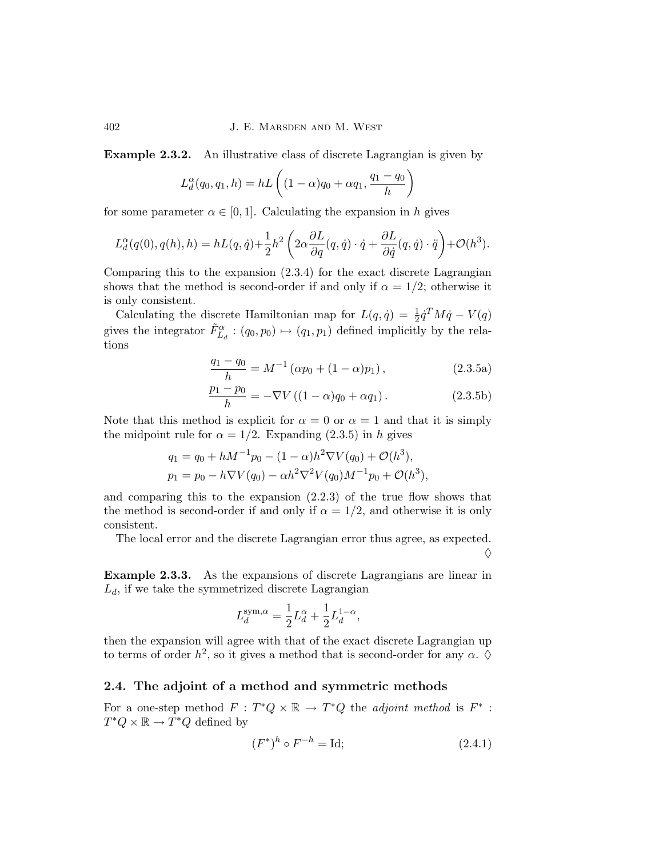Example 2.3.2. An illustrative class of discrete Lagrangian is given by

$$
L_d^{\alpha}(q_0, q_1, h) = hL\left((1-\alpha)q_0 + \alpha q_1, \frac{q_1 - q_0}{h}\right)
$$

for some parameter  $\alpha \in [0,1]$ . Calculating the expansion in h gives

$$
L_d^{\alpha}(q(0), q(h), h) = hL(q, \dot{q}) + \frac{1}{2}h^2 \left(2\alpha \frac{\partial L}{\partial q}(q, \dot{q}) \cdot \dot{q} + \frac{\partial L}{\partial \dot{q}}(q, \dot{q}) \cdot \ddot{q}\right) + \mathcal{O}(h^3).
$$

Comparing this to the expansion (2.3.4) for the exact discrete Lagrangian shows that the method is second-order if and only if  $\alpha = 1/2$ ; otherwise it is only consistent.

Calculating the discrete Hamiltonian map for  $L(q, \dot{q}) = \frac{1}{2}$  $\frac{1}{2}\dot{q}^T M \dot{q} - V(q)$ gives the integrator  $\tilde{F}_{L_d}^{\alpha}$ :  $(q_0, p_0) \mapsto (q_1, p_1)$  defined implicitly by the relations

$$
\frac{q_1 - q_0}{h} = M^{-1} \left( \alpha p_0 + (1 - \alpha) p_1 \right),\tag{2.3.5a}
$$

$$
\frac{p_1 - p_0}{h} = -\nabla V ((1 - \alpha)q_0 + \alpha q_1).
$$
 (2.3.5b)

Note that this method is explicit for  $\alpha = 0$  or  $\alpha = 1$  and that it is simply the midpoint rule for  $\alpha = 1/2$ . Expanding (2.3.5) in h gives

$$
q_1 = q_0 + hM^{-1}p_0 - (1 - \alpha)h^2 \nabla V(q_0) + \mathcal{O}(h^3),
$$
  
\n
$$
p_1 = p_0 - h\nabla V(q_0) - \alpha h^2 \nabla^2 V(q_0) M^{-1} p_0 + \mathcal{O}(h^3),
$$

and comparing this to the expansion (2.2.3) of the true flow shows that the method is second-order if and only if  $\alpha = 1/2$ , and otherwise it is only consistent.

The local error and the discrete Lagrangian error thus agree, as expected.  $\Diamond$ 

Example 2.3.3. As the expansions of discrete Lagrangians are linear in  $L_d$ , if we take the symmetrized discrete Lagrangian

$$
L_d^{\text{sym},\alpha} = \frac{1}{2}L_d^{\alpha} + \frac{1}{2}L_d^{1-\alpha},
$$

then the expansion will agree with that of the exact discrete Lagrangian up to terms of order  $h^2$ , so it gives a method that is second-order for any  $\alpha$ .  $\diamond$ 

# 2.4. The adjoint of a method and symmetric methods

For a one-step method  $F: T^*Q \times \mathbb{R} \to T^*Q$  the *adjoint method* is  $F^*$ :  $T^*Q \times \mathbb{R} \to T^*Q$  defined by

$$
(F^*)^h \circ F^{-h} = \text{Id};\tag{2.4.1}
$$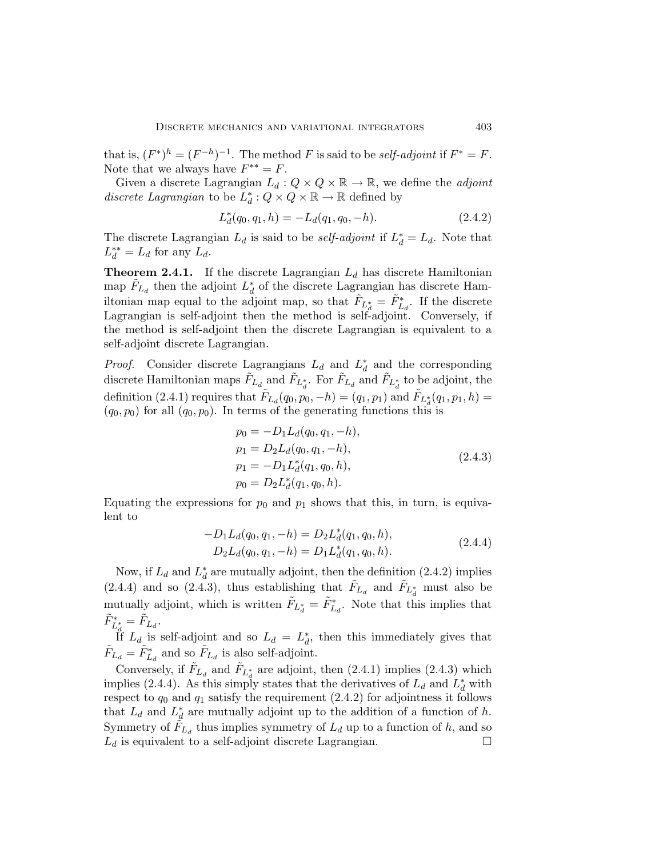that is,  $(F^*)^h = (F^{-h})^{-1}$ . The method F is said to be self-adjoint if  $F^* = F$ . Note that we always have  $F^{**} = F$ .

Given a discrete Lagrangian  $L_d: Q \times Q \times \mathbb{R} \to \mathbb{R}$ , we define the *adjoint* discrete Lagrangian to be  $L_d^*: Q \times Q \times \mathbb{R} \to \mathbb{R}$  defined by

$$
L_d^*(q_0, q_1, h) = -L_d(q_1, q_0, -h).
$$
\n(2.4.2)

The discrete Lagrangian  $L_d$  is said to be *self-adjoint* if  $L_d^* = L_d$ . Note that  $L_d^{**} = L_d$  for any  $L_d$ .

**Theorem 2.4.1.** If the discrete Lagrangian  $L_d$  has discrete Hamiltonian map  $\tilde{F}_{L_d}$  then the adjoint  $L_d^*$  of the discrete Lagrangian has discrete Hamiltonian map equal to the adjoint map, so that  $\tilde{F}_{L_d^*} = \tilde{F}_{L_d}^*$ . If the discrete Lagrangian is self-adjoint then the method is self-adjoint. Conversely, if the method is self-adjoint then the discrete Lagrangian is equivalent to a self-adjoint discrete Lagrangian.

*Proof.* Consider discrete Lagrangians  $L_d$  and  $L_d^*$  and the corresponding discrete Hamiltonian maps  $\tilde{F}_{L_d}$  and  $\tilde{F}_{L_d^*}$ . For  $\tilde{F}_{L_d}$  and  $\tilde{F}_{L_d^*}$  to be adjoint, the definition (2.4.1) requires that  $\tilde{F}_{L_d}(q_0, p_0, -h) = (q_1, p_1)$  and  $\tilde{F}_{L_d}(q_1, p_1, h) =$  $(q_0, p_0)$  for all  $(q_0, p_0)$ . In terms of the generating functions this is

$$
p_0 = -D_1 L_d(q_0, q_1, -h),
$$
  
\n
$$
p_1 = D_2 L_d(q_0, q_1, -h),
$$
  
\n
$$
p_1 = -D_1 L_d^*(q_1, q_0, h),
$$
  
\n
$$
p_0 = D_2 L_d^*(q_1, q_0, h).
$$
\n(2.4.3)

Equating the expressions for  $p_0$  and  $p_1$  shows that this, in turn, is equivalent to

$$
-D_1 L_d(q_0, q_1, -h) = D_2 L_d^*(q_1, q_0, h),
$$
  
\n
$$
D_2 L_d(q_0, q_1, -h) = D_1 L_d^*(q_1, q_0, h).
$$
\n(2.4.4)

Now, if  $L_d$  and  $L_d^*$  are mutually adjoint, then the definition (2.4.2) implies  $(2.4.4)$  and so  $(2.4.3)$ , thus establishing that  $\tilde{F}_{L_d}$  and  $\tilde{F}_{L_d^*}$  must also be mutually adjoint, which is written  $\tilde{F}_{L_d^*} = \tilde{F}_{L_d}^*$ . Note that this implies that  $\tilde{F}_{L_d^*}^* = \tilde{F}_{L_d}.$ 

If  $L_d$  is self-adjoint and so  $L_d = L_d^*$ , then this immediately gives that  $\tilde{F}_{L_d} = \tilde{F}_{L_d}^*$  and so  $\tilde{F}_{L_d}$  is also self-adjoint.

Conversely, if  $\tilde{F}_{L_d}$  and  $\tilde{F}_{L_d^*}$  are adjoint, then (2.4.1) implies (2.4.3) which implies (2.4.4). As this simply states that the derivatives of  $L_d$  and  $L_d^*$  with respect to  $q_0$  and  $q_1$  satisfy the requirement  $(2.4.2)$  for adjointness it follows that  $L_d$  and  $L_d^*$  are mutually adjoint up to the addition of a function of h. Symmetry of  $\tilde{F}_{L_d}$  thus implies symmetry of  $L_d$  up to a function of h, and so  $L_d$  is equivalent to a self-adjoint discrete Lagrangian.  $\Box$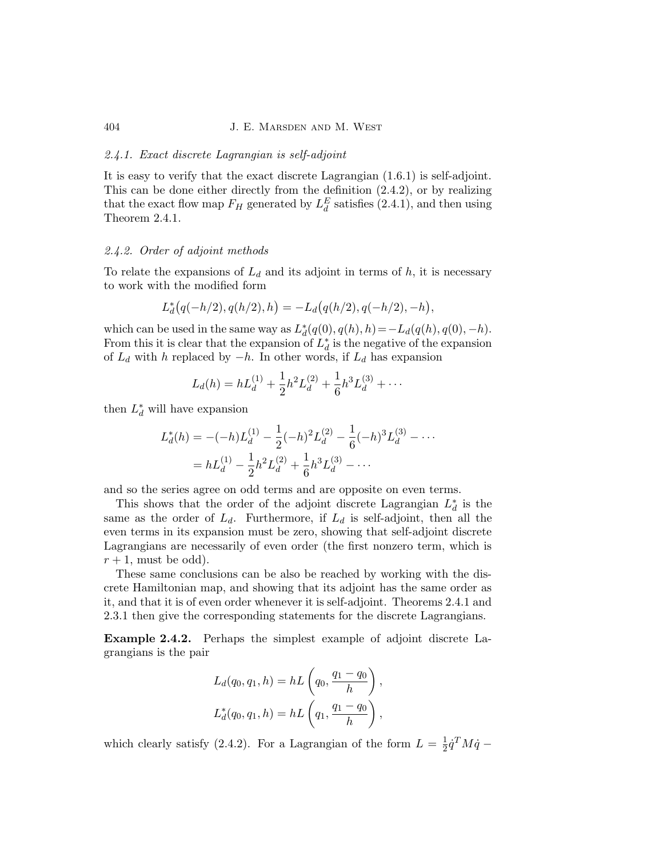### 2.4.1. Exact discrete Lagrangian is self-adjoint

It is easy to verify that the exact discrete Lagrangian (1.6.1) is self-adjoint. This can be done either directly from the definition (2.4.2), or by realizing that the exact flow map  $F_H$  generated by  $L_d^E$  satisfies (2.4.1), and then using Theorem 2.4.1.

#### 2.4.2. Order of adjoint methods

To relate the expansions of  $L_d$  and its adjoint in terms of h, it is necessary to work with the modified form

$$
L_d^*[q(-h/2), q(h/2), h) = -L_d(q(h/2), q(-h/2), -h),
$$

which can be used in the same way as  $L_d^*(q(0), q(h), h) = -L_d(q(h), q(0), -h)$ . From this it is clear that the expansion of  $L_d^*$  is the negative of the expansion of  $L_d$  with h replaced by  $-h$ . In other words, if  $L_d$  has expansion

$$
L_d(h) = hL_d^{(1)} + \frac{1}{2}h^2L_d^{(2)} + \frac{1}{6}h^3L_d^{(3)} + \cdots
$$

then  $L_d^*$  will have expansion

$$
L_d^*(h) = -(-h)L_d^{(1)} - \frac{1}{2}(-h)^2 L_d^{(2)} - \frac{1}{6}(-h)^3 L_d^{(3)} - \cdots
$$
  
=  $hL_d^{(1)} - \frac{1}{2}h^2 L_d^{(2)} + \frac{1}{6}h^3 L_d^{(3)} - \cdots$ 

and so the series agree on odd terms and are opposite on even terms.

This shows that the order of the adjoint discrete Lagrangian  $L_d^*$  is the same as the order of  $L_d$ . Furthermore, if  $L_d$  is self-adjoint, then all the even terms in its expansion must be zero, showing that self-adjoint discrete Lagrangians are necessarily of even order (the first nonzero term, which is  $r+1$ , must be odd).

These same conclusions can be also be reached by working with the discrete Hamiltonian map, and showing that its adjoint has the same order as it, and that it is of even order whenever it is self-adjoint. Theorems 2.4.1 and 2.3.1 then give the corresponding statements for the discrete Lagrangians.

Example 2.4.2. Perhaps the simplest example of adjoint discrete Lagrangians is the pair

$$
L_d(q_0, q_1, h) = hL\left(q_0, \frac{q_1 - q_0}{h}\right),
$$
  

$$
L_d^*(q_0, q_1, h) = hL\left(q_1, \frac{q_1 - q_0}{h}\right),
$$

which clearly satisfy (2.4.2). For a Lagrangian of the form  $L = \frac{1}{2}$  $\frac{1}{2}\dot{q}^TM\dot{q}$  –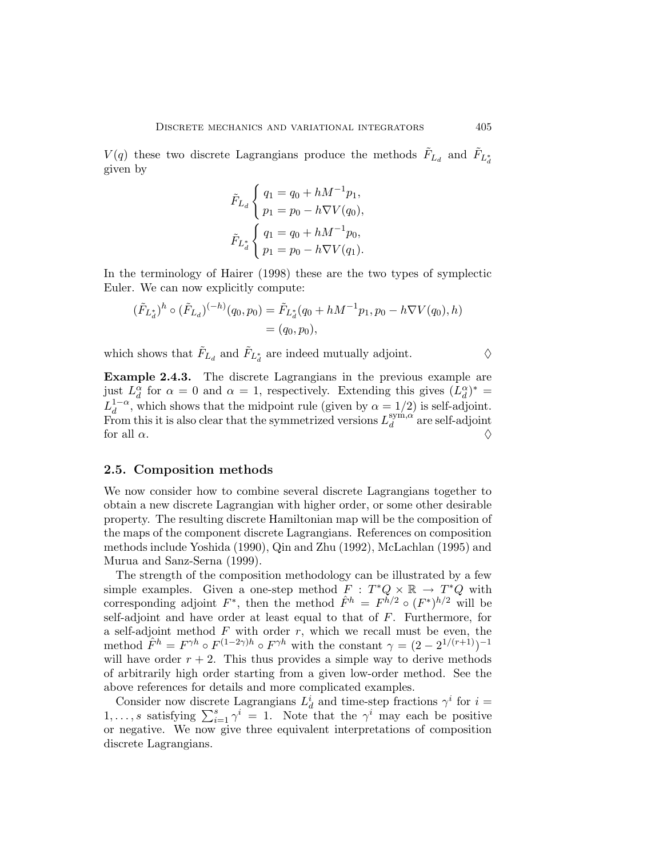$V(q)$  these two discrete Lagrangians produce the methods  $\tilde{F}_{L_d}$  and  $\tilde{F}_{L_d^*}$ given by

$$
\tilde{F}_{L_d} \begin{cases}\nq_1 = q_0 + hM^{-1}p_1, \\
p_1 = p_0 - h\nabla V(q_0), \\
\tilde{F}_{L_d^*} \begin{cases}\nq_1 = q_0 + hM^{-1}p_0, \\
p_1 = p_0 - h\nabla V(q_1).\n\end{cases}
$$

In the terminology of Hairer (1998) these are the two types of symplectic Euler. We can now explicitly compute:

$$
(\tilde{F}_{L_d^*})^h \circ (\tilde{F}_{L_d})^{(-h)}(q_0, p_0) = \tilde{F}_{L_d^*}(q_0 + hM^{-1}p_1, p_0 - h\nabla V(q_0), h)
$$
  
= (q\_0, p\_0),

which shows that  $\tilde{F}_{L_d}$  and  $\tilde{F}_{L_d^*}$  are indeed mutually adjoint.

Example 2.4.3. The discrete Lagrangians in the previous example are just  $L_d^{\alpha}$  for  $\alpha = 0$  and  $\alpha = 1$ , respectively. Extending this gives  $(L_d^{\alpha})^* =$  $L_d^{1-\alpha}$  $\frac{d^{1-\alpha}}{d}$ , which shows that the midpoint rule (given by  $\alpha = 1/2$ ) is self-adjoint. From this it is also clear that the symmetrized versions  $L_d^{\text{sym},\alpha}$  $d_d^{\text{sym},\alpha}$  are self-adjoint for all  $\alpha$ .

# 2.5. Composition methods

We now consider how to combine several discrete Lagrangians together to obtain a new discrete Lagrangian with higher order, or some other desirable property. The resulting discrete Hamiltonian map will be the composition of the maps of the component discrete Lagrangians. References on composition methods include Yoshida (1990), Qin and Zhu (1992), McLachlan (1995) and Murua and Sanz-Serna (1999).

The strength of the composition methodology can be illustrated by a few simple examples. Given a one-step method  $F: T^*Q \times \mathbb{R} \to T^*Q$  with corresponding adjoint  $F^*$ , then the method  $\hat{F}^h = F^{\hat{h}/2} \circ (F^*)^{h/2}$  will be self-adjoint and have order at least equal to that of  $F$ . Furthermore, for a self-adjoint method  $F$  with order  $r$ , which we recall must be even, the method  $\hat{F}^h = F^{\gamma h} \circ F^{(1-2\gamma)h} \circ F^{\gamma h}$  with the constant  $\gamma = (2 - 2^{1/(r+1)})^{-1}$ will have order  $r + 2$ . This thus provides a simple way to derive methods of arbitrarily high order starting from a given low-order method. See the above references for details and more complicated examples.

Consider now discrete Lagrangians  $L_d^i$  and time-step fractions  $\gamma^i$  for  $i =$ 1,..., s satisfying  $\sum_{i=1}^{s} \gamma^{i} = 1$ . Note that the  $\gamma^{i}$  may each be positive or negative. We now give three equivalent interpretations of composition discrete Lagrangians.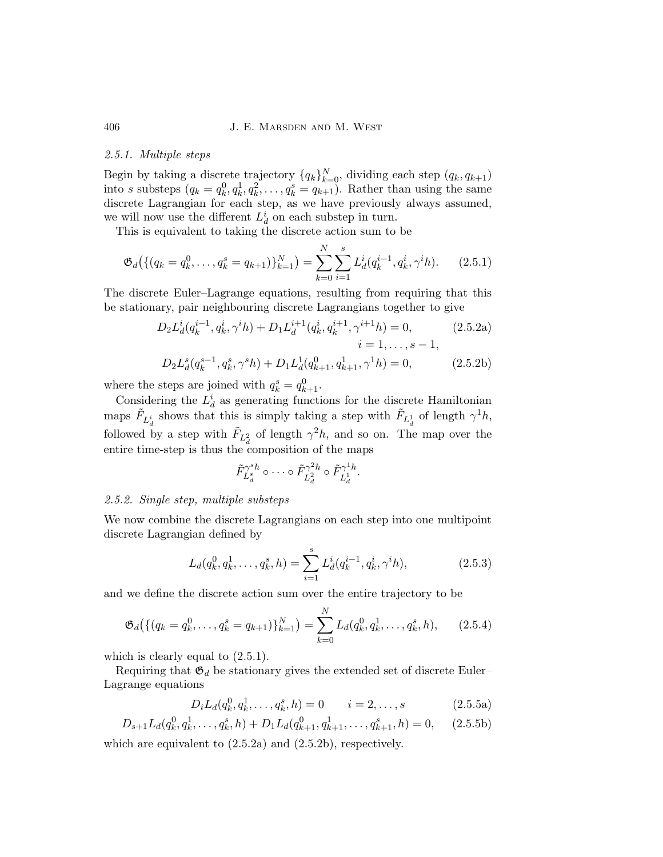#### 2.5.1. Multiple steps

Begin by taking a discrete trajectory  $\{q_k\}_{k=0}^N$ , dividing each step  $(q_k, q_{k+1})$ into s substeps  $(q_k = q_k^0, q_k^1, q_k^2, \dots, q_k^s = q_{k+1}^s)$ . Rather than using the same discrete Lagrangian for each step, as we have previously always assumed, we will now use the different  $L_d^i$  on each substep in turn.

This is equivalent to taking the discrete action sum to be

$$
\mathfrak{G}_d\big(\{(q_k = q_k^0, \dots, q_k^s = q_{k+1})\}_{k=1}^N\big) = \sum_{k=0}^N \sum_{i=1}^s L_d^i(q_k^{i-1}, q_k^i, \gamma^i h). \tag{2.5.1}
$$

The discrete Euler–Lagrange equations, resulting from requiring that this be stationary, pair neighbouring discrete Lagrangians together to give

$$
D_2 L_d^i(q_k^{i-1}, q_k^i, \gamma^i h) + D_1 L_d^{i+1}(q_k^i, q_k^{i+1}, \gamma^{i+1} h) = 0,
$$
\n
$$
i = 1, \dots, s-1,
$$
\n(2.5.2a)

$$
D_2 L_d^s(q_k^{s-1}, q_k^s, \gamma^s h) + D_1 L_d^1(q_{k+1}^0, q_{k+1}^1, \gamma^1 h) = 0,
$$
\n(2.5.2b)

where the steps are joined with  $q_k^s = q_{k+1}^0$ .

Considering the  $L_d^i$  as generating functions for the discrete Hamiltonian maps  $\tilde{F}_{L_d^i}$  shows that this is simply taking a step with  $\tilde{F}_{L_d^1}$  of length  $\gamma^1 h$ , followed by a step with  $\tilde{F}_{L_d}$  of length  $\gamma^2 h$ , and so on. The map over the entire time-step is thus the composition of the maps

$$
\tilde{F}^{\gamma^{sh}}_{L^s_d}\circ\cdots\circ\tilde{F}^{\gamma^{2}h}_{L^2_d}\circ\tilde{F}^{\gamma^{1}h}_{L^1_d}
$$

# 2.5.2. Single step, multiple substeps

We now combine the discrete Lagrangians on each step into one multipoint discrete Lagrangian defined by

$$
L_d(q_k^0, q_k^1, \dots, q_k^s, h) = \sum_{i=1}^s L_d^i(q_k^{i-1}, q_k^i, \gamma^i h), \qquad (2.5.3)
$$

.

and we define the discrete action sum over the entire trajectory to be

$$
\mathfrak{G}_d\big(\{(q_k = q_k^0, \dots, q_k^s = q_{k+1})\}_{k=1}^N\big) = \sum_{k=0}^N L_d(q_k^0, q_k^1, \dots, q_k^s, h), \qquad (2.5.4)
$$

which is clearly equal to  $(2.5.1)$ .

Requiring that  $\mathfrak{G}_d$  be stationary gives the extended set of discrete Euler– Lagrange equations

$$
D_i L_d(q_k^0, q_k^1, \dots, q_k^s, h) = 0 \qquad i = 2, \dots, s \tag{2.5.5a}
$$

 $D_{s+1}L_d(q_k^0, q_k^1, \dots, q_k^s, h) + D_1L_d(q_{k+1}^0, q_{k+1}^1, \dots, q_{k+1}^s, h) = 0, \quad (2.5.5b)$ 

which are equivalent to (2.5.2a) and (2.5.2b), respectively.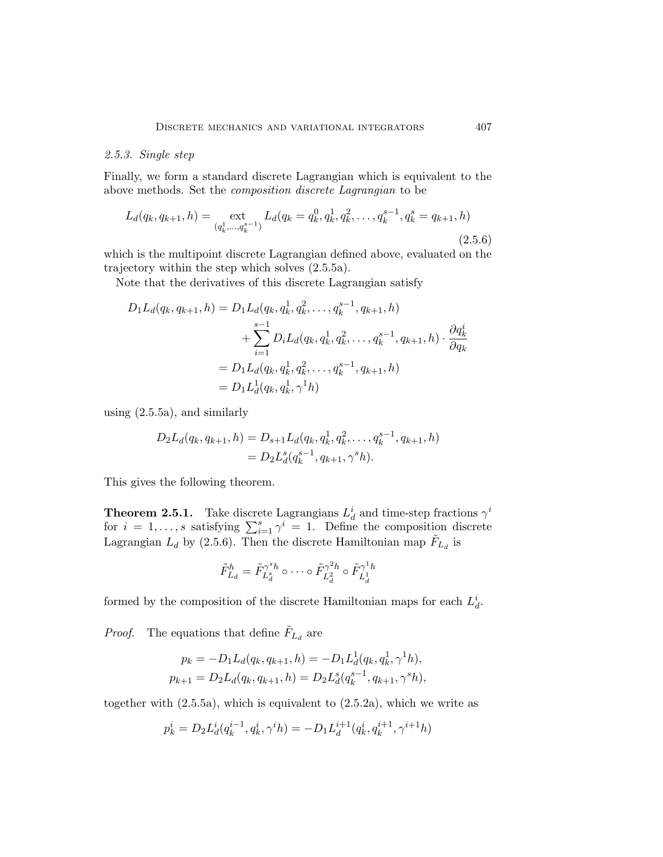#### 2.5.3. Single step

Finally, we form a standard discrete Lagrangian which is equivalent to the above methods. Set the composition discrete Lagrangian to be

$$
L_d(q_k, q_{k+1}, h) = \underset{(q_k^1, \dots, q_k^{s-1})}{\text{ext}} L_d(q_k = q_k^0, q_k^1, q_k^2, \dots, q_k^{s-1}, q_k^s = q_{k+1}, h)
$$
\n
$$
(2.5.6)
$$

which is the multipoint discrete Lagrangian defined above, evaluated on the trajectory within the step which solves (2.5.5a).

Note that the derivatives of this discrete Lagrangian satisfy

$$
D_1L_d(q_k, q_{k+1}, h) = D_1L_d(q_k, q_k^1, q_k^2, \dots, q_k^{s-1}, q_{k+1}, h)
$$
  
+ 
$$
\sum_{i=1}^{s-1} D_iL_d(q_k, q_k^1, q_k^2, \dots, q_k^{s-1}, q_{k+1}, h) \cdot \frac{\partial q_k^i}{\partial q_k}
$$
  
= 
$$
D_1L_d(q_k, q_k^1, q_k^2, \dots, q_k^{s-1}, q_{k+1}, h)
$$
  
= 
$$
D_1L_d^1(q_k, q_k^1, \gamma^1 h)
$$

using (2.5.5a), and similarly

$$
D_2L_d(q_k, q_{k+1}, h) = D_{s+1}L_d(q_k, q_k^1, q_k^2, \dots, q_k^{s-1}, q_{k+1}, h)
$$
  
= 
$$
D_2L_d^s(q_k^{s-1}, q_{k+1}, \gamma^s h).
$$

This gives the following theorem.

**Theorem 2.5.1.** Take discrete Lagrangians  $L_d^i$  and time-step fractions  $\gamma^i$ for  $i = 1, \ldots, s$  satisfying  $\sum_{i=1}^{s} \gamma^{i} = 1$ . Define the composition discrete Lagrangian  $L_d$  by (2.5.6). Then the discrete Hamiltonian map  $\tilde{F}_{L_d}$  is

$$
\tilde{F}_{L_d}^h = \tilde{F}_{L_d}^{\gamma^sh} \circ \cdots \circ \tilde{F}_{L_d}^{\gamma^2h} \circ \tilde{F}_{L_d}^{\gamma^1h}
$$

formed by the composition of the discrete Hamiltonian maps for each  $L_d^i$ .

*Proof.* The equations that define  $\tilde{F}_{L_d}$  are

$$
p_k = -D_1 L_d(q_k, q_{k+1}, h) = -D_1 L_d^1(q_k, q_k^1, \gamma^1 h),
$$
  

$$
p_{k+1} = D_2 L_d(q_k, q_{k+1}, h) = D_2 L_d^s(q_k^{s-1}, q_{k+1}, \gamma^s h),
$$

together with  $(2.5.5a)$ , which is equivalent to  $(2.5.2a)$ , which we write as

$$
p_k^i = D_2 L_d^i(q_k^{i-1}, q_k^i, \gamma^i h) = -D_1 L_d^{i+1}(q_k^i, q_k^{i+1}, \gamma^{i+1} h)
$$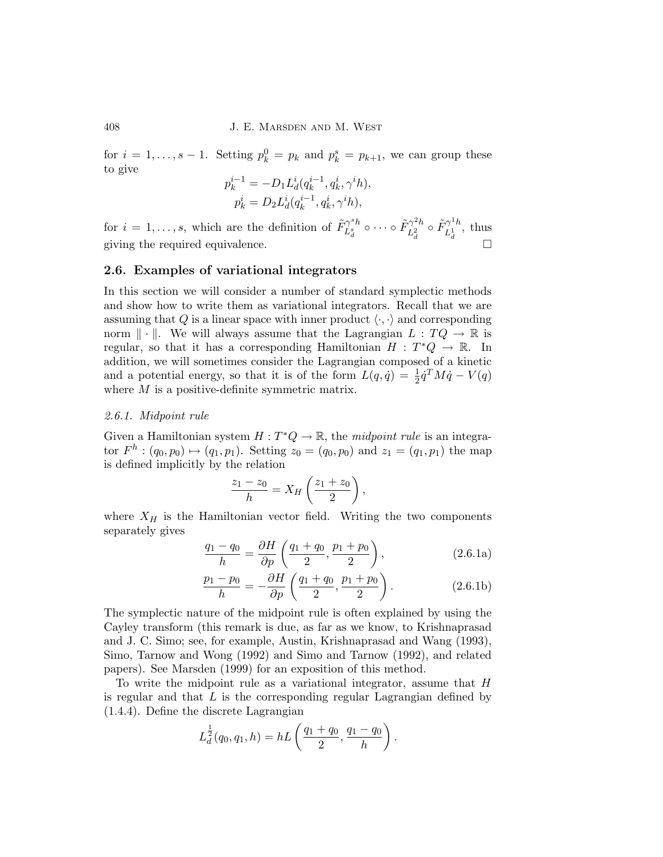for  $i = 1, ..., s - 1$ . Setting  $p_k^0 = p_k$  and  $p_k^s = p_{k+1}$ , we can group these to give

$$
p_k^{i-1} = -D_1 L_d^i(q_k^{i-1}, q_k^i, \gamma^i h),
$$
  

$$
p_k^i = D_2 L_d^i(q_k^{i-1}, q_k^i, \gamma^i h),
$$

for  $i = 1, \ldots, s$ , which are the definition of  $\tilde{F}_{L^s}^{\gamma^s h}$  $\tilde{L}^{\gamma^sh}_d \circ \cdots \circ \tilde{F}^{\gamma^2 h}_{L^2_d}$  $\tilde{L}_d^{2~h} \circ \tilde{F}_{L_d^1}^{\gamma^1 h}$  $L_d^{\gamma}$ <sup>n</sup>, thus giving the required equivalence.

# 2.6. Examples of variational integrators

In this section we will consider a number of standard symplectic methods and show how to write them as variational integrators. Recall that we are assuming that Q is a linear space with inner product  $\langle \cdot, \cdot \rangle$  and corresponding norm  $\|\cdot\|$ . We will always assume that the Lagrangian  $L : TQ \to \mathbb{R}$  is regular, so that it has a corresponding Hamiltonian  $H : T^*Q \to \mathbb{R}$ . In addition, we will sometimes consider the Lagrangian composed of a kinetic and a potential energy, so that it is of the form  $L(q, \dot{q}) = \frac{1}{2}$  $\frac{1}{2}\dot{q}^T M \dot{q} - V(q)$ where  $M$  is a positive-definite symmetric matrix.

# 2.6.1. Midpoint rule

Given a Hamiltonian system  $H: T^*Q \to \mathbb{R}$ , the midpoint rule is an integrator  $F^h: (q_0, p_0) \mapsto (q_1, p_1)$ . Setting  $z_0 = (q_0, p_0)$  and  $z_1 = (q_1, p_1)$  the map is defined implicitly by the relation

$$
\frac{z_1 - z_0}{h} = X_H \left( \frac{z_1 + z_0}{2} \right),
$$

where  $X_H$  is the Hamiltonian vector field. Writing the two components separately gives

$$
\frac{q_1 - q_0}{h} = \frac{\partial H}{\partial p} \left( \frac{q_1 + q_0}{2}, \frac{p_1 + p_0}{2} \right),
$$
 (2.6.1a)

$$
\frac{p_1 - p_0}{h} = -\frac{\partial H}{\partial p} \left( \frac{q_1 + q_0}{2}, \frac{p_1 + p_0}{2} \right).
$$
 (2.6.1b)

The symplectic nature of the midpoint rule is often explained by using the Cayley transform (this remark is due, as far as we know, to Krishnaprasad and J. C. Simo; see, for example, Austin, Krishnaprasad and Wang (1993), Simo, Tarnow and Wong (1992) and Simo and Tarnow (1992), and related papers). See Marsden (1999) for an exposition of this method.

To write the midpoint rule as a variational integrator, assume that  $H$ is regular and that  $L$  is the corresponding regular Lagrangian defined by (1.4.4). Define the discrete Lagrangian

$$
L_d^{\frac{1}{2}}(q_0, q_1, h) = hL\left(\frac{q_1 + q_0}{2}, \frac{q_1 - q_0}{h}\right).
$$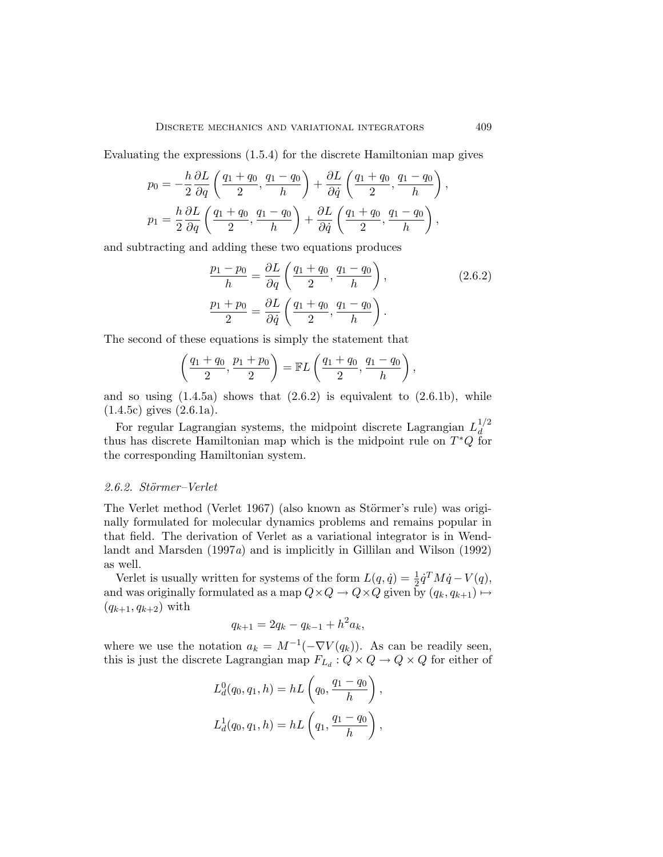Evaluating the expressions (1.5.4) for the discrete Hamiltonian map gives

$$
p_0 = -\frac{h}{2} \frac{\partial L}{\partial q} \left( \frac{q_1 + q_0}{2}, \frac{q_1 - q_0}{h} \right) + \frac{\partial L}{\partial \dot{q}} \left( \frac{q_1 + q_0}{2}, \frac{q_1 - q_0}{h} \right),
$$
  

$$
p_1 = \frac{h}{2} \frac{\partial L}{\partial q} \left( \frac{q_1 + q_0}{2}, \frac{q_1 - q_0}{h} \right) + \frac{\partial L}{\partial \dot{q}} \left( \frac{q_1 + q_0}{2}, \frac{q_1 - q_0}{h} \right),
$$

and subtracting and adding these two equations produces

$$
\frac{p_1 - p_0}{h} = \frac{\partial L}{\partial q} \left( \frac{q_1 + q_0}{2}, \frac{q_1 - q_0}{h} \right),
$$
\n
$$
\frac{p_1 + p_0}{2} = \frac{\partial L}{\partial \dot{q}} \left( \frac{q_1 + q_0}{2}, \frac{q_1 - q_0}{h} \right).
$$
\n(2.6.2)

The second of these equations is simply the statement that

$$
\left(\frac{q_1+q_0}{2}, \frac{p_1+p_0}{2}\right) = \mathbb{F}L\left(\frac{q_1+q_0}{2}, \frac{q_1-q_0}{h}\right),\,
$$

and so using  $(1.4.5a)$  shows that  $(2.6.2)$  is equivalent to  $(2.6.1b)$ , while  $(1.4.5c)$  gives  $(2.6.1a)$ .

For regular Lagrangian systems, the midpoint discrete Lagrangian  $L_d^{1/2}$ d thus has discrete Hamiltonian map which is the midpoint rule on  $T^*Q$  for the corresponding Hamiltonian system.

### 2.6.2. Störmer-Verlet

The Verlet method (Verlet 1967) (also known as Störmer's rule) was originally formulated for molecular dynamics problems and remains popular in that field. The derivation of Verlet as a variational integrator is in Wendlandt and Marsden (1997a) and is implicitly in Gillilan and Wilson (1992) as well.

Verlet is usually written for systems of the form  $L(q, \dot{q}) = \frac{1}{2} \dot{q}^T M \dot{q} - V(q)$ , vertet is usually written for systems of the form  $L(q, q) = \frac{1}{2}q^{-1M}q - V(q)$ ,<br>and was originally formulated as a map  $Q \times Q \to Q \times Q$  given by  $(q_k, q_{k+1}) \mapsto$  $(q_{k+1}, q_{k+2})$  with

$$
q_{k+1} = 2q_k - q_{k-1} + h^2 a_k,
$$

where we use the notation  $a_k = M^{-1}(-\nabla V(q_k))$ . As can be readily seen, this is just the discrete Lagrangian map  $F_{L_d}: Q \times Q \to Q \times Q$  for either of

$$
L_d^0(q_0, q_1, h) = hL\left(q_0, \frac{q_1 - q_0}{h}\right),
$$
  

$$
L_d^1(q_0, q_1, h) = hL\left(q_1, \frac{q_1 - q_0}{h}\right),
$$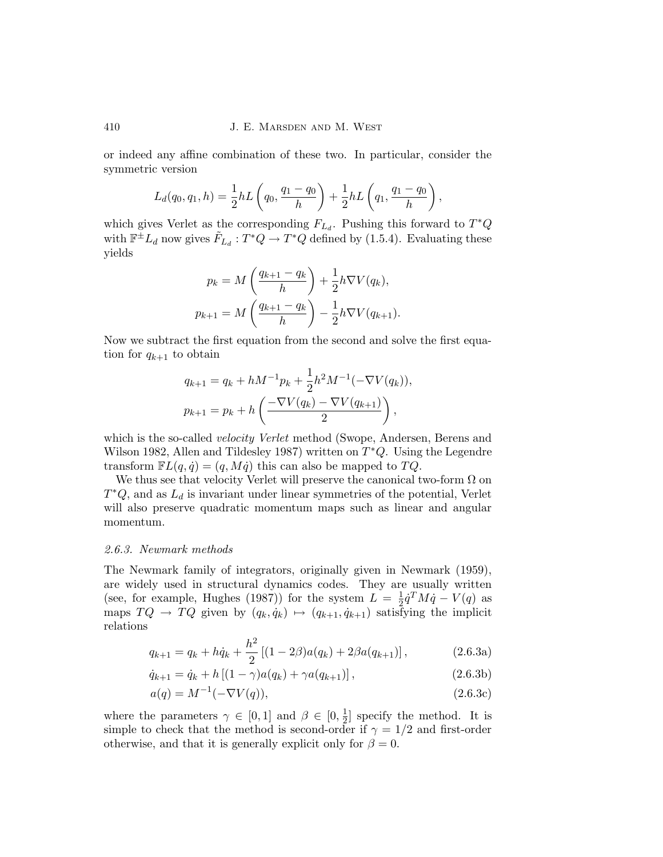or indeed any affine combination of these two. In particular, consider the symmetric version

$$
L_d(q_0, q_1, h) = \frac{1}{2} h L\left(q_0, \frac{q_1 - q_0}{h}\right) + \frac{1}{2} h L\left(q_1, \frac{q_1 - q_0}{h}\right),
$$

which gives Verlet as the corresponding  $F_{L_d}$ . Pushing this forward to  $T^*Q$ with  $\mathbb{F}^{\pm}L_d$  now gives  $\tilde{F}_{L_d}: T^*Q \to T^*Q$  defined by (1.5.4). Evaluating these yields

$$
p_k = M\left(\frac{q_{k+1} - q_k}{h}\right) + \frac{1}{2}h\nabla V(q_k),
$$
  

$$
p_{k+1} = M\left(\frac{q_{k+1} - q_k}{h}\right) - \frac{1}{2}h\nabla V(q_{k+1}).
$$

Now we subtract the first equation from the second and solve the first equation for  $q_{k+1}$  to obtain

$$
q_{k+1} = q_k + hM^{-1}p_k + \frac{1}{2}h^2M^{-1}(-\nabla V(q_k)),
$$
  

$$
p_{k+1} = p_k + h\left(\frac{-\nabla V(q_k) - \nabla V(q_{k+1})}{2}\right),
$$

which is the so-called *velocity Verlet* method (Swope, Andersen, Berens and Wilson 1982, Allen and Tildesley 1987) written on  $T^*Q$ . Using the Legendre transform  $\mathbb{F}L(q, \dot{q}) = (q, M\dot{q})$  this can also be mapped to  $TQ$ .

We thus see that velocity Verlet will preserve the canonical two-form  $\Omega$  on  $T^*Q$ , and as  $L_d$  is invariant under linear symmetries of the potential, Verlet will also preserve quadratic momentum maps such as linear and angular momentum.

#### 2.6.3. Newmark methods

The Newmark family of integrators, originally given in Newmark (1959), are widely used in structural dynamics codes. They are usually written (see, for example, Hughes (1987)) for the system  $L = \frac{1}{2}$  $\frac{1}{2}\dot{q}^TM\dot{q}-V(q)$  as maps  $TQ \rightarrow TQ$  given by  $(q_k, \dot{q}_k) \mapsto (q_{k+1}, \dot{q}_{k+1})$  satisfying the implicit relations

$$
q_{k+1} = q_k + h\dot{q}_k + \frac{h^2}{2} \left[ (1 - 2\beta)a(q_k) + 2\beta a(q_{k+1}) \right],
$$
 (2.6.3a)

$$
\dot{q}_{k+1} = \dot{q}_k + h\left[ (1 - \gamma)a(q_k) + \gamma a(q_{k+1}) \right],
$$
\n(2.6.3b)

$$
a(q) = M^{-1}(-\nabla V(q)),
$$
\n(2.6.3c)

where the parameters  $\gamma \in [0,1]$  and  $\beta \in [0,\frac{1}{2}]$  $\frac{1}{2}$ ] specify the method. It is simple to check that the method is second-order if  $\gamma = 1/2$  and first-order otherwise, and that it is generally explicit only for  $\beta = 0$ .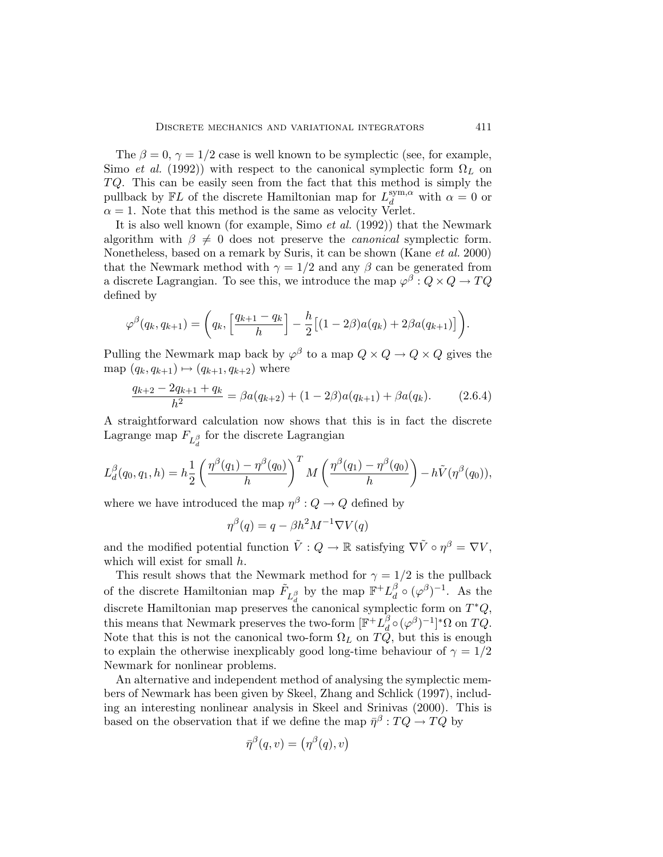The  $\beta = 0$ ,  $\gamma = 1/2$  case is well known to be symplectic (see, for example, Simo et al. (1992)) with respect to the canonical symplectic form  $\Omega_L$  on TQ. This can be easily seen from the fact that this method is simply the pullback by  $\mathbb{F}L$  of the discrete Hamiltonian map for  $L_d^{\text{sym},\alpha}$  with  $\alpha = 0$  or  $\alpha = 1$ . Note that this method is the same as velocity Verlet.

It is also well known (for example, Simo et al. (1992)) that the Newmark algorithm with  $\beta \neq 0$  does not preserve the *canonical* symplectic form. Nonetheless, based on a remark by Suris, it can be shown (Kane *et al.* 2000) that the Newmark method with  $\gamma = 1/2$  and any  $\beta$  can be generated from a discrete Lagrangian. To see this, we introduce the map  $\varphi^{\beta}: Q \times Q \to TQ$ defined by

$$
\varphi^{\beta}(q_k, q_{k+1}) = \left(q_k, \left[\frac{q_{k+1} - q_k}{h}\right] - \frac{h}{2}\left[(1 - 2\beta)a(q_k) + 2\beta a(q_{k+1})\right]\right).
$$

Pulling the Newmark map back by  $\varphi^{\beta}$  to a map  $Q \times Q \to Q \times Q$  gives the map  $(q_k, q_{k+1}) \mapsto (q_{k+1}, q_{k+2})$  where

$$
\frac{q_{k+2} - 2q_{k+1} + q_k}{h^2} = \beta a(q_{k+2}) + (1 - 2\beta)a(q_{k+1}) + \beta a(q_k). \tag{2.6.4}
$$

A straightforward calculation now shows that this is in fact the discrete Lagrange map  $F_{L_d^{\beta}}$  for the discrete Lagrangian

$$
L_d^{\beta}(q_0, q_1, h) = h \frac{1}{2} \left( \frac{\eta^{\beta}(q_1) - \eta^{\beta}(q_0)}{h} \right)^T M \left( \frac{\eta^{\beta}(q_1) - \eta^{\beta}(q_0)}{h} \right) - h \tilde{V}(\eta^{\beta}(q_0)),
$$

where we have introduced the map  $\eta^{\beta}: Q \to Q$  defined by

$$
\eta^{\beta}(q) = q - \beta h^2 M^{-1} \nabla V(q)
$$

and the modified potential function  $\tilde{V}: Q \to \mathbb{R}$  satisfying  $\nabla \tilde{V} \circ \eta^{\beta} = \nabla V$ , which will exist for small  $h$ .

This result shows that the Newmark method for  $\gamma = 1/2$  is the pullback of the discrete Hamiltonian map  $\tilde{F}_{L_d^{\beta}}$  by the map  $\mathbb{F}^{\dagger}L_d^{\beta}$ discrete Hamiltonian map preserves the canonical symplectic form on  $T^*Q$ ,  $\frac{\beta}{d} \circ (\varphi^{\beta})^{-1}$ . As the this means that Newmark preserves the two-form  $[\mathbb{F}^+L_d^{\beta}]$  $\frac{\beta}{d} \circ (\varphi^{\beta})^{-1} ]^* \Omega \text{ on } TQ.$ Note that this is not the canonical two-form  $\Omega_L$  on  $T\tilde{Q}$ , but this is enough to explain the otherwise inexplicably good long-time behaviour of  $\gamma = 1/2$ Newmark for nonlinear problems.

An alternative and independent method of analysing the symplectic members of Newmark has been given by Skeel, Zhang and Schlick (1997), including an interesting nonlinear analysis in Skeel and Srinivas (2000). This is based on the observation that if we define the map  $\bar{\eta}^{\beta} : TQ \to TQ$  by

$$
\bar{\eta}^{\beta}(q,v) = (\eta^{\beta}(q), v)
$$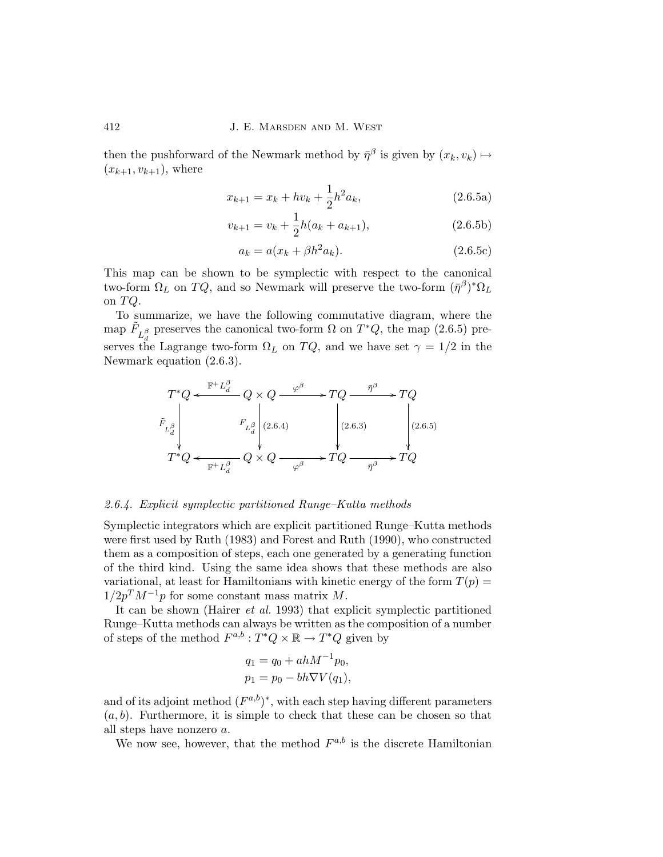then the pushforward of the Newmark method by  $\bar{\eta}^{\beta}$  is given by  $(x_k, v_k) \mapsto$  $(x_{k+1}, v_{k+1}),$  where

$$
x_{k+1} = x_k + hv_k + \frac{1}{2}h^2 a_k,
$$
\n(2.6.5a)

$$
v_{k+1} = v_k + \frac{1}{2}h(a_k + a_{k+1}),
$$
\n(2.6.5b)

$$
a_k = a(x_k + \beta h^2 a_k). \tag{2.6.5c}
$$

This map can be shown to be symplectic with respect to the canonical two-form  $\Omega_L$  on  $TQ$ , and so Newmark will preserve the two-form  $({\bar \eta}^\beta)^* \Omega_L$ on TQ.

To summarize, we have the following commutative diagram, where the map  $\tilde{F}_{L^{\beta}_d}$  preserves the canonical two-form  $\Omega$  on  $T^*Q$ , the map (2.6.5) preserves the Lagrange two-form  $\Omega_L$  on  $TQ$ , and we have set  $\gamma = 1/2$  in the Newmark equation (2.6.3).

$$
T^*Q \xleftarrow{\mathbb{F}^+L_d^{\beta}} Q \times Q \xrightarrow{\varphi^{\beta}} TQ \xrightarrow{\bar{\eta}^{\beta}} TQ
$$
  

$$
\bar{F}_{L_d^{\beta}} \downarrow \qquad F_{L_d^{\beta}} \downarrow (2.6.4) \qquad \qquad \downarrow (2.6.3)
$$
  

$$
T^*Q \xleftarrow{\mathbb{F}^+L_d^{\beta}} Q \times Q \xrightarrow{\varphi^{\beta}} TQ \xrightarrow{\bar{\eta}^{\beta}} TQ
$$

#### 2.6.4. Explicit symplectic partitioned Runge–Kutta methods

Symplectic integrators which are explicit partitioned Runge–Kutta methods were first used by Ruth (1983) and Forest and Ruth (1990), who constructed them as a composition of steps, each one generated by a generating function of the third kind. Using the same idea shows that these methods are also variational, at least for Hamiltonians with kinetic energy of the form  $T(p)$  =  $1/2p^T M^{-1} p$  for some constant mass matrix M.

It can be shown (Hairer et al. 1993) that explicit symplectic partitioned Runge–Kutta methods can always be written as the composition of a number of steps of the method  $F^{a,b}: T^*Q \times \mathbb{R} \to T^*Q$  given by

$$
q_1 = q_0 + ahM^{-1}p_0,
$$
  

$$
p_1 = p_0 - bh\nabla V(q_1),
$$

and of its adjoint method  $(F^{a,b})^*$ , with each step having different parameters  $(a, b)$ . Furthermore, it is simple to check that these can be chosen so that all steps have nonzero a.

We now see, however, that the method  $F^{a,b}$  is the discrete Hamiltonian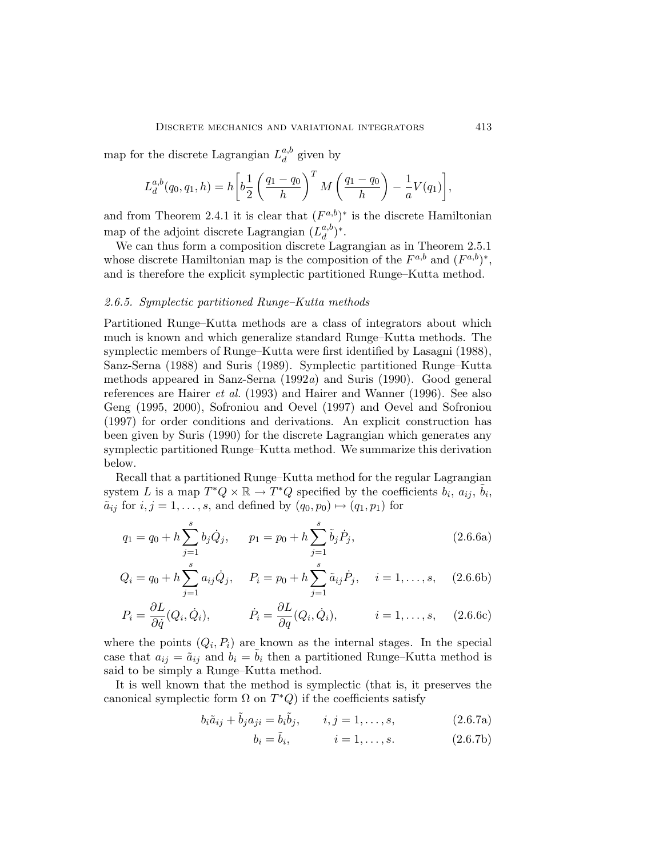map for the discrete Lagrangian  $L_d^{a,b}$  $_{d}^{a,b}$  given by

$$
L_d^{a,b}(q_0, q_1, h) = h \left[ b \frac{1}{2} \left( \frac{q_1 - q_0}{h} \right)^T M \left( \frac{q_1 - q_0}{h} \right) - \frac{1}{a} V(q_1) \right],
$$

and from Theorem 2.4.1 it is clear that  $(F^{a,b})^*$  is the discrete Hamiltonian map of the adjoint discrete Lagrangian  $(L_d^{a,b})$  $\binom{a,b}{d}^*$ .

We can thus form a composition discrete Lagrangian as in Theorem 2.5.1 whose discrete Hamiltonian map is the composition of the  $F^{a,b}$  and  $(F^{a,b})^*$ , and is therefore the explicit symplectic partitioned Runge–Kutta method.

### 2.6.5. Symplectic partitioned Runge–Kutta methods

Partitioned Runge–Kutta methods are a class of integrators about which much is known and which generalize standard Runge–Kutta methods. The symplectic members of Runge–Kutta were first identified by Lasagni (1988), Sanz-Serna (1988) and Suris (1989). Symplectic partitioned Runge–Kutta methods appeared in Sanz-Serna (1992a) and Suris (1990). Good general references are Hairer et al. (1993) and Hairer and Wanner (1996). See also Geng (1995, 2000), Sofroniou and Oevel (1997) and Oevel and Sofroniou (1997) for order conditions and derivations. An explicit construction has been given by Suris (1990) for the discrete Lagrangian which generates any symplectic partitioned Runge–Kutta method. We summarize this derivation below.

Recall that a partitioned Runge–Kutta method for the regular Lagrangian system L is a map  $T^*Q \times \mathbb{R} \to \overline{T^*Q}$  specified by the coefficients  $b_i, a_{ij}, \tilde{b}_i,$  $\tilde{a}_{ij}$  for  $i, j = 1, \ldots, s$ , and defined by  $(q_0, p_0) \mapsto (q_1, p_1)$  for

$$
q_1 = q_0 + h \sum_{j=1}^{s} b_j \dot{Q}_j, \qquad p_1 = p_0 + h \sum_{j=1}^{s} \tilde{b}_j \dot{P}_j,
$$
\n(2.6.6a)

$$
Q_i = q_0 + h \sum_{j=1}^s a_{ij} \dot{Q}_j, \quad P_i = p_0 + h \sum_{j=1}^s \tilde{a}_{ij} \dot{P}_j, \quad i = 1, ..., s, \quad (2.6.6b)
$$

$$
P_i = \frac{\partial L}{\partial \dot{q}}(Q_i, \dot{Q}_i), \qquad \dot{P}_i = \frac{\partial L}{\partial q}(Q_i, \dot{Q}_i), \qquad i = 1, \dots, s, \quad (2.6.6c)
$$

where the points  $(Q_i, P_i)$  are known as the internal stages. In the special case that  $a_{ij} = \tilde{a}_{ij}$  and  $b_i = b_i$  then a partitioned Runge–Kutta method is said to be simply a Runge–Kutta method.

It is well known that the method is symplectic (that is, it preserves the canonical symplectic form  $\Omega$  on  $T^*Q$ ) if the coefficients satisfy

$$
b_i \tilde{a}_{ij} + \tilde{b}_j a_{ji} = b_i \tilde{b}_j, \qquad i, j = 1, ..., s,
$$
 (2.6.7a)

$$
b_i = \tilde{b}_i, \qquad i = 1, \dots, s. \tag{2.6.7b}
$$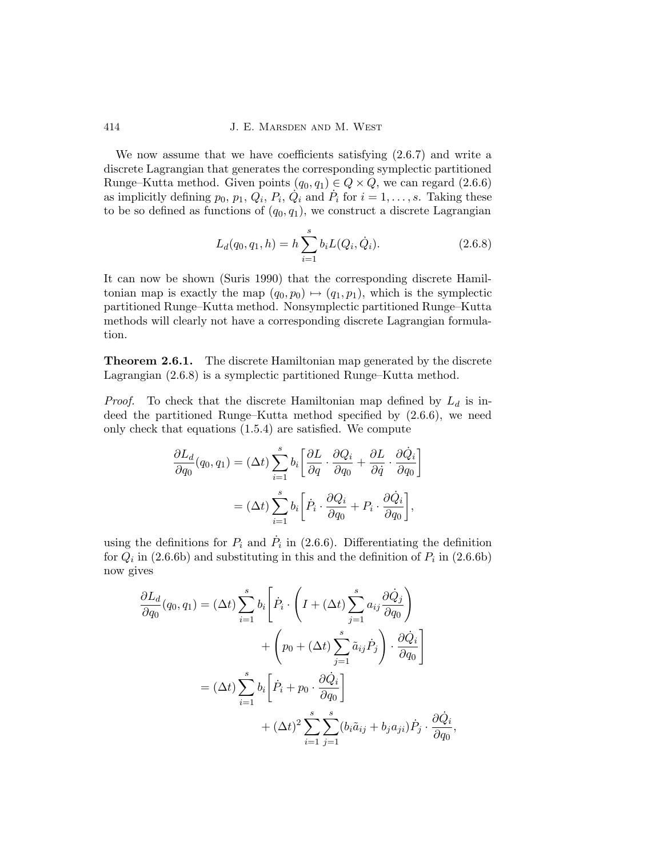We now assume that we have coefficients satisfying (2.6.7) and write a discrete Lagrangian that generates the corresponding symplectic partitioned Runge–Kutta method. Given points  $(q_0, q_1) \in Q \times Q$ , we can regard  $(2.6.6)$ as implicitly defining  $p_0, p_1, Q_i, P_i, \dot{Q}_i$  and  $\dot{P}_i$  for  $i = 1, \ldots, s$ . Taking these to be so defined as functions of  $(q_0, q_1)$ , we construct a discrete Lagrangian

$$
L_d(q_0, q_1, h) = h \sum_{i=1}^{s} b_i L(Q_i, \dot{Q}_i).
$$
 (2.6.8)

It can now be shown (Suris 1990) that the corresponding discrete Hamiltonian map is exactly the map  $(q_0, p_0) \mapsto (q_1, p_1)$ , which is the symplectic partitioned Runge–Kutta method. Nonsymplectic partitioned Runge–Kutta methods will clearly not have a corresponding discrete Lagrangian formulation.

**Theorem 2.6.1.** The discrete Hamiltonian map generated by the discrete Lagrangian (2.6.8) is a symplectic partitioned Runge–Kutta method.

*Proof.* To check that the discrete Hamiltonian map defined by  $L_d$  is indeed the partitioned Runge–Kutta method specified by (2.6.6), we need only check that equations (1.5.4) are satisfied. We compute

$$
\frac{\partial L_d}{\partial q_0}(q_0, q_1) = (\Delta t) \sum_{i=1}^s b_i \left[ \frac{\partial L}{\partial q} \cdot \frac{\partial Q_i}{\partial q_0} + \frac{\partial L}{\partial \dot{q}} \cdot \frac{\partial \dot{Q}_i}{\partial q_0} \right]
$$

$$
= (\Delta t) \sum_{i=1}^s b_i \left[ \dot{P}_i \cdot \frac{\partial Q_i}{\partial q_0} + P_i \cdot \frac{\partial \dot{Q}_i}{\partial q_0} \right],
$$

using the definitions for  $P_i$  and  $\dot{P}_i$  in (2.6.6). Differentiating the definition for  $Q_i$  in (2.6.6b) and substituting in this and the definition of  $P_i$  in (2.6.6b) now gives

$$
\frac{\partial L_d}{\partial q_0}(q_0, q_1) = (\Delta t) \sum_{i=1}^s b_i \left[ \dot{P}_i \cdot \left( I + (\Delta t) \sum_{j=1}^s a_{ij} \frac{\partial \dot{Q}_j}{\partial q_0} \right) + \left( p_0 + (\Delta t) \sum_{j=1}^s \tilde{a}_{ij} \dot{P}_j \right) \cdot \frac{\partial \dot{Q}_i}{\partial q_0} \right]
$$

$$
= (\Delta t) \sum_{i=1}^s b_i \left[ \dot{P}_i + p_0 \cdot \frac{\partial \dot{Q}_i}{\partial q_0} \right]
$$

$$
+ (\Delta t)^2 \sum_{i=1}^s \sum_{j=1}^s (b_i \tilde{a}_{ij} + b_j a_{ji}) \dot{P}_j \cdot \frac{\partial \dot{Q}_i}{\partial q_0},
$$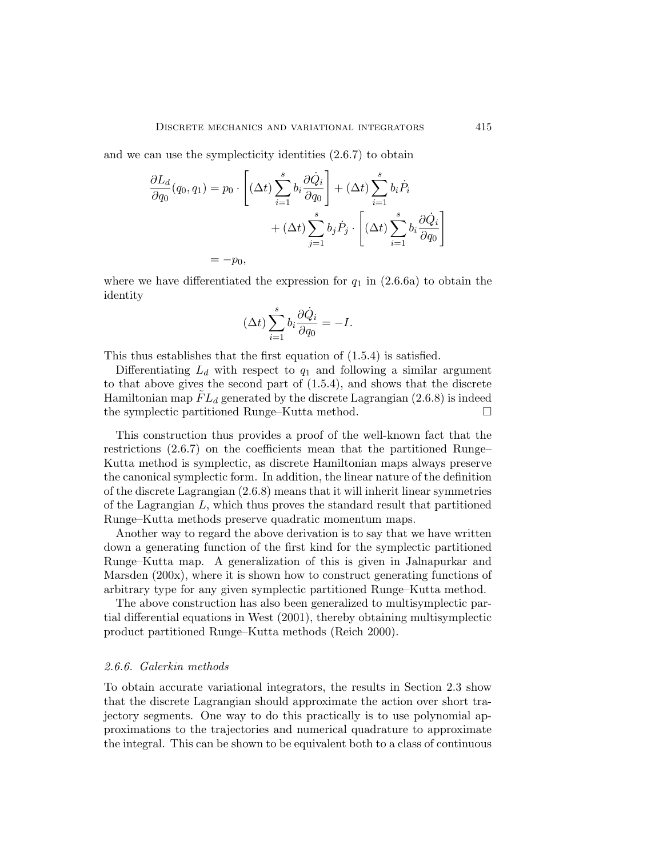and we can use the symplecticity identities (2.6.7) to obtain

$$
\frac{\partial L_d}{\partial q_0}(q_0, q_1) = p_0 \cdot \left[ (\Delta t) \sum_{i=1}^s b_i \frac{\partial \dot{Q}_i}{\partial q_0} \right] + (\Delta t) \sum_{i=1}^s b_i \dot{P}_i
$$

$$
+ (\Delta t) \sum_{j=1}^s b_j \dot{P}_j \cdot \left[ (\Delta t) \sum_{i=1}^s b_i \frac{\partial \dot{Q}_i}{\partial q_0} \right]
$$

$$
= -p_0,
$$

where we have differentiated the expression for  $q_1$  in (2.6.6a) to obtain the identity

$$
(\Delta t)\sum_{i=1}^s b_i \frac{\partial \dot{Q}_i}{\partial q_0}=-I.
$$

This thus establishes that the first equation of (1.5.4) is satisfied.

Differentiating  $L_d$  with respect to  $q_1$  and following a similar argument to that above gives the second part of (1.5.4), and shows that the discrete Hamiltonian map  $FL_d$  generated by the discrete Lagrangian (2.6.8) is indeed the symplectic partitioned Runge–Kutta method. □

This construction thus provides a proof of the well-known fact that the restrictions (2.6.7) on the coefficients mean that the partitioned Runge– Kutta method is symplectic, as discrete Hamiltonian maps always preserve the canonical symplectic form. In addition, the linear nature of the definition of the discrete Lagrangian (2.6.8) means that it will inherit linear symmetries of the Lagrangian  $L$ , which thus proves the standard result that partitioned Runge–Kutta methods preserve quadratic momentum maps.

Another way to regard the above derivation is to say that we have written down a generating function of the first kind for the symplectic partitioned Runge–Kutta map. A generalization of this is given in Jalnapurkar and Marsden (200x), where it is shown how to construct generating functions of arbitrary type for any given symplectic partitioned Runge–Kutta method.

The above construction has also been generalized to multisymplectic partial differential equations in West (2001), thereby obtaining multisymplectic product partitioned Runge–Kutta methods (Reich 2000).

# 2.6.6. Galerkin methods

To obtain accurate variational integrators, the results in Section 2.3 show that the discrete Lagrangian should approximate the action over short trajectory segments. One way to do this practically is to use polynomial approximations to the trajectories and numerical quadrature to approximate the integral. This can be shown to be equivalent both to a class of continuous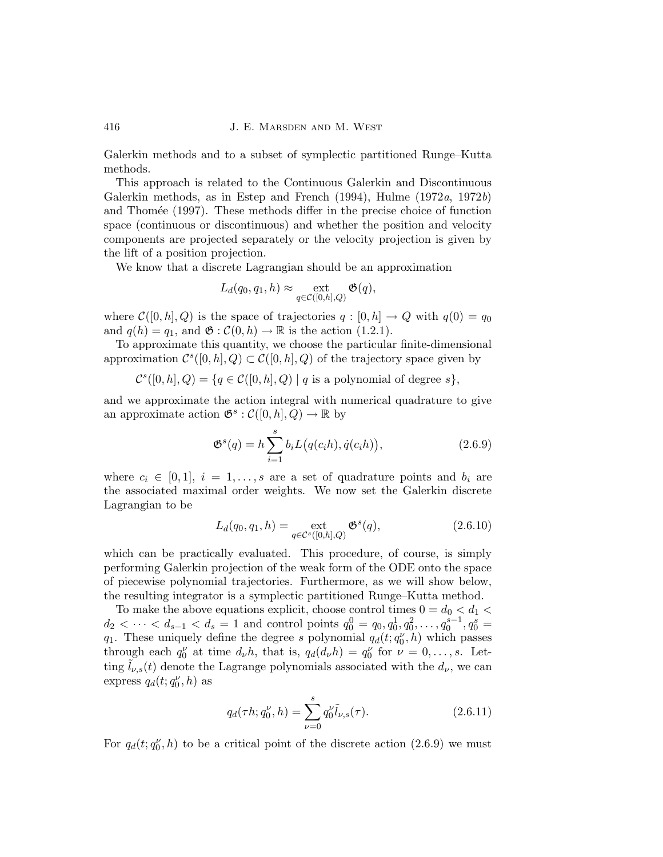Galerkin methods and to a subset of symplectic partitioned Runge–Kutta methods.

This approach is related to the Continuous Galerkin and Discontinuous Galerkin methods, as in Estep and French  $(1994)$ , Hulme  $(1972a, 1972b)$ and Thome's (1997). These methods differ in the precise choice of function space (continuous or discontinuous) and whether the position and velocity components are projected separately or the velocity projection is given by the lift of a position projection.

We know that a discrete Lagrangian should be an approximation

$$
L_d(q_0, q_1, h) \approx \operatorname{ext}_{q \in \mathcal{C}([0,h],Q)} \mathfrak{G}(q),
$$

where  $\mathcal{C}([0,h], Q)$  is the space of trajectories  $q : [0,h] \to Q$  with  $q(0) = q_0$ and  $q(h) = q_1$ , and  $\mathfrak{G} : \mathcal{C}(0, h) \to \mathbb{R}$  is the action (1.2.1).

To approximate this quantity, we choose the particular finite-dimensional approximation  $\mathcal{C}^s([0,h], Q) \subset \mathcal{C}([0,h], Q)$  of the trajectory space given by

 $\mathcal{C}^s([0,h], Q) = \{q \in \mathcal{C}([0,h], Q) \mid q \text{ is a polynomial of degree } s\},\$ 

and we approximate the action integral with numerical quadrature to give an approximate action  $\mathfrak{G}^s : \mathcal{C}([0,h], Q) \to \mathbb{R}$  by

$$
\mathfrak{G}^s(q) = h \sum_{i=1}^s b_i L(q(c_i h), \dot{q}(c_i h)), \qquad (2.6.9)
$$

where  $c_i \in [0, 1], i = 1, \ldots, s$  are a set of quadrature points and  $b_i$  are the associated maximal order weights. We now set the Galerkin discrete Lagrangian to be

$$
L_d(q_0, q_1, h) = \mathop{\rm ext}_{q \in \mathcal{C}^s([0, h], Q)} \mathfrak{G}^s(q),
$$
\n(2.6.10)

which can be practically evaluated. This procedure, of course, is simply performing Galerkin projection of the weak form of the ODE onto the space of piecewise polynomial trajectories. Furthermore, as we will show below, the resulting integrator is a symplectic partitioned Runge–Kutta method.

To make the above equations explicit, choose control times  $0 = d_0 < d_1 <$  $d_2 < \cdots < d_{s-1} < d_s = 1$  and control points  $q_0^0 = q_0, q_0^1, q_0^2, \ldots, q_0^{s-1}, q_0^s =$  $q_1$ . These uniquely define the degree s polynomial  $q_d(t; q_0, h)$  which passes through each  $q_0^{\nu}$  at time  $d_{\nu}h$ , that is,  $q_d(d_{\nu}h) = q_0^{\nu}$  for  $\nu = 0, \ldots, s$ . Letting  $l_{\nu,s}(t)$  denote the Lagrange polynomials associated with the  $d_{\nu}$ , we can express  $q_d(t; q_0^{\nu}, h)$  as

$$
q_d(\tau h; q_0^{\nu}, h) = \sum_{\nu=0}^{s} q_0^{\nu} \tilde{l}_{\nu, s}(\tau).
$$
 (2.6.11)

For  $q_d(t; q_0, h)$  to be a critical point of the discrete action (2.6.9) we must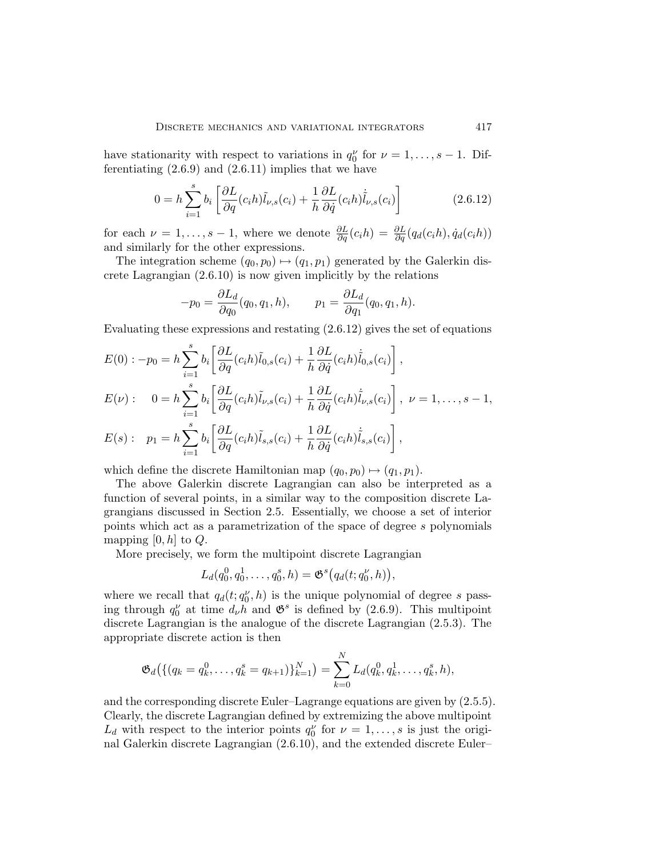have stationarity with respect to variations in  $q_0^{\nu}$  for  $\nu = 1, \ldots, s - 1$ . Differentiating  $(2.6.9)$  and  $(2.6.11)$  implies that we have

$$
0 = h \sum_{i=1}^{s} b_i \left[ \frac{\partial L}{\partial q} (c_i h) \tilde{l}_{\nu, s}(c_i) + \frac{1}{h} \frac{\partial L}{\partial \dot{q}} (c_i h) \dot{\tilde{l}}_{\nu, s}(c_i) \right]
$$
(2.6.12)

for each  $\nu = 1, \ldots, s - 1$ , where we denote  $\frac{\partial L}{\partial q}(c_i h) = \frac{\partial L}{\partial q}$  $\frac{\partial L}{\partial q}(q_d(c_i h), \dot{q}_d(c_i h))$ and similarly for the other expressions.

The integration scheme  $(q_0, p_0) \mapsto (q_1, p_1)$  generated by the Galerkin discrete Lagrangian (2.6.10) is now given implicitly by the relations

$$
-p_0 = \frac{\partial L_d}{\partial q_0}(q_0, q_1, h), \qquad p_1 = \frac{\partial L_d}{\partial q_1}(q_0, q_1, h).
$$

Evaluating these expressions and restating (2.6.12) gives the set of equations

$$
E(0) : -p_0 = h \sum_{i=1}^{s} b_i \left[ \frac{\partial L}{\partial q} (c_i h) \tilde{l}_{0,s}(c_i) + \frac{1}{h} \frac{\partial L}{\partial \dot{q}} (c_i h) \dot{\tilde{l}}_{0,s}(c_i) \right],
$$
  
\n
$$
E(\nu) : \quad 0 = h \sum_{i=1}^{s} b_i \left[ \frac{\partial L}{\partial q} (c_i h) \tilde{l}_{\nu,s}(c_i) + \frac{1}{h} \frac{\partial L}{\partial \dot{q}} (c_i h) \dot{\tilde{l}}_{\nu,s}(c_i) \right], \quad \nu = 1, \dots, s-1,
$$
  
\n
$$
E(s) : \quad p_1 = h \sum_{i=1}^{s} b_i \left[ \frac{\partial L}{\partial q} (c_i h) \tilde{l}_{s,s}(c_i) + \frac{1}{h} \frac{\partial L}{\partial \dot{q}} (c_i h) \dot{\tilde{l}}_{s,s}(c_i) \right],
$$

which define the discrete Hamiltonian map  $(q_0, p_0) \mapsto (q_1, p_1)$ .

The above Galerkin discrete Lagrangian can also be interpreted as a function of several points, in a similar way to the composition discrete Lagrangians discussed in Section 2.5. Essentially, we choose a set of interior points which act as a parametrization of the space of degree s polynomials mapping  $[0, h]$  to  $Q$ .

More precisely, we form the multipoint discrete Lagrangian

$$
L_d(q_0^0, q_0^1, \ldots, q_0^s, h) = \mathfrak{G}^s\big(q_d(t; q_0^{\nu}, h)\big),
$$

where we recall that  $q_d(t; q_0, h)$  is the unique polynomial of degree s passing through  $q_0^{\nu}$  at time  $d_{\nu}h$  and  $\mathfrak{G}^s$  is defined by (2.6.9). This multipoint discrete Lagrangian is the analogue of the discrete Lagrangian (2.5.3). The appropriate discrete action is then

$$
\mathfrak{G}_d\big(\{(q_k = q_k^0, \ldots, q_k^s = q_{k+1})\}_{k=1}^N\big) = \sum_{k=0}^N L_d(q_k^0, q_k^1, \ldots, q_k^s, h),
$$

and the corresponding discrete Euler–Lagrange equations are given by (2.5.5). Clearly, the discrete Lagrangian defined by extremizing the above multipoint  $L_d$  with respect to the interior points  $q_0^{\nu}$  for  $\nu = 1, \ldots, s$  is just the original Galerkin discrete Lagrangian (2.6.10), and the extended discrete Euler–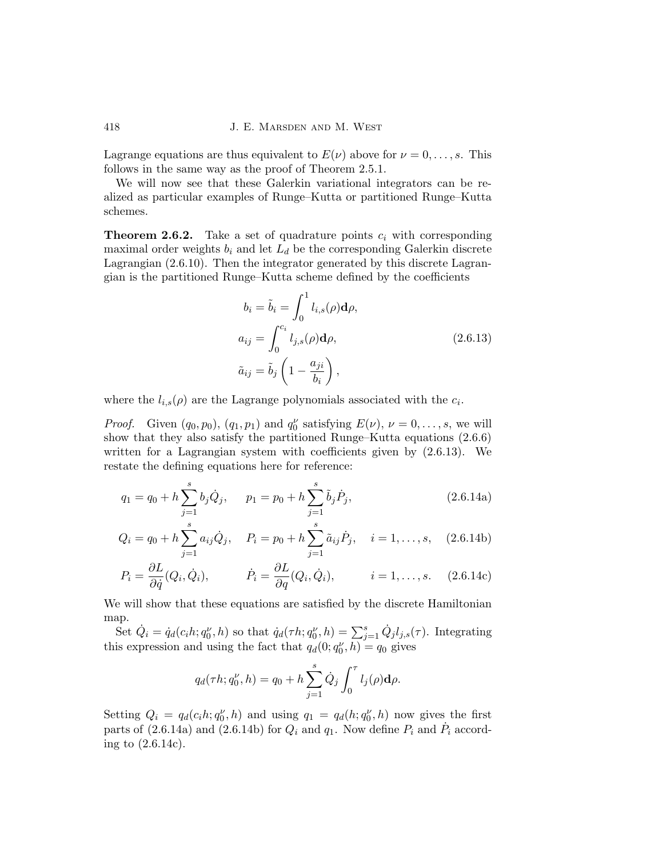Lagrange equations are thus equivalent to  $E(\nu)$  above for  $\nu = 0, \ldots, s$ . This follows in the same way as the proof of Theorem 2.5.1.

We will now see that these Galerkin variational integrators can be realized as particular examples of Runge–Kutta or partitioned Runge–Kutta schemes.

**Theorem 2.6.2.** Take a set of quadrature points  $c_i$  with corresponding maximal order weights  $b_i$  and let  $L_d$  be the corresponding Galerkin discrete Lagrangian (2.6.10). Then the integrator generated by this discrete Lagrangian is the partitioned Runge–Kutta scheme defined by the coefficients

$$
b_i = \tilde{b}_i = \int_0^1 l_{i,s}(\rho) \, d\rho,
$$
  
\n
$$
a_{ij} = \int_0^{c_i} l_{j,s}(\rho) \, d\rho,
$$
  
\n
$$
\tilde{a}_{ij} = \tilde{b}_j \left( 1 - \frac{a_{ji}}{b_i} \right),
$$
\n(2.6.13)

where the  $l_{i,s}(\rho)$  are the Lagrange polynomials associated with the  $c_i$ .

*Proof.* Given  $(q_0, p_0)$ ,  $(q_1, p_1)$  and  $q_0^{\nu}$  satisfying  $E(\nu)$ ,  $\nu = 0, \ldots, s$ , we will show that they also satisfy the partitioned Runge–Kutta equations (2.6.6) written for a Lagrangian system with coefficients given by (2.6.13). We restate the defining equations here for reference:

$$
q_1 = q_0 + h \sum_{j=1}^{s} b_j \dot{Q}_j, \qquad p_1 = p_0 + h \sum_{j=1}^{s} \tilde{b}_j \dot{P}_j,
$$
\n(2.6.14a)

$$
Q_i = q_0 + h \sum_{j=1}^s a_{ij} \dot{Q}_j, \quad P_i = p_0 + h \sum_{j=1}^s \tilde{a}_{ij} \dot{P}_j, \quad i = 1, ..., s, \quad (2.6.14b)
$$

$$
P_i = \frac{\partial L}{\partial \dot{q}}(Q_i, \dot{Q}_i), \qquad \dot{P}_i = \frac{\partial L}{\partial q}(Q_i, \dot{Q}_i), \qquad i = 1, \dots, s. \quad (2.6.14c)
$$

We will show that these equations are satisfied by the discrete Hamiltonian map.

Set  $\dot{Q}_i = \dot{q}_d(c_i h; q_0^{\nu}, h)$  so that  $\dot{q}_d(\tau h; q_0^{\nu}, h) = \sum_{j=1}^s \dot{Q}_j l_{j,s}(\tau)$ . Integrating this expression and using the fact that  $q_d(0; q_0, h) = q_0$  gives

$$
q_d(\tau h; q_0^{\nu}, h) = q_0 + h \sum_{j=1}^s \dot{Q}_j \int_0^{\tau} l_j(\rho) d\rho.
$$

Setting  $Q_i = q_d(c_i h; q_0^{\nu}, h)$  and using  $q_1 = q_d(h; q_0^{\nu}, h)$  now gives the first parts of (2.6.14a) and (2.6.14b) for  $Q_i$  and  $q_1$ . Now define  $P_i$  and  $\dot{P}_i$  according to (2.6.14c).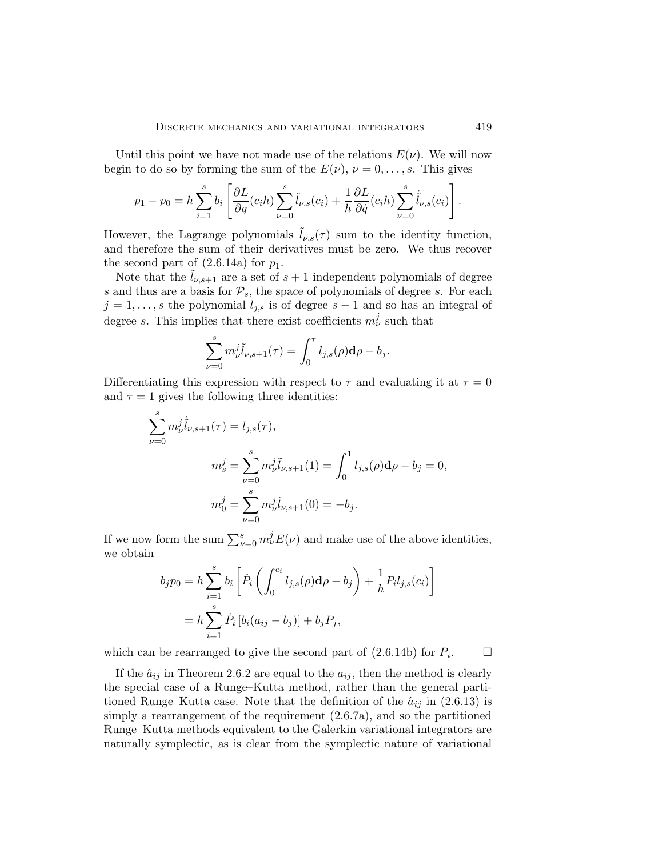Until this point we have not made use of the relations  $E(\nu)$ . We will now begin to do so by forming the sum of the  $E(\nu)$ ,  $\nu = 0, \ldots, s$ . This gives

$$
p_1 - p_0 = h \sum_{i=1}^s b_i \left[ \frac{\partial L}{\partial q}(c_i h) \sum_{\nu=0}^s \tilde{l}_{\nu,s}(c_i) + \frac{1}{h} \frac{\partial L}{\partial \dot{q}}(c_i h) \sum_{\nu=0}^s \dot{\tilde{l}}_{\nu,s}(c_i) \right].
$$

However, the Lagrange polynomials  $\tilde{l}_{\nu,s}(\tau)$  sum to the identity function, and therefore the sum of their derivatives must be zero. We thus recover the second part of  $(2.6.14a)$  for  $p_1$ .

Note that the  $l_{\nu,s+1}$  are a set of  $s+1$  independent polynomials of degree s and thus are a basis for  $\mathcal{P}_s$ , the space of polynomials of degree s. For each  $j = 1, \ldots, s$  the polynomial  $l_{j,s}$  is of degree  $s - 1$  and so has an integral of degree s. This implies that there exist coefficients  $m_{\nu}^{j}$  such that

$$
\sum_{\nu=0}^{s} m_{\nu}^{j} \tilde{l}_{\nu,s+1}(\tau) = \int_{0}^{\tau} l_{j,s}(\rho) \mathbf{d}\rho - b_{j}.
$$

Differentiating this expression with respect to  $\tau$  and evaluating it at  $\tau = 0$ and  $\tau = 1$  gives the following three identities:

$$
\sum_{\nu=0}^{s} m_{\nu}^{j} \dot{\tilde{l}}_{\nu,s+1}(\tau) = l_{j,s}(\tau),
$$
  

$$
m_{s}^{j} = \sum_{\nu=0}^{s} m_{\nu}^{j} \tilde{l}_{\nu,s+1}(1) = \int_{0}^{1} l_{j,s}(\rho) d\rho - b_{j} = 0,
$$
  

$$
m_{0}^{j} = \sum_{\nu=0}^{s} m_{\nu}^{j} \tilde{l}_{\nu,s+1}(0) = -b_{j}.
$$

If we now form the sum  $\sum_{\nu=0}^{s} m_{\nu}^{j} E(\nu)$  and make use of the above identities, we obtain

$$
b_j p_0 = h \sum_{i=1}^s b_i \left[ \dot{P}_i \left( \int_0^{c_i} l_{j,s}(\rho) \mathbf{d}\rho - b_j \right) + \frac{1}{h} P_i l_{j,s}(c_i) \right]
$$
  
=  $h \sum_{i=1}^s \dot{P}_i \left[ b_i (a_{ij} - b_j) \right] + b_j P_j,$ 

which can be rearranged to give the second part of  $(2.6.14b)$  for  $P_i$ .  $\Box$ 

If the  $\hat{a}_{ij}$  in Theorem 2.6.2 are equal to the  $a_{ij}$ , then the method is clearly the special case of a Runge–Kutta method, rather than the general partitioned Runge–Kutta case. Note that the definition of the  $\hat{a}_{ij}$  in (2.6.13) is simply a rearrangement of the requirement  $(2.6.7a)$ , and so the partitioned Runge–Kutta methods equivalent to the Galerkin variational integrators are naturally symplectic, as is clear from the symplectic nature of variational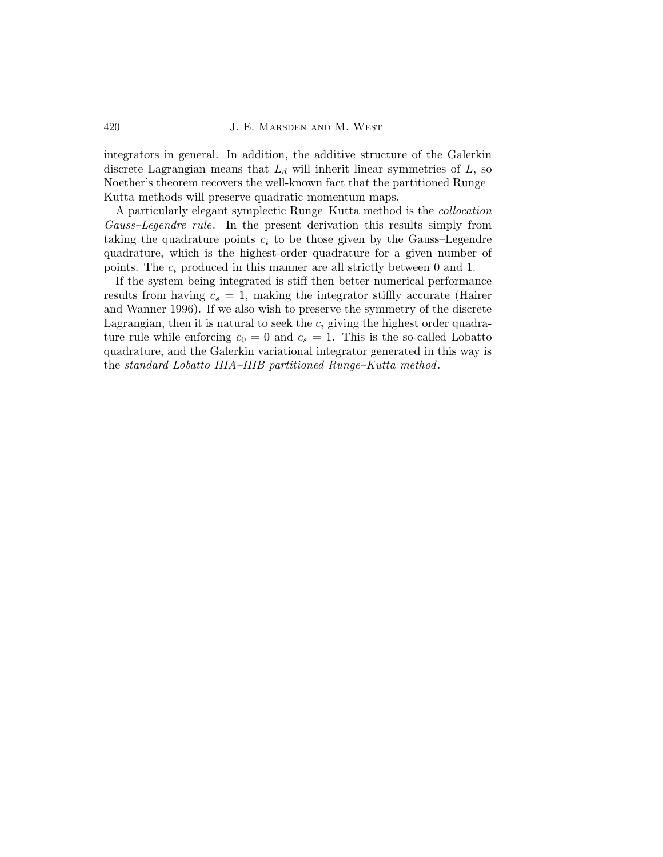integrators in general. In addition, the additive structure of the Galerkin discrete Lagrangian means that  $L_d$  will inherit linear symmetries of  $L$ , so Noether's theorem recovers the well-known fact that the partitioned Runge– Kutta methods will preserve quadratic momentum maps.

A particularly elegant symplectic Runge–Kutta method is the collocation Gauss–Legendre rule. In the present derivation this results simply from taking the quadrature points  $c_i$  to be those given by the Gauss–Legendre quadrature, which is the highest-order quadrature for a given number of points. The  $c_i$  produced in this manner are all strictly between 0 and 1.

If the system being integrated is stiff then better numerical performance results from having  $c_s = 1$ , making the integrator stiffly accurate (Hairer and Wanner 1996). If we also wish to preserve the symmetry of the discrete Lagrangian, then it is natural to seek the  $c_i$  giving the highest order quadrature rule while enforcing  $c_0 = 0$  and  $c_s = 1$ . This is the so-called Lobatto quadrature, and the Galerkin variational integrator generated in this way is the standard Lobatto IIIA–IIIB partitioned Runge–Kutta method.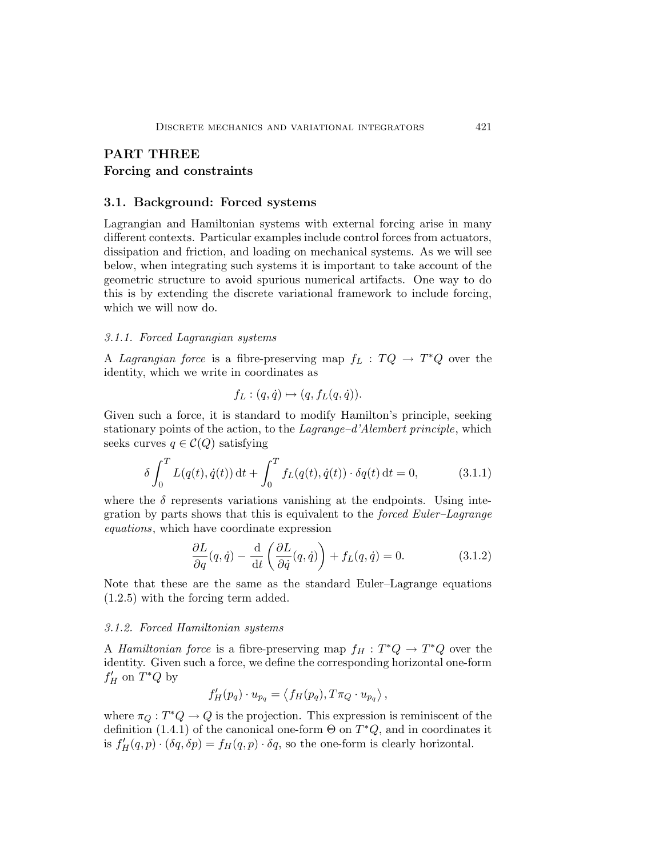# PART THREE Forcing and constraints

# 3.1. Background: Forced systems

Lagrangian and Hamiltonian systems with external forcing arise in many different contexts. Particular examples include control forces from actuators, dissipation and friction, and loading on mechanical systems. As we will see below, when integrating such systems it is important to take account of the geometric structure to avoid spurious numerical artifacts. One way to do this is by extending the discrete variational framework to include forcing, which we will now do.

# 3.1.1. Forced Lagrangian systems

A Lagrangian force is a fibre-preserving map  $f_L : TQ \to T^*Q$  over the identity, which we write in coordinates as

$$
f_L: (q, \dot{q}) \mapsto (q, f_L(q, \dot{q})).
$$

Given such a force, it is standard to modify Hamilton's principle, seeking stationary points of the action, to the  $Lagrange-d'Alembert principle$ , which seeks curves  $q \in \mathcal{C}(Q)$  satisfying

$$
\delta \int_0^T L(q(t), \dot{q}(t)) dt + \int_0^T f_L(q(t), \dot{q}(t)) \cdot \delta q(t) dt = 0,
$$
 (3.1.1)

where the  $\delta$  represents variations vanishing at the endpoints. Using integration by parts shows that this is equivalent to the forced Euler–Lagrange equations, which have coordinate expression

$$
\frac{\partial L}{\partial q}(q, \dot{q}) - \frac{\mathrm{d}}{\mathrm{d}t} \left( \frac{\partial L}{\partial \dot{q}}(q, \dot{q}) \right) + f_L(q, \dot{q}) = 0. \tag{3.1.2}
$$

Note that these are the same as the standard Euler–Lagrange equations (1.2.5) with the forcing term added.

# 3.1.2. Forced Hamiltonian systems

A *Hamiltonian force* is a fibre-preserving map  $f_H : T^*Q \to T^*Q$  over the identity. Given such a force, we define the corresponding horizontal one-form  $f'_H$  on  $T^*Q$  by

$$
f'_{H}(p_{q})\cdot u_{p_{q}} = \langle f_{H}(p_{q}), T\pi_{Q}\cdot u_{p_{q}} \rangle ,
$$

where  $\pi_Q: T^*Q \to Q$  is the projection. This expression is reminiscent of the definition (1.4.1) of the canonical one-form  $\Theta$  on  $T^*Q$ , and in coordinates it is  $f'_{H}(q, p) \cdot (\delta q, \delta p) = f_{H}(q, p) \cdot \delta q$ , so the one-form is clearly horizontal.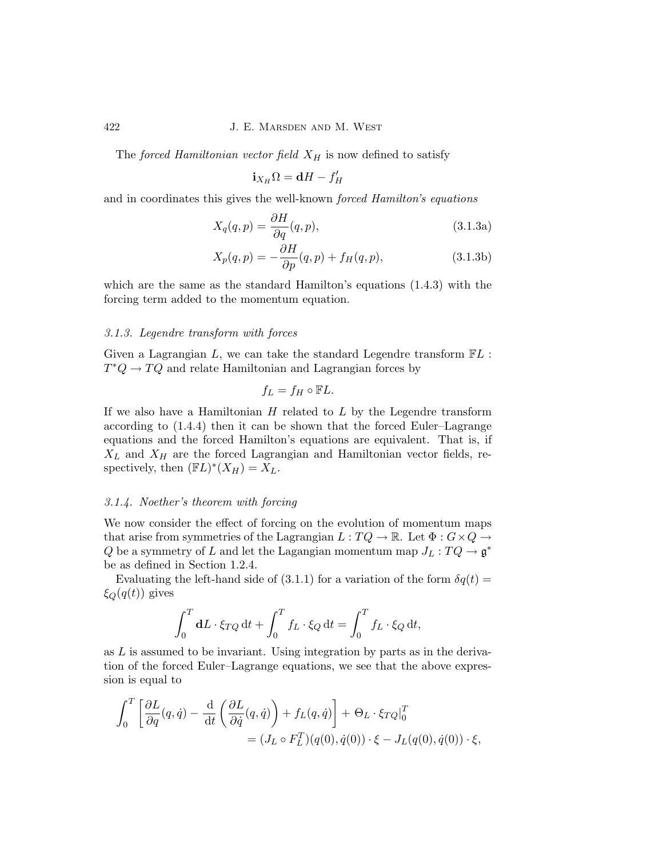The forced Hamiltonian vector field  $X_H$  is now defined to satisfy

$$
\mathbf{i}_{X_H}\Omega = \mathbf{d}H - f'_H
$$

and in coordinates this gives the well-known forced Hamilton's equations

$$
X_q(q,p) = \frac{\partial H}{\partial q}(q,p),\tag{3.1.3a}
$$

$$
X_p(q,p) = -\frac{\partial H}{\partial p}(q,p) + f_H(q,p),\tag{3.1.3b}
$$

which are the same as the standard Hamilton's equations (1.4.3) with the forcing term added to the momentum equation.

# 3.1.3. Legendre transform with forces

Given a Lagrangian L, we can take the standard Legendre transform  $FL$ :  $T^*Q \to TQ$  and relate Hamiltonian and Lagrangian forces by

$$
f_L = f_H \circ \mathbb{F}L.
$$

If we also have a Hamiltonian  $H$  related to  $L$  by the Legendre transform according to (1.4.4) then it can be shown that the forced Euler–Lagrange equations and the forced Hamilton's equations are equivalent. That is, if  $X_L$  and  $X_H$  are the forced Lagrangian and Hamiltonian vector fields, respectively, then  $(FL)^*(X_H) = X_L$ .

#### 3.1.4. Noether's theorem with forcing

We now consider the effect of forcing on the evolution of momentum maps that arise from symmetries of the Lagrangian  $L: TQ \to \mathbb{R}$ . Let  $\Phi: G \times Q \to$  $Q$  be a symmetry of  $L$  and let the Lagangian momentum map  $J_L: TQ \to \mathfrak{g}^*$ be as defined in Section 1.2.4.

Evaluating the left-hand side of (3.1.1) for a variation of the form  $\delta q(t)$  =  $\xi_Q(q(t))$  gives

$$
\int_0^T \mathbf{d}L \cdot \xi_{TQ} \, \mathrm{d}t + \int_0^T f_L \cdot \xi_Q \, \mathrm{d}t = \int_0^T f_L \cdot \xi_Q \, \mathrm{d}t,
$$

as  $L$  is assumed to be invariant. Using integration by parts as in the derivation of the forced Euler–Lagrange equations, we see that the above expression is equal to

$$
\int_0^T \left[ \frac{\partial L}{\partial q}(q, \dot{q}) - \frac{\mathrm{d}}{\mathrm{d}t} \left( \frac{\partial L}{\partial \dot{q}}(q, \dot{q}) \right) + f_L(q, \dot{q}) \right] + \Theta_L \cdot \xi_{TQ} \big|_0^T
$$
  
=  $(J_L \circ F_L^T)(q(0), \dot{q}(0)) \cdot \xi - J_L(q(0), \dot{q}(0)) \cdot \xi,$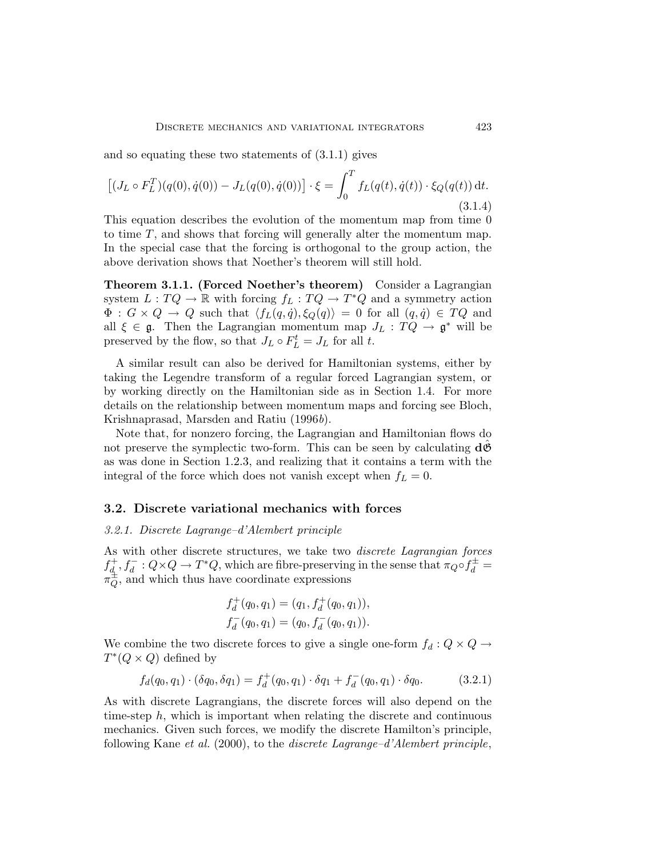and so equating these two statements of (3.1.1) gives

$$
[(J_L \circ F_L^T)(q(0), \dot{q}(0)) - J_L(q(0), \dot{q}(0))] \cdot \xi = \int_0^T f_L(q(t), \dot{q}(t)) \cdot \xi_Q(q(t)) dt.
$$
\n(3.1.4)

This equation describes the evolution of the momentum map from time 0 to time T, and shows that forcing will generally alter the momentum map. In the special case that the forcing is orthogonal to the group action, the above derivation shows that Noether's theorem will still hold.

Theorem 3.1.1. (Forced Noether's theorem) Consider a Lagrangian system  $L: TQ \to \mathbb{R}$  with forcing  $f_L: TQ \to T^*Q$  and a symmetry action  $\Phi: G \times Q \to Q$  such that  $\langle f_L(q, \dot{q}), \xi_Q(q) \rangle = 0$  for all  $(q, \dot{q}) \in TQ$  and all  $\xi \in \mathfrak{g}$ . Then the Lagrangian momentum map  $J_L : TQ \to \mathfrak{g}^*$  will be preserved by the flow, so that  $J_L \circ F_L^t = J_L$  for all t.

A similar result can also be derived for Hamiltonian systems, either by taking the Legendre transform of a regular forced Lagrangian system, or by working directly on the Hamiltonian side as in Section 1.4. For more details on the relationship between momentum maps and forcing see Bloch, Krishnaprasad, Marsden and Ratiu (1996b).

Note that, for nonzero forcing, the Lagrangian and Hamiltonian flows do not preserve the symplectic two-form. This can be seen by calculating  $d\mathcal{O}$ as was done in Section 1.2.3, and realizing that it contains a term with the integral of the force which does not vanish except when  $f_L = 0$ .

### 3.2. Discrete variational mechanics with forces

#### 3.2.1. Discrete Lagrange–d'Alembert principle

As with other discrete structures, we take two *discrete Lagrangian forces*  $f_d^+$  $f_d^+, f_d^$  $d^-_d: Q \times Q \to T^*Q$ , which are fibre-preserving in the sense that  $\pi_Q \circ f_d^{\pm} =$  $\pi_{\overline{O}}^{\mathbb{Z}}$  $_{Q}^{\pm}$ , and which thus have coordinate expressions

$$
f_d^+(q_0, q_1) = (q_1, f_d^+(q_0, q_1)),
$$
  

$$
f_d^-(q_0, q_1) = (q_0, f_d^-(q_0, q_1)).
$$

We combine the two discrete forces to give a single one-form  $f_d: Q \times Q \rightarrow$  $T^*(Q\times Q)$  defined by

$$
f_d(q_0, q_1) \cdot (\delta q_0, \delta q_1) = f_d^+(q_0, q_1) \cdot \delta q_1 + f_d^-(q_0, q_1) \cdot \delta q_0.
$$
 (3.2.1)

As with discrete Lagrangians, the discrete forces will also depend on the time-step  $h$ , which is important when relating the discrete and continuous mechanics. Given such forces, we modify the discrete Hamilton's principle, following Kane et al.  $(2000)$ , to the *discrete Lagrange-d'Alembert principle*,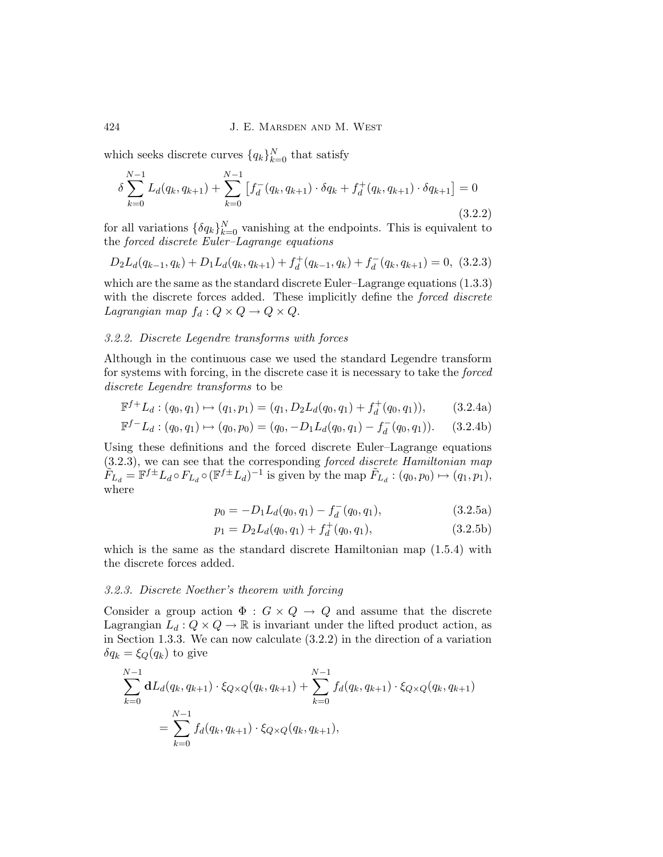which seeks discrete curves  ${q_k}_{k=0}^N$  that satisfy

$$
\delta \sum_{k=0}^{N-1} L_d(q_k, q_{k+1}) + \sum_{k=0}^{N-1} \left[ f_d^-(q_k, q_{k+1}) \cdot \delta q_k + f_d^+(q_k, q_{k+1}) \cdot \delta q_{k+1} \right] = 0
$$
\n(3.2.2)

for all variations  $\{\delta q_k\}_{k=0}^N$  vanishing at the endpoints. This is equivalent to the forced discrete Euler–Lagrange equations

$$
D_2L_d(q_{k-1}, q_k) + D_1L_d(q_k, q_{k+1}) + f_d^+(q_{k-1}, q_k) + f_d^-(q_k, q_{k+1}) = 0, (3.2.3)
$$

which are the same as the standard discrete Euler–Lagrange equations (1.3.3) with the discrete forces added. These implicitly define the *forced discrete* Lagrangian map  $f_d: Q \times Q \rightarrow Q \times Q$ .

## 3.2.2. Discrete Legendre transforms with forces

Although in the continuous case we used the standard Legendre transform for systems with forcing, in the discrete case it is necessary to take the forced discrete Legendre transforms to be

$$
\mathbb{F}^{f+}L_d: (q_0, q_1) \mapsto (q_1, p_1) = (q_1, D_2L_d(q_0, q_1) + f_d^+(q_0, q_1)), \tag{3.2.4a}
$$

$$
\mathbb{F}^{f-}L_d: (q_0, q_1) \mapsto (q_0, p_0) = (q_0, -D_1L_d(q_0, q_1) - f_d^-(q_0, q_1)).
$$
 (3.2.4b)

Using these definitions and the forced discrete Euler–Lagrange equations (3.2.3), we can see that the corresponding forced discrete Hamiltonian map  $\tilde{F}_{L_d} = \mathbb{F}^{f \pm} L_d \circ F_{L_d} \circ (\mathbb{F}^{f \pm} L_d)^{-1}$  is given by the map  $\tilde{F}_{L_d} : (q_0, p_0) \mapsto (q_1, p_1)$ , where

$$
p_0 = -D_1 L_d(q_0, q_1) - f_d^{-}(q_0, q_1),
$$
\n(3.2.5a)

$$
p_1 = D_2 L_d(q_0, q_1) + f_d^+(q_0, q_1), \qquad (3.2.5b)
$$

which is the same as the standard discrete Hamiltonian map (1.5.4) with the discrete forces added.

### 3.2.3. Discrete Noether's theorem with forcing

Consider a group action  $\Phi: G \times Q \to Q$  and assume that the discrete Lagrangian  $L_d: Q \times Q \to \mathbb{R}$  is invariant under the lifted product action, as in Section 1.3.3. We can now calculate (3.2.2) in the direction of a variation  $\delta q_k = \xi_Q(q_k)$  to give

$$
\sum_{k=0}^{N-1} \mathbf{d}L_d(q_k, q_{k+1}) \cdot \xi_{Q \times Q}(q_k, q_{k+1}) + \sum_{k=0}^{N-1} f_d(q_k, q_{k+1}) \cdot \xi_{Q \times Q}(q_k, q_{k+1})
$$
  
= 
$$
\sum_{k=0}^{N-1} f_d(q_k, q_{k+1}) \cdot \xi_{Q \times Q}(q_k, q_{k+1}),
$$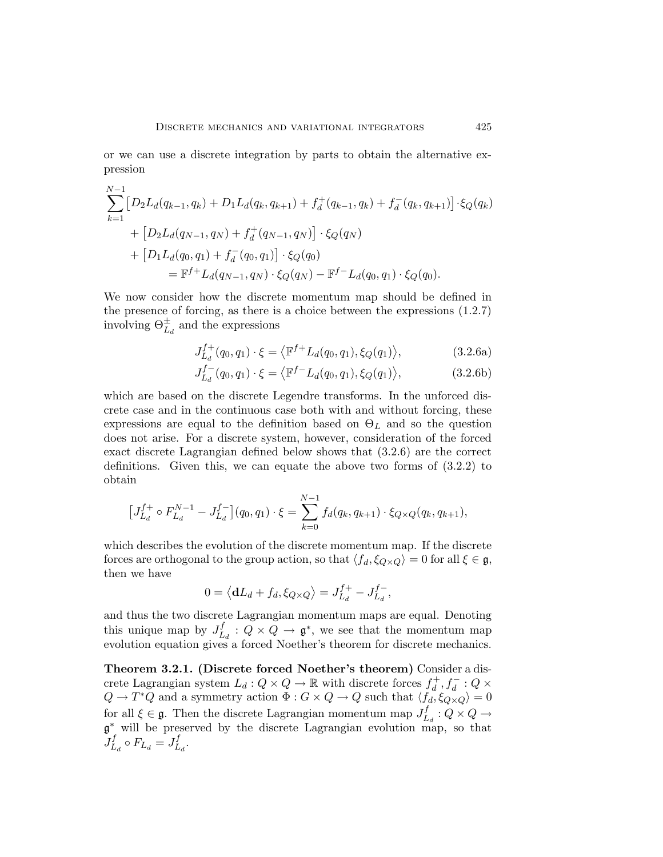or we can use a discrete integration by parts to obtain the alternative expression

$$
\sum_{k=1}^{N-1} \left[ D_2 L_d(q_{k-1}, q_k) + D_1 L_d(q_k, q_{k+1}) + f_d^+(q_{k-1}, q_k) + f_d^-(q_k, q_{k+1}) \right] \cdot \xi_Q(q_k)
$$
  
+ 
$$
\left[ D_2 L_d(q_{N-1}, q_N) + f_d^+(q_{N-1}, q_N) \right] \cdot \xi_Q(q_N)
$$
  
+ 
$$
\left[ D_1 L_d(q_0, q_1) + f_d^-(q_0, q_1) \right] \cdot \xi_Q(q_0)
$$
  
= 
$$
\mathbb{F}^{f+} L_d(q_{N-1}, q_N) \cdot \xi_Q(q_N) - \mathbb{F}^{f-} L_d(q_0, q_1) \cdot \xi_Q(q_0).
$$

We now consider how the discrete momentum map should be defined in the presence of forcing, as there is a choice between the expressions (1.2.7) involving  $\Theta_L^{\pm}$  $_{L_d}^{\pm}$  and the expressions

$$
J_{L_d}^{f+}(q_0, q_1) \cdot \xi = \langle \mathbb{F}^{f+} L_d(q_0, q_1), \xi_Q(q_1) \rangle, \tag{3.2.6a}
$$

$$
J_{L_d}^{f^-}(q_0, q_1) \cdot \xi = \langle \mathbb{F}^{f^-} L_d(q_0, q_1), \xi_Q(q_1) \rangle, \tag{3.2.6b}
$$

which are based on the discrete Legendre transforms. In the unforced discrete case and in the continuous case both with and without forcing, these expressions are equal to the definition based on  $\Theta_L$  and so the question does not arise. For a discrete system, however, consideration of the forced exact discrete Lagrangian defined below shows that (3.2.6) are the correct definitions. Given this, we can equate the above two forms of (3.2.2) to obtain

$$
\left[J_{L_d}^{f+} \circ F_{L_d}^{N-1} - J_{L_d}^{f-}\right](q_0, q_1) \cdot \xi = \sum_{k=0}^{N-1} f_d(q_k, q_{k+1}) \cdot \xi_{Q \times Q}(q_k, q_{k+1}),
$$

which describes the evolution of the discrete momentum map. If the discrete forces are orthogonal to the group action, so that  $\langle f_d, \xi_{Q\times Q}\rangle = 0$  for all  $\xi \in \mathfrak{g}$ , then we have

$$
0 = \langle \mathbf{d}L_d + f_d, \xi_{Q \times Q} \rangle = J_{L_d}^{f+} - J_{L_d}^{f-},
$$

and thus the two discrete Lagrangian momentum maps are equal. Denoting this unique map by  $J_I^f$  $L_d: Q \times Q \to \mathfrak{g}^*,$  we see that the momentum map evolution equation gives a forced Noether's theorem for discrete mechanics.

Theorem 3.2.1. (Discrete forced Noether's theorem) Consider a discrete Lagrangian system  $L_d: Q \times Q \to \mathbb{R}$  with discrete forces  $f_d^+$  $f_d^+, f_d^ \frac{d}{d}:Q\times$  $Q \to T^*Q$  and a symmetry action  $\Phi: G \times Q \to Q$  such that  $\langle f_d, \xi_{Q \times Q} \rangle = 0$ for all  $\xi \in \mathfrak{g}$ . Then the discrete Lagrangian momentum map  $J_L^f$  $_{L_d}^{J}:Q\times Q\rightarrow$  $\mathfrak{g}^*$  will be preserved by the discrete Lagrangian evolution map, so that  $J_I^f$  $L_d^f \circ F_{L_d} = J_L^f$  $_{L_d}^{\prime}$  .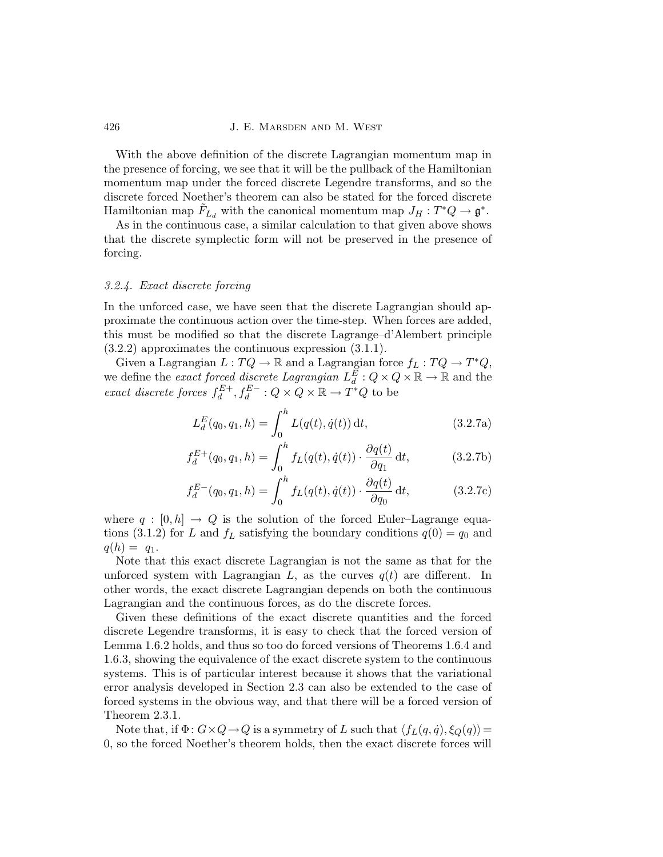With the above definition of the discrete Lagrangian momentum map in the presence of forcing, we see that it will be the pullback of the Hamiltonian momentum map under the forced discrete Legendre transforms, and so the discrete forced Noether's theorem can also be stated for the forced discrete Hamiltonian map  $\tilde{F}_{L_d}$  with the canonical momentum map  $J_H: T^*Q \to \mathfrak{g}^*$ .

As in the continuous case, a similar calculation to that given above shows that the discrete symplectic form will not be preserved in the presence of forcing.

## 3.2.4. Exact discrete forcing

In the unforced case, we have seen that the discrete Lagrangian should approximate the continuous action over the time-step. When forces are added, this must be modified so that the discrete Lagrange–d'Alembert principle (3.2.2) approximates the continuous expression (3.1.1).

Given a Lagrangian  $L: TQ \to \mathbb{R}$  and a Lagrangian force  $f_L: TQ \to T^*Q$ , we define the *exact forced discrete Lagrangian*  $L_d^E: Q \times Q \times \mathbb{R} \to \mathbb{R}$  and the exact discrete forces  $f_d^{E+}$  $d^{E+}, f_d^{E-}$  $d_d^{E-}: Q \times Q \times \mathbb{R} \to T^*Q$  to be

$$
L_d^E(q_0, q_1, h) = \int_0^h L(q(t), \dot{q}(t)) dt,
$$
\n(3.2.7a)

$$
f_d^{E+}(q_0, q_1, h) = \int_0^h f_L(q(t), \dot{q}(t)) \cdot \frac{\partial q(t)}{\partial q_1} dt,
$$
 (3.2.7b)

$$
f_d^{E-}(q_0, q_1, h) = \int_0^h f_L(q(t), \dot{q}(t)) \cdot \frac{\partial q(t)}{\partial q_0} dt,
$$
 (3.2.7c)

where  $q : [0, h] \to Q$  is the solution of the forced Euler–Lagrange equations (3.1.2) for L and  $f<sub>L</sub>$  satisfying the boundary conditions  $q(0) = q_0$  and  $q(h) = q_1$ .

Note that this exact discrete Lagrangian is not the same as that for the unforced system with Lagrangian L, as the curves  $q(t)$  are different. In other words, the exact discrete Lagrangian depends on both the continuous Lagrangian and the continuous forces, as do the discrete forces.

Given these definitions of the exact discrete quantities and the forced discrete Legendre transforms, it is easy to check that the forced version of Lemma 1.6.2 holds, and thus so too do forced versions of Theorems 1.6.4 and 1.6.3, showing the equivalence of the exact discrete system to the continuous systems. This is of particular interest because it shows that the variational error analysis developed in Section 2.3 can also be extended to the case of forced systems in the obvious way, and that there will be a forced version of Theorem 2.3.1.

Note that, if  $\Phi: G \times Q \to Q$  is a symmetry of L such that  $\langle f_L(q, \dot{q}), \xi_Q(q) \rangle =$ 0, so the forced Noether's theorem holds, then the exact discrete forces will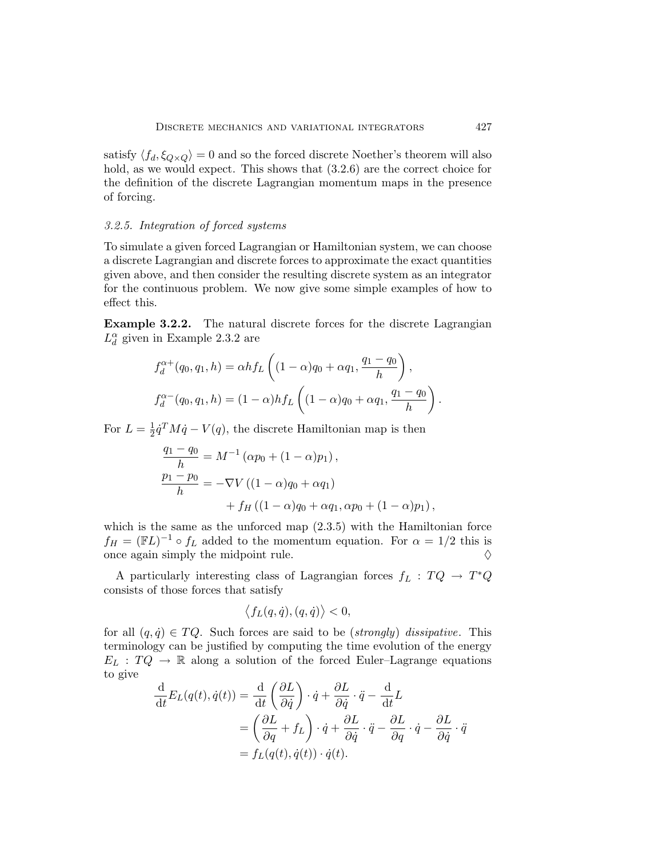satisfy  $\langle f_d, \xi_{Q\times Q} \rangle = 0$  and so the forced discrete Noether's theorem will also hold, as we would expect. This shows that  $(3.2.6)$  are the correct choice for the definition of the discrete Lagrangian momentum maps in the presence of forcing.

# 3.2.5. Integration of forced systems

To simulate a given forced Lagrangian or Hamiltonian system, we can choose a discrete Lagrangian and discrete forces to approximate the exact quantities given above, and then consider the resulting discrete system as an integrator for the continuous problem. We now give some simple examples of how to effect this.

**Example 3.2.2.** The natural discrete forces for the discrete Lagrangian  $L_d^{\alpha}$  given in Example 2.3.2 are

$$
f_d^{\alpha+}(q_0, q_1, h) = \alpha h f_L \left( (1 - \alpha) q_0 + \alpha q_1, \frac{q_1 - q_0}{h} \right),
$$
  

$$
f_d^{\alpha-}(q_0, q_1, h) = (1 - \alpha) h f_L \left( (1 - \alpha) q_0 + \alpha q_1, \frac{q_1 - q_0}{h} \right).
$$

For  $L=\frac{1}{2}$  $\frac{1}{2}\dot{q}^T M \dot{q} - V(q)$ , the discrete Hamiltonian map is then

$$
\frac{q_1 - q_0}{h} = M^{-1} (\alpha p_0 + (1 - \alpha)p_1),
$$
  
\n
$$
\frac{p_1 - p_0}{h} = -\nabla V ((1 - \alpha)q_0 + \alpha q_1)
$$
  
\n+  $f_H ((1 - \alpha)q_0 + \alpha q_1, \alpha p_0 + (1 - \alpha)p_1),$ 

which is the same as the unforced map  $(2.3.5)$  with the Hamiltonian force  $f_H = (\mathbb{F}L)^{-1} \circ f_L$  added to the momentum equation. For  $\alpha = 1/2$  this is once again simply the midpoint rule.  $\Diamond$ 

A particularly interesting class of Lagrangian forces  $f_L : TQ \rightarrow T^*Q$ consists of those forces that satisfy

$$
\big\langle f_L(q,\dot{q}), (q,\dot{q})\big\rangle < 0,
$$

for all  $(q, \dot{q}) \in TQ$ . Such forces are said to be (strongly) dissipative. This terminology can be justified by computing the time evolution of the energy  $E_L : TQ \to \mathbb{R}$  along a solution of the forced Euler–Lagrange equations to give

$$
\frac{\mathrm{d}}{\mathrm{d}t}E_L(q(t), \dot{q}(t)) = \frac{\mathrm{d}}{\mathrm{d}t} \left( \frac{\partial L}{\partial \dot{q}} \right) \cdot \dot{q} + \frac{\partial L}{\partial \dot{q}} \cdot \ddot{q} - \frac{\mathrm{d}}{\mathrm{d}t}L \n= \left( \frac{\partial L}{\partial q} + f_L \right) \cdot \dot{q} + \frac{\partial L}{\partial \dot{q}} \cdot \ddot{q} - \frac{\partial L}{\partial q} \cdot \dot{q} - \frac{\partial L}{\partial \dot{q}} \cdot \ddot{q} \n= f_L(q(t), \dot{q}(t)) \cdot \dot{q}(t).
$$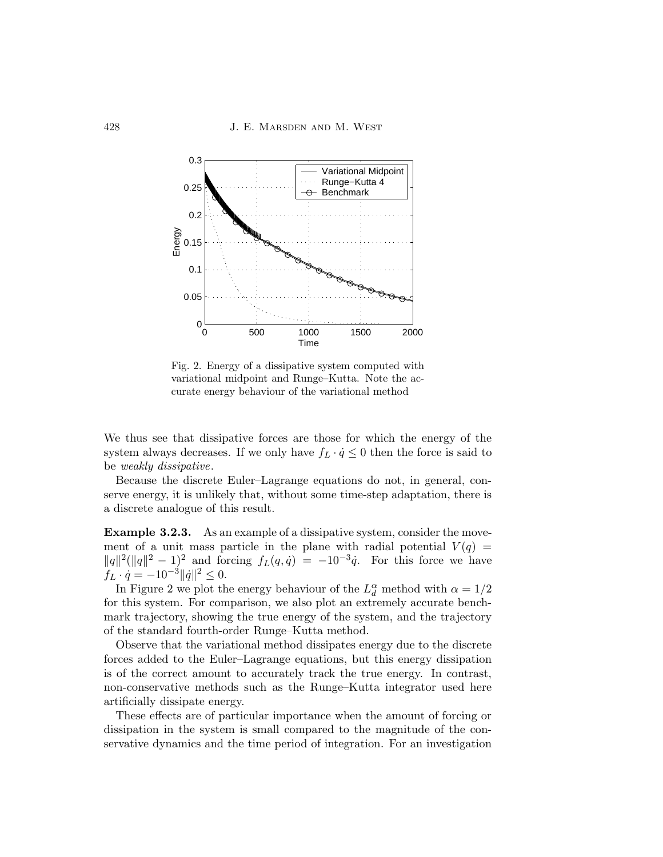

Fig. 2. Energy of a dissipative system computed with variational midpoint and Runge–Kutta. Note the accurate energy behaviour of the variational method

We thus see that dissipative forces are those for which the energy of the system always decreases. If we only have  $f_L \cdot \dot{q} \leq 0$  then the force is said to be weakly dissipative.

Because the discrete Euler–Lagrange equations do not, in general, conserve energy, it is unlikely that, without some time-step adaptation, there is a discrete analogue of this result.

**Example 3.2.3.** As an example of a dissipative system, consider the movement of a unit mass particle in the plane with radial potential  $V(q)$  $||q||^2(||q||^2 - 1)^2$  and forcing  $f_L(q, \dot{q}) = -10^{-3}\dot{q}$ . For this force we have  $f_L \cdot \dot{q} = -10^{-3} ||\dot{q}||^2 \leq 0.$ 

In Figure 2 we plot the energy behaviour of the  $L^\alpha_d$  method with  $\alpha=1/2$ for this system. For comparison, we also plot an extremely accurate benchmark trajectory, showing the true energy of the system, and the trajectory of the standard fourth-order Runge–Kutta method.

Observe that the variational method dissipates energy due to the discrete forces added to the Euler–Lagrange equations, but this energy dissipation is of the correct amount to accurately track the true energy. In contrast, non-conservative methods such as the Runge–Kutta integrator used here artificially dissipate energy.

These effects are of particular importance when the amount of forcing or dissipation in the system is small compared to the magnitude of the conservative dynamics and the time period of integration. For an investigation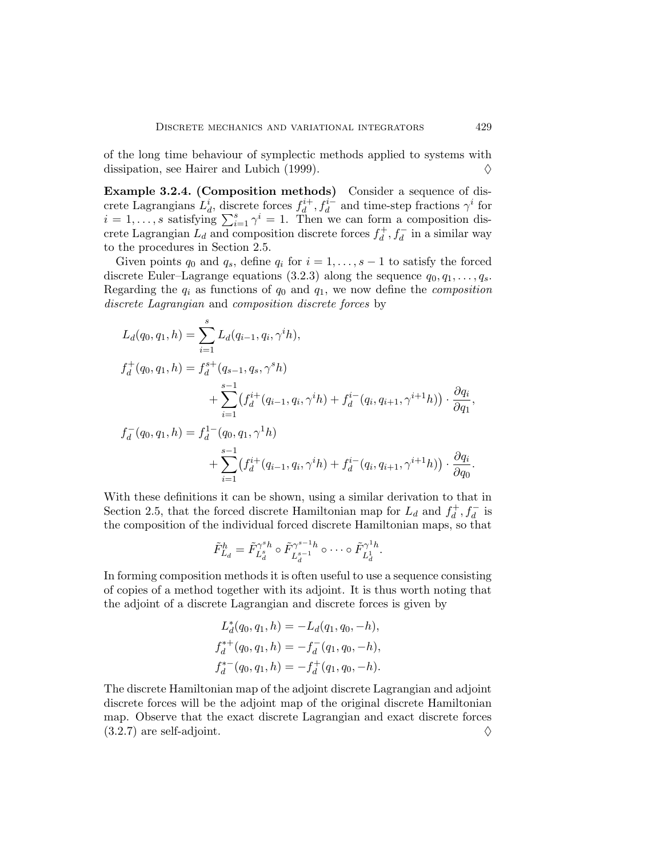of the long time behaviour of symplectic methods applied to systems with dissipation, see Hairer and Lubich (1999).

Example 3.2.4. (Composition methods) Consider a sequence of discrete Lagrangians  $L_d^i$ , discrete forces  $f_d^{i+}$  $d^{i+}, f_d^{i-}$  $\mu_d^{i-}$  and time-step fractions  $\gamma^i$  for  $i = 1, \ldots, s$  satisfying  $\sum_{i=1}^{s} \gamma^{i} = 1$ . Then we can form a composition discrete Lagrangian  $L_d$  and composition discrete forces  $f_d^+$  $f_d^+, f_d^ \overline{d}$  in a similar way to the procedures in Section 2.5.

Given points  $q_0$  and  $q_s$ , define  $q_i$  for  $i = 1, \ldots, s - 1$  to satisfy the forced discrete Euler–Lagrange equations (3.2.3) along the sequence  $q_0, q_1, \ldots, q_s$ . Regarding the  $q_i$  as functions of  $q_0$  and  $q_1$ , we now define the *composition* discrete Lagrangian and composition discrete forces by

$$
L_d(q_0, q_1, h) = \sum_{i=1}^{s} L_d(q_{i-1}, q_i, \gamma^i h),
$$
  
\n
$$
f_d^+(q_0, q_1, h) = f_d^{s+}(q_{s-1}, q_s, \gamma^s h)
$$
  
\n
$$
+ \sum_{i=1}^{s-1} (f_d^{i+}(q_{i-1}, q_i, \gamma^i h) + f_d^{i-}(q_i, q_{i+1}, \gamma^{i+1} h)) \cdot \frac{\partial q_i}{\partial q_1},
$$
  
\n
$$
f_d^-(q_0, q_1, h) = f_d^{1-}(q_0, q_1, \gamma^1 h)
$$
  
\n
$$
+ \sum_{i=1}^{s-1} (f_d^{i+}(q_{i-1}, q_i, \gamma^i h) + f_d^{i-}(q_i, q_{i+1}, \gamma^{i+1} h)) \cdot \frac{\partial q_i}{\partial q_0}.
$$

With these definitions it can be shown, using a similar derivation to that in Section 2.5, that the forced discrete Hamiltonian map for  $L_d$  and  $f_d^+$  $d^+, f_d^ \bar{d}$  is the composition of the individual forced discrete Hamiltonian maps, so that

 $i=1$ 

$$
\tilde{F}_{L_d}^h = \tilde{F}_{L_d}^{\gamma^sh} \circ \tilde{F}_{L_d}^{\gamma^{s-1}h} \circ \cdots \circ \tilde{F}_{L_d}^{\gamma^1h}.
$$

In forming composition methods it is often useful to use a sequence consisting of copies of a method together with its adjoint. It is thus worth noting that the adjoint of a discrete Lagrangian and discrete forces is given by

$$
L_d^*(q_0, q_1, h) = -L_d(q_1, q_0, -h),
$$
  
\n
$$
f_d^{*+}(q_0, q_1, h) = -f_d^-(q_1, q_0, -h),
$$
  
\n
$$
f_d^{*-}(q_0, q_1, h) = -f_d^+(q_1, q_0, -h).
$$

The discrete Hamiltonian map of the adjoint discrete Lagrangian and adjoint discrete forces will be the adjoint map of the original discrete Hamiltonian map. Observe that the exact discrete Lagrangian and exact discrete forces  $(3.2.7)$  are self-adjoint.  $\diamond$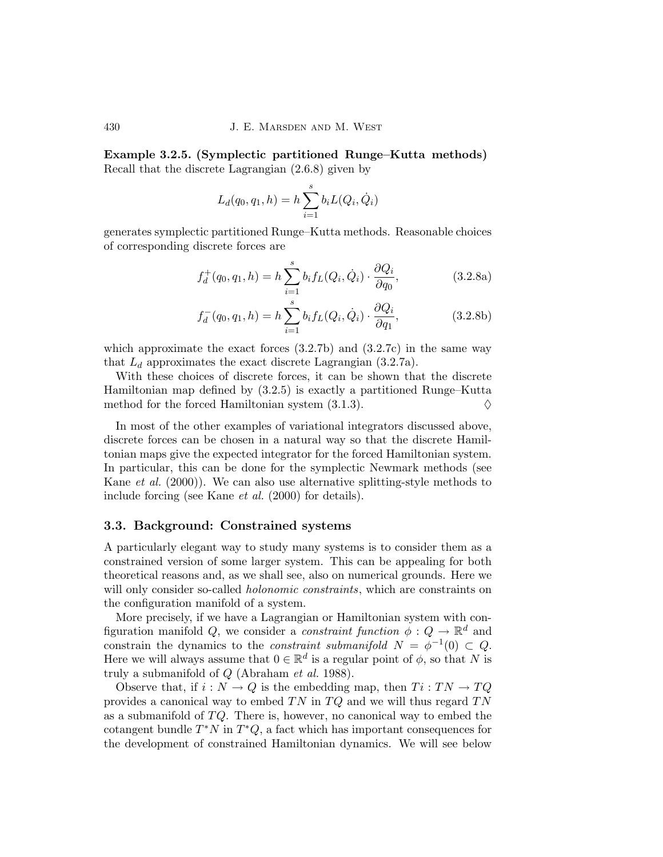Example 3.2.5. (Symplectic partitioned Runge–Kutta methods) Recall that the discrete Lagrangian (2.6.8) given by

$$
L_d(q_0, q_1, h) = h \sum_{i=1}^{s} b_i L(Q_i, \dot{Q}_i)
$$

generates symplectic partitioned Runge–Kutta methods. Reasonable choices of corresponding discrete forces are

$$
f_d^+(q_0, q_1, h) = h \sum_{i=1}^s b_i f_L(Q_i, \dot{Q}_i) \cdot \frac{\partial Q_i}{\partial q_0},
$$
 (3.2.8a)

$$
f_d^-(q_0, q_1, h) = h \sum_{i=1}^s b_i f_L(Q_i, \dot{Q}_i) \cdot \frac{\partial Q_i}{\partial q_1},
$$
 (3.2.8b)

which approximate the exact forces  $(3.2.7b)$  and  $(3.2.7c)$  in the same way that  $L_d$  approximates the exact discrete Lagrangian (3.2.7a).

With these choices of discrete forces, it can be shown that the discrete Hamiltonian map defined by (3.2.5) is exactly a partitioned Runge–Kutta method for the forced Hamiltonian system  $(3.1.3)$ .

In most of the other examples of variational integrators discussed above, discrete forces can be chosen in a natural way so that the discrete Hamiltonian maps give the expected integrator for the forced Hamiltonian system. In particular, this can be done for the symplectic Newmark methods (see Kane *et al.* (2000)). We can also use alternative splitting-style methods to include forcing (see Kane et al. (2000) for details).

## 3.3. Background: Constrained systems

A particularly elegant way to study many systems is to consider them as a constrained version of some larger system. This can be appealing for both theoretical reasons and, as we shall see, also on numerical grounds. Here we will only consider so-called *holonomic constraints*, which are constraints on the configuration manifold of a system.

More precisely, if we have a Lagrangian or Hamiltonian system with configuration manifold Q, we consider a *constraint function*  $\phi: Q \to \mathbb{R}^d$  and constrain the dynamics to the *constraint submanifold*  $N = \phi^{-1}(0) \subset Q$ . Here we will always assume that  $0 \in \mathbb{R}^d$  is a regular point of  $\phi$ , so that N is truly a submanifold of  $Q$  (Abraham *et al.* 1988).

Observe that, if  $i : N \to Q$  is the embedding map, then  $Ti : TN \to TQ$ provides a canonical way to embed  $TN$  in  $TQ$  and we will thus regard  $TN$ as a submanifold of  $TQ$ . There is, however, no canonical way to embed the cotangent bundle  $T^*N$  in  $T^*Q$ , a fact which has important consequences for the development of constrained Hamiltonian dynamics. We will see below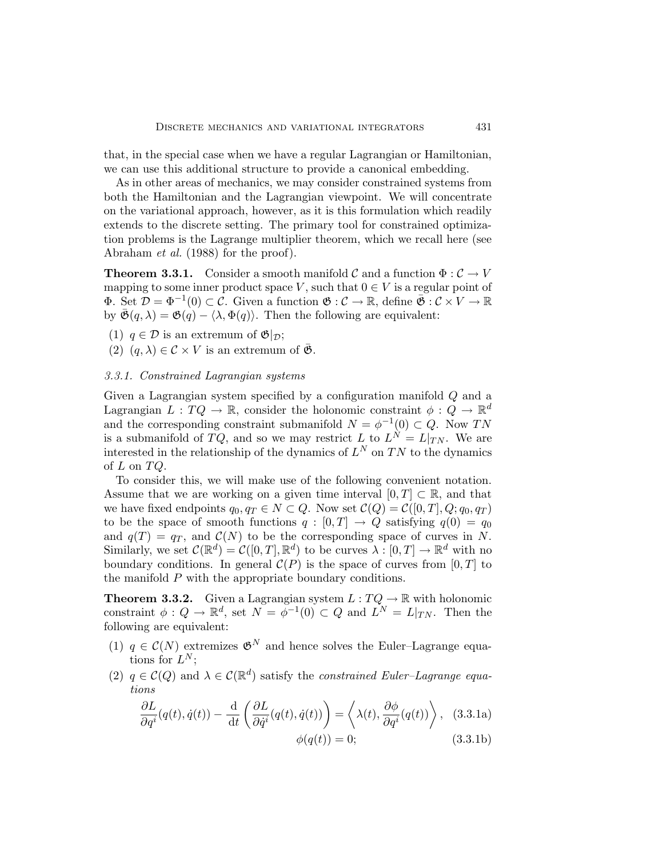that, in the special case when we have a regular Lagrangian or Hamiltonian, we can use this additional structure to provide a canonical embedding.

As in other areas of mechanics, we may consider constrained systems from both the Hamiltonian and the Lagrangian viewpoint. We will concentrate on the variational approach, however, as it is this formulation which readily extends to the discrete setting. The primary tool for constrained optimization problems is the Lagrange multiplier theorem, which we recall here (see Abraham *et al.* (1988) for the proof).

**Theorem 3.3.1.** Consider a smooth manifold C and a function  $\Phi : \mathcal{C} \to V$ mapping to some inner product space V, such that  $0 \in V$  is a regular point of  $\Phi$ . Set  $\mathcal{D} = \Phi^{-1}(0) \subset \mathcal{C}$ . Given a function  $\mathfrak{G} : \mathcal{C} \to \mathbb{R}$ , define  $\bar{\mathfrak{G}} : \mathcal{C} \times V \to \mathbb{R}$ by  $\bar{\mathfrak{G}}(q, \lambda) = \mathfrak{G}(q) - \langle \lambda, \Phi(q) \rangle$ . Then the following are equivalent:

- (1)  $q \in \mathcal{D}$  is an extremum of  $\mathfrak{G}|_{\mathcal{D}}$ ;
- (2)  $(q, \lambda) \in \mathcal{C} \times V$  is an extremum of  $\bar{\mathfrak{G}}$ .

#### 3.3.1. Constrained Lagrangian systems

Given a Lagrangian system specified by a configuration manifold Q and a Lagrangian  $L: TQ \to \mathbb{R}$ , consider the holonomic constraint  $\phi: Q \to \mathbb{R}^d$ and the corresponding constraint submanifold  $N = \phi^{-1}(0) \subset Q$ . Now TN is a submanifold of  $TQ$ , and so we may restrict L to  $L^N = L|_{TN}$ . We are interested in the relationship of the dynamics of  $L^N$  on TN to the dynamics of  $L$  on  $TQ$ .

To consider this, we will make use of the following convenient notation. Assume that we are working on a given time interval  $[0, T] \subset \mathbb{R}$ , and that we have fixed endpoints  $q_0, q_T \in N \subset Q$ . Now set  $\mathcal{C}(Q) = \mathcal{C}([0, T], Q; q_0, q_T)$ to be the space of smooth functions  $q : [0, T] \to Q$  satisfying  $q(0) = q_0$ and  $q(T) = q_T$ , and  $C(N)$  to be the corresponding space of curves in N. Similarly, we set  $\mathcal{C}(\mathbb{R}^d) = \mathcal{C}([0,T], \mathbb{R}^d)$  to be curves  $\lambda : [0,T] \to \mathbb{R}^d$  with no boundary conditions. In general  $\mathcal{C}(P)$  is the space of curves from  $[0, T]$  to the manifold P with the appropriate boundary conditions.

**Theorem 3.3.2.** Given a Lagrangian system  $L: TQ \to \mathbb{R}$  with holonomic constraint  $\phi: Q \to \mathbb{R}^d$ , set  $N = \phi^{-1}(0) \subset Q$  and  $L^N = L|_{TN}$ . Then the following are equivalent:

- (1)  $q \in \mathcal{C}(N)$  extremizes  $\mathfrak{G}^N$  and hence solves the Euler–Lagrange equations for  $L^N$ ;
- (2)  $q \in \mathcal{C}(Q)$  and  $\lambda \in \mathcal{C}(\mathbb{R}^d)$  satisfy the constrained Euler-Lagrange equations

$$
\frac{\partial L}{\partial q^i}(q(t), \dot{q}(t)) - \frac{\mathrm{d}}{\mathrm{d}t} \left( \frac{\partial L}{\partial \dot{q}^i}(q(t), \dot{q}(t)) \right) = \left\langle \lambda(t), \frac{\partial \phi}{\partial q^i}(q(t)) \right\rangle, \quad (3.3.1a)
$$

$$
\phi(q(t)) = 0; \quad (3.3.1b)
$$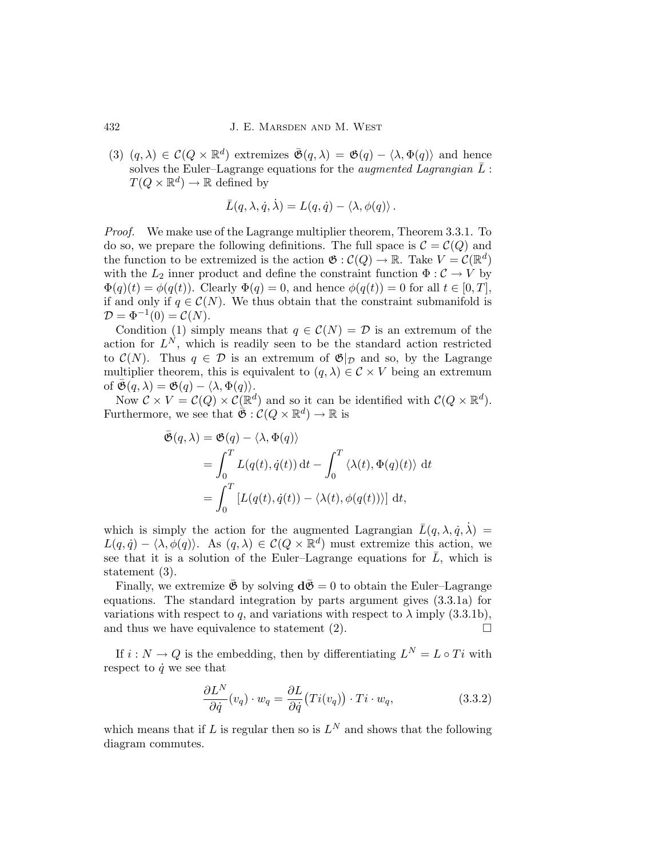(3)  $(q, \lambda) \in C(Q \times \mathbb{R}^d)$  extremizes  $\bar{\mathfrak{G}}(q, \lambda) = \mathfrak{G}(q) - \langle \lambda, \Phi(q) \rangle$  and hence solves the Euler–Lagrange equations for the *augmented Lagrangian*  $\overline{L}$  :  $T(Q \times \mathbb{R}^d) \to \mathbb{R}$  defined by

$$
\bar{L}(q,\lambda,\dot{q},\dot{\lambda})=L(q,\dot{q})-\langle\lambda,\phi(q)\rangle.
$$

Proof. We make use of the Lagrange multiplier theorem, Theorem 3.3.1. To do so, we prepare the following definitions. The full space is  $C = C(Q)$  and the function to be extremized is the action  $\mathfrak{G} : \mathcal{C}(Q) \to \mathbb{R}$ . Take  $V = \mathcal{C}(\mathbb{R}^d)$ with the  $L_2$  inner product and define the constraint function  $\Phi : \mathcal{C} \to V$  by  $\Phi(q)(t) = \phi(q(t))$ . Clearly  $\Phi(q) = 0$ , and hence  $\phi(q(t)) = 0$  for all  $t \in [0, T]$ , if and only if  $q \in \mathcal{C}(N)$ . We thus obtain that the constraint submanifold is  $\mathcal{D} = \Phi^{-1}(0) = \mathcal{C}(N).$ 

Condition (1) simply means that  $q \in \mathcal{C}(N) = \mathcal{D}$  is an extremum of the action for  $L^N$ , which is readily seen to be the standard action restricted to  $\mathcal{C}(N)$ . Thus  $q \in \mathcal{D}$  is an extremum of  $\mathfrak{G}|_{\mathcal{D}}$  and so, by the Lagrange multiplier theorem, this is equivalent to  $(q, \lambda) \in \mathcal{C} \times V$  being an extremum of  $\bar{\mathfrak{G}}(q, \lambda) = \mathfrak{G}(q) - \langle \lambda, \Phi(q) \rangle$ .

Now  $\mathcal{C} \times V = \mathcal{C}(Q) \times \mathcal{C}(\mathbb{R}^d)$  and so it can be identified with  $\mathcal{C}(Q \times \mathbb{R}^d)$ . Furthermore, we see that  $\dot{\mathfrak{G}} : \mathcal{C}(Q \times \mathbb{R}^d) \to \mathbb{R}$  is

$$
\overline{\mathfrak{G}}(q,\lambda) = \mathfrak{G}(q) - \langle \lambda, \Phi(q) \rangle
$$
  
= 
$$
\int_0^T L(q(t), \dot{q}(t)) dt - \int_0^T \langle \lambda(t), \Phi(q)(t) \rangle dt
$$
  
= 
$$
\int_0^T [L(q(t), \dot{q}(t)) - \langle \lambda(t), \phi(q(t)) \rangle] dt,
$$

which is simply the action for the augmented Lagrangian  $\bar{L}(q, \lambda, \dot{q}, \dot{\lambda}) =$  $L(q, \dot{q}) - \langle \lambda, \phi(q) \rangle$ . As  $(q, \lambda) \in C(Q \times \mathbb{R}^d)$  must extremize this action, we see that it is a solution of the Euler–Lagrange equations for  $\overline{L}$ , which is statement (3).

Finally, we extremize  $\bar{\mathfrak{G}}$  by solving  $d\bar{\mathfrak{G}}=0$  to obtain the Euler–Lagrange equations. The standard integration by parts argument gives (3.3.1a) for variations with respect to q, and variations with respect to  $\lambda$  imply (3.3.1b), and thus we have equivalence to statement (2).  $\Box$ 

If  $i: N \to Q$  is the embedding, then by differentiating  $L^N = L \circ Ti$  with respect to  $\dot{q}$  we see that

$$
\frac{\partial L^N}{\partial \dot{q}}(v_q) \cdot w_q = \frac{\partial L}{\partial \dot{q}}(Ti(v_q)) \cdot Ti \cdot w_q, \tag{3.3.2}
$$

which means that if L is regular then so is  $L^N$  and shows that the following diagram commutes.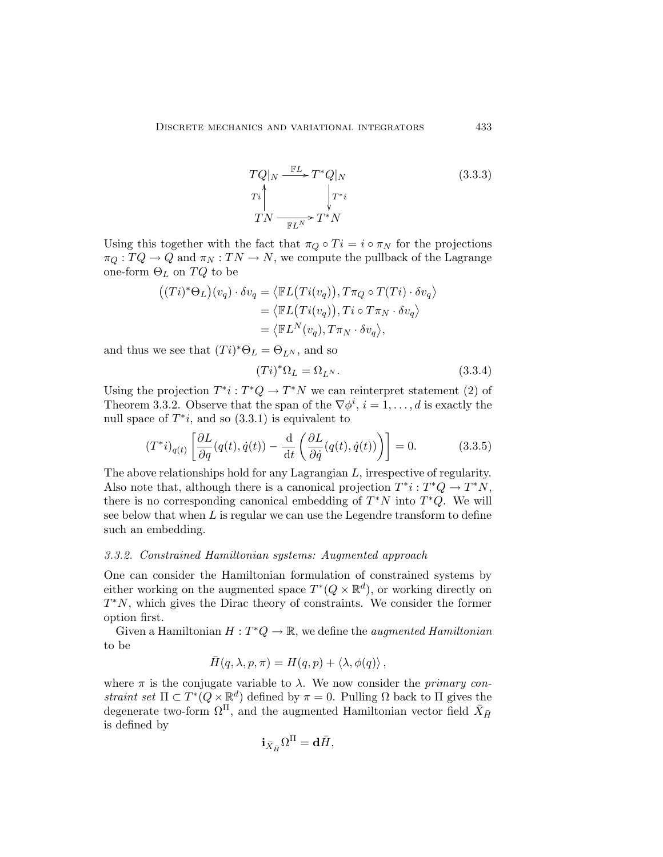$$
TQ|_N \xrightarrow{\mathbb{F}L} T^*Q|_N
$$
  
\n
$$
T^i \qquad \qquad T^*i
$$
  
\n
$$
T^N \xrightarrow{\mathbb{F}L^N} T^*N
$$
  
\n(3.3.3)

Using this together with the fact that  $\pi_Q \circ Ti = i \circ \pi_N$  for the projections  $\pi_Q: TQ \to Q$  and  $\pi_N: TN \to N$ , we compute the pullback of the Lagrange one-form  $\Theta_L$  on  $TQ$  to be

$$
((Ti)^*\Theta_L)(v_q) \cdot \delta v_q = \langle \mathbb{F}L(Ti(v_q)), T\pi_Q \circ T(Ti) \cdot \delta v_q \rangle
$$
  
= 
$$
\langle \mathbb{F}L(Ti(v_q)), Ti \circ T\pi_N \cdot \delta v_q \rangle
$$
  
= 
$$
\langle \mathbb{F}L^N(v_q), T\pi_N \cdot \delta v_q \rangle,
$$

and thus we see that  $(Ti)^{\ast} \Theta_L = \Theta_{L^N}$ , and so

$$
(Ti)^*\Omega_L = \Omega_{L^N}.\tag{3.3.4}
$$

Using the projection  $T^*i : T^*Q \to T^*N$  we can reinterpret statement (2) of Theorem 3.3.2. Observe that the span of the  $\nabla \phi^i$ ,  $i = 1, \ldots, d$  is exactly the null space of  $T^*i$ , and so  $(3.3.1)$  is equivalent to

$$
(T^*i)_{q(t)} \left[ \frac{\partial L}{\partial q} (q(t), \dot{q}(t)) - \frac{\mathrm{d}}{\mathrm{d}t} \left( \frac{\partial L}{\partial \dot{q}} (q(t), \dot{q}(t)) \right) \right] = 0. \tag{3.3.5}
$$

The above relationships hold for any Lagrangian  $L$ , irrespective of regularity. Also note that, although there is a canonical projection  $T^*i : T^*Q \to T^*N$ , there is no corresponding canonical embedding of  $T^*N$  into  $T^*Q$ . We will see below that when  $L$  is regular we can use the Legendre transform to define such an embedding.

#### 3.3.2. Constrained Hamiltonian systems: Augmented approach

One can consider the Hamiltonian formulation of constrained systems by either working on the augmented space  $T^*(Q \times \mathbb{R}^d)$ , or working directly on  $T^*N$ , which gives the Dirac theory of constraints. We consider the former option first.

Given a Hamiltonian  $H: T^*Q \to \mathbb{R}$ , we define the *augmented Hamiltonian* to be

$$
\bar{H}(q, \lambda, p, \pi) = H(q, p) + \langle \lambda, \phi(q) \rangle,
$$

where  $\pi$  is the conjugate variable to  $\lambda$ . We now consider the *primary con*straint set  $\Pi \subset T^*(Q \times \mathbb{R}^d)$  defined by  $\pi = 0$ . Pulling  $\Omega$  back to  $\Pi$  gives the degenerate two-form  $\Omega^{\Pi}$ , and the augmented Hamiltonian vector field  $\bar{X}_{\bar{H}}$ is defined by

$$
\mathbf{i}_{\bar{X}_{\bar{H}}} \Omega^{\Pi} = \mathbf{d} \bar{H},
$$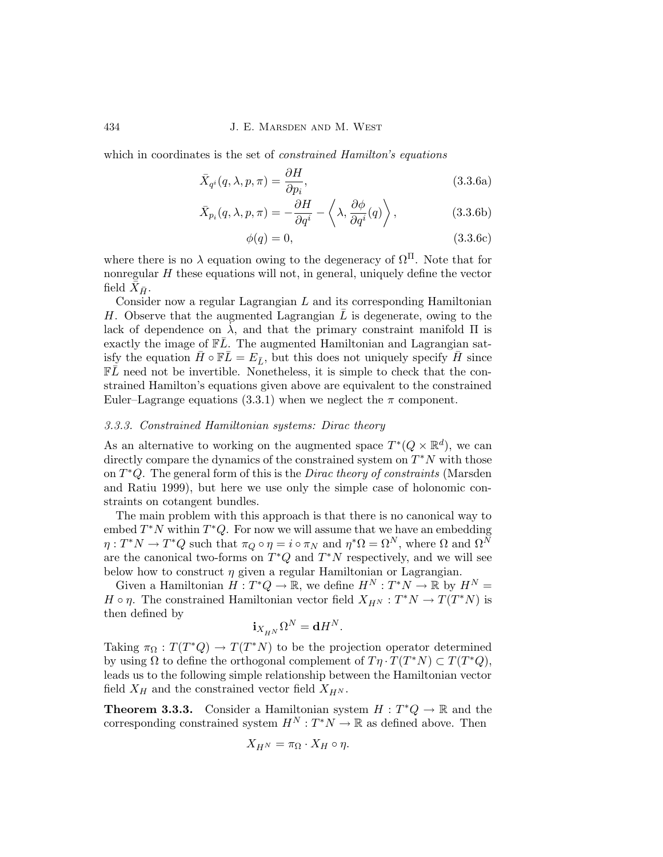which in coordinates is the set of *constrained Hamilton's equations* 

$$
\bar{X}_{q^{i}}(q,\lambda,p,\pi) = \frac{\partial H}{\partial p_{i}},
$$
\n(3.3.6a)

$$
\bar{X}_{p_i}(q,\lambda,p,\pi) = -\frac{\partial H}{\partial q^i} - \left\langle \lambda, \frac{\partial \phi}{\partial q^i}(q) \right\rangle, \tag{3.3.6b}
$$

$$
\phi(q) = 0,\tag{3.3.6c}
$$

where there is no  $\lambda$  equation owing to the degeneracy of  $\Omega^{\Pi}$ . Note that for nonregular  $H$  these equations will not, in general, uniquely define the vector field  $\bar{X}_{\bar{H}}$ .

Consider now a regular Lagrangian L and its corresponding Hamiltonian H. Observe that the augmented Lagrangian  $L$  is degenerate, owing to the lack of dependence on  $\tilde{\lambda}$ , and that the primary constraint manifold  $\Pi$  is exactly the image of  $\mathbb{F}\bar{L}$ . The augmented Hamiltonian and Lagrangian satisfy the equation  $\bar{H} \circ \mathbb{F}\bar{L} = E_{\bar{L}}$ , but this does not uniquely specify  $\bar{H}$  since  $\mathbb{F}L$  need not be invertible. Nonetheless, it is simple to check that the constrained Hamilton's equations given above are equivalent to the constrained Euler–Lagrange equations (3.3.1) when we neglect the  $\pi$  component.

#### 3.3.3. Constrained Hamiltonian systems: Dirac theory

As an alternative to working on the augmented space  $T^*(Q \times \mathbb{R}^d)$ , we can directly compare the dynamics of the constrained system on  $T^*N$  with those on  $T^*Q$ . The general form of this is the *Dirac theory of constraints* (Marsden and Ratiu 1999), but here we use only the simple case of holonomic constraints on cotangent bundles.

The main problem with this approach is that there is no canonical way to embed  $T^*N$  within  $T^*Q$ . For now we will assume that we have an embedding  $\eta: T^*N \to T^*Q$  such that  $\pi_Q \circ \eta = i \circ \pi_N$  and  $\eta^*\Omega = \Omega^N$ , where  $\Omega$  and  $\Omega^N$ are the canonical two-forms on  $T^*Q$  and  $T^*N$  respectively, and we will see below how to construct  $\eta$  given a regular Hamiltonian or Lagrangian.

Given a Hamiltonian  $H: T^*Q \to \mathbb{R}$ , we define  $H^N: T^*N \to \mathbb{R}$  by  $H^N =$  $H \circ \eta$ . The constrained Hamiltonian vector field  $X_{H^N}: T^*N \to T(T^*N)$  is then defined by

$$
\mathbf{i}_{X_{H^N}} \Omega^N = \mathbf{d} H^N.
$$

Taking  $\pi_{\Omega}: T(T^*Q) \to T(T^*N)$  to be the projection operator determined by using  $\Omega$  to define the orthogonal complement of  $T\eta \cdot T(T^*N) \subset T(T^*Q)$ , leads us to the following simple relationship between the Hamiltonian vector field  $X_H$  and the constrained vector field  $X_{H^N}$ .

**Theorem 3.3.3.** Consider a Hamiltonian system  $H : T^*Q \to \mathbb{R}$  and the corresponding constrained system  $H^N: T^*N \to \mathbb{R}$  as defined above. Then

$$
X_{H^N} = \pi_{\Omega} \cdot X_H \circ \eta.
$$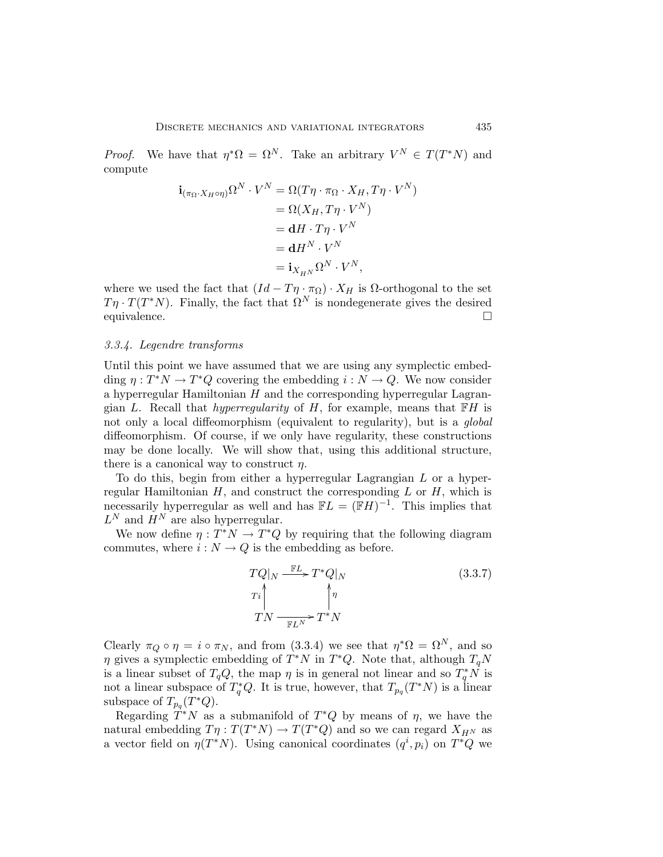*Proof.* We have that  $\eta^*\Omega = \Omega^N$ . Take an arbitrary  $V^N \in T(T^*N)$  and compute

$$
\begin{aligned} \mathbf{i}_{(\pi_{\Omega} \cdot X_H \circ \eta)} \Omega^N \cdot V^N &= \Omega(T\eta \cdot \pi_{\Omega} \cdot X_H, T\eta \cdot V^N) \\ &= \Omega(X_H, T\eta \cdot V^N) \\ &= \mathbf{d}H \cdot T\eta \cdot V^N \\ &= \mathbf{d}H^N \cdot V^N \\ &= \mathbf{i}_{X_H N} \Omega^N \cdot V^N, \end{aligned}
$$

where we used the fact that  $(Id - T\eta \cdot \pi_{\Omega}) \cdot X_H$  is  $\Omega$ -orthogonal to the set  $T\eta \cdot T(T^*N)$ . Finally, the fact that  $\Omega^N$  is nondegenerate gives the desired equivalence.

#### 3.3.4. Legendre transforms

Until this point we have assumed that we are using any symplectic embedding  $\eta: T^*N \to T^*Q$  covering the embedding  $i: N \to Q$ . We now consider a hyperregular Hamiltonian  $H$  and the corresponding hyperregular Lagrangian L. Recall that *hyperregularity* of H, for example, means that  $\mathbb{F}H$  is not only a local diffeomorphism (equivalent to regularity), but is a *global* diffeomorphism. Of course, if we only have regularity, these constructions may be done locally. We will show that, using this additional structure, there is a canonical way to construct  $\eta$ .

To do this, begin from either a hyperregular Lagrangian L or a hyperregular Hamiltonian  $H$ , and construct the corresponding  $L$  or  $H$ , which is necessarily hyperregular as well and has  $\mathbb{F}L = (\mathbb{F}H)^{-1}$ . This implies that  $L^N$  and  $H^N$  are also hyperregular.

We now define  $\eta: T^*N \to T^*Q$  by requiring that the following diagram commutes, where  $i : N \to Q$  is the embedding as before.

$$
TQ|_N \xrightarrow{\mathbb{F}L} T^*Q|_N
$$
  
\n
$$
T^i \qquad \qquad \uparrow \qquad \qquad (3.3.7)
$$
  
\n
$$
TN \xrightarrow{\uparrow} T^*N
$$

Clearly  $\pi_Q \circ \eta = i \circ \pi_N$ , and from (3.3.4) we see that  $\eta^* \Omega = \Omega^N$ , and so  $\eta$  gives a symplectic embedding of  $T^*N$  in  $T^*Q$ . Note that, although  $T_qN$ is a linear subset of  $T_qQ$ , the map  $\eta$  is in general not linear and so  $T_q^*N$  is not a linear subspace of  $T_q^*Q$ . It is true, however, that  $T_{p_q}(T^*N)$  is a linear subspace of  $T_{p_q}(T^*Q)$ .

Regarding  $T^*N$  as a submanifold of  $T^*Q$  by means of  $\eta$ , we have the natural embedding  $T\eta: T(T^*N) \to T(T^*Q)$  and so we can regard  $X_{H^N}$  as a vector field on  $\eta(T^*N)$ . Using canonical coordinates  $(q^i, p_i)$  on  $T^*Q$  we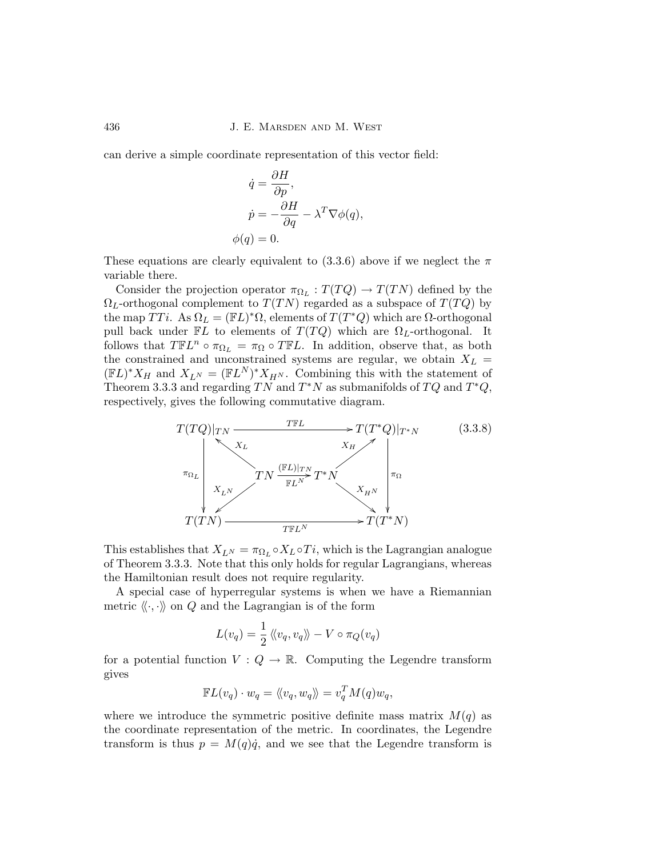can derive a simple coordinate representation of this vector field:

$$
\dot{q} = \frac{\partial H}{\partial p},
$$
  
\n
$$
\dot{p} = -\frac{\partial H}{\partial q} - \lambda^T \nabla \phi(q),
$$
  
\n
$$
\phi(q) = 0.
$$

These equations are clearly equivalent to (3.3.6) above if we neglect the  $\pi$ variable there.

Consider the projection operator  $\pi_{\Omega_L}: T(TQ) \to T(TN)$  defined by the  $\Omega_L$ -orthogonal complement to  $T(TN)$  regarded as a subspace of  $T(TQ)$  by the map  $TTi$ . As  $\Omega_L = (\mathbb{F}L)^*\Omega$ , elements of  $T(T^*Q)$  which are  $\Omega$ -orthogonal pull back under  $\mathbb{F}L$  to elements of  $T(TQ)$  which are  $\Omega_L$ -orthogonal. It follows that  $T \mathbb{F} L^n \circ \pi_{\Omega_L} = \pi_{\Omega} \circ T \mathbb{F} L$ . In addition, observe that, as both the constrained and unconstrained systems are regular, we obtain  $X_L$  =  $(EL)^* X_H$  and  $X_{L^N} = (FL^N)^* X_{H^N}$ . Combining this with the statement of Theorem 3.3.3 and regarding TN and  $T^*N$  as submanifolds of TQ and  $T^*Q$ , respectively, gives the following commutative diagram.



This establishes that  $X_{L^N} = \pi_{\Omega_L} \circ X_L \circ Ti$ , which is the Lagrangian analogue of Theorem 3.3.3. Note that this only holds for regular Lagrangians, whereas the Hamiltonian result does not require regularity.

A special case of hyperregular systems is when we have a Riemannian metric  $\langle \langle \cdot, \cdot \rangle \rangle$  on Q and the Lagrangian is of the form

$$
L(v_q) = \frac{1}{2} \langle v_q, v_q \rangle - V \circ \pi_Q(v_q)
$$

for a potential function  $V: Q \to \mathbb{R}$ . Computing the Legendre transform gives

$$
\mathbb{F}L(v_q) \cdot w_q = \langle v_q, w_q \rangle = v_q^T M(q) w_q,
$$

where we introduce the symmetric positive definite mass matrix  $M(q)$  as the coordinate representation of the metric. In coordinates, the Legendre transform is thus  $p = M(q)\dot{q}$ , and we see that the Legendre transform is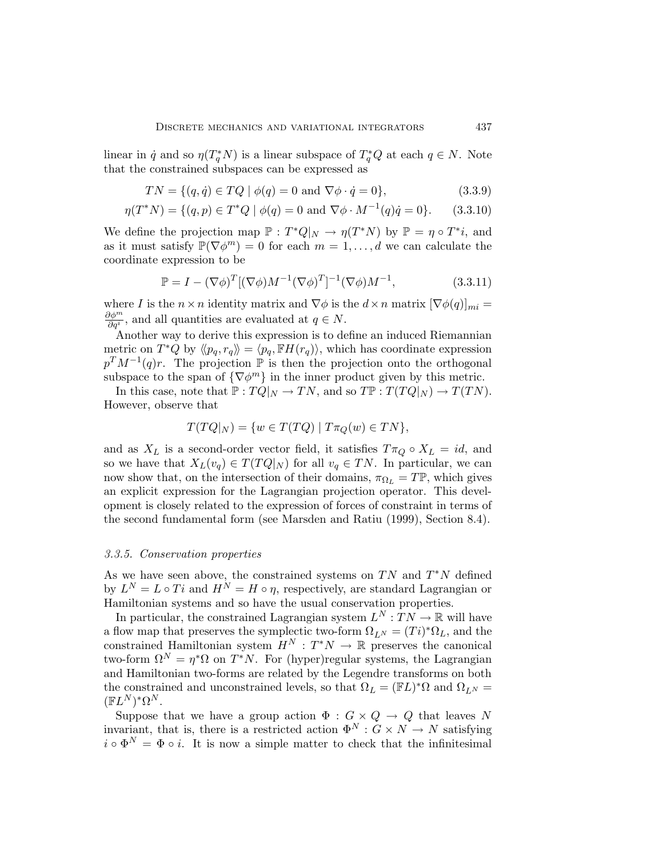linear in  $\dot{q}$  and so  $\eta(T_q^*N)$  is a linear subspace of  $T_q^*Q$  at each  $q \in N$ . Note that the constrained subspaces can be expressed as

$$
TN = \{ (q, \dot{q}) \in TQ \mid \phi(q) = 0 \text{ and } \nabla \phi \cdot \dot{q} = 0 \},
$$
\n(3.3.9)

$$
\eta(T^*N) = \{(q, p) \in T^*Q \mid \phi(q) = 0 \text{ and } \nabla \phi \cdot M^{-1}(q)\dot{q} = 0\}.
$$
 (3.3.10)

We define the projection map  $\mathbb{P}: T^*Q|_N \to \eta(T^*N)$  by  $\mathbb{P} = \eta \circ T^*i$ , and as it must satisfy  $\mathbb{P}(\nabla\phi^m) = 0$  for each  $m = 1, \ldots, d$  we can calculate the coordinate expression to be

$$
\mathbb{P} = I - (\nabla \phi)^T [(\nabla \phi) M^{-1} (\nabla \phi)^T]^{-1} (\nabla \phi) M^{-1},
$$
\n(3.3.11)

where I is the  $n \times n$  identity matrix and  $\nabla \phi$  is the  $d \times n$  matrix  $[\nabla \phi(q)]_{mi} =$  $\partial\phi^m$  $\frac{\partial \phi^m}{\partial q^i}$ , and all quantities are evaluated at  $q \in N$ .

Another way to derive this expression is to define an induced Riemannian metric on  $T^*Q$  by  $\langle p_q, r_q \rangle = \langle p_q, \mathbb{F}H(r_q) \rangle$ , which has coordinate expression  $p^T M^{-1}(q)r$ . The projection  $\mathbb P$  is then the projection onto the orthogonal subspace to the span of  $\{\nabla \phi^m\}$  in the inner product given by this metric.

In this case, note that  $\mathbb{P}: TQ|_N \to TN$ , and so  $T\mathbb{P}: T(TQ|_N) \to T(TN)$ . However, observe that

$$
T(TQ|_N) = \{ w \in T(TQ) \mid T\pi_Q(w) \in TN \},\
$$

and as  $X_L$  is a second-order vector field, it satisfies  $T\pi_Q \circ X_L = id$ , and so we have that  $X_L(v_q) \in T(TQ|_N)$  for all  $v_q \in TN$ . In particular, we can now show that, on the intersection of their domains,  $\pi_{\Omega_L} = T\mathbb{P}$ , which gives an explicit expression for the Lagrangian projection operator. This development is closely related to the expression of forces of constraint in terms of the second fundamental form (see Marsden and Ratiu (1999), Section 8.4).

#### 3.3.5. Conservation properties

As we have seen above, the constrained systems on  $TN$  and  $T^*N$  defined by  $L^N = L \circ Ti$  and  $H^N = H \circ \eta$ , respectively, are standard Lagrangian or Hamiltonian systems and so have the usual conservation properties.

In particular, the constrained Lagrangian system  $L^N: TN \to \mathbb{R}$  will have a flow map that preserves the symplectic two-form  $\Omega_{L^N} = (Ti)^* \Omega_L$ , and the constrained Hamiltonian system  $H^N: T^*N \to \mathbb{R}$  preserves the canonical two-form  $\Omega^N = \eta^* \Omega$  on  $T^* N$ . For (hyper)regular systems, the Lagrangian and Hamiltonian two-forms are related by the Legendre transforms on both the constrained and unconstrained levels, so that  $\Omega_L = (\mathbb{F}L)^*\Omega$  and  $\Omega_{L^N} =$  $(\mathbb{F}L^N)^*\Omega^N$ .

Suppose that we have a group action  $\Phi: G \times Q \to Q$  that leaves N invariant, that is, there is a restricted action  $\Phi^N: G \times N \to N$  satisfying  $i \circ \Phi^N = \Phi \circ i$ . It is now a simple matter to check that the infinitesimal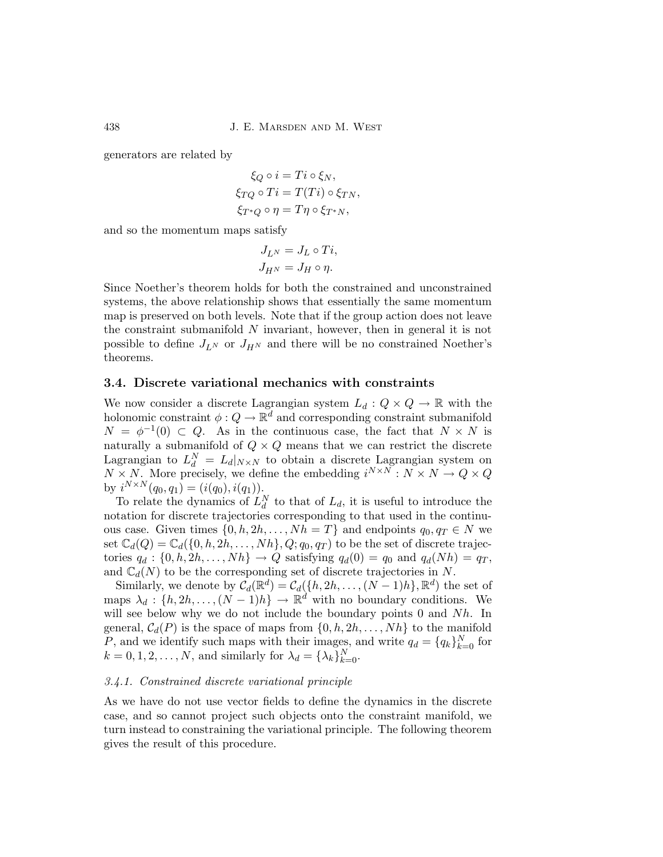generators are related by

$$
\xi_Q \circ i = Ti \circ \xi_N,
$$
  
\n
$$
\xi_{TQ} \circ Ti = T(Ti) \circ \xi_{TN},
$$
  
\n
$$
\xi_{T^*Q} \circ \eta = T\eta \circ \xi_{T^*N},
$$

and so the momentum maps satisfy

$$
J_{L^N} = J_L \circ Ti,
$$
  

$$
J_{H^N} = J_H \circ \eta.
$$

Since Noether's theorem holds for both the constrained and unconstrained systems, the above relationship shows that essentially the same momentum map is preserved on both levels. Note that if the group action does not leave the constraint submanifold  $N$  invariant, however, then in general it is not possible to define  $J_{LN}$  or  $J_{HN}$  and there will be no constrained Noether's theorems.

## 3.4. Discrete variational mechanics with constraints

We now consider a discrete Lagrangian system  $L_d: Q \times Q \to \mathbb{R}$  with the holonomic constraint  $\phi: Q \to \mathbb{R}^d$  and corresponding constraint submanifold  $N = \phi^{-1}(0) \subset Q$ . As in the continuous case, the fact that  $N \times N$  is naturally a submanifold of  $Q \times Q$  means that we can restrict the discrete Lagrangian to  $L_d^N = L_d|_{N \times N}$  to obtain a discrete Lagrangian system on  $N \times N$ . More precisely, we define the embedding  $i^{N \times N} : N \times N \to Q \times Q$ by  $i^{N \times N}(q_0, q_1) = (i(q_0), i(q_1)).$ 

To relate the dynamics of  $L_d^N$  to that of  $L_d$ , it is useful to introduce the notation for discrete trajectories corresponding to that used in the continuous case. Given times  $\{0, h, 2h, \ldots, Nh = T\}$  and endpoints  $q_0, q_T \in N$  we set  $\mathbb{C}_d(Q) = \mathbb{C}_d({0, h, 2h, \ldots, Nh}, Q; q_0, q_T)$  to be the set of discrete trajectories  $q_d$  :  $\{0, h, 2h, \ldots, Nh\} \rightarrow Q$  satisfying  $q_d(0) = q_0$  and  $q_d(Nh) = q_T$ , and  $\mathbb{C}_d(N)$  to be the corresponding set of discrete trajectories in N.

Similarly, we denote by  $C_d(\mathbb{R}^d) = C_d(\{h, 2h, ..., (N-1)h\}, \mathbb{R}^d)$  the set of maps  $\lambda_d : \{h, 2h, \ldots, (N-1)h\} \to \mathbb{R}^d$  with no boundary conditions. We will see below why we do not include the boundary points 0 and  $Nh$ . In general,  $C_d(P)$  is the space of maps from  $\{0, h, 2h, \ldots, Nh\}$  to the manifold P, and we identify such maps with their images, and write  $q_d = \{q_k\}_{k=0}^N$  for  $k = 0, 1, 2, \dots, N$ , and similarly for  $\lambda_d = {\lambda_k}_{k=0}^N$ .

#### 3.4.1. Constrained discrete variational principle

As we have do not use vector fields to define the dynamics in the discrete case, and so cannot project such objects onto the constraint manifold, we turn instead to constraining the variational principle. The following theorem gives the result of this procedure.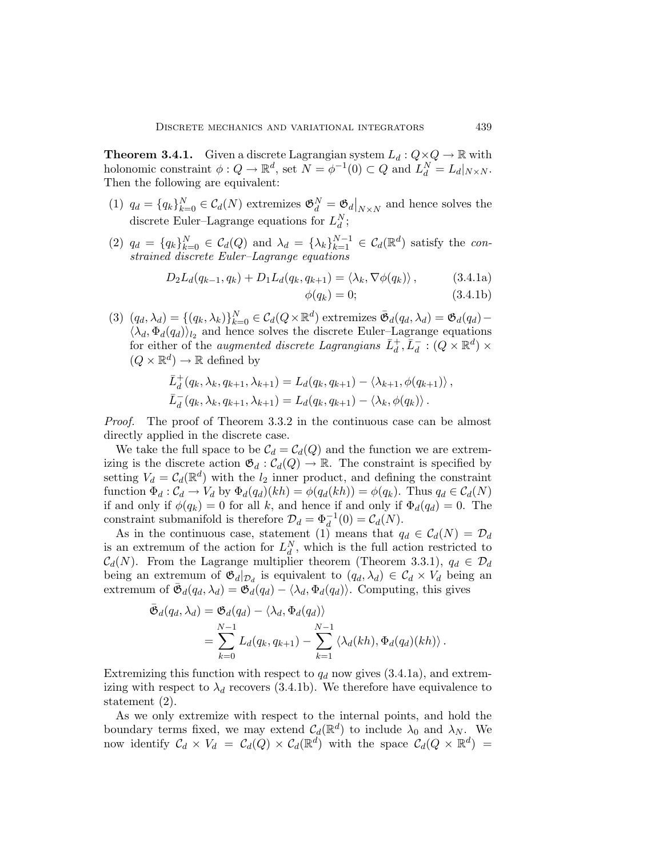**Theorem 3.4.1.** Given a discrete Lagrangian system  $L_d: Q \times Q \to \mathbb{R}$  with holonomic constraint  $\phi: Q \to \mathbb{R}^d$ , set  $N = \phi^{-1}(0) \subset Q$  and  $L_d^N = L_d|_{N \times N}$ . Then the following are equivalent:

- (1)  $q_d = \{q_k\}_{k=0}^N \in \mathcal{C}_d(N)$  extremizes  $\mathfrak{G}_d^N = \mathfrak{G}_d|_{N \times N}$  and hence solves the discrete Euler-Lagrange equations for  $L_d^N$ ;
- (2)  $q_d = \{q_k\}_{k=0}^N \in C_d(Q)$  and  $\lambda_d = \{\lambda_k\}_{k=1}^{N-1} \in C_d(\mathbb{R}^d)$  satisfy the constrained discrete Euler–Lagrange equations

$$
D_2L_d(q_{k-1}, q_k) + D_1L_d(q_k, q_{k+1}) = \langle \lambda_k, \nabla \phi(q_k) \rangle, \qquad (3.4.1a)
$$

$$
\phi(q_k) = 0; \tag{3.4.1b}
$$

(3)  $(q_d, \lambda_d) = \{(q_k, \lambda_k)\}_{k=0}^N \in C_d(Q \times \mathbb{R}^d)$  extremizes  $\bar{\mathfrak{G}}_d(q_d, \lambda_d) = \mathfrak{G}_d(q_d) \langle \lambda_d, \Phi_d(q_d) \rangle_{l_2}$  and hence solves the discrete Euler–Lagrange equations for either of the *augmented discrete Lagrangians*  $\bar{L}_d^+, \bar{L}_d^-$  :  $(Q \times \mathbb{R}^d) \times$  $(Q \times \mathbb{R}^d) \to \mathbb{R}$  defined by

$$
\overline{L}_d^+(q_k, \lambda_k, q_{k+1}, \lambda_{k+1}) = L_d(q_k, q_{k+1}) - \langle \lambda_{k+1}, \phi(q_{k+1}) \rangle,
$$
  

$$
\overline{L}_d^-(q_k, \lambda_k, q_{k+1}, \lambda_{k+1}) = L_d(q_k, q_{k+1}) - \langle \lambda_k, \phi(q_k) \rangle.
$$

Proof. The proof of Theorem 3.3.2 in the continuous case can be almost directly applied in the discrete case.

We take the full space to be  $\mathcal{C}_d = \mathcal{C}_d(Q)$  and the function we are extremizing is the discrete action  $\mathfrak{G}_d : \mathcal{C}_d(Q) \to \mathbb{R}$ . The constraint is specified by setting  $V_d = C_d(\mathbb{R}^d)$  with the  $l_2$  inner product, and defining the constraint function  $\Phi_d : \mathcal{C}_d \to V_d$  by  $\Phi_d(q_d)(kh) = \phi(q_d(kh)) = \phi(q_k)$ . Thus  $q_d \in \mathcal{C}_d(N)$ if and only if  $\phi(q_k) = 0$  for all k, and hence if and only if  $\Phi_d(q_d) = 0$ . The constraint submanifold is therefore  $\mathcal{D}_d = \Phi_d^{-1}$  $_{d}^{-1}(0) = C_{d}(N).$ 

As in the continuous case, statement (1) means that  $q_d \in C_d(N) = \mathcal{D}_d$ is an extremum of the action for  $L_d^N$ , which is the full action restricted to  $\mathcal{C}_d(N)$ . From the Lagrange multiplier theorem (Theorem 3.3.1),  $q_d \in \mathcal{D}_d$ being an extremum of  $\mathfrak{G}_d|_{\mathcal{D}_d}$  is equivalent to  $(q_d, \lambda_d) \in \mathcal{C}_d \times V_d$  being an extremum of  $\bar{\mathfrak{G}}_d(q_d, \lambda_d) = \mathfrak{G}_d(q_d) - \langle \lambda_d, \Phi_d(q_d) \rangle$ . Computing, this gives

$$
\bar{\mathfrak{G}}_d(q_d, \lambda_d) = \mathfrak{G}_d(q_d) - \langle \lambda_d, \Phi_d(q_d) \rangle
$$
  
= 
$$
\sum_{k=0}^{N-1} L_d(q_k, q_{k+1}) - \sum_{k=1}^{N-1} \langle \lambda_d(kh), \Phi_d(q_d)(kh) \rangle.
$$

Extremizing this function with respect to  $q_d$  now gives  $(3.4.1a)$ , and extremizing with respect to  $\lambda_d$  recovers (3.4.1b). We therefore have equivalence to statement (2).

As we only extremize with respect to the internal points, and hold the boundary terms fixed, we may extend  $\mathcal{C}_d(\mathbb{R}^d)$  to include  $\lambda_0$  and  $\lambda_N$ . We now identify  $C_d \times V_d = C_d(Q) \times C_d(\mathbb{R}^d)$  with the space  $C_d(Q \times \mathbb{R}^d) =$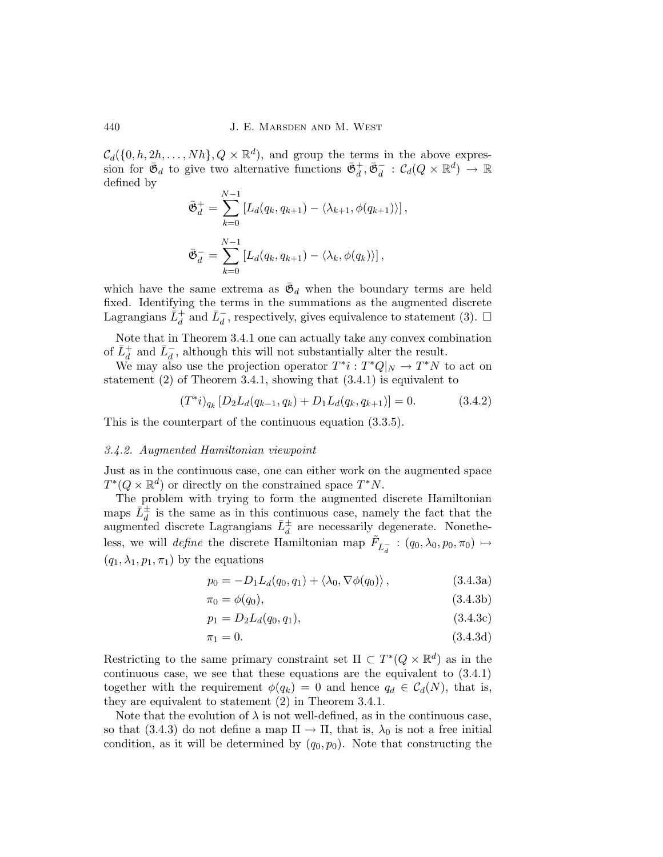$\mathcal{C}_d({0,h, 2h, \ldots, Nh}, Q \times \mathbb{R}^d)$ , and group the terms in the above expression for  $\bar{\mathfrak{G}}_d$  to give two alternative functions  $\bar{\mathfrak{G}}_d^+$ ,  $\bar{\mathfrak{G}}_d^-$  :  $\mathcal{C}_d(Q \times \mathbb{R}^d) \to \mathbb{R}$ defined by

$$
\bar{\mathfrak{G}}_d^+ = \sum_{k=0}^{N-1} \left[ L_d(q_k, q_{k+1}) - \langle \lambda_{k+1}, \phi(q_{k+1}) \rangle \right],
$$
  

$$
\bar{\mathfrak{G}}_d^- = \sum_{k=0}^{N-1} \left[ L_d(q_k, q_{k+1}) - \langle \lambda_k, \phi(q_k) \rangle \right],
$$

which have the same extrema as  $\bar{\mathfrak{G}}_d$  when the boundary terms are held fixed. Identifying the terms in the summations as the augmented discrete Lagrangians  $\bar{L}_d^+$  and  $\bar{L}_d^-$ , respectively, gives equivalence to statement (3).  $\Box$ 

Note that in Theorem 3.4.1 one can actually take any convex combination of  $\bar{L}_d^+$  and  $\bar{L}_d^-$ , although this will not substantially alter the result.

We may also use the projection operator  $T^*i : T^*Q|_N \to T^*N$  to act on statement (2) of Theorem 3.4.1, showing that (3.4.1) is equivalent to

$$
(T^*i)_{q_k} [D_2L_d(q_{k-1}, q_k) + D_1L_d(q_k, q_{k+1})] = 0.
$$
 (3.4.2)

This is the counterpart of the continuous equation (3.3.5).

#### 3.4.2. Augmented Hamiltonian viewpoint

Just as in the continuous case, one can either work on the augmented space  $T^*(Q \times \mathbb{R}^d)$  or directly on the constrained space  $T^*N$ .

The problem with trying to form the augmented discrete Hamiltonian maps  $\overline{L}_d^{\pm}$  is the same as in this continuous case, namely the fact that the augmented discrete Lagrangians  $\bar{L}_d^{\pm}$  are necessarily degenerate. Nonetheless, we will *define* the discrete Hamiltonian map  $\tilde{F}_{\bar{L}_d^-}$ :  $(q_0, \lambda_0, p_0, \pi_0) \mapsto$  $(q_1, \lambda_1, p_1, \pi_1)$  by the equations

$$
p_0 = -D_1 L_d(q_0, q_1) + \langle \lambda_0, \nabla \phi(q_0) \rangle, \qquad (3.4.3a)
$$

$$
\pi_0 = \phi(q_0), \tag{3.4.3b}
$$

$$
p_1 = D_2 L_d(q_0, q_1), \tag{3.4.3c}
$$

$$
\pi_1 = 0. \tag{3.4.3d}
$$

Restricting to the same primary constraint set  $\Pi \subset T^*(Q \times \mathbb{R}^d)$  as in the continuous case, we see that these equations are the equivalent to (3.4.1) together with the requirement  $\phi(q_k) = 0$  and hence  $q_d \in C_d(N)$ , that is, they are equivalent to statement (2) in Theorem 3.4.1.

Note that the evolution of  $\lambda$  is not well-defined, as in the continuous case, so that (3.4.3) do not define a map  $\Pi \to \Pi$ , that is,  $\lambda_0$  is not a free initial condition, as it will be determined by  $(q_0, p_0)$ . Note that constructing the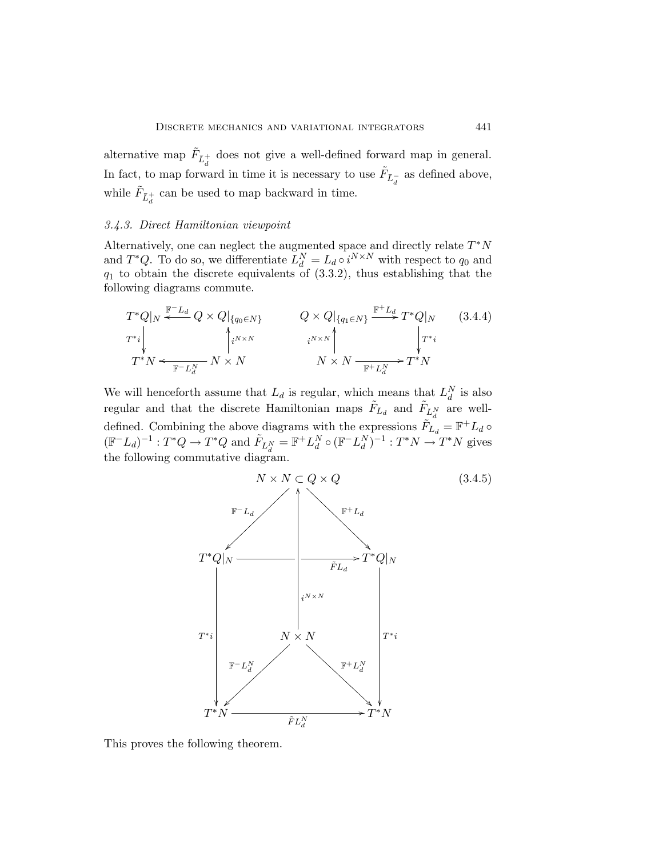alternative map  $\tilde{F}_{\tilde{L}^+_d}$  does not give a well-defined forward map in general. In fact, to map forward in time it is necessary to use  $\tilde{F}_{\bar{L}_d^-}$  as defined above, while  $\tilde{F}_{\bar{L}_{d}^{+}}$  can be used to map backward in time.

## 3.4.3. Direct Hamiltonian viewpoint

Alternatively, one can neglect the augmented space and directly relate  $T^*N$ and  $T^*Q$ . To do so, we differentiate  $L_d^N = L_d \circ i^{N \times N}$  with respect to  $q_0$  and  $q_1$  to obtain the discrete equivalents of  $(3.3.2)$ , thus establishing that the following diagrams commute.

$$
T^*Q|_N \stackrel{\mathbb{F}^{-}L_d}{\underset{\text{F}^{-}L_q}{\longrightarrow}} Q \times Q|_{\{q_0 \in N\}} \qquad Q \times Q|_{\{q_1 \in N\}} \stackrel{\mathbb{F}^{+}L_d}{\underset{\text{F}^{-}L_q}{\longrightarrow}} T^*Q|_N \qquad (3.4.4)
$$
\n
$$
T^*N \stackrel{\left(\underset{\text{F}^{-}L_q}{\overset{\text{F}^{-}L_q}{\longrightarrow}}} N \times N \qquad N \times N \stackrel{\text{F}^{-}L_q}{\underset{\text{F}^{+}L_q}{\longrightarrow}} T^*N
$$

We will henceforth assume that  $L_d$  is regular, which means that  $L_d^N$  is also regular and that the discrete Hamiltonian maps  $\tilde{F}_{L_d}$  and  $\tilde{F}_{L_d^N}$  are welldefined. Combining the above diagrams with the expressions  $\tilde{F}_{L_d} = \mathbb{F}^+ L_d \circ$  $(\mathbb{F} - L_d)^{-1} : T^*Q \to T^*Q$  and  $\tilde{F}_{L_d^N} = \mathbb{F} + L_d^N \circ (\mathbb{F} - L_d^N)^{-1} : T^*N \to T^*N$  gives the following commutative diagram.



This proves the following theorem.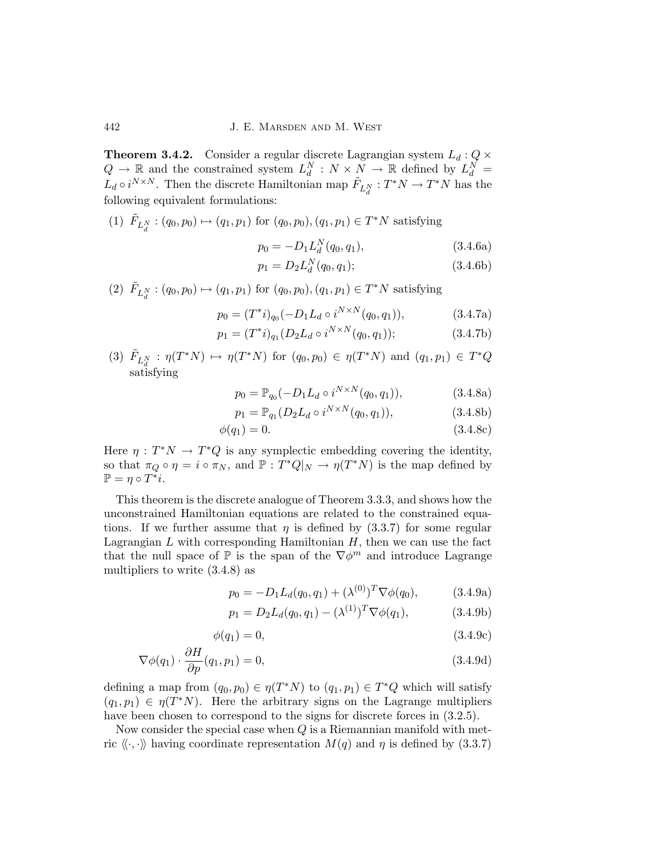**Theorem 3.4.2.** Consider a regular discrete Lagrangian system  $L_d: Q \times$  $Q \to \mathbb{R}$  and the constrained system  $L_d^N : N \times N \to \mathbb{R}$  defined by  $L_d^N =$  $L_d \circ i^{N \times N}$ . Then the discrete Hamiltonian map  $\tilde{F}_{L_d^N}: T^*N \to T^*N$  has the following equivalent formulations:

(1)  $\tilde{F}_{L_d^N} : (q_0, p_0) \mapsto (q_1, p_1)$  for  $(q_0, p_0), (q_1, p_1) \in T^*N$  satisfying

$$
p_0 = -D_1 L_d^N(q_0, q_1), \qquad (3.4.6a)
$$

$$
p_1 = D_2 L_d^N(q_0, q_1); \tag{3.4.6b}
$$

(2)  $\tilde{F}_{L_d^N} : (q_0, p_0) \mapsto (q_1, p_1)$  for  $(q_0, p_0), (q_1, p_1) \in T^*N$  satisfying

$$
p_0 = (T^*i)_{q_0}(-D_1L_d \circ i^{N \times N}(q_0, q_1)), \qquad (3.4.7a)
$$

$$
p_1 = (T^*i)_{q_1}(D_2L_d \circ i^{N \times N}(q_0, q_1)); \tag{3.4.7b}
$$

(3)  $\tilde{F}_{L_d^N} : \eta(T^*N) \mapsto \eta(T^*N)$  for  $(q_0, p_0) \in \eta(T^*N)$  and  $(q_1, p_1) \in T^*Q$ satisfying

$$
p_0 = \mathbb{P}_{q_0}(-D_1 L_d \circ i^{N \times N}(q_0, q_1)), \tag{3.4.8a}
$$

$$
p_1 = \mathbb{P}_{q_1}(D_2 L_d \circ i^{N \times N}(q_0, q_1)), \tag{3.4.8b}
$$

$$
\phi(q_1) = 0.\tag{3.4.8c}
$$

Here  $\eta : T^*N \to T^*Q$  is any symplectic embedding covering the identity, so that  $\pi_Q \circ \eta = i \circ \pi_N$ , and  $\mathbb{P} : T^*Q|_N \to \eta(T^*N)$  is the map defined by  $\mathbb{P} = \eta \circ T^*i.$ 

This theorem is the discrete analogue of Theorem 3.3.3, and shows how the unconstrained Hamiltonian equations are related to the constrained equations. If we further assume that  $\eta$  is defined by (3.3.7) for some regular Lagrangian  $L$  with corresponding Hamiltonian  $H$ , then we can use the fact that the null space of  $\mathbb P$  is the span of the  $\nabla\phi^m$  and introduce Lagrange multipliers to write (3.4.8) as

$$
p_0 = -D_1 L_d(q_0, q_1) + (\lambda^{(0)})^T \nabla \phi(q_0), \qquad (3.4.9a)
$$

$$
p_1 = D_2 L_d(q_0, q_1) - (\lambda^{(1)})^T \nabla \phi(q_1), \qquad (3.4.9b)
$$

$$
\phi(q_1) = 0,\tag{3.4.9c}
$$

$$
\nabla \phi(q_1) \cdot \frac{\partial H}{\partial p}(q_1, p_1) = 0,\tag{3.4.9d}
$$

defining a map from  $(q_0, p_0) \in \eta(T^*N)$  to  $(q_1, p_1) \in T^*Q$  which will satisfy  $(q_1, p_1) \in \eta(T^*N)$ . Here the arbitrary signs on the Lagrange multipliers have been chosen to correspond to the signs for discrete forces in  $(3.2.5)$ .

∂H

Now consider the special case when  $Q$  is a Riemannian manifold with metric  $\langle \langle \cdot, \cdot \rangle \rangle$  having coordinate representation  $M(q)$  and  $\eta$  is defined by (3.3.7)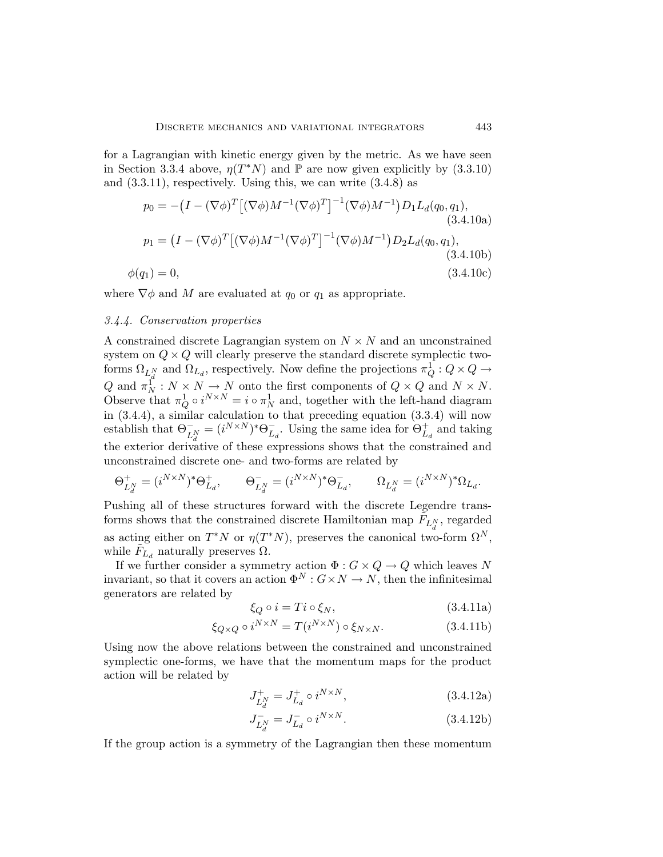for a Lagrangian with kinetic energy given by the metric. As we have seen in Section 3.3.4 above,  $\eta(T^*N)$  and  $\mathbb P$  are now given explicitly by (3.3.10) and (3.3.11), respectively. Using this, we can write (3.4.8) as

$$
p_0 = -\left(I - (\nabla \phi)^T \left[ (\nabla \phi) M^{-1} (\nabla \phi)^T \right]^{-1} (\nabla \phi) M^{-1} \right) D_1 L_d(q_0, q_1),
$$
\n(3.4.10a)  
\n
$$
p_1 = \left(I - (\nabla \phi)^T \left[ (\nabla \phi) M^{-1} (\nabla \phi)^T \right]^{-1} (\nabla \phi) M^{-1} \right) D_2 L_d(q_0, q_1),
$$
\n(3.4.10b)  
\n
$$
\phi(q_1) = 0,
$$
\n(3.4.10c)

where  $\nabla \phi$  and M are evaluated at  $q_0$  or  $q_1$  as appropriate.

## 3.4.4. Conservation properties

A constrained discrete Lagrangian system on  $N \times N$  and an unconstrained system on  $Q \times Q$  will clearly preserve the standard discrete symplectic twoforms  $\Omega_{L_q}$  and  $\Omega_{L_d}$ , respectively. Now define the projections  $\pi_Q^1: Q \times Q \to$ Q and  $\pi_N^1 : N \times N \to N$  onto the first components of  $Q \times Q$  and  $N \times N$ . Observe that  $\pi_Q^1 \circ i^{N \times N} = i \circ \pi_N^1$  and, together with the left-hand diagram in (3.4.4), a similar calculation to that preceding equation (3.3.4) will now establish that  $\Theta^-_L$  $L_d^N = (i^{N \times N})^* \Theta_{L_d}^ L_d$ . Using the same idea for  $\Theta_L^+$  $_{L_d}^+$  and taking the exterior derivative of these expressions shows that the constrained and unconstrained discrete one- and two-forms are related by

$$
\Theta_{L_d^N}^+ = (i^{N \times N})^* \Theta_{L_d}^+, \qquad \Theta_{L_d^N}^- = (i^{N \times N})^* \Theta_{L_d}^-, \qquad \Omega_{L_d^N} = (i^{N \times N})^* \Omega_{L_d}.
$$

Pushing all of these structures forward with the discrete Legendre transforms shows that the constrained discrete Hamiltonian map  $\tilde{F}_{L_d^N}$ , regarded as acting either on  $T^*N$  or  $\eta(T^*N)$ , preserves the canonical two-form  $\Omega^N$ , while  $\tilde{F}_{L_d}$  naturally preserves  $\Omega$ .

If we further consider a symmetry action  $\Phi: G \times Q \to Q$  which leaves N invariant, so that it covers an action  $\Phi^N: G \times N \to N$ , then the infinitesimal generators are related by

$$
\xi_Q \circ i = Ti \circ \xi_N, \tag{3.4.11a}
$$

$$
\xi_{Q\times Q} \circ i^{N \times N} = T(i^{N \times N}) \circ \xi_{N \times N}.
$$
 (3.4.11b)

Using now the above relations between the constrained and unconstrained symplectic one-forms, we have that the momentum maps for the product action will be related by

$$
J_{L_d^N}^+ = J_{L_d}^+ \circ i^{N \times N}, \tag{3.4.12a}
$$

$$
J_{L_d^N}^- = J_{L_d}^- \circ i^{N \times N}.\tag{3.4.12b}
$$

If the group action is a symmetry of the Lagrangian then these momentum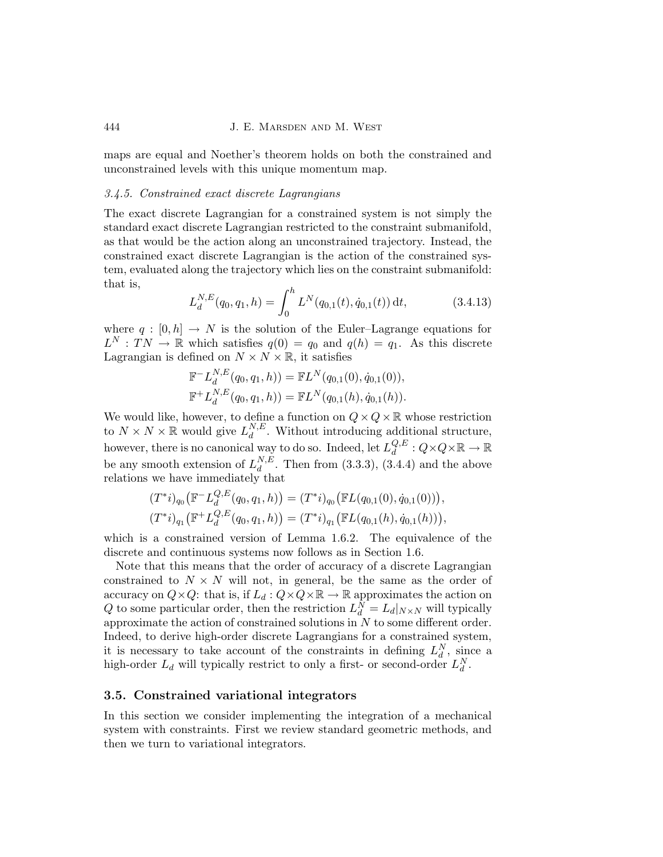maps are equal and Noether's theorem holds on both the constrained and unconstrained levels with this unique momentum map.

#### 3.4.5. Constrained exact discrete Lagrangians

The exact discrete Lagrangian for a constrained system is not simply the standard exact discrete Lagrangian restricted to the constraint submanifold, as that would be the action along an unconstrained trajectory. Instead, the constrained exact discrete Lagrangian is the action of the constrained system, evaluated along the trajectory which lies on the constraint submanifold: that is,

$$
L_d^{N,E}(q_0, q_1, h) = \int_0^h L^N(q_{0,1}(t), \dot{q}_{0,1}(t)) dt,
$$
\n(3.4.13)

where  $q : [0, h] \to N$  is the solution of the Euler–Lagrange equations for  $L^N: TN \to \mathbb{R}$  which satisfies  $q(0) = q_0$  and  $q(h) = q_1$ . As this discrete Lagrangian is defined on  $N \times N \times \mathbb{R}$ , it satisfies

$$
\mathbb{F}^{-}L_{d}^{N,E}(q_{0},q_{1},h)) = \mathbb{F}L^{N}(q_{0,1}(0),\dot{q}_{0,1}(0)),
$$
  

$$
\mathbb{F}^{+}L_{d}^{N,E}(q_{0},q_{1},h)) = \mathbb{F}L^{N}(q_{0,1}(h),\dot{q}_{0,1}(h)).
$$

We would like, however, to define a function on  $Q \times Q \times \mathbb{R}$  whose restriction to  $N \times N \times \mathbb{R}$  would give  $L_d^{N,E}$  $\mathcal{L}_{d}^{N,E}$ . Without introducing additional structure, however, there is no canonical way to do so. Indeed, let  $L_d^{Q,E}$  $Q_d^{Q,E}: Q \times Q \times \mathbb{R} \to \mathbb{R}$ be any smooth extension of  $L_d^{N,E}$  $\frac{d^{N,E}}{d}$ . Then from (3.3.3), (3.4.4) and the above relations we have immediately that

$$
(T^*i)_{q_0}(\mathbb{F}^{-}L_d^{Q,E}(q_0,q_1,h)) = (T^*i)_{q_0}(\mathbb{F}L(q_{0,1}(0),\dot{q}_{0,1}(0))),
$$
  

$$
(T^*i)_{q_1}(\mathbb{F}^{+}L_d^{Q,E}(q_0,q_1,h)) = (T^*i)_{q_1}(\mathbb{F}L(q_{0,1}(h),\dot{q}_{0,1}(h))),
$$

which is a constrained version of Lemma 1.6.2. The equivalence of the discrete and continuous systems now follows as in Section 1.6.

Note that this means that the order of accuracy of a discrete Lagrangian constrained to  $N \times N$  will not, in general, be the same as the order of accuracy on  $Q \times Q$ : that is, if  $L_d : Q \times Q \times \mathbb{R} \to \mathbb{R}$  approximates the action on Q to some particular order, then the restriction  $L_d^N = L_d|_{N \times N}$  will typically approximate the action of constrained solutions in  $N$  to some different order. Indeed, to derive high-order discrete Lagrangians for a constrained system, it is necessary to take account of the constraints in defining  $L_d^N$ , since a high-order  $L_d$  will typically restrict to only a first- or second-order  $L_d^N$ .

# 3.5. Constrained variational integrators

In this section we consider implementing the integration of a mechanical system with constraints. First we review standard geometric methods, and then we turn to variational integrators.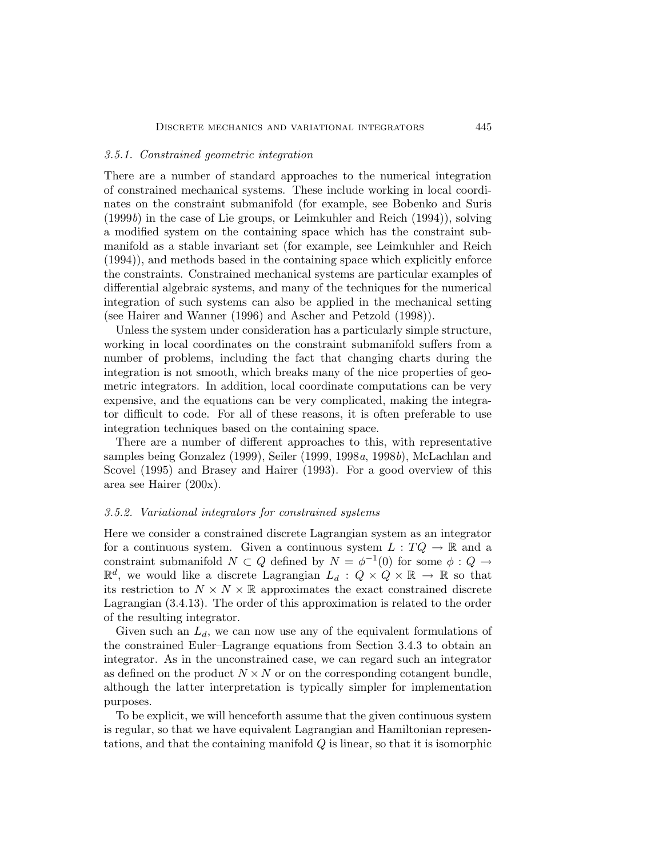#### 3.5.1. Constrained geometric integration

There are a number of standard approaches to the numerical integration of constrained mechanical systems. These include working in local coordinates on the constraint submanifold (for example, see Bobenko and Suris (1999b) in the case of Lie groups, or Leimkuhler and Reich (1994)), solving a modified system on the containing space which has the constraint submanifold as a stable invariant set (for example, see Leimkuhler and Reich (1994)), and methods based in the containing space which explicitly enforce the constraints. Constrained mechanical systems are particular examples of differential algebraic systems, and many of the techniques for the numerical integration of such systems can also be applied in the mechanical setting (see Hairer and Wanner (1996) and Ascher and Petzold (1998)).

Unless the system under consideration has a particularly simple structure, working in local coordinates on the constraint submanifold suffers from a number of problems, including the fact that changing charts during the integration is not smooth, which breaks many of the nice properties of geometric integrators. In addition, local coordinate computations can be very expensive, and the equations can be very complicated, making the integrator difficult to code. For all of these reasons, it is often preferable to use integration techniques based on the containing space.

There are a number of different approaches to this, with representative samples being Gonzalez (1999), Seiler (1999, 1998*a*, 1998*b*), McLachlan and Scovel (1995) and Brasey and Hairer (1993). For a good overview of this area see Hairer (200x).

## 3.5.2. Variational integrators for constrained systems

Here we consider a constrained discrete Lagrangian system as an integrator for a continuous system. Given a continuous system  $L: TQ \to \mathbb{R}$  and a constraint submanifold  $N \subset Q$  defined by  $N = \phi^{-1}(0)$  for some  $\phi : Q \to$  $\mathbb{R}^d$ , we would like a discrete Lagrangian  $L_d: Q \times Q \times \mathbb{R} \to \mathbb{R}$  so that its restriction to  $N \times N \times \mathbb{R}$  approximates the exact constrained discrete Lagrangian (3.4.13). The order of this approximation is related to the order of the resulting integrator.

Given such an  $L_d$ , we can now use any of the equivalent formulations of the constrained Euler–Lagrange equations from Section 3.4.3 to obtain an integrator. As in the unconstrained case, we can regard such an integrator as defined on the product  $N \times N$  or on the corresponding cotangent bundle, although the latter interpretation is typically simpler for implementation purposes.

To be explicit, we will henceforth assume that the given continuous system is regular, so that we have equivalent Lagrangian and Hamiltonian representations, and that the containing manifold  $Q$  is linear, so that it is isomorphic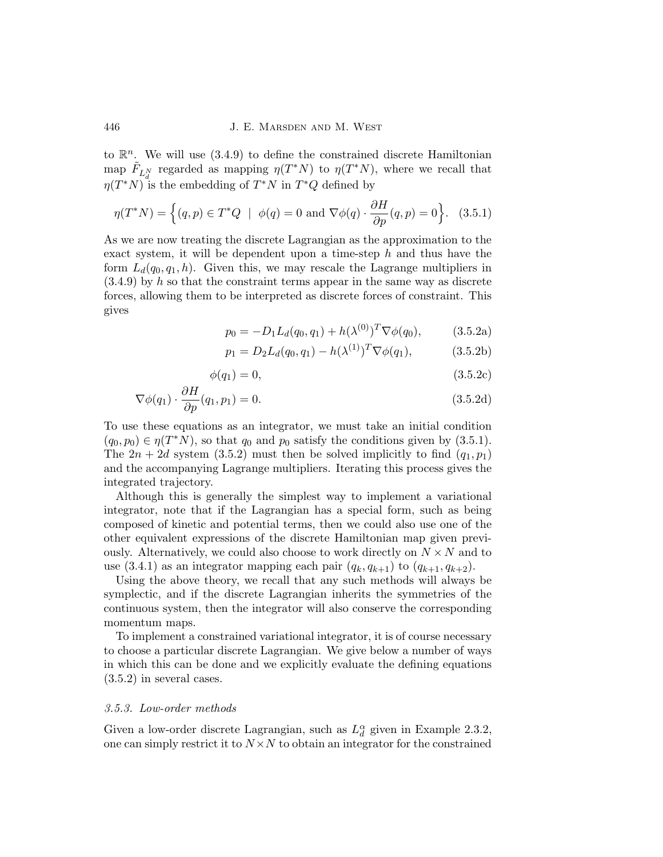to  $\mathbb{R}^n$ . We will use (3.4.9) to define the constrained discrete Hamiltonian map  $\tilde{F}_{L_q^N}$  regarded as mapping  $\eta(T^*N)$  to  $\eta(T^*N)$ , where we recall that  $\eta(T^*N)$  is the embedding of  $T^*N$  in  $T^*Q$  defined by

$$
\eta(T^*N) = \left\{ (q, p) \in T^*Q \mid \phi(q) = 0 \text{ and } \nabla \phi(q) \cdot \frac{\partial H}{\partial p}(q, p) = 0 \right\}. \tag{3.5.1}
$$

As we are now treating the discrete Lagrangian as the approximation to the exact system, it will be dependent upon a time-step  $h$  and thus have the form  $L_d(q_0, q_1, h)$ . Given this, we may rescale the Lagrange multipliers in  $(3.4.9)$  by h so that the constraint terms appear in the same way as discrete forces, allowing them to be interpreted as discrete forces of constraint. This gives

$$
p_0 = -D_1 L_d(q_0, q_1) + h(\lambda^{(0)})^T \nabla \phi(q_0), \quad (3.5.2a)
$$

$$
p_1 = D_2 L_d(q_0, q_1) - h(\lambda^{(1)})^T \nabla \phi(q_1), \tag{3.5.2b}
$$

$$
\phi(q_1) = 0,\tag{3.5.2c}
$$

$$
\nabla \phi(q_1) \cdot \frac{\partial H}{\partial p}(q_1, p_1) = 0. \tag{3.5.2d}
$$

To use these equations as an integrator, we must take an initial condition  $(q_0, p_0) \in \eta(T^*N)$ , so that  $q_0$  and  $p_0$  satisfy the conditions given by (3.5.1). The  $2n + 2d$  system (3.5.2) must then be solved implicitly to find  $(q_1, p_1)$ and the accompanying Lagrange multipliers. Iterating this process gives the integrated trajectory.

Although this is generally the simplest way to implement a variational integrator, note that if the Lagrangian has a special form, such as being composed of kinetic and potential terms, then we could also use one of the other equivalent expressions of the discrete Hamiltonian map given previously. Alternatively, we could also choose to work directly on  $N \times N$  and to use (3.4.1) as an integrator mapping each pair  $(q_k, q_{k+1})$  to  $(q_{k+1}, q_{k+2})$ .

Using the above theory, we recall that any such methods will always be symplectic, and if the discrete Lagrangian inherits the symmetries of the continuous system, then the integrator will also conserve the corresponding momentum maps.

To implement a constrained variational integrator, it is of course necessary to choose a particular discrete Lagrangian. We give below a number of ways in which this can be done and we explicitly evaluate the defining equations (3.5.2) in several cases.

## 3.5.3. Low-order methods

Given a low-order discrete Lagrangian, such as  $L_d^{\alpha}$  given in Example 2.3.2, one can simply restrict it to  $N \times N$  to obtain an integrator for the constrained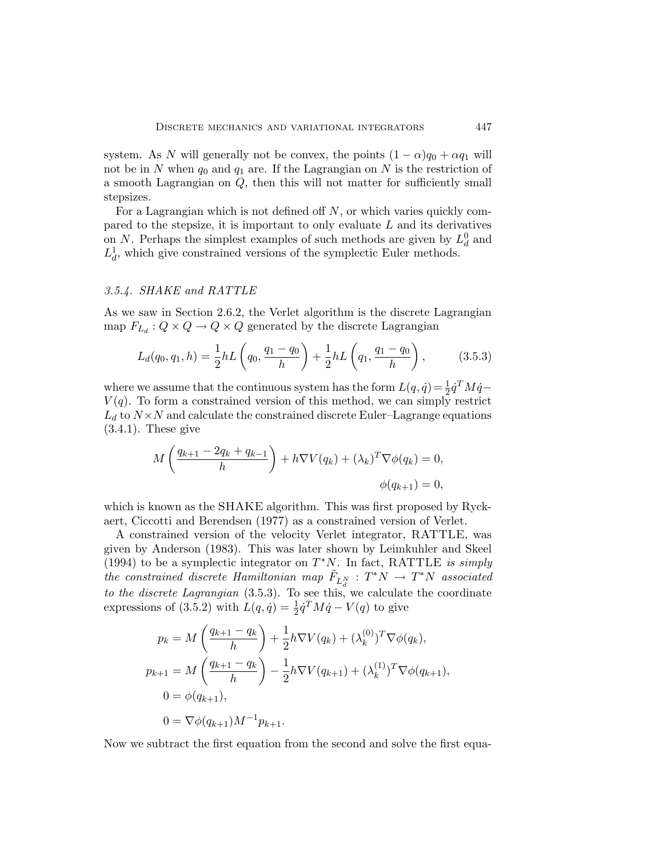system. As N will generally not be convex, the points  $(1 - \alpha)q_0 + \alpha q_1$  will not be in N when  $q_0$  and  $q_1$  are. If the Lagrangian on N is the restriction of a smooth Lagrangian on  $Q$ , then this will not matter for sufficiently small stepsizes.

For a Lagrangian which is not defined of  $N$ , or which varies quickly compared to the stepsize, it is important to only evaluate  $L$  and its derivatives on N. Perhaps the simplest examples of such methods are given by  $L_d^0$  and  $L_d^1$ , which give constrained versions of the symplectic Euler methods.

#### 3.5.4. SHAKE and RATTLE

As we saw in Section 2.6.2, the Verlet algorithm is the discrete Lagrangian map  $F_{L_d}: Q \times Q \to Q \times Q$  generated by the discrete Lagrangian

$$
L_d(q_0, q_1, h) = \frac{1}{2} h L\left(q_0, \frac{q_1 - q_0}{h}\right) + \frac{1}{2} h L\left(q_1, \frac{q_1 - q_0}{h}\right),\tag{3.5.3}
$$

where we assume that the continuous system has the form  $L(q, \dot{q}) = \frac{1}{2}$  $\frac{1}{2}\dot{q}^TM\dot{q} V(q)$ . To form a constrained version of this method, we can simply restrict  $L_d$  to  $N \times N$  and calculate the constrained discrete Euler–Lagrange equations (3.4.1). These give

$$
M\left(\frac{q_{k+1} - 2q_k + q_{k-1}}{h}\right) + h\nabla V(q_k) + (\lambda_k)^T \nabla \phi(q_k) = 0,
$$
  

$$
\phi(q_{k+1}) = 0,
$$

which is known as the SHAKE algorithm. This was first proposed by Ryckaert, Ciccotti and Berendsen (1977) as a constrained version of Verlet.

A constrained version of the velocity Verlet integrator, RATTLE, was given by Anderson (1983). This was later shown by Leimkuhler and Skeel (1994) to be a symplectic integrator on  $T^*N$ . In fact, RATTLE is simply the constrained discrete Hamiltonian map  $\tilde{F}_{L^N_d} : T^*N \to T^*N$  associated to the discrete Lagrangian (3.5.3). To see this, we calculate the coordinate expressions of (3.5.2) with  $L(q, \dot{q}) = \frac{1}{2}$  $\frac{1}{2}\dot{q}^TM\dot{q}-V(q)$  to give

$$
p_k = M\left(\frac{q_{k+1} - q_k}{h}\right) + \frac{1}{2}h\nabla V(q_k) + (\lambda_k^{(0)})^T \nabla \phi(q_k),
$$
  
\n
$$
p_{k+1} = M\left(\frac{q_{k+1} - q_k}{h}\right) - \frac{1}{2}h\nabla V(q_{k+1}) + (\lambda_k^{(1)})^T \nabla \phi(q_{k+1}),
$$
  
\n
$$
0 = \phi(q_{k+1}),
$$
  
\n
$$
0 = \nabla \phi(q_{k+1}) M^{-1} p_{k+1}.
$$

Now we subtract the first equation from the second and solve the first equa-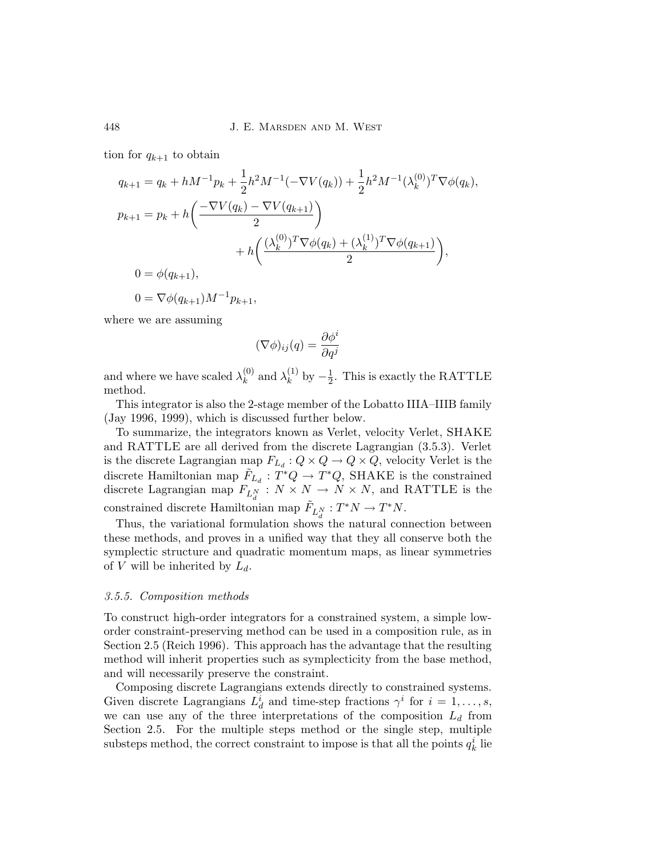tion for  $q_{k+1}$  to obtain

$$
q_{k+1} = q_k + hM^{-1}p_k + \frac{1}{2}h^2M^{-1}(-\nabla V(q_k)) + \frac{1}{2}h^2M^{-1}(\lambda_k^{(0)})^T\nabla\phi(q_k),
$$
  
\n
$$
p_{k+1} = p_k + h\left(\frac{-\nabla V(q_k) - \nabla V(q_{k+1})}{2}\right)
$$
  
\n
$$
+ h\left(\frac{(\lambda_k^{(0)})^T\nabla\phi(q_k) + (\lambda_k^{(1)})^T\nabla\phi(q_{k+1})}{2}\right),
$$
  
\n
$$
0 = \phi(q_{k+1}),
$$

$$
0 = \nabla \phi(q_{k+1}) M^{-1} p_{k+1},
$$

where we are assuming

$$
(\nabla \phi)_{ij}(q) = \frac{\partial \phi^i}{\partial q^j}
$$

and where we have scaled  $\lambda_k^{(0)}$  $\lambda_k^{(0)}$  and  $\lambda_k^{(1)}$  $_{k}^{(1)}$  by  $-\frac{1}{2}$  $\frac{1}{2}$ . This is exactly the RATTLE method.

This integrator is also the 2-stage member of the Lobatto IIIA–IIIB family (Jay 1996, 1999), which is discussed further below.

To summarize, the integrators known as Verlet, velocity Verlet, SHAKE and RATTLE are all derived from the discrete Lagrangian (3.5.3). Verlet is the discrete Lagrangian map  $F_{L_d}: Q \times Q \to Q \times Q$ , velocity Verlet is the discrete Hamiltonian map  $\tilde{F}_{L_d}: T^*Q \to T^*Q$ , SHAKE is the constrained discrete Lagrangian map  $F_{L_d^N} : N \times N \to N \times N$ , and RATTLE is the constrained discrete Hamiltonian map  $\tilde{F}_{L_d^N}: T^*N \to T^*N$ .

Thus, the variational formulation shows the natural connection between these methods, and proves in a unified way that they all conserve both the symplectic structure and quadratic momentum maps, as linear symmetries of V will be inherited by  $L_d$ .

#### 3.5.5. Composition methods

To construct high-order integrators for a constrained system, a simple loworder constraint-preserving method can be used in a composition rule, as in Section 2.5 (Reich 1996). This approach has the advantage that the resulting method will inherit properties such as symplecticity from the base method, and will necessarily preserve the constraint.

Composing discrete Lagrangians extends directly to constrained systems. Given discrete Lagrangians  $L_d^i$  and time-step fractions  $\gamma^i$  for  $i = 1, \ldots, s$ , we can use any of the three interpretations of the composition  $L_d$  from Section 2.5. For the multiple steps method or the single step, multiple substeps method, the correct constraint to impose is that all the points  $q_k^i$  lie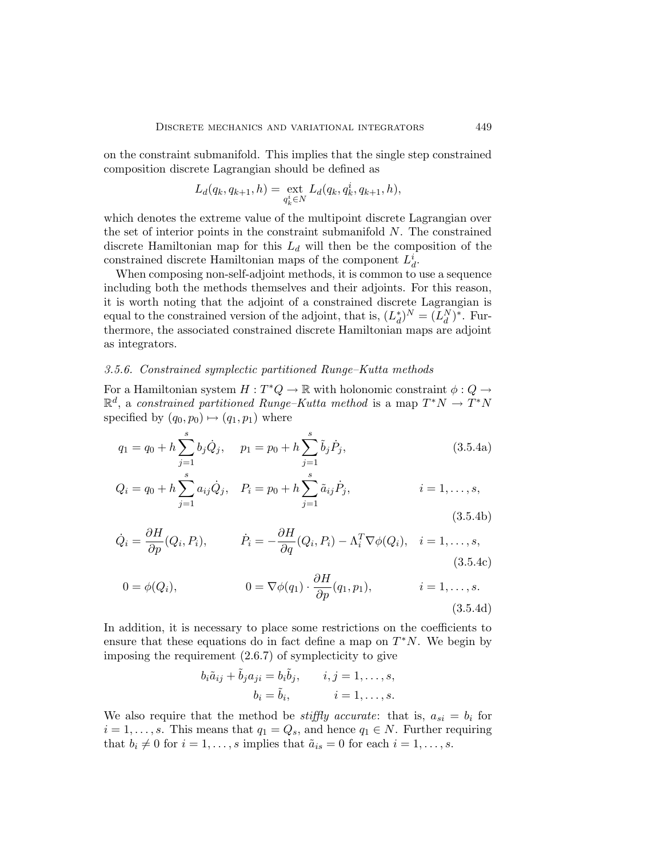on the constraint submanifold. This implies that the single step constrained composition discrete Lagrangian should be defined as

$$
L_d(q_k, q_{k+1}, h) = \operatorname{ext}_{q_k^i \in N} L_d(q_k, q_k^i, q_{k+1}, h),
$$

which denotes the extreme value of the multipoint discrete Lagrangian over the set of interior points in the constraint submanifold  $N$ . The constrained discrete Hamiltonian map for this  $L_d$  will then be the composition of the constrained discrete Hamiltonian maps of the component  $L_d^i$ .

When composing non-self-adjoint methods, it is common to use a sequence including both the methods themselves and their adjoints. For this reason, it is worth noting that the adjoint of a constrained discrete Lagrangian is equal to the constrained version of the adjoint, that is,  $(L_d^*)^N = (L_d^N)^*$ . Furthermore, the associated constrained discrete Hamiltonian maps are adjoint as integrators.

#### 3.5.6. Constrained symplectic partitioned Runge–Kutta methods

For a Hamiltonian system  $H: T^*Q \to \mathbb{R}$  with holonomic constraint  $\phi: Q \to$  $\mathbb{R}^d$ , a constrained partitioned Runge–Kutta method is a map  $T^*N \to T^*N$ specified by  $(q_0, p_0) \mapsto (q_1, p_1)$  where

$$
q_1 = q_0 + h \sum_{j=1}^{s} b_j \dot{Q}_j, \quad p_1 = p_0 + h \sum_{j=1}^{s} \tilde{b}_j \dot{P}_j,
$$
\n(3.5.4a)

$$
Q_i = q_0 + h \sum_{j=1}^s a_{ij} \dot{Q}_j, \quad P_i = p_0 + h \sum_{j=1}^s \tilde{a}_{ij} \dot{P}_j, \qquad i = 1, ..., s,
$$
\n(3.5.4b)

$$
\dot{Q}_i = \frac{\partial H}{\partial p}(Q_i, P_i), \qquad \dot{P}_i = -\frac{\partial H}{\partial q}(Q_i, P_i) - \Lambda_i^T \nabla \phi(Q_i), \quad i = 1, ..., s,
$$
\n(3.5.4c)

$$
0 = \phi(Q_i), \qquad 0 = \nabla \phi(q_1) \cdot \frac{\partial H}{\partial p}(q_1, p_1), \qquad i = 1, \dots, s.
$$
\n(3.5.4d)

In addition, it is necessary to place some restrictions on the coefficients to ensure that these equations do in fact define a map on  $T^*N$ . We begin by imposing the requirement (2.6.7) of symplecticity to give

$$
b_i \tilde{a}_{ij} + \tilde{b}_j a_{ji} = b_i \tilde{b}_j,
$$
  $i, j = 1, ..., s,$   
 $b_i = \tilde{b}_i,$   $i = 1, ..., s.$ 

We also require that the method be *stiffly accurate*: that is,  $a_{si} = b_i$  for  $i = 1, \ldots, s$ . This means that  $q_1 = Q_s$ , and hence  $q_1 \in N$ . Further requiring that  $b_i \neq 0$  for  $i = 1, \ldots, s$  implies that  $\tilde{a}_{is} = 0$  for each  $i = 1, \ldots, s$ .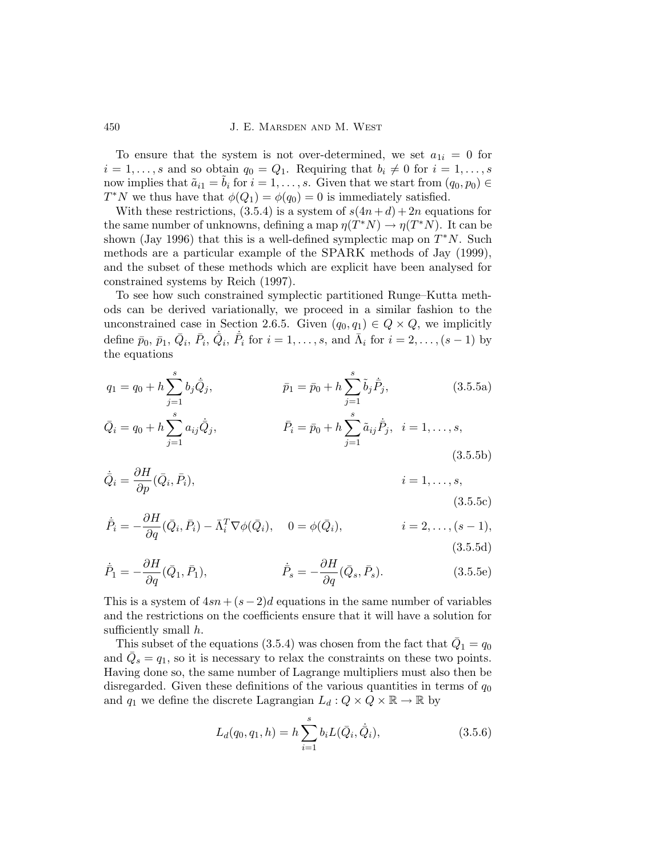To ensure that the system is not over-determined, we set  $a_{1i} = 0$  for  $i = 1, \ldots, s$  and so obtain  $q_0 = Q_1$ . Requiring that  $b_i \neq 0$  for  $i = 1, \ldots, s$ now implies that  $\tilde{a}_{i1} = b_i$  for  $i = 1, \ldots, s$ . Given that we start from  $(q_0, p_0) \in$  $T^*N$  we thus have that  $\phi(Q_1) = \phi(q_0) = 0$  is immediately satisfied.

With these restrictions,  $(3.5.4)$  is a system of  $s(4n+d)+2n$  equations for the same number of unknowns, defining a map  $\eta(T^*N) \to \eta(T^*N)$ . It can be shown (Jay 1996) that this is a well-defined symplectic map on  $T^*N$ . Such methods are a particular example of the SPARK methods of Jay (1999), and the subset of these methods which are explicit have been analysed for constrained systems by Reich (1997).

To see how such constrained symplectic partitioned Runge–Kutta methods can be derived variationally, we proceed in a similar fashion to the unconstrained case in Section 2.6.5. Given  $(q_0, q_1) \in Q \times Q$ , we implicitly define  $\bar{p}_0$ ,  $\bar{p}_1$ ,  $\bar{Q}_i$ ,  $\bar{P}_i$ ,  $\dot{\bar{Q}}_i$ ,  $\dot{\bar{P}}_i$  for  $i = 1, \ldots, s$ , and  $\bar{\Lambda}_i$  for  $i = 2, \ldots, (s - 1)$  by the equations

$$
q_1 = q_0 + h \sum_{j=1}^s b_j \dot{\bar{Q}}_j, \qquad \qquad \bar{p}_1 = \bar{p}_0 + h \sum_{j=1}^s \tilde{b}_j \dot{\bar{P}}_j, \qquad (3.5.5a)
$$
  

$$
\bar{Q}_i = q_0 + h \sum_{j=1}^s a_{ij} \dot{\bar{Q}}_j, \qquad \qquad \bar{P}_i = \bar{p}_0 + h \sum_{j=1}^s \tilde{a}_{ij} \dot{\bar{P}}_j, \quad i = 1, ..., s,
$$
  

$$
(3.5.5b)
$$

$$
\dot{\bar{Q}}_i = \frac{\partial H}{\partial p}(\bar{Q}_i, \bar{P}_i), \qquad i = 1, \dots, s,
$$
\n(3.5.5c)

$$
\dot{\bar{P}}_i = -\frac{\partial H}{\partial q}(\bar{Q}_i, \bar{P}_i) - \bar{\Lambda}_i^T \nabla \phi(\bar{Q}_i), \qquad 0 = \phi(\bar{Q}_i), \qquad i = 2, \dots, (s-1),
$$
\n(3.5.5d)

$$
\dot{\bar{P}}_1 = -\frac{\partial H}{\partial q}(\bar{Q}_1, \bar{P}_1), \qquad \dot{\bar{P}}_s = -\frac{\partial H}{\partial q}(\bar{Q}_s, \bar{P}_s). \qquad (3.5.5e)
$$

This is a system of  $4sn+(s-2)d$  equations in the same number of variables and the restrictions on the coefficients ensure that it will have a solution for sufficiently small  $h$ .

This subset of the equations (3.5.4) was chosen from the fact that  $\overline{Q}_1 = q_0$ and  $\overline{Q}_s = q_1$ , so it is necessary to relax the constraints on these two points. Having done so, the same number of Lagrange multipliers must also then be disregarded. Given these definitions of the various quantities in terms of  $q_0$ and  $q_1$  we define the discrete Lagrangian  $L_d: Q \times Q \times \mathbb{R} \to \mathbb{R}$  by

$$
L_d(q_0, q_1, h) = h \sum_{i=1}^{s} b_i L(\bar{Q}_i, \dot{\bar{Q}}_i),
$$
\n(3.5.6)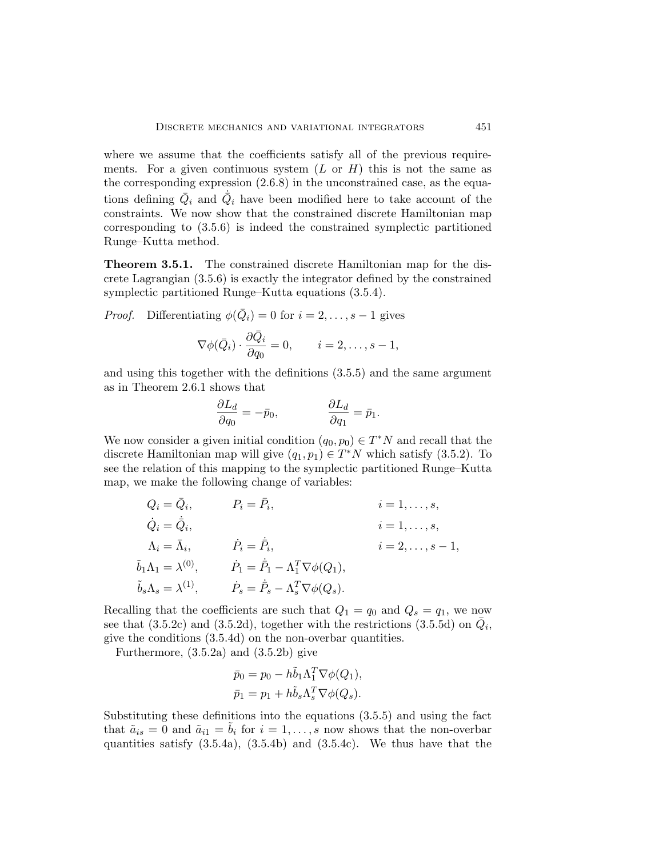where we assume that the coefficients satisfy all of the previous requirements. For a given continuous system  $(L \text{ or } H)$  this is not the same as the corresponding expression (2.6.8) in the unconstrained case, as the equations defining  $\overline{Q}_i$  and  $\dot{\overline{Q}}_i$  have been modified here to take account of the constraints. We now show that the constrained discrete Hamiltonian map corresponding to (3.5.6) is indeed the constrained symplectic partitioned Runge–Kutta method.

**Theorem 3.5.1.** The constrained discrete Hamiltonian map for the discrete Lagrangian (3.5.6) is exactly the integrator defined by the constrained symplectic partitioned Runge–Kutta equations (3.5.4).

*Proof.* Differentiating  $\phi(\bar{Q}_i) = 0$  for  $i = 2, \ldots, s - 1$  gives

$$
\nabla \phi(\bar{Q}_i) \cdot \frac{\partial \bar{Q}_i}{\partial q_0} = 0, \qquad i = 2, \dots, s - 1,
$$

and using this together with the definitions (3.5.5) and the same argument as in Theorem 2.6.1 shows that

$$
\frac{\partial L_d}{\partial q_0} = -\bar{p}_0, \qquad \qquad \frac{\partial L_d}{\partial q_1} = \bar{p}_1.
$$

We now consider a given initial condition  $(q_0, p_0) \in T^*N$  and recall that the discrete Hamiltonian map will give  $(q_1, p_1) \in T^*N$  which satisfy (3.5.2). To see the relation of this mapping to the symplectic partitioned Runge–Kutta map, we make the following change of variables:

$$
Q_i = \bar{Q}_i, \t P_i = \bar{P}_i, \t i = 1, ..., s,\n\dot{Q}_i = \dot{\bar{Q}}_i, \t i = 1, ..., s,\n\Lambda_i = \bar{\Lambda}_i, \t \dot{P}_i = \dot{\bar{P}}_i, \t i = 2, ..., s - 1,\n\tilde{b}_1 \Lambda_1 = \lambda^{(0)}, \t \dot{P}_1 = \dot{P}_1 - \Lambda_1^T \nabla \phi(Q_1),\n\tilde{b}_s \Lambda_s = \lambda^{(1)}, \t \dot{P}_s = \dot{P}_s - \Lambda_s^T \nabla \phi(Q_s).
$$

Recalling that the coefficients are such that  $Q_1 = q_0$  and  $Q_s = q_1$ , we now see that  $(3.5.2c)$  and  $(3.5.2d)$ , together with the restrictions  $(3.5.5d)$  on  $\overline{Q}_i$ , give the conditions (3.5.4d) on the non-overbar quantities.

Furthermore, (3.5.2a) and (3.5.2b) give

$$
\bar{p}_0 = p_0 - h\tilde{b}_1 \Lambda_1^T \nabla \phi(Q_1),
$$
  

$$
\bar{p}_1 = p_1 + h\tilde{b}_s \Lambda_s^T \nabla \phi(Q_s).
$$

Substituting these definitions into the equations (3.5.5) and using the fact that  $\tilde{a}_{is} = 0$  and  $\tilde{a}_{i1} = b_i$  for  $i = 1, \ldots, s$  now shows that the non-overbar quantities satisfy  $(3.5.4a)$ ,  $(3.5.4b)$  and  $(3.5.4c)$ . We thus have that the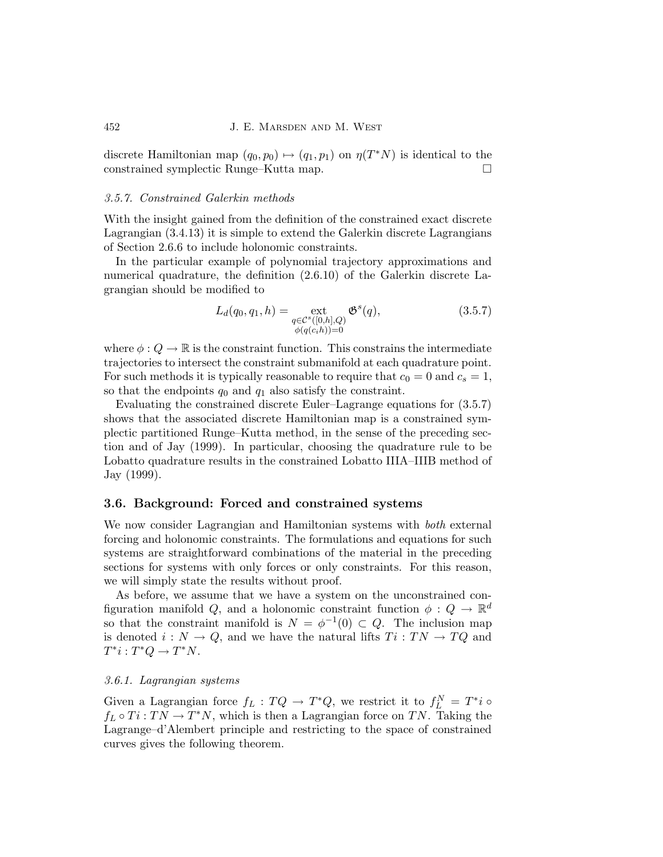discrete Hamiltonian map  $(q_0, p_0) \mapsto (q_1, p_1)$  on  $\eta(T^*N)$  is identical to the constrained symplectic Runge–Kutta map. ¤

## 3.5.7. Constrained Galerkin methods

With the insight gained from the definition of the constrained exact discrete Lagrangian (3.4.13) it is simple to extend the Galerkin discrete Lagrangians of Section 2.6.6 to include holonomic constraints.

In the particular example of polynomial trajectory approximations and numerical quadrature, the definition (2.6.10) of the Galerkin discrete Lagrangian should be modified to

$$
L_d(q_0, q_1, h) = \mathop{\text{ext}}_{\substack{q \in \mathcal{C}^s([0, h], Q) \\ \phi(q(c_i h)) = 0}} \mathfrak{G}^s(q),
$$
\n(3.5.7)

where  $\phi: Q \to \mathbb{R}$  is the constraint function. This constrains the intermediate trajectories to intersect the constraint submanifold at each quadrature point. For such methods it is typically reasonable to require that  $c_0 = 0$  and  $c_s = 1$ , so that the endpoints  $q_0$  and  $q_1$  also satisfy the constraint.

Evaluating the constrained discrete Euler–Lagrange equations for (3.5.7) shows that the associated discrete Hamiltonian map is a constrained symplectic partitioned Runge–Kutta method, in the sense of the preceding section and of Jay (1999). In particular, choosing the quadrature rule to be Lobatto quadrature results in the constrained Lobatto IIIA–IIIB method of Jay (1999).

#### 3.6. Background: Forced and constrained systems

We now consider Lagrangian and Hamiltonian systems with *both* external forcing and holonomic constraints. The formulations and equations for such systems are straightforward combinations of the material in the preceding sections for systems with only forces or only constraints. For this reason, we will simply state the results without proof.

As before, we assume that we have a system on the unconstrained configuration manifold Q, and a holonomic constraint function  $\phi: Q \to \mathbb{R}^d$ so that the constraint manifold is  $N = \phi^{-1}(0) \subset Q$ . The inclusion map is denoted  $i : N \to Q$ , and we have the natural lifts  $Ti : TN \to TQ$  and  $T^*i: T^*Q \to T^*N.$ 

## 3.6.1. Lagrangian systems

Given a Lagrangian force  $f_L: TQ \to T^*Q$ , we restrict it to  $f_L^N = T^*i \circ$  $f_L \circ Ti : TN \to T^*N$ , which is then a Lagrangian force on TN. Taking the Lagrange–d'Alembert principle and restricting to the space of constrained curves gives the following theorem.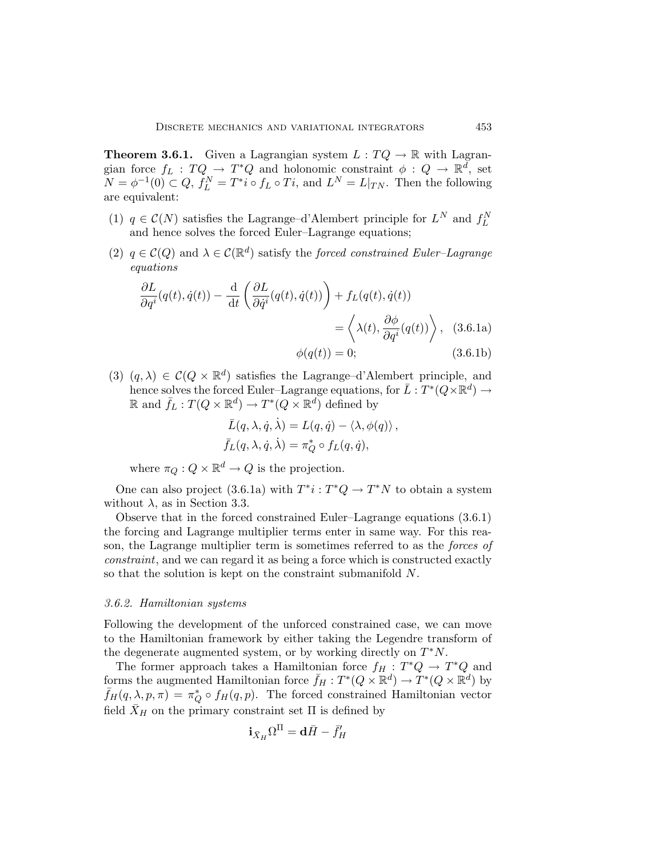**Theorem 3.6.1.** Given a Lagrangian system  $L: TQ \to \mathbb{R}$  with Lagrangian force  $f_L: TQ \to T^*Q$  and holonomic constraint  $\phi: Q \to \mathbb{R}^d$ , set  $N = \phi^{-1}(0) \subset Q$ ,  $f_L^N = T^*i \circ f_L \circ Ti$ , and  $L^N = L|_{TN}$ . Then the following are equivalent:

- (1)  $q \in \mathcal{C}(N)$  satisfies the Lagrange–d'Alembert principle for  $L^N$  and  $f_L^N$ and hence solves the forced Euler–Lagrange equations;
- (2)  $q \in \mathcal{C}(Q)$  and  $\lambda \in \mathcal{C}(\mathbb{R}^d)$  satisfy the forced constrained Euler-Lagrange equations

$$
\frac{\partial L}{\partial q^{i}}(q(t), \dot{q}(t)) - \frac{\mathrm{d}}{\mathrm{d}t} \left( \frac{\partial L}{\partial \dot{q}^{i}}(q(t), \dot{q}(t)) \right) + f_{L}(q(t), \dot{q}(t))
$$
\n
$$
= \left\langle \lambda(t), \frac{\partial \phi}{\partial q^{i}}(q(t)) \right\rangle, \quad (3.6.1a)
$$
\n
$$
\phi(q(t)) = 0; \quad (3.6.1b)
$$

(3)  $(q, \lambda) \in \mathcal{C}(Q \times \mathbb{R}^d)$  satisfies the Lagrange-d'Alembert principle, and hence solves the forced Euler–Lagrange equations, for  $\overline{L}: T^*(Q\times \mathbb{R}^d) \to$  $\mathbb R$  and  $\bar{f}_L: T(Q \times \mathbb R^d) \to T^*(Q \times \mathbb R^d)$  defined by

$$
\bar{L}(q, \lambda, \dot{q}, \dot{\lambda}) = L(q, \dot{q}) - \langle \lambda, \phi(q) \rangle ,
$$
  

$$
\bar{f}_L(q, \lambda, \dot{q}, \dot{\lambda}) = \pi_Q^* \circ f_L(q, \dot{q}),
$$

where  $\pi_Q: Q \times \mathbb{R}^d \to Q$  is the projection.

One can also project (3.6.1a) with  $T^*i : T^*Q \to T^*N$  to obtain a system without  $\lambda$ , as in Section 3.3.

Observe that in the forced constrained Euler–Lagrange equations (3.6.1) the forcing and Lagrange multiplier terms enter in same way. For this reason, the Lagrange multiplier term is sometimes referred to as the *forces of* constraint, and we can regard it as being a force which is constructed exactly so that the solution is kept on the constraint submanifold N.

#### 3.6.2. Hamiltonian systems

Following the development of the unforced constrained case, we can move to the Hamiltonian framework by either taking the Legendre transform of the degenerate augmented system, or by working directly on  $T^*N$ .

The former approach takes a Hamiltonian force  $f_H : T^*Q \to T^*Q$  and forms the augmented Hamiltonian force  $\bar{f}_H: T^*(Q \times \mathbb{R}^d) \to T^*(Q \times \mathbb{R}^d)$  by  $\bar{f}_H(q, \lambda, p, \pi) = \pi_Q^* \circ f_H(q, p)$ . The forced constrained Hamiltonian vector field  $\bar{X}_H$  on the primary constraint set  $\Pi$  is defined by

$$
\mathbf{i}_{\bar{X}_H}\Omega^{\Pi}=\mathbf{d}\bar{H}-\bar{f}_H'
$$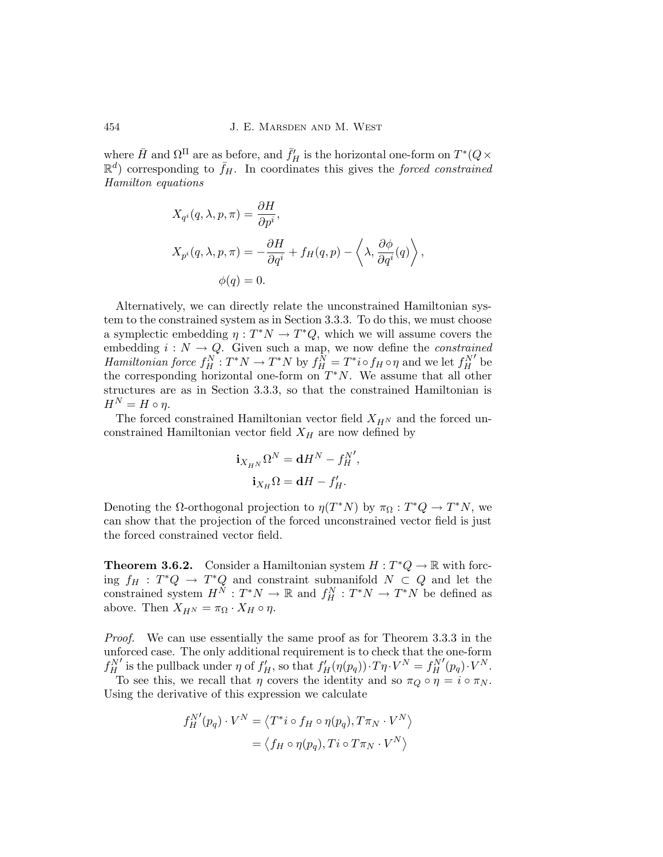where  $\bar{H}$  and  $\Omega^{\Pi}$  are as before, and  $\bar{f}'_H$  is the horizontal one-form on  $T^*(Q \times$  $\mathbb{R}^d$ ) corresponding to  $\bar{f}_H$ . In coordinates this gives the forced constrained Hamilton equations

$$
\begin{split} X_{q^i}(q,\lambda,p,\pi) &= \frac{\partial H}{\partial p^i}, \\ X_{p^i}(q,\lambda,p,\pi) &= -\frac{\partial H}{\partial q^i} + f_H(q,p) - \left\langle \lambda, \frac{\partial \phi}{\partial q^i}(q) \right\rangle, \\ \phi(q) &= 0. \end{split}
$$

Alternatively, we can directly relate the unconstrained Hamiltonian system to the constrained system as in Section 3.3.3. To do this, we must choose a symplectic embedding  $\eta: T^*N \to T^*Q$ , which we will assume covers the embedding  $i : N \to Q$ . Given such a map, we now define the *constrained* Hamiltonian force  $f_H^N : T^*N \to T^*N$  by  $f_H^N = T^*i \circ f_H \circ \eta$  and we let  $f_H^N$  $\prime$  be the corresponding horizontal one-form on  $T^*N$ . We assume that all other structures are as in Section 3.3.3, so that the constrained Hamiltonian is  $H^N = H \circ \eta.$ 

The forced constrained Hamiltonian vector field  $X_{H<sup>N</sup>}$  and the forced unconstrained Hamiltonian vector field  $X_H$  are now defined by

$$
\mathbf{i}_{X_{HN}} \Omega^N = \mathbf{d}H^N - f_H^{N'},
$$
  

$$
\mathbf{i}_{X_H} \Omega = \mathbf{d}H - f_H'.
$$

Denoting the  $\Omega$ -orthogonal projection to  $\eta(T^*N)$  by  $\pi_{\Omega}: T^*Q \to T^*N$ , we can show that the projection of the forced unconstrained vector field is just the forced constrained vector field.

**Theorem 3.6.2.** Consider a Hamiltonian system  $H : T^*Q \to \mathbb{R}$  with forcing  $f_H : T^*Q \to T^*Q$  and constraint submanifold  $N \subset Q$  and let the constrained system  $H^N: T^*N \to \mathbb{R}$  and  $f^N_H: T^*N \to T^*N$  be defined as above. Then  $X_{H^N} = \pi_{\Omega} \cdot X_H \circ \eta$ .

Proof. We can use essentially the same proof as for Theorem 3.3.3 in the unforced case. The only additional requirement is to check that the one-form  $f_H^N$ ' is the pullback under  $\eta$  of  $f'_H$ , so that  $f'_H(\eta(p_q)) \cdot T \eta \cdot V^N = f^N_H$  $'(p_q)\cdot V^N$ .

To see this, we recall that  $\eta$  covers the identity and so  $\pi_Q \circ \eta = i \circ \pi_N$ . Using the derivative of this expression we calculate

$$
f_H^{N'}(p_q) \cdot V^N = \langle T^*i \circ f_H \circ \eta(p_q), T\pi_N \cdot V^N \rangle
$$
  
=  $\langle f_H \circ \eta(p_q), Ti \circ T\pi_N \cdot V^N \rangle$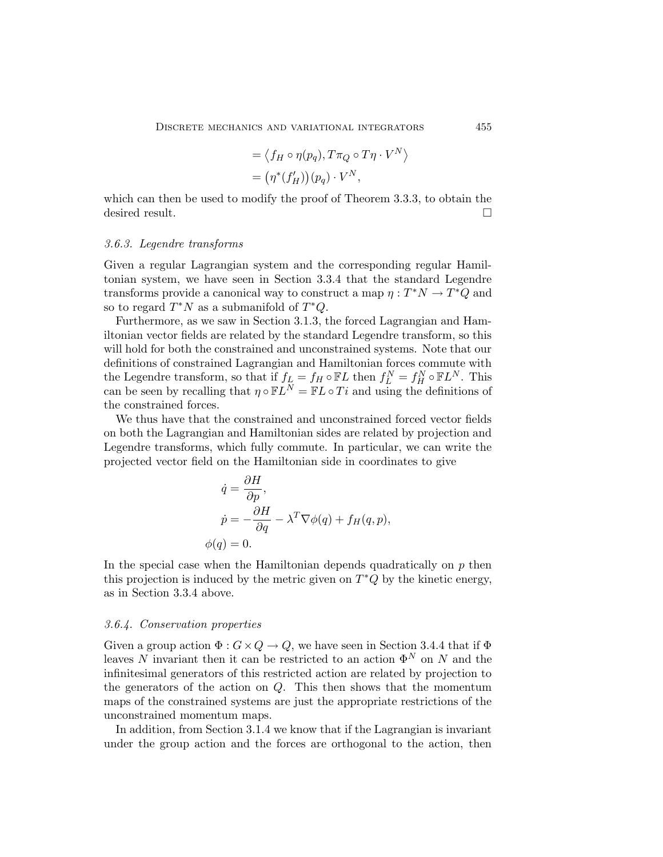$$
= \langle f_H \circ \eta(p_q), T\pi_Q \circ T\eta \cdot V^N \rangle
$$
  
= 
$$
(\eta^*(f'_H))(p_q) \cdot V^N,
$$

which can then be used to modify the proof of Theorem 3.3.3, to obtain the desired result.  $\Box$ 

## 3.6.3. Legendre transforms

Given a regular Lagrangian system and the corresponding regular Hamiltonian system, we have seen in Section 3.3.4 that the standard Legendre transforms provide a canonical way to construct a map  $\eta: T^*N \to T^*Q$  and so to regard  $T^*N$  as a submanifold of  $T^*Q$ .

Furthermore, as we saw in Section 3.1.3, the forced Lagrangian and Hamiltonian vector fields are related by the standard Legendre transform, so this will hold for both the constrained and unconstrained systems. Note that our definitions of constrained Lagrangian and Hamiltonian forces commute with the Legendre transform, so that if  $f_L = f_H \circ \mathbb{F}L$  then  $f_L^N = f_H^N \circ \mathbb{F}L^N$ . This can be seen by recalling that  $\eta \circ \mathbb{F}L^N = \mathbb{F}L \circ Ti$  and using the definitions of the constrained forces.

We thus have that the constrained and unconstrained forced vector fields on both the Lagrangian and Hamiltonian sides are related by projection and Legendre transforms, which fully commute. In particular, we can write the projected vector field on the Hamiltonian side in coordinates to give

$$
\dot{q} = \frac{\partial H}{\partial p},
$$
  
\n
$$
\dot{p} = -\frac{\partial H}{\partial q} - \lambda^T \nabla \phi(q) + f_H(q, p),
$$
  
\n
$$
\phi(q) = 0.
$$

In the special case when the Hamiltonian depends quadratically on  $p$  then this projection is induced by the metric given on  $T^*Q$  by the kinetic energy, as in Section 3.3.4 above.

#### 3.6.4. Conservation properties

Given a group action  $\Phi: G \times Q \to Q$ , we have seen in Section 3.4.4 that if  $\Phi$ leaves N invariant then it can be restricted to an action  $\Phi^N$  on N and the infinitesimal generators of this restricted action are related by projection to the generators of the action on  $Q$ . This then shows that the momentum maps of the constrained systems are just the appropriate restrictions of the unconstrained momentum maps.

In addition, from Section 3.1.4 we know that if the Lagrangian is invariant under the group action and the forces are orthogonal to the action, then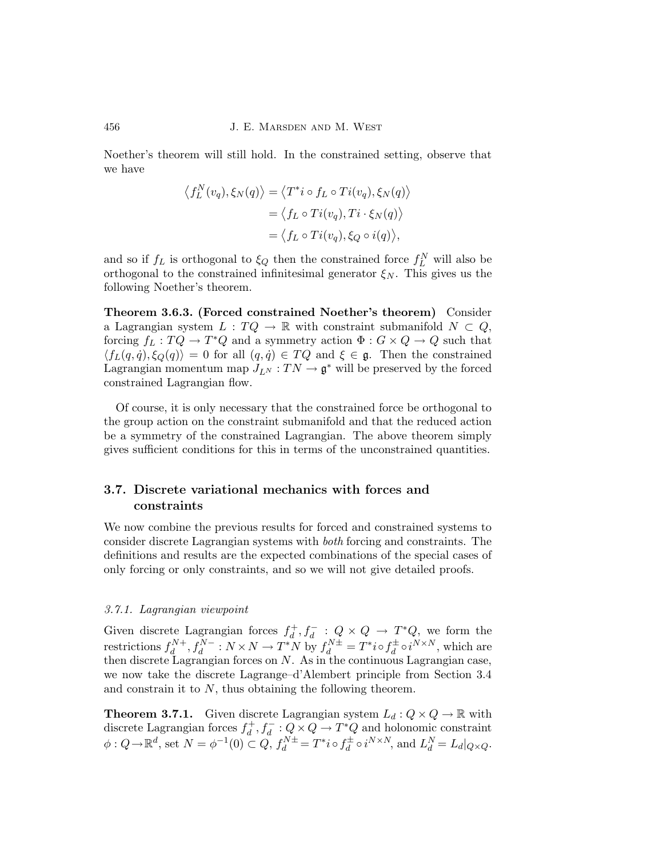Noether's theorem will still hold. In the constrained setting, observe that we have

$$
\langle f_L^N(v_q), \xi_N(q) \rangle = \langle T^*i \circ f_L \circ Ti(v_q), \xi_N(q) \rangle
$$
  
=  $\langle f_L \circ Ti(v_q), Ti \cdot \xi_N(q) \rangle$   
=  $\langle f_L \circ Ti(v_q), \xi_Q \circ i(q) \rangle$ ,

and so if  $f_L$  is orthogonal to  $\xi_Q$  then the constrained force  $f_L^N$  will also be orthogonal to the constrained infinitesimal generator  $\xi_N$ . This gives us the following Noether's theorem.

Theorem 3.6.3. (Forced constrained Noether's theorem) Consider a Lagrangian system  $L: TQ \to \mathbb{R}$  with constraint submanifold  $N \subset Q$ , forcing  $f_L: TQ \to T^*Q$  and a symmetry action  $\Phi: G \times Q \to Q$  such that  $\langle f_L(q, \dot{q}), \xi_Q(q)\rangle = 0$  for all  $(q, \dot{q}) \in TQ$  and  $\xi \in \mathfrak{g}$ . Then the constrained Lagrangian momentum map  $J_{L^N}: TN \to \mathfrak{g}^*$  will be preserved by the forced constrained Lagrangian flow.

Of course, it is only necessary that the constrained force be orthogonal to the group action on the constraint submanifold and that the reduced action be a symmetry of the constrained Lagrangian. The above theorem simply gives sufficient conditions for this in terms of the unconstrained quantities.

# 3.7. Discrete variational mechanics with forces and constraints

We now combine the previous results for forced and constrained systems to consider discrete Lagrangian systems with both forcing and constraints. The definitions and results are the expected combinations of the special cases of only forcing or only constraints, and so we will not give detailed proofs.

## 3.7.1. Lagrangian viewpoint

Given discrete Lagrangian forces  $f_d^+$  $f_d^+, f_d^$  $d^-: Q \times Q \to T^*Q$ , we form the restrictions  $f_d^{N+}$  $d^{N+}, f_d^{N-}$  $d_d^{N-}: N \times N \to T^*N$  by  $f_d^{N\pm} = T^*i \circ f_d^{\pm}$  $\vec{d} \circ i^{N \times N}$ , which are then discrete Lagrangian forces on  $N$ . As in the continuous Lagrangian case, we now take the discrete Lagrange–d'Alembert principle from Section 3.4 and constrain it to  $N$ , thus obtaining the following theorem.

**Theorem 3.7.1.** Given discrete Lagrangian system  $L_d: Q \times Q \to \mathbb{R}$  with discrete Lagrangian forces  $f_d^+$  $f_d^+, f_d^$  $d_d^-: Q \times Q \to T^*Q$  and holonomic constraint  $\phi: Q \to \mathbb{R}^d$ , set  $N = \phi^{-1}(0) \subset Q$ ,  $f_d^{N \pm} = T^* i \circ f_d^{\pm}$  $d^{\pm} \circ i^{N \times N}$ , and  $L_d^N = L_d |_{Q \times Q}$ .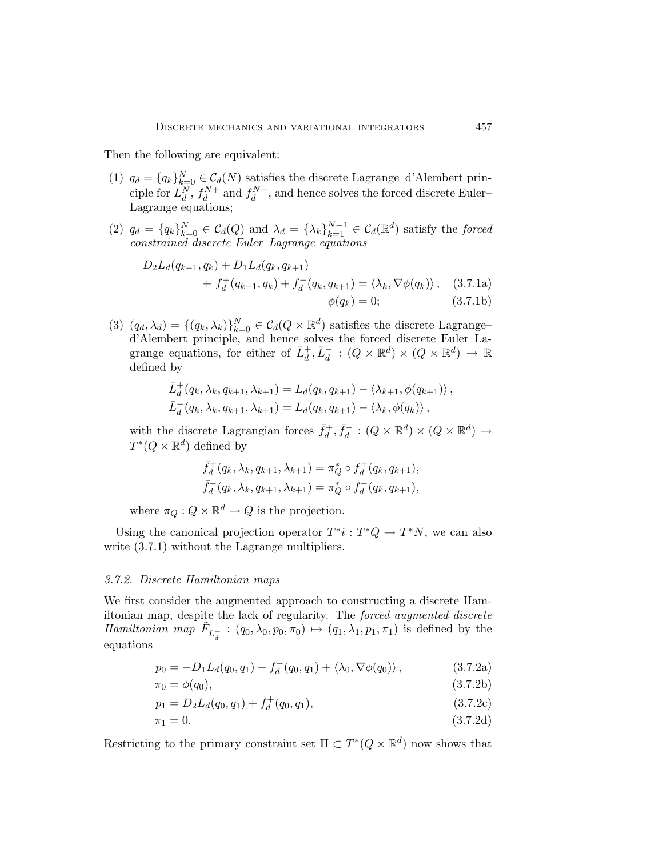Then the following are equivalent:

- (1)  $q_d = \{q_k\}_{k=0}^N \in \mathcal{C}_d(N)$  satisfies the discrete Lagrange-d'Alembert principle for  $L_d^N$ ,  $f_d^{N+}$  $f_d^{N+}$  and  $f_d^{N-}$  $\frac{d}{d}$ , and hence solves the forced discrete Euler– Lagrange equations;
- (2)  $q_d = \{q_k\}_{k=0}^N \in \mathcal{C}_d(Q)$  and  $\lambda_d = \{\lambda_k\}_{k=1}^{N-1} \in \mathcal{C}_d(\mathbb{R}^d)$  satisfy the forced constrained discrete Euler–Lagrange equations

$$
D_2L_d(q_{k-1}, q_k) + D_1L_d(q_k, q_{k+1})
$$
  
+  $f_d^+(q_{k-1}, q_k) + f_d^-(q_k, q_{k+1}) = \langle \lambda_k, \nabla \phi(q_k) \rangle$ , (3.7.1a)  
 $\phi(q_k) = 0$ ; (3.7.1b)

(3)  $(q_d, \lambda_d) = \{(q_k, \lambda_k)\}_{k=0}^N \in \mathcal{C}_d(Q \times \mathbb{R}^d)$  satisfies the discrete Lagranged'Alembert principle, and hence solves the forced discrete Euler–Lagrange equations, for either of  $\bar{L}_d^+, \bar{L}_d^-$  :  $(Q \times \mathbb{R}^d) \times (Q \times \mathbb{R}^d) \to \mathbb{R}$ defined by

$$
\overline{L}_d^+(q_k, \lambda_k, q_{k+1}, \lambda_{k+1}) = L_d(q_k, q_{k+1}) - \langle \lambda_{k+1}, \phi(q_{k+1}) \rangle,
$$
  

$$
\overline{L}_d^-(q_k, \lambda_k, q_{k+1}, \lambda_{k+1}) = L_d(q_k, q_{k+1}) - \langle \lambda_k, \phi(q_k) \rangle,
$$

with the discrete Lagrangian forces  $\bar{f}_d^+$  $\bar{f}_d^+, \bar{f}_d^ \overline{d}^{\leftarrow} : (Q \times \mathbb{R}^d) \times (Q \times \mathbb{R}^d) \rightarrow$  $T^*(Q \times \mathbb{R}^d)$  defined by

$$
\bar{f}_d^+(q_k, \lambda_k, q_{k+1}, \lambda_{k+1}) = \pi_Q^* \circ f_d^+(q_k, q_{k+1}),
$$
  

$$
\bar{f}_d^-(q_k, \lambda_k, q_{k+1}, \lambda_{k+1}) = \pi_Q^* \circ f_d^-(q_k, q_{k+1}),
$$

where  $\pi_Q: Q \times \mathbb{R}^d \to Q$  is the projection.

Using the canonical projection operator  $T^*i : T^*Q \to T^*N$ , we can also write (3.7.1) without the Lagrange multipliers.

#### 3.7.2. Discrete Hamiltonian maps

We first consider the augmented approach to constructing a discrete Hamiltonian map, despite the lack of regularity. The forced augmented discrete Hamiltonian map  $\tilde{F}_{\bar{L}_{d}}$ :  $(q_0, \lambda_0, p_0, \pi_0) \mapsto (q_1, \lambda_1, p_1, \pi_1)$  is defined by the equations

$$
p_0 = -D_1 L_d(q_0, q_1) - f_d^{-}(q_0, q_1) + \langle \lambda_0, \nabla \phi(q_0) \rangle, \qquad (3.7.2a)
$$

$$
\pi_0 = \phi(q_0),\tag{3.7.2b}
$$

$$
p_1 = D_2 L_d(q_0, q_1) + f_d^+(q_0, q_1),
$$
\n(3.7.2c)

$$
\pi_1 = 0. \tag{3.7.2d}
$$

Restricting to the primary constraint set  $\Pi \subset T^*(Q \times \mathbb{R}^d)$  now shows that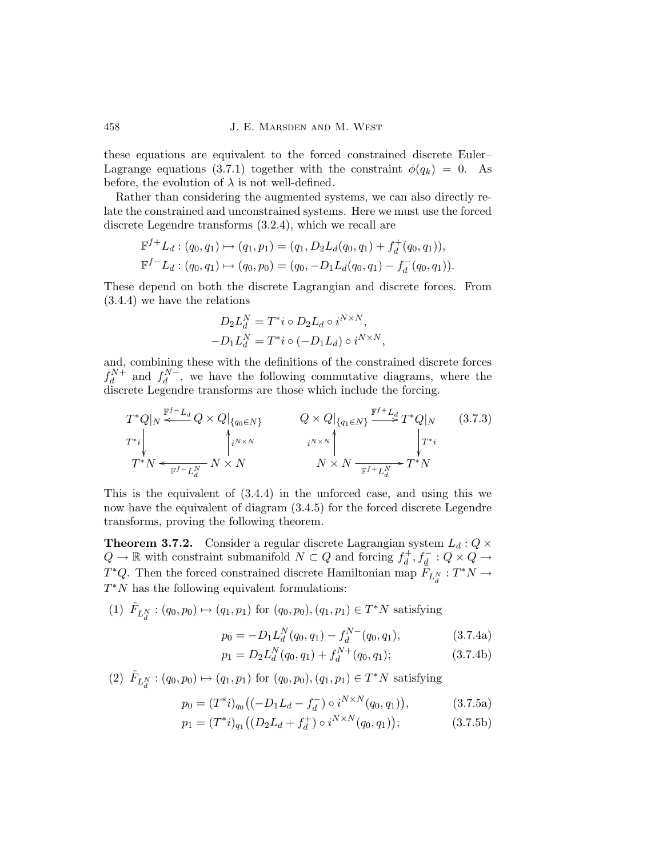these equations are equivalent to the forced constrained discrete Euler– Lagrange equations (3.7.1) together with the constraint  $\phi(q_k) = 0$ . As before, the evolution of  $\lambda$  is not well-defined.

Rather than considering the augmented systems, we can also directly relate the constrained and unconstrained systems. Here we must use the forced discrete Legendre transforms (3.2.4), which we recall are

$$
\mathbb{F}^{f+}L_d: (q_0, q_1) \mapsto (q_1, p_1) = (q_1, D_2L_d(q_0, q_1) + f_d^+(q_0, q_1)),
$$
  

$$
\mathbb{F}^{f-}L_d: (q_0, q_1) \mapsto (q_0, p_0) = (q_0, -D_1L_d(q_0, q_1) - f_d^-(q_0, q_1)).
$$

These depend on both the discrete Lagrangian and discrete forces. From (3.4.4) we have the relations

$$
D_2 L_d^N = T^* i \circ D_2 L_d \circ i^{N \times N},
$$
  
-
$$
D_1 L_d^N = T^* i \circ (-D_1 L_d) \circ i^{N \times N},
$$

and, combining these with the definitions of the constrained discrete forces  $f_d^{N+}$  $d^{N+}$  and  $f_d^{N-}$  $\frac{d}{d}$ , we have the following commutative diagrams, where the discrete Legendre transforms are those which include the forcing.

$$
T^*Q|_N \stackrel{\mathbb{F}^{f-L_d}}{\longleftarrow} Q \times Q|_{\{q_0 \in N\}} \qquad Q \times Q|_{\{q_1 \in N\}} \stackrel{\mathbb{F}^{f-L_d}}{\longrightarrow} T^*Q|_N \qquad (3.7.3)
$$
  
\n
$$
T^*i \downarrow \qquad \qquad i^{N \times N} \qquad \qquad i^{N \times N} \qquad \qquad i^{N \times N} \qquad \qquad i^{N \times N} \qquad \qquad i^{N \times N} \qquad \qquad i^{N \times N} \qquad \qquad i^{N \times N} \qquad \qquad i^{N \times N} \qquad \qquad i^{N \times N} \qquad \qquad i^{N \times N} \qquad \qquad i^{N \times N} \qquad \qquad i^{N \times N} \qquad \qquad i^{N \times N} \qquad \qquad i^{N \times N} \qquad \qquad i^{N \times N} \qquad \qquad i^{N \times N} \qquad \qquad i^{N \times N} \qquad \qquad i^{N \times N} \qquad \qquad i^{N \times N} \qquad \qquad i^{N \times N} \qquad \qquad i^{N \times N} \qquad \qquad i^{N \times N} \qquad \qquad i^{N \times N} \qquad \qquad i^{N \times N} \qquad \qquad i^{N \times N} \qquad \qquad i^{N \times N} \qquad \qquad i^{N \times N} \qquad \qquad i^{N \times N} \qquad \qquad i^{N \times N} \qquad \qquad i^{N \times N} \qquad \qquad i^{N \times N} \qquad \qquad i^{N \times N} \qquad \qquad i^{N \times N} \qquad \qquad i^{N \times N} \qquad \qquad i^{N \times N} \qquad \qquad i^{N \times N} \qquad \qquad i^{N \times N} \qquad \qquad i^{N \times N} \qquad \qquad i^{N \times N} \qquad \qquad i^{N \times N} \qquad \qquad i^{N \times N} \qquad \qquad i^{N \times N} \qquad \qquad i^{N \times N} \qquad \qquad i^{N \times N} \qquad \qquad i^{N \times N} \qquad \qquad i^{N \times N} \qquad \qquad i^{N \times N} \qquad \qquad i^{N \times N} \qquad \qquad i^{N \times N} \qquad \qquad i^{N
$$

This is the equivalent of (3.4.4) in the unforced case, and using this we now have the equivalent of diagram (3.4.5) for the forced discrete Legendre transforms, proving the following theorem.

**Theorem 3.7.2.** Consider a regular discrete Lagrangian system  $L_d: Q \times$  $Q \to \mathbb{R}$  with constraint submanifold  $N \subset Q$  and forcing  $f_d^+$  $\frac{d}{d}$ ,  $f_d^ \widetilde{\iota\!d}^-(Q\times Q\to$  $T^*Q$ . Then the forced constrained discrete Hamiltonian map  $\tilde{F}_{L_d^N}: T^*N \to$  $T^*N$  has the following equivalent formulations:

(1)  $\tilde{F}_{L_d^N} : (q_0, p_0) \mapsto (q_1, p_1)$  for  $(q_0, p_0), (q_1, p_1) \in T^*N$  satisfying

$$
p_0 = -D_1 L_d^N(q_0, q_1) - f_d^{N-}(q_0, q_1),
$$
\n(3.7.4a)

$$
p_1 = D_2 L_d^N(q_0, q_1) + f_d^{N+}(q_0, q_1); \qquad (3.7.4b)
$$

(2)  $\tilde{F}_{L_d^N} : (q_0, p_0) \mapsto (q_1, p_1)$  for  $(q_0, p_0), (q_1, p_1) \in T^*N$  satisfying

$$
p_0 = (T^*i)_{q_0} \big( (-D_1 L_d - f_d^-) \circ i^{N \times N}(q_0, q_1) \big), \tag{3.7.5a}
$$

$$
p_1 = (T^*i)_{q_1} ((D_2L_d + f_d^+) \circ i^{N \times N}(q_0, q_1)); \tag{3.7.5b}
$$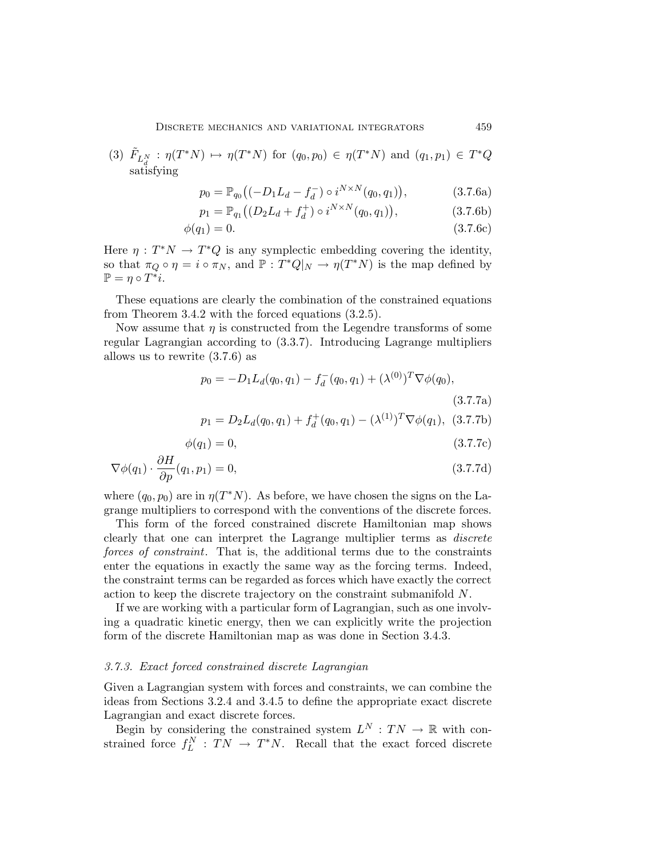(3)  $\tilde{F}_{L_d^N} : \eta(T^*N) \mapsto \eta(T^*N)$  for  $(q_0, p_0) \in \eta(T^*N)$  and  $(q_1, p_1) \in T^*Q$ satisfying

$$
p_0 = \mathbb{P}_{q_0}\big((-D_1L_d - f_d^-) \circ i^{N \times N}(q_0, q_1)\big),\tag{3.7.6a}
$$

$$
p_1 = \mathbb{P}_{q_1}((D_2L_d + f_d^+) \circ i^{N \times N}(q_0, q_1)), \tag{3.7.6b}
$$

$$
\phi(q_1) = 0. \t\t(3.7.6c)
$$

Here  $\eta : T^*N \to T^*Q$  is any symplectic embedding covering the identity, so that  $\pi_Q \circ \eta = i \circ \pi_N$ , and  $\mathbb{P} : T^*Q|_N \to \eta(T^*N)$  is the map defined by  $\mathbb{P} = \eta \circ T^*i.$ 

These equations are clearly the combination of the constrained equations from Theorem 3.4.2 with the forced equations (3.2.5).

Now assume that  $\eta$  is constructed from the Legendre transforms of some regular Lagrangian according to (3.3.7). Introducing Lagrange multipliers allows us to rewrite (3.7.6) as

$$
p_0 = -D_1 L_d(q_0, q_1) - f_d^{-}(q_0, q_1) + (\lambda^{(0)})^T \nabla \phi(q_0),
$$
\n(3.7.7a)  
\n
$$
p_1 = D_2 L_d(q_0, q_1) + f_d^{+}(q_0, q_1) - (\lambda^{(1)})^T \nabla \phi(q_1),
$$
\n(3.7.7b)

$$
\phi(q_1) = 0,\tag{3.7.7c}
$$

$$
\nabla \phi(q_1) \cdot \frac{\partial H}{\partial p}(q_1, p_1) = 0,\tag{3.7.7d}
$$

where  $(q_0, p_0)$  are in  $\eta(T^*N)$ . As before, we have chosen the signs on the Lagrange multipliers to correspond with the conventions of the discrete forces.

This form of the forced constrained discrete Hamiltonian map shows clearly that one can interpret the Lagrange multiplier terms as discrete forces of constraint. That is, the additional terms due to the constraints enter the equations in exactly the same way as the forcing terms. Indeed, the constraint terms can be regarded as forces which have exactly the correct action to keep the discrete trajectory on the constraint submanifold N.

If we are working with a particular form of Lagrangian, such as one involving a quadratic kinetic energy, then we can explicitly write the projection form of the discrete Hamiltonian map as was done in Section 3.4.3.

## 3.7.3. Exact forced constrained discrete Lagrangian

Given a Lagrangian system with forces and constraints, we can combine the ideas from Sections 3.2.4 and 3.4.5 to define the appropriate exact discrete Lagrangian and exact discrete forces.

Begin by considering the constrained system  $L^N : TN \to \mathbb{R}$  with constrained force  $f_L^N$  :  $TN \rightarrow T^*N$ . Recall that the exact forced discrete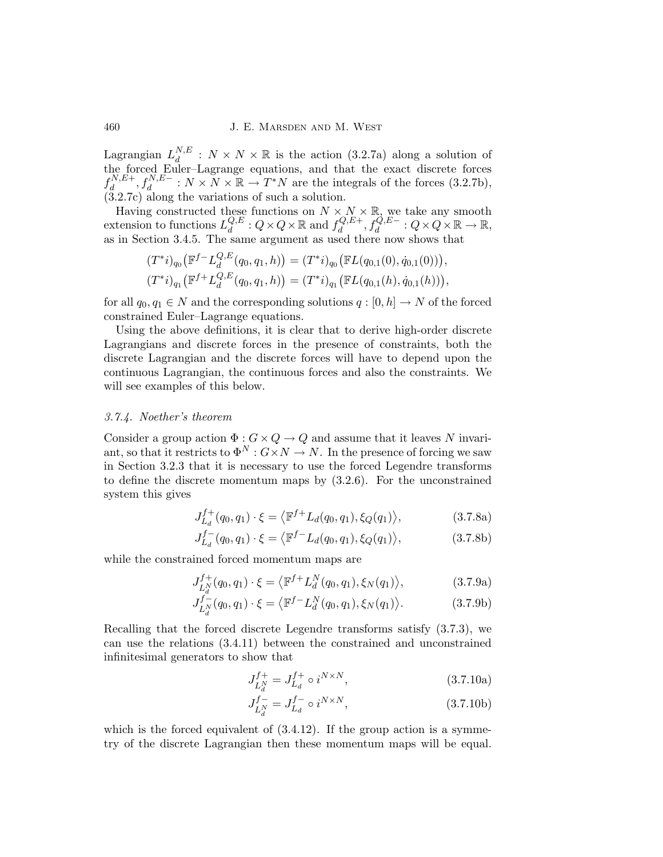Lagrangian  $L_A^{N,E}$  $\frac{d}{d}^{N,E}$  :  $N \times N \times \mathbb{R}$  is the action (3.2.7a) along a solution of the forced Euler–Lagrange equations, and that the exact discrete forces  $f^{N,E+}_d$  $f_d^{N,E+}, f_d^{N,E-}$  $d_d^{N,E-}: N \times N \times \mathbb{R} \to T^*N$  are the integrals of the forces (3.2.7b), (3.2.7c) along the variations of such a solution.

Having constructed these functions on  $N \times N \times \mathbb{R}$ , we take any smooth extension to functions  $L_d^{Q,E}$  $Q_{d}^{Q,E}: Q \times Q \times \mathbb{R}$  and  $f_d^{Q,E+}$  $d^{Q,E+}, f_d^{Q,E-}$  $d_d^{Q,E-}: Q \times Q \times \mathbb{R} \to \mathbb{R},$ as in Section 3.4.5. The same argument as used there now shows that

$$
(T^*i)_{q_0} (\mathbb{F}^{f-} L_d^{Q,E}(q_0, q_1, h)) = (T^*i)_{q_0} (\mathbb{F}L(q_{0,1}(0), \dot{q}_{0,1}(0))),
$$
  

$$
(T^*i)_{q_1} (\mathbb{F}^{f+} L_d^{Q,E}(q_0, q_1, h)) = (T^*i)_{q_1} (\mathbb{F}L(q_{0,1}(h), \dot{q}_{0,1}(h))),
$$

for all  $q_0, q_1 \in N$  and the corresponding solutions  $q : [0, h] \to N$  of the forced constrained Euler–Lagrange equations.

Using the above definitions, it is clear that to derive high-order discrete Lagrangians and discrete forces in the presence of constraints, both the discrete Lagrangian and the discrete forces will have to depend upon the continuous Lagrangian, the continuous forces and also the constraints. We will see examples of this below.

## 3.7.4. Noether's theorem

Consider a group action  $\Phi: G \times Q \to Q$  and assume that it leaves N invariant, so that it restricts to  $\Phi^N: G \times N \to N$ . In the presence of forcing we saw in Section 3.2.3 that it is necessary to use the forced Legendre transforms to define the discrete momentum maps by (3.2.6). For the unconstrained system this gives

$$
J_{L_d}^{f+}(q_0, q_1) \cdot \xi = \langle \mathbb{F}^{f+} L_d(q_0, q_1), \xi_Q(q_1) \rangle, \tag{3.7.8a}
$$

$$
J_{L_d}^{f^-}(q_0, q_1) \cdot \xi = \langle \mathbb{F}^{f^-} L_d(q_0, q_1), \xi_Q(q_1) \rangle, \tag{3.7.8b}
$$

while the constrained forced momentum maps are

$$
J_{L_d^N}^{f+}(q_0, q_1) \cdot \xi = \langle \mathbb{F}^{f+} L_d^N(q_0, q_1), \xi_N(q_1) \rangle, \tag{3.7.9a}
$$

$$
J_{L_d^N}^{f^-}(q_0, q_1) \cdot \xi = \langle \mathbb{F}^{f^-} L_d^N(q_0, q_1), \xi_N(q_1) \rangle.
$$
 (3.7.9b)

Recalling that the forced discrete Legendre transforms satisfy (3.7.3), we can use the relations (3.4.11) between the constrained and unconstrained infinitesimal generators to show that

$$
J_{L_d^N}^{f+} = J_{L_d}^{f+} \circ i^{N \times N}, \tag{3.7.10a}
$$

$$
J_{L_d^N}^{f-} = J_{L_d}^{f-} \circ i^{N \times N}, \qquad (3.7.10b)
$$

which is the forced equivalent of  $(3.4.12)$ . If the group action is a symmetry of the discrete Lagrangian then these momentum maps will be equal.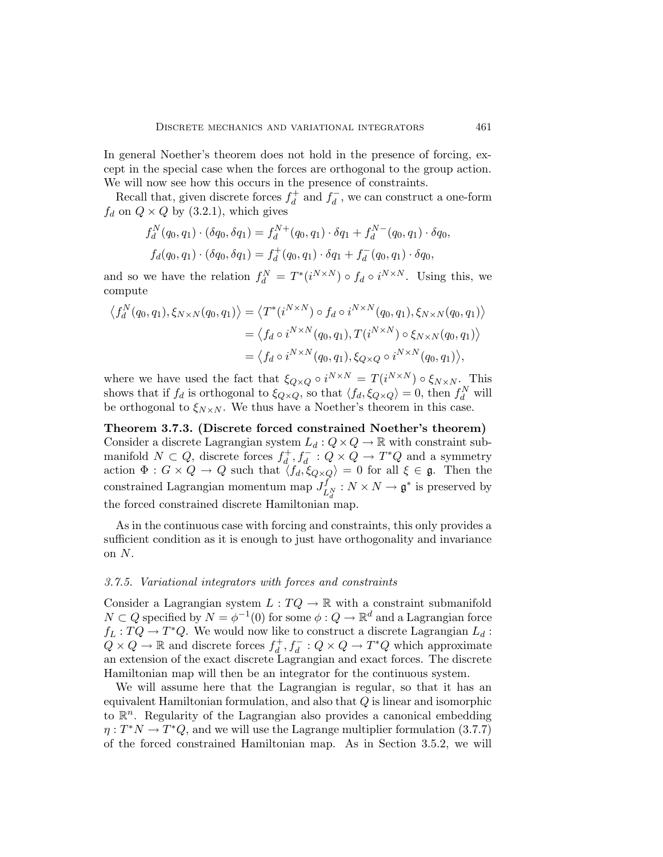In general Noether's theorem does not hold in the presence of forcing, except in the special case when the forces are orthogonal to the group action. We will now see how this occurs in the presence of constraints.

Recall that, given discrete forces  $f_d^+$  $f_d^+$  and  $f_d^ \overline{d}$ , we can construct a one-form  $f_d$  on  $Q \times Q$  by (3.2.1), which gives

$$
f_d^N(q_0, q_1) \cdot (\delta q_0, \delta q_1) = f_d^{N+}(q_0, q_1) \cdot \delta q_1 + f_d^{N-}(q_0, q_1) \cdot \delta q_0,
$$
  

$$
f_d(q_0, q_1) \cdot (\delta q_0, \delta q_1) = f_d^+(q_0, q_1) \cdot \delta q_1 + f_d^-(q_0, q_1) \cdot \delta q_0,
$$

and so we have the relation  $f_d^N = T^*(i^{N \times N}) \circ f_d \circ i^{N \times N}$ . Using this, we compute

$$
\langle f_d^N(q_0, q_1), \xi_{N \times N}(q_0, q_1) \rangle = \langle T^*(i^{N \times N}) \circ f_d \circ i^{N \times N}(q_0, q_1), \xi_{N \times N}(q_0, q_1) \rangle
$$
  
=  $\langle f_d \circ i^{N \times N}(q_0, q_1), T(i^{N \times N}) \circ \xi_{N \times N}(q_0, q_1) \rangle$   
=  $\langle f_d \circ i^{N \times N}(q_0, q_1), \xi_{Q \times Q} \circ i^{N \times N}(q_0, q_1) \rangle$ ,

where we have used the fact that  $\xi_{Q\times Q} \circ i^{N\times N} = T(i^{N\times N}) \circ \xi_{N\times N}$ . This shows that if  $f_d$  is orthogonal to  $\xi_{Q\times Q}$ , so that  $\langle f_d, \xi_{Q\times Q} \rangle = 0$ , then  $f_d^N$  will be orthogonal to  $\xi_{N\times N}$ . We thus have a Noether's theorem in this case.

Theorem 3.7.3. (Discrete forced constrained Noether's theorem) Consider a discrete Lagrangian system  $L_d: Q \times Q \to \mathbb{R}$  with constraint submanifold  $N \subset Q$ , discrete forces  $f_d^+$  $f_d^+, f_d^$  $d^-_d: Q \times Q \to T^*Q$  and a symmetry action  $\Phi: G \times Q \to Q$  such that  $\langle f_d, \xi_{Q \times Q} \rangle = 0$  for all  $\xi \in \mathfrak{g}$ . Then the constrained Lagrangian momentum map  $J_I^f$  $L_d^N : N \times N \to \mathfrak{g}^*$  is preserved by the forced constrained discrete Hamiltonian map.

As in the continuous case with forcing and constraints, this only provides a sufficient condition as it is enough to just have orthogonality and invariance on  $N$ .

## 3.7.5. Variational integrators with forces and constraints

Consider a Lagrangian system  $L: TQ \to \mathbb{R}$  with a constraint submanifold  $N \subset Q$  specified by  $N = \phi^{-1}(0)$  for some  $\phi: Q \to \mathbb{R}^d$  and a Lagrangian force  $f_L: TQ \to T^*Q$ . We would now like to construct a discrete Lagrangian  $L_d$ :  $Q \times Q \to \mathbb{R}$  and discrete forces  $f_d^+$  $f_d^+, f_d^$  $d_d^-: Q \times Q \to T^*Q$  which approximate an extension of the exact discrete Lagrangian and exact forces. The discrete Hamiltonian map will then be an integrator for the continuous system.

We will assume here that the Lagrangian is regular, so that it has an equivalent Hamiltonian formulation, and also that  $Q$  is linear and isomorphic to  $\mathbb{R}^n$ . Regularity of the Lagrangian also provides a canonical embedding  $\eta: T^*N \to T^*Q$ , and we will use the Lagrange multiplier formulation (3.7.7) of the forced constrained Hamiltonian map. As in Section 3.5.2, we will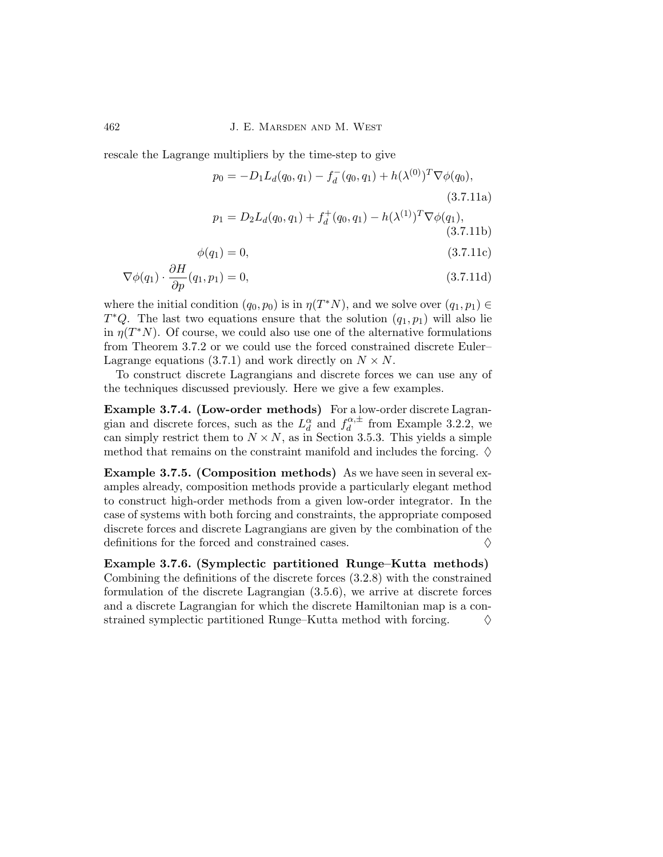rescale the Lagrange multipliers by the time-step to give

$$
p_0 = -D_1 L_d(q_0, q_1) - f_d^{-}(q_0, q_1) + h(\lambda^{(0)})^T \nabla \phi(q_0),
$$
  
(3.7.11a)  

$$
p_1 = D_2 L_d(q_0, q_1) + f_d^{+}(q_0, q_1) - h(\lambda^{(1)})^T \nabla \phi(q_1),
$$

$$
(3.7.11b)
$$

$$
\phi(q_1) = 0,\t(3.7.11c)
$$

$$
\nabla \phi(q_1) \cdot \frac{\partial H}{\partial p}(q_1, p_1) = 0, \qquad (3.7.11d)
$$

where the initial condition  $(q_0, p_0)$  is in  $\eta(T^*N)$ , and we solve over  $(q_1, p_1) \in$  $T^*Q$ . The last two equations ensure that the solution  $(q_1, p_1)$  will also lie in  $\eta(T^*N)$ . Of course, we could also use one of the alternative formulations from Theorem 3.7.2 or we could use the forced constrained discrete Euler– Lagrange equations (3.7.1) and work directly on  $N \times N$ .

To construct discrete Lagrangians and discrete forces we can use any of the techniques discussed previously. Here we give a few examples.

Example 3.7.4. (Low-order methods) For a low-order discrete Lagrangian and discrete forces, such as the  $L_d^{\alpha}$  and  $f_d^{\alpha, \pm}$  $\frac{d}{dt}$  from Example 3.2.2, we can simply restrict them to  $N \times N$ , as in Section 3.5.3. This yields a simple method that remains on the constraint manifold and includes the forcing.  $\diamond$ 

Example 3.7.5. (Composition methods) As we have seen in several examples already, composition methods provide a particularly elegant method to construct high-order methods from a given low-order integrator. In the case of systems with both forcing and constraints, the appropriate composed discrete forces and discrete Lagrangians are given by the combination of the definitions for the forced and constrained cases.  $\Diamond$ 

Example 3.7.6. (Symplectic partitioned Runge–Kutta methods) Combining the definitions of the discrete forces (3.2.8) with the constrained formulation of the discrete Lagrangian (3.5.6), we arrive at discrete forces and a discrete Lagrangian for which the discrete Hamiltonian map is a constrained symplectic partitioned Runge–Kutta method with forcing.  $\Diamond$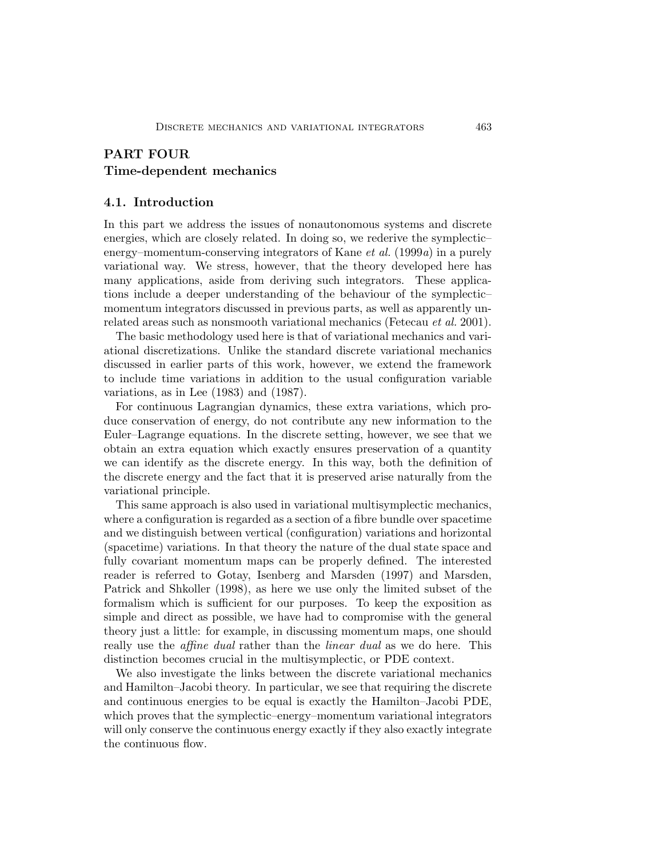# PART FOUR Time-dependent mechanics

## 4.1. Introduction

In this part we address the issues of nonautonomous systems and discrete energies, which are closely related. In doing so, we rederive the symplectic– energy–momentum-conserving integrators of Kane *et al.* (1999*a*) in a purely variational way. We stress, however, that the theory developed here has many applications, aside from deriving such integrators. These applications include a deeper understanding of the behaviour of the symplectic– momentum integrators discussed in previous parts, as well as apparently unrelated areas such as nonsmooth variational mechanics (Fetecau et al. 2001).

The basic methodology used here is that of variational mechanics and variational discretizations. Unlike the standard discrete variational mechanics discussed in earlier parts of this work, however, we extend the framework to include time variations in addition to the usual configuration variable variations, as in Lee (1983) and (1987).

For continuous Lagrangian dynamics, these extra variations, which produce conservation of energy, do not contribute any new information to the Euler–Lagrange equations. In the discrete setting, however, we see that we obtain an extra equation which exactly ensures preservation of a quantity we can identify as the discrete energy. In this way, both the definition of the discrete energy and the fact that it is preserved arise naturally from the variational principle.

This same approach is also used in variational multisymplectic mechanics, where a configuration is regarded as a section of a fibre bundle over spacetime and we distinguish between vertical (configuration) variations and horizontal (spacetime) variations. In that theory the nature of the dual state space and fully covariant momentum maps can be properly defined. The interested reader is referred to Gotay, Isenberg and Marsden (1997) and Marsden, Patrick and Shkoller (1998), as here we use only the limited subset of the formalism which is sufficient for our purposes. To keep the exposition as simple and direct as possible, we have had to compromise with the general theory just a little: for example, in discussing momentum maps, one should really use the *affine dual* rather than the *linear dual* as we do here. This distinction becomes crucial in the multisymplectic, or PDE context.

We also investigate the links between the discrete variational mechanics and Hamilton–Jacobi theory. In particular, we see that requiring the discrete and continuous energies to be equal is exactly the Hamilton–Jacobi PDE, which proves that the symplectic–energy–momentum variational integrators will only conserve the continuous energy exactly if they also exactly integrate the continuous flow.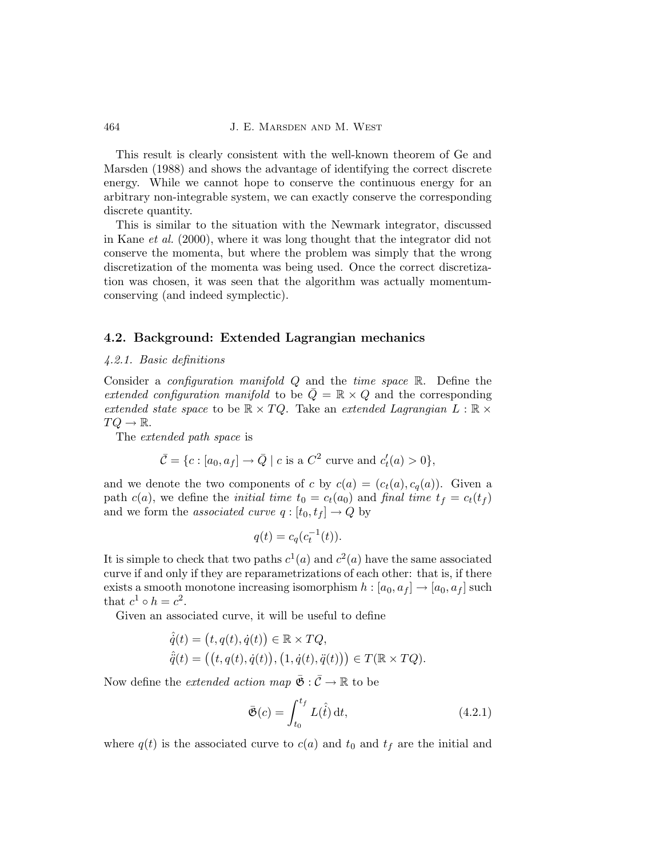This result is clearly consistent with the well-known theorem of Ge and Marsden (1988) and shows the advantage of identifying the correct discrete energy. While we cannot hope to conserve the continuous energy for an arbitrary non-integrable system, we can exactly conserve the corresponding discrete quantity.

This is similar to the situation with the Newmark integrator, discussed in Kane et al. (2000), where it was long thought that the integrator did not conserve the momenta, but where the problem was simply that the wrong discretization of the momenta was being used. Once the correct discretization was chosen, it was seen that the algorithm was actually momentumconserving (and indeed symplectic).

## 4.2. Background: Extended Lagrangian mechanics

#### 4.2.1. Basic definitions

Consider a *configuration manifold Q* and the *time space*  $\mathbb{R}$ . Define the extended configuration manifold to be  $\overline{Q} = \mathbb{R} \times Q$  and the corresponding extended state space to be  $\mathbb{R} \times TQ$ . Take an extended Lagrangian  $L : \mathbb{R} \times$  $TQ \to \mathbb{R}$ .

The extended path space is

$$
\bar{\mathcal{C}} = \{c : [a_0, a_f] \to \bar{Q} \mid c \text{ is a } C^2 \text{ curve and } c'_t(a) > 0\},\
$$

and we denote the two components of c by  $c(a) = (c_t(a), c_q(a))$ . Given a path  $c(a)$ , we define the *initial time*  $t_0 = c_t(a_0)$  and *final time*  $t_f = c_t(t_f)$ and we form the associated curve  $q : [t_0, t_f] \to Q$  by

$$
q(t) = c_q(c_t^{-1}(t)).
$$

It is simple to check that two paths  $c^1(a)$  and  $c^2(a)$  have the same associated curve if and only if they are reparametrizations of each other: that is, if there exists a smooth monotone increasing isomorphism  $h : [a_0, a_f] \rightarrow [a_0, a_f]$  such that  $c^1 \circ h = c^2$ .

Given an associated curve, it will be useful to define

$$
\hat{\dot{q}}(t) = (t, q(t), \dot{q}(t)) \in \mathbb{R} \times TQ,
$$
  

$$
\hat{\ddot{q}}(t) = ((t, q(t), \dot{q}(t)), (1, \dot{q}(t), \ddot{q}(t))) \in T(\mathbb{R} \times TQ).
$$

Now define the *extended action map*  $\bar{\mathfrak{G}} : \bar{\mathcal{C}} \to \mathbb{R}$  to be

$$
\bar{\mathfrak{G}}(c) = \int_{t_0}^{t_f} L(\hat{t}) dt,
$$
\n(4.2.1)

where  $q(t)$  is the associated curve to  $c(a)$  and  $t_0$  and  $t_f$  are the initial and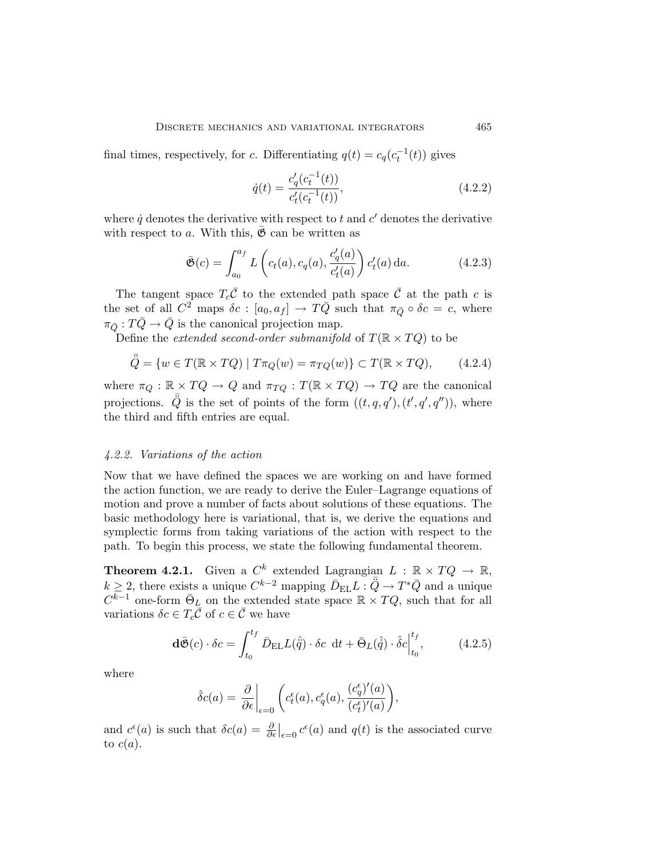final times, respectively, for c. Differentiating  $q(t) = c_q(c_t^{-1}(t))$  gives

$$
\dot{q}(t) = \frac{c_q'(c_t^{-1}(t))}{c_t'(c_t^{-1}(t))},\tag{4.2.2}
$$

where  $\dot{q}$  denotes the derivative with respect to t and  $c'$  denotes the derivative with respect to a. With this,  $\bar{\mathfrak{G}}$  can be written as

$$
\bar{\mathfrak{G}}(c) = \int_{a_0}^{a_f} L\left(c_t(a), c_q(a), \frac{c'_q(a)}{c'_t(a)}\right) c'_t(a) da. \tag{4.2.3}
$$

The tangent space  $T_c\bar{C}$  to the extended path space  $\bar{C}$  at the path c is the set of all  $C^2$  maps  $\delta c : [a_0, a_f] \to T\overline{Q}$  such that  $\pi_{\overline{Q}} \circ \delta c = c$ , where  $\pi_{\bar{Q}} : T\bar{Q} \to \bar{Q}$  is the canonical projection map.

Define the *extended second-order submanifold* of  $T(\mathbb{R} \times TQ)$  to be

$$
\overline{\ddot{Q}} = \{ w \in T(\mathbb{R} \times TQ) \mid T\pi_Q(w) = \pi_{TQ}(w) \} \subset T(\mathbb{R} \times TQ), \qquad (4.2.4)
$$

where  $\pi_Q : \mathbb{R} \times TQ \to Q$  and  $\pi_{TQ} : T(\mathbb{R} \times TQ) \to TQ$  are the canonical projections.  $\overline{Q}$  is the set of points of the form  $((t, q, q'), (t', q', q''))$ , where the third and fifth entries are equal.

#### 4.2.2. Variations of the action

Now that we have defined the spaces we are working on and have formed the action function, we are ready to derive the Euler–Lagrange equations of motion and prove a number of facts about solutions of these equations. The basic methodology here is variational, that is, we derive the equations and symplectic forms from taking variations of the action with respect to the path. To begin this process, we state the following fundamental theorem.

**Theorem 4.2.1.** Given a  $C^k$  extended Lagrangian  $L : \mathbb{R} \times TQ \to \mathbb{R}$ ,  $k \geq 2$ , there exists a unique  $C^{k-2}$  mapping  $\overline{\tilde{D}_{\text{EL}}} L : \overline{\tilde{Q}} \to T^* \overline{Q}$  and a unique  $C^{k-1}$  one-form  $\bar{\Theta}_L$  on the extended state space  $\mathbb{R} \times TQ$ , such that for all variations  $\delta c \in T_c \overline{C}$  of  $c \in \overline{C}$  we have

$$
\mathbf{d}\bar{\mathfrak{G}}(c) \cdot \delta c = \int_{t_0}^{t_f} \bar{D}_{\text{EL}} L(\hat{\ddot{q}}) \cdot \delta c \, dt + \bar{\Theta}_L(\hat{\dot{q}}) \cdot \hat{\delta}c \Big|_{t_0}^{t_f}, \tag{4.2.5}
$$

where

$$
\hat{\delta}c(a) = \left. \frac{\partial}{\partial \epsilon} \right|_{\epsilon=0} \left( c_t^{\epsilon}(a), c_q^{\epsilon}(a), \frac{(c_q^{\epsilon})'(a)}{(c_t^{\epsilon})'(a)} \right),
$$

and  $c^{\epsilon}(a)$  is such that  $\delta c(a) = \frac{\partial}{\partial a}$  $\frac{\partial}{\partial \epsilon}\Big|_{\epsilon=0} c^{\epsilon}(a)$  and  $q(t)$  is the associated curve to  $c(a)$ .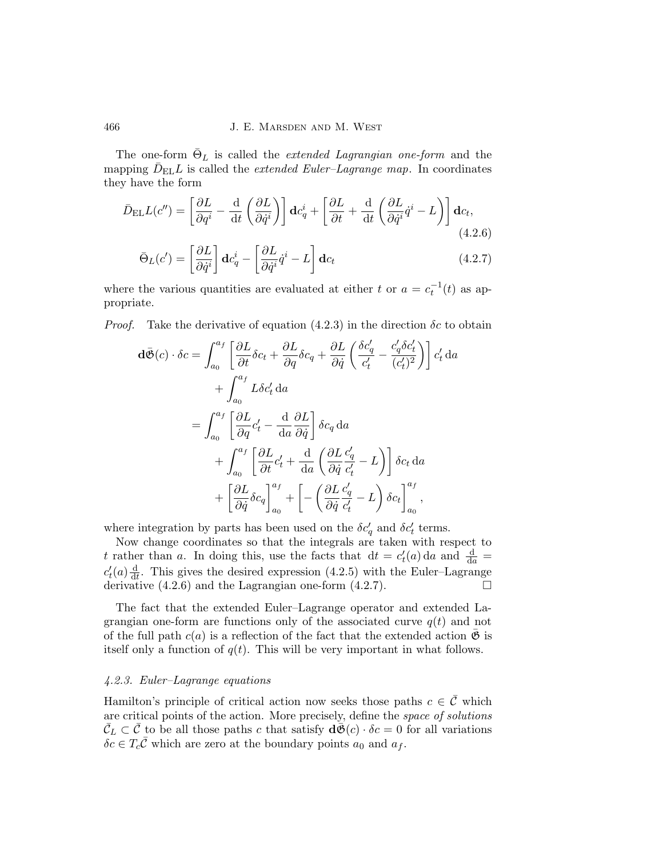The one-form  $\bar{\Theta}_L$  is called the *extended Lagrangian one-form* and the mapping  $\bar{D}_{\text{EL}}L$  is called the *extended Euler–Lagrange map*. In coordinates they have the form

$$
\bar{D}_{\text{EL}}L(c'') = \left[\frac{\partial L}{\partial q^i} - \frac{d}{dt}\left(\frac{\partial L}{\partial \dot{q}^i}\right)\right] \mathbf{d}c_q^i + \left[\frac{\partial L}{\partial t} + \frac{d}{dt}\left(\frac{\partial L}{\partial \dot{q}^i}\dot{q}^i - L\right)\right] \mathbf{d}c_t,
$$
\n(4.2.6)

$$
\bar{\Theta}_L(c') = \left[\frac{\partial L}{\partial \dot{q}^i}\right] \mathbf{d}c_q^i - \left[\frac{\partial L}{\partial \dot{q}^i} \dot{q}^i - L\right] \mathbf{d}c_t
$$
\n(4.2.7)

where the various quantities are evaluated at either t or  $a = c_t^{-1}(t)$  as appropriate.

*Proof.* Take the derivative of equation (4.2.3) in the direction  $\delta c$  to obtain

$$
\mathbf{d}\bar{\mathfrak{G}}(c) \cdot \delta c = \int_{a_0}^{a_f} \left[ \frac{\partial L}{\partial t} \delta c_t + \frac{\partial L}{\partial q} \delta c_q + \frac{\partial L}{\partial \dot{q}} \left( \frac{\delta c'_q}{c'_t} - \frac{c'_q \delta c'_t}{(c'_t)^2} \right) \right] c'_t \, \mathrm{d}a
$$
  
+ 
$$
\int_{a_0}^{a_f} L \delta c'_t \, \mathrm{d}a
$$
  
= 
$$
\int_{a_0}^{a_f} \left[ \frac{\partial L}{\partial q} c'_t - \frac{\mathrm{d}}{\mathrm{d}a} \frac{\partial L}{\partial \dot{q}} \right] \delta c_q \, \mathrm{d}a
$$
  
+ 
$$
\int_{a_0}^{a_f} \left[ \frac{\partial L}{\partial t} c'_t + \frac{\mathrm{d}}{\mathrm{d}a} \left( \frac{\partial L}{\partial \dot{q}} \frac{c'_q}{c'_t} - L \right) \right] \delta c_t \, \mathrm{d}a
$$
  
+ 
$$
\left[ \frac{\partial L}{\partial \dot{q}} \delta c_q \right]_{a_0}^{a_f} + \left[ -\left( \frac{\partial L}{\partial \dot{q}} \frac{c'_q}{c'_t} - L \right) \delta c_t \right]_{a_0}^{a_f},
$$

where integration by parts has been used on the  $\delta c'_q$  and  $\delta c'_t$  terms.

Now change coordinates so that the integrals are taken with respect to t rather than a. In doing this, use the facts that  $dt = c_t'(a) da$  and  $\frac{d}{da} =$  $c'_t(a) \frac{d}{dt}$  $\frac{d}{dt}$ . This gives the desired expression (4.2.5) with the Euler–Lagrange derivative  $(4.2.6)$  and the Lagrangian one-form  $(4.2.7)$ .

The fact that the extended Euler–Lagrange operator and extended Lagrangian one-form are functions only of the associated curve  $q(t)$  and not of the full path  $c(a)$  is a reflection of the fact that the extended action  $\mathfrak{G}$  is itself only a function of  $q(t)$ . This will be very important in what follows.

# 4.2.3. Euler–Lagrange equations

Hamilton's principle of critical action now seeks those paths  $c \in \overline{C}$  which are critical points of the action. More precisely, define the space of solutions  $\bar{\mathcal{C}}_L \subset \bar{\mathcal{C}}$  to be all those paths c that satisfy  $\mathbf{d}\bar{\mathfrak{G}}(c) \cdot \delta c = 0$  for all variations  $\delta c \in T_c \overline{\mathcal{C}}$  which are zero at the boundary points  $a_0$  and  $a_f$ .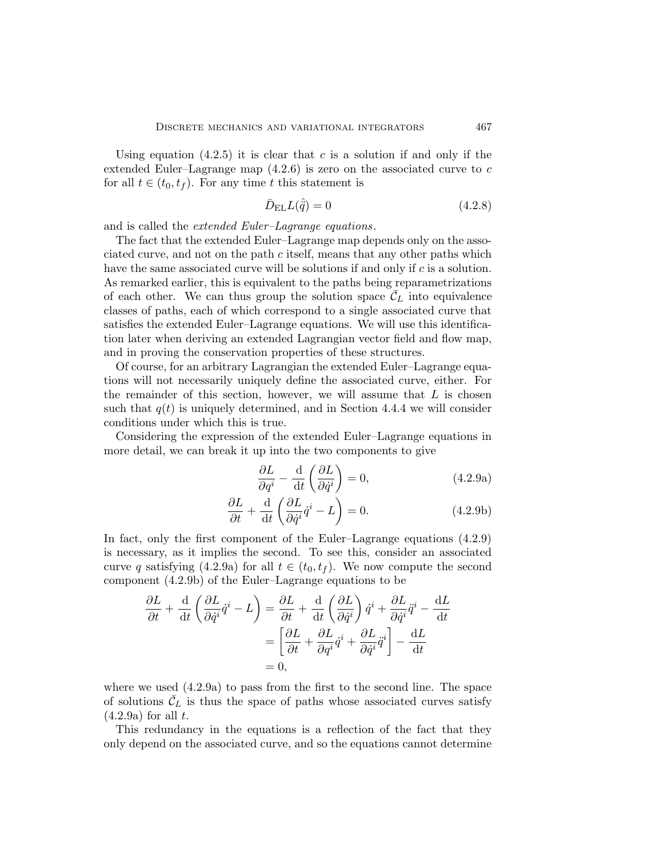Using equation  $(4.2.5)$  it is clear that c is a solution if and only if the extended Euler–Lagrange map  $(4.2.6)$  is zero on the associated curve to c for all  $t \in (t_0, t_f)$ . For any time t this statement is

$$
\bar{D}_{\rm EL}L(\hat{\tilde{q}}) = 0\tag{4.2.8}
$$

and is called the extended Euler–Lagrange equations.

The fact that the extended Euler–Lagrange map depends only on the associated curve, and not on the path  $c$  itself, means that any other paths which have the same associated curve will be solutions if and only if  $c$  is a solution. As remarked earlier, this is equivalent to the paths being reparametrizations of each other. We can thus group the solution space  $\overline{C}_L$  into equivalence classes of paths, each of which correspond to a single associated curve that satisfies the extended Euler–Lagrange equations. We will use this identification later when deriving an extended Lagrangian vector field and flow map, and in proving the conservation properties of these structures.

Of course, for an arbitrary Lagrangian the extended Euler–Lagrange equations will not necessarily uniquely define the associated curve, either. For the remainder of this section, however, we will assume that  $L$  is chosen such that  $q(t)$  is uniquely determined, and in Section 4.4.4 we will consider conditions under which this is true.

Considering the expression of the extended Euler–Lagrange equations in more detail, we can break it up into the two components to give

$$
\frac{\partial L}{\partial q^i} - \frac{\mathrm{d}}{\mathrm{d}t} \left( \frac{\partial L}{\partial \dot{q}^i} \right) = 0, \tag{4.2.9a}
$$

$$
\frac{\partial L}{\partial t} + \frac{\mathrm{d}}{\mathrm{d}t} \left( \frac{\partial L}{\partial \dot{q}^i} \dot{q}^i - L \right) = 0. \tag{4.2.9b}
$$

In fact, only the first component of the Euler–Lagrange equations (4.2.9) is necessary, as it implies the second. To see this, consider an associated curve q satisfying (4.2.9a) for all  $t \in (t_0, t_f)$ . We now compute the second component (4.2.9b) of the Euler–Lagrange equations to be

$$
\frac{\partial L}{\partial t} + \frac{\mathrm{d}}{\mathrm{d}t} \left( \frac{\partial L}{\partial \dot{q}^i} \dot{q}^i - L \right) = \frac{\partial L}{\partial t} + \frac{\mathrm{d}}{\mathrm{d}t} \left( \frac{\partial L}{\partial \dot{q}^i} \right) \dot{q}^i + \frac{\partial L}{\partial \dot{q}^i} \ddot{q}^i - \frac{\mathrm{d}L}{\mathrm{d}t}
$$

$$
= \left[ \frac{\partial L}{\partial t} + \frac{\partial L}{\partial q^i} \dot{q}^i + \frac{\partial L}{\partial \dot{q}^i} \ddot{q}^i \right] - \frac{\mathrm{d}L}{\mathrm{d}t}
$$

$$
= 0,
$$

where we used (4.2.9a) to pass from the first to the second line. The space of solutions  $\overline{\mathcal{C}}_L$  is thus the space of paths whose associated curves satisfy  $(4.2.9a)$  for all t.

This redundancy in the equations is a reflection of the fact that they only depend on the associated curve, and so the equations cannot determine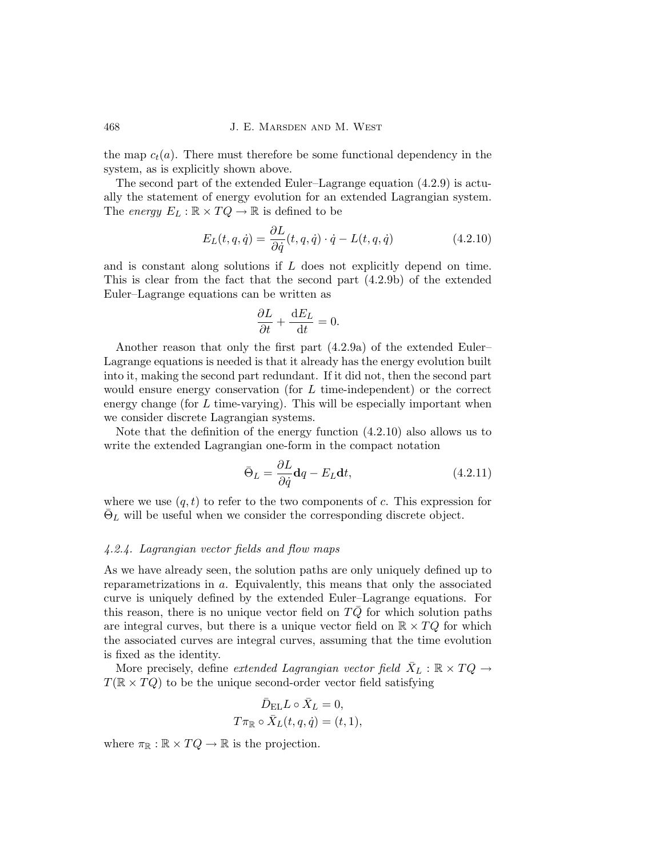the map  $c_t(a)$ . There must therefore be some functional dependency in the system, as is explicitly shown above.

The second part of the extended Euler–Lagrange equation (4.2.9) is actually the statement of energy evolution for an extended Lagrangian system. The energy  $E_L : \mathbb{R} \times TQ \to \mathbb{R}$  is defined to be

$$
E_L(t, q, \dot{q}) = \frac{\partial L}{\partial \dot{q}}(t, q, \dot{q}) \cdot \dot{q} - L(t, q, \dot{q}) \tag{4.2.10}
$$

and is constant along solutions if L does not explicitly depend on time. This is clear from the fact that the second part (4.2.9b) of the extended Euler–Lagrange equations can be written as

$$
\frac{\partial L}{\partial t} + \frac{\mathrm{d}E_L}{\mathrm{d}t} = 0.
$$

Another reason that only the first part (4.2.9a) of the extended Euler– Lagrange equations is needed is that it already has the energy evolution built into it, making the second part redundant. If it did not, then the second part would ensure energy conservation (for  $L$  time-independent) or the correct energy change (for  $L$  time-varying). This will be especially important when we consider discrete Lagrangian systems.

Note that the definition of the energy function (4.2.10) also allows us to write the extended Lagrangian one-form in the compact notation

$$
\bar{\Theta}_L = \frac{\partial L}{\partial \dot{q}} \mathbf{d}q - E_L \mathbf{d}t,\tag{4.2.11}
$$

where we use  $(q,t)$  to refer to the two components of c. This expression for  $\bar{\Theta}_L$  will be useful when we consider the corresponding discrete object.

#### 4.2.4. Lagrangian vector fields and flow maps

As we have already seen, the solution paths are only uniquely defined up to reparametrizations in a. Equivalently, this means that only the associated curve is uniquely defined by the extended Euler–Lagrange equations. For this reason, there is no unique vector field on  $T\overline{Q}$  for which solution paths are integral curves, but there is a unique vector field on  $\mathbb{R} \times TQ$  for which the associated curves are integral curves, assuming that the time evolution is fixed as the identity.

More precisely, define *extended Lagrangian vector field*  $\bar{X}_L : \mathbb{R} \times TQ \rightarrow$  $T(\mathbb{R} \times TQ)$  to be the unique second-order vector field satisfying

$$
\bar{D}_{\text{EL}}L \circ \bar{X}_L = 0,
$$
  

$$
T\pi_{\mathbb{R}} \circ \bar{X}_L(t, q, \dot{q}) = (t, 1),
$$

where  $\pi_{\mathbb{R}} : \mathbb{R} \times TQ \to \mathbb{R}$  is the projection.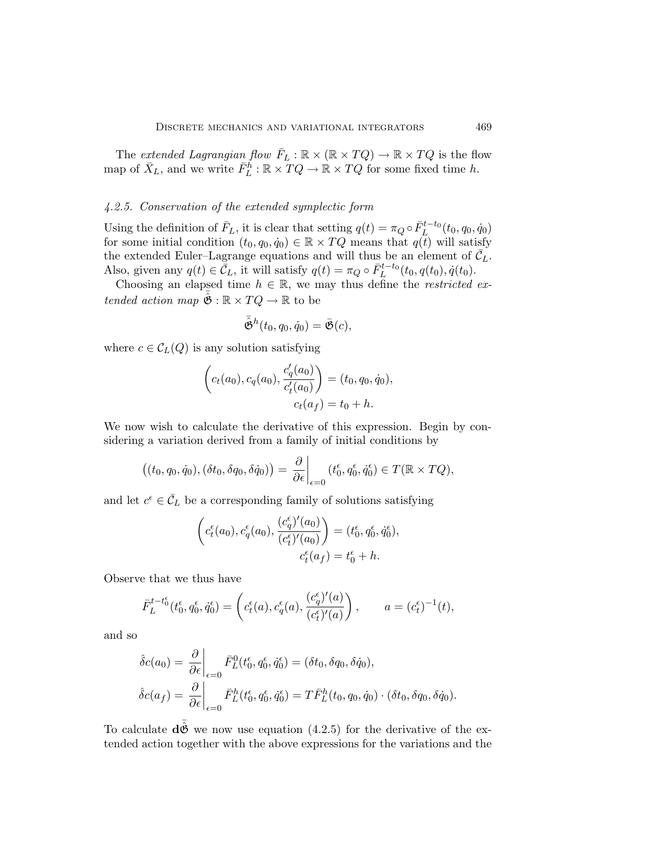The extended Lagrangian flow  $\bar{F}_L : \mathbb{R} \times (\mathbb{R} \times TQ) \to \mathbb{R} \times TQ$  is the flow map of  $\bar{X}_L$ , and we write  $\bar{F}_L^h : \mathbb{R} \times TQ \to \mathbb{R} \times TQ$  for some fixed time h.

# 4.2.5. Conservation of the extended symplectic form

Using the definition of  $\bar{F}_L$ , it is clear that setting  $q(t) = \pi_Q \circ \bar{F}_L^{t-t_0}(t_0, q_0, \dot{q}_0)$ for some initial condition  $(t_0, q_0, \dot{q}_0) \in \mathbb{R} \times TQ$  means that  $q(t)$  will satisfy the extended Euler–Lagrange equations and will thus be an element of  $\bar{C}_L$ . Also, given any  $q(t) \in \overline{C}_L$ , it will satisfy  $q(t) = \pi_Q \circ \overline{F}_L^{t-t_0}(t_0, q(t_0), \dot{q}(t_0))$ .

Choosing an elapsed time  $h \in \mathbb{R}$ , we may thus define the *restricted ex*tended action map  $\overline{\hat{\mathfrak{G}}} : \mathbb{R} \times TQ \to \mathbb{R}$  to be

$$
\bar{\hat{\mathfrak{G}}}^h(t_0,q_0,\dot{q}_0)=\bar{\mathfrak{G}}(c),
$$

where  $c \in C_L(Q)$  is any solution satisfying

$$
\left(c_t(a_0), c_q(a_0), \frac{c'_q(a_0)}{c'_t(a_0)}\right) = (t_0, q_0, \dot{q}_0),
$$

$$
c_t(a_f) = t_0 + h.
$$

We now wish to calculate the derivative of this expression. Begin by considering a variation derived from a family of initial conditions by

$$
((t_0, q_0, \dot{q}_0), (\delta t_0, \delta q_0, \delta \dot{q}_0)) = \left. \frac{\partial}{\partial \epsilon} \right|_{\epsilon=0} (t_0^{\epsilon}, q_0^{\epsilon}, \dot{q}_0^{\epsilon}) \in T(\mathbb{R} \times TQ),
$$

and let  $c^{\epsilon} \in \overline{C}_L$  be a corresponding family of solutions satisfying

$$
\left(c_t^{\epsilon}(a_0), c_q^{\epsilon}(a_0), \frac{(c_q^{\epsilon})'(a_0)}{(c_t^{\epsilon})'(a_0)}\right) = (t_0^{\epsilon}, q_0^{\epsilon}, \dot{q}_0^{\epsilon}),
$$
  

$$
c_t^{\epsilon}(a_f) = t_0^{\epsilon} + h.
$$

Observe that we thus have

$$
\bar{F}_L^{t-t_0^{\epsilon}}(t_0^{\epsilon}, q_0^{\epsilon}, \dot{q}_0^{\epsilon}) = \left( c_t^{\epsilon}(a), c_q^{\epsilon}(a), \frac{(c_q^{\epsilon})'(a)}{(c_t^{\epsilon})'(a)} \right), \qquad a = (c_t^{\epsilon})^{-1}(t),
$$

and so

$$
\hat{\delta}c(a_0) = \frac{\partial}{\partial \epsilon}\Big|_{\epsilon=0} \bar{F}_L^0(t_0^{\epsilon}, q_0^{\epsilon}, \dot{q}_0^{\epsilon}) = (\delta t_0, \delta q_0, \delta \dot{q}_0),
$$
  

$$
\hat{\delta}c(a_f) = \frac{\partial}{\partial \epsilon}\Big|_{\epsilon=0} \bar{F}_L^h(t_0^{\epsilon}, q_0^{\epsilon}, \dot{q}_0^{\epsilon}) = T \bar{F}_L^h(t_0, q_0, \dot{q}_0) \cdot (\delta t_0, \delta q_0, \delta \dot{q}_0).
$$

To calculate  $\mathbf{d}\tilde{\hat{\mathcal{G}}}$  we now use equation (4.2.5) for the derivative of the extended action together with the above expressions for the variations and the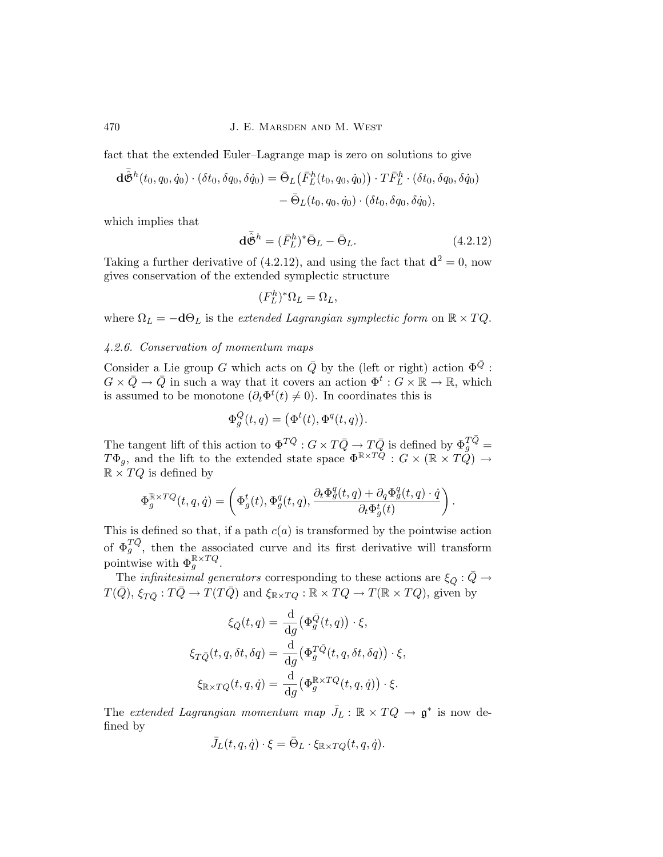fact that the extended Euler–Lagrange map is zero on solutions to give

$$
\begin{split} \mathbf{d}\tilde{\hat{\mathfrak{G}}}^{h}(t_{0},q_{0},\dot{q}_{0})\cdot(\delta t_{0},\delta q_{0},\delta\dot{q}_{0}) &= \bar{\Theta}_{L}\big(\bar{F}_{L}^{h}(t_{0},q_{0},\dot{q}_{0})\big)\cdot T\bar{F}_{L}^{h}\cdot(\delta t_{0},\delta q_{0},\delta\dot{q}_{0}) \\ &- \bar{\Theta}_{L}(t_{0},q_{0},\dot{q}_{0})\cdot(\delta t_{0},\delta q_{0},\delta\dot{q}_{0}), \end{split}
$$

which implies that

$$
\mathbf{d}\bar{\hat{\mathfrak{G}}}^h = (\bar{F}_L^h)^* \bar{\Theta}_L - \bar{\Theta}_L. \tag{4.2.12}
$$

Taking a further derivative of (4.2.12), and using the fact that  $\mathbf{d}^2 = 0$ , now gives conservation of the extended symplectic structure

$$
(F_L^h)^*\Omega_L = \Omega_L,
$$

where  $\Omega_L = -d\Theta_L$  is the extended Lagrangian symplectic form on  $\mathbb{R} \times TQ$ .

# 4.2.6. Conservation of momentum maps

Consider a Lie group G which acts on  $\overline{Q}$  by the (left or right) action  $\Phi^{\overline{Q}}$ :  $G \times \bar{Q} \to \bar{Q}$  in such a way that it covers an action  $\Phi^t : G \times \mathbb{R} \to \mathbb{R}$ , which is assumed to be monotone  $(\partial_t \Phi^t(t) \neq 0)$ . In coordinates this is

$$
\Phi_g^{\bar{Q}}(t,q) = (\Phi^t(t), \Phi^q(t,q)).
$$

The tangent lift of this action to  $\Phi^{T\bar{Q}}$  :  $G \times T\bar{Q} \to T\bar{Q}$  is defined by  $\Phi_g^{T\bar{Q}} =$  $T\Phi_g$ , and the lift to the extended state space  $\Phi^{\mathbb{R}\times TQ}: G\times (\mathbb{R}\times T\tilde{Q}) \to$  $\mathbb{R} \times TQ$  is defined by

$$
\Phi_g^{\mathbb{R} \times TQ}(t,q,\dot{q}) = \left( \Phi_g^t(t), \Phi_g^q(t,q), \frac{\partial_t \Phi_g^q(t,q) + \partial_q \Phi_g^q(t,q) \cdot \dot{q}}{\partial_t \Phi_g^t(t)} \right).
$$

This is defined so that, if a path  $c(a)$  is transformed by the pointwise action of  $\Phi_g^{T\bar{Q}}$ , then the associated curve and its first derivative will transform pointwise with  $\Phi_g^{\mathbb{R} \times TQ}$ .

The *infinitesimal generators* corresponding to these actions are  $\xi_{\bar{Q}} : \bar{Q} \to$  $T(\bar{Q}), \xi_{T\bar{Q}} : T\bar{Q} \to T(T\bar{Q})$  and  $\xi_{\mathbb{R} \times TQ} : \mathbb{R} \times TQ \to T(\mathbb{R} \times TQ)$ , given by

$$
\xi_{\overline{Q}}(t,q) = \frac{\mathrm{d}}{\mathrm{d}g} \big( \Phi_g^{\overline{Q}}(t,q) \big) \cdot \xi,
$$
  

$$
\xi_{T\overline{Q}}(t,q,\delta t,\delta q) = \frac{\mathrm{d}}{\mathrm{d}g} \big( \Phi_g^{T\overline{Q}}(t,q,\delta t,\delta q) \big) \cdot \xi,
$$
  

$$
\xi_{\mathbb{R} \times TQ}(t,q,\dot{q}) = \frac{\mathrm{d}}{\mathrm{d}g} \big( \Phi_g^{\mathbb{R} \times TQ}(t,q,\dot{q}) \big) \cdot \xi.
$$

The extended Lagrangian momentum map  $\bar{J}_L : \mathbb{R} \times TQ \to \mathfrak{g}^*$  is now defined by

$$
\bar{J}_L(t,q,\dot{q})\cdot \xi = \bar{\Theta}_L \cdot \xi_{\mathbb{R}\times TQ}(t,q,\dot{q}).
$$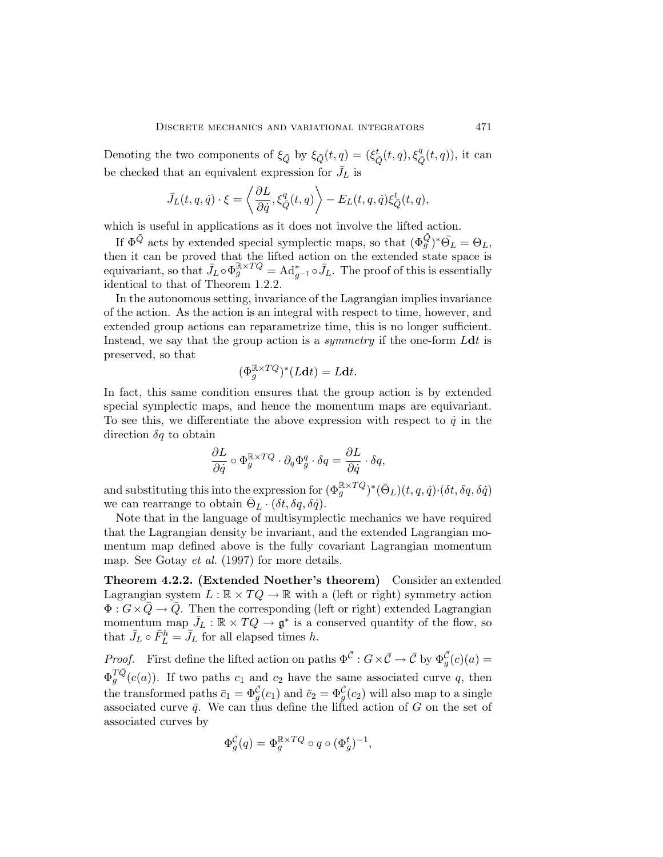Denoting the two components of  $\xi_{\bar{Q}}$  by  $\xi_{\bar{Q}}(t,q) = (\xi_{\bar{Q}}^t(t,q), \xi_{\bar{Q}}^q(t,q))$ , it can be checked that an equivalent expression for  $\bar{J}_L$  is

$$
\bar{J}_L(t,q,\dot{q})\cdot \xi = \left\langle \frac{\partial L}{\partial \dot{q}}, \xi_{\bar{Q}}^q(t,q) \right\rangle - E_L(t,q,\dot{q}) \xi_{\bar{Q}}^t(t,q),
$$

which is useful in applications as it does not involve the lifted action.

If  $\Phi^{\bar{Q}}$  acts by extended special symplectic maps, so that  $(\Phi_g^{\bar{Q}})^*\Theta_L = \Theta_L$ , then it can be proved that the lifted action on the extended state space is equivariant, so that  $\bar{J}_L \circ \Phi_g^{\mathbb{R} \times TQ} = \mathrm{Ad}^*_{g^{-1}} \circ \bar{J}_L$ . The proof of this is essentially identical to that of Theorem 1.2.2.

In the autonomous setting, invariance of the Lagrangian implies invariance of the action. As the action is an integral with respect to time, however, and extended group actions can reparametrize time, this is no longer sufficient. Instead, we say that the group action is a *symmetry* if the one-form  $Ldt$  is preserved, so that

$$
(\Phi_g^{\mathbb{R} \times TQ})^*(L\mathbf{d}t) = L\mathbf{d}t.
$$

In fact, this same condition ensures that the group action is by extended special symplectic maps, and hence the momentum maps are equivariant. To see this, we differentiate the above expression with respect to  $\dot{q}$  in the direction  $\delta q$  to obtain

$$
\frac{\partial L}{\partial \dot{q}} \circ \Phi_g^{\mathbb{R} \times TQ} \cdot \partial_q \Phi_g^q \cdot \delta q = \frac{\partial L}{\partial \dot{q}} \cdot \delta q,
$$

and substituting this into the expression for  $(\Phi_g^{R\times TQ})^*(\bar{\Theta}_L)(t, q, \dot{q})\cdot(\delta t, \delta q, \delta \dot{q})$ we can rearrange to obtain  $\bar{\Theta}_L \cdot (\delta t, \delta q, \delta \dot{q}).$ 

Note that in the language of multisymplectic mechanics we have required that the Lagrangian density be invariant, and the extended Lagrangian momentum map defined above is the fully covariant Lagrangian momentum map. See Gotay *et al.* (1997) for more details.

Theorem 4.2.2. (Extended Noether's theorem) Consider an extended Lagrangian system  $L : \mathbb{R} \times TQ \to \mathbb{R}$  with a (left or right) symmetry action  $\Phi: G \times \bar{Q} \to \bar{Q}$ . Then the corresponding (left or right) extended Lagrangian momentum map  $\bar{J}_L : \mathbb{R} \times TQ \to \mathfrak{g}^*$  is a conserved quantity of the flow, so that  $\bar{J}_L \circ \bar{F}_L^h = \bar{J}_L$  for all elapsed times h.

*Proof.* First define the lifted action on paths  $\Phi^{\bar{C}}$  :  $G \times \bar{C} \to \bar{C}$  by  $\Phi_{g}^{\bar{C}}(c)(a) =$  $\Phi_g^{T\bar{Q}}(c(a))$ . If two paths  $c_1$  and  $c_2$  have the same associated curve q, then the transformed paths  $\bar{c}_1 = \Phi_g^{\bar{C}}(c_1)$  and  $\bar{c}_2 = \Phi_g^{\bar{C}}(c_2)$  will also map to a single associated curve  $\bar{q}$ . We can thus define the lifted action of G on the set of associated curves by

$$
\Phi_g^{\overline{C}}(q) = \Phi_g^{\mathbb{R} \times TQ} \circ q \circ (\Phi_g^t)^{-1},
$$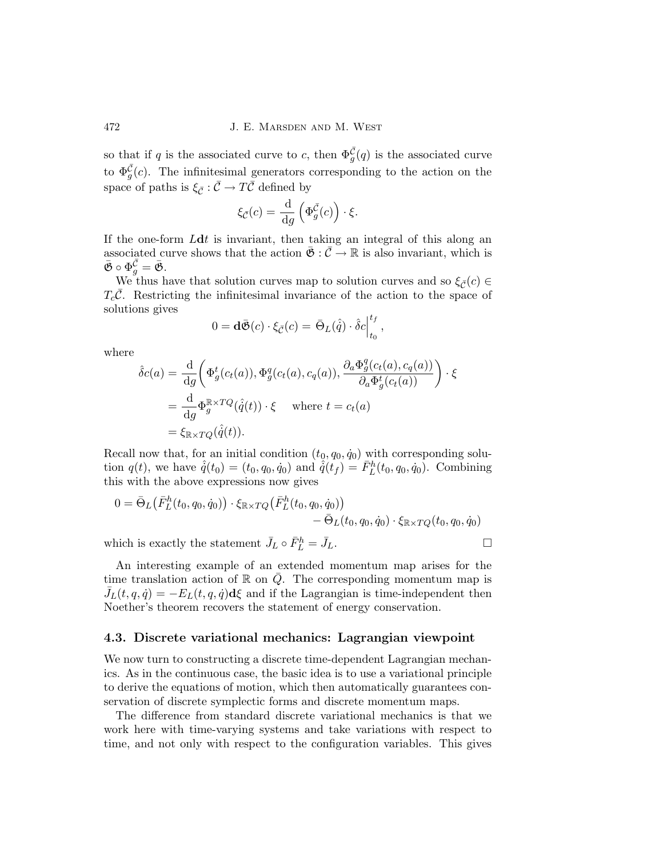so that if q is the associated curve to c, then  $\Phi_{g}^{\bar{C}}(q)$  is the associated curve to  $\Phi_{g}^{\overline{C}}(c)$ . The infinitesimal generators corresponding to the action on the space of paths is  $\xi_{\bar{\mathcal{C}}} : \bar{\mathcal{C}} \to T\bar{\mathcal{C}}$  defined by

$$
\xi_{\overline{\mathcal{C}}}(c) = \frac{\mathrm{d}}{\mathrm{d}g} \left( \Phi_g^{\overline{\mathcal{C}}}(c) \right) \cdot \xi.
$$

If the one-form  $Ldt$  is invariant, then taking an integral of this along an associated curve shows that the action  $\bar{\mathfrak{G}} : \bar{\mathcal{C}} \to \mathbb{R}$  is also invariant, which is  $\bar{\mathfrak{G}} \circ \Phi_g^{\bar{\mathcal{C}}} = \bar{\mathfrak{G}}.$ 

We thus have that solution curves map to solution curves and so  $\xi_{\bar{c}}(c) \in$  $T_c\bar{C}$ . Restricting the infinitesimal invariance of the action to the space of solutions gives

$$
0 = \mathbf{d}\bar{\mathfrak{G}}(c) \cdot \xi_{\bar{\mathcal{C}}}(c) = \bar{\Theta}_L(\hat{\dot{q}}) \cdot \hat{\delta}c \Big|_{t_0}^{t_f},
$$

where

$$
\hat{\delta}c(a) = \frac{\mathrm{d}}{\mathrm{d}g} \bigg( \Phi_g^t(c_t(a)), \Phi_g^q(c_t(a), c_q(a)), \frac{\partial_a \Phi_g^q(c_t(a), c_q(a))}{\partial_a \Phi_g^t(c_t(a))} \bigg) \cdot \xi
$$
  
= 
$$
\frac{\mathrm{d}}{\mathrm{d}g} \Phi_g^{\mathbb{R} \times TQ}(\hat{q}(t)) \cdot \xi \quad \text{where } t = c_t(a)
$$
  
= 
$$
\xi_{\mathbb{R} \times TQ}(\hat{q}(t)).
$$

Recall now that, for an initial condition  $(t_0, q_0, \dot{q}_0)$  with corresponding solution  $q(t)$ , we have  $\hat{q}(t_0) = (t_0, q_0, \dot{q}_0)$  and  $\hat{q}(t_f) = \bar{F}_L^h(t_0, q_0, \dot{q}_0)$ . Combining this with the above expressions now gives

$$
0 = \bar{\Theta}_L(\bar{F}_L^h(t_0, q_0, \dot{q}_0)) \cdot \xi_{\mathbb{R} \times TQ}(\bar{F}_L^h(t_0, q_0, \dot{q}_0)) - \bar{\Theta}_L(t_0, q_0, \dot{q}_0) \cdot \xi_{\mathbb{R} \times TQ}(t_0, q_0, \dot{q}_0)
$$

which is exactly the statement  $\bar{J}_L \circ \bar{F}_L^h = \bar{J}_L$  $L$ .

An interesting example of an extended momentum map arises for the time translation action of  $\mathbb R$  on  $\overline{Q}$ . The corresponding momentum map is  $\bar{J}_L(t,q,\dot{q}) = -E_L(t,q,\dot{q})d\xi$  and if the Lagrangian is time-independent then Noether's theorem recovers the statement of energy conservation.

# 4.3. Discrete variational mechanics: Lagrangian viewpoint

We now turn to constructing a discrete time-dependent Lagrangian mechanics. As in the continuous case, the basic idea is to use a variational principle to derive the equations of motion, which then automatically guarantees conservation of discrete symplectic forms and discrete momentum maps.

The difference from standard discrete variational mechanics is that we work here with time-varying systems and take variations with respect to time, and not only with respect to the configuration variables. This gives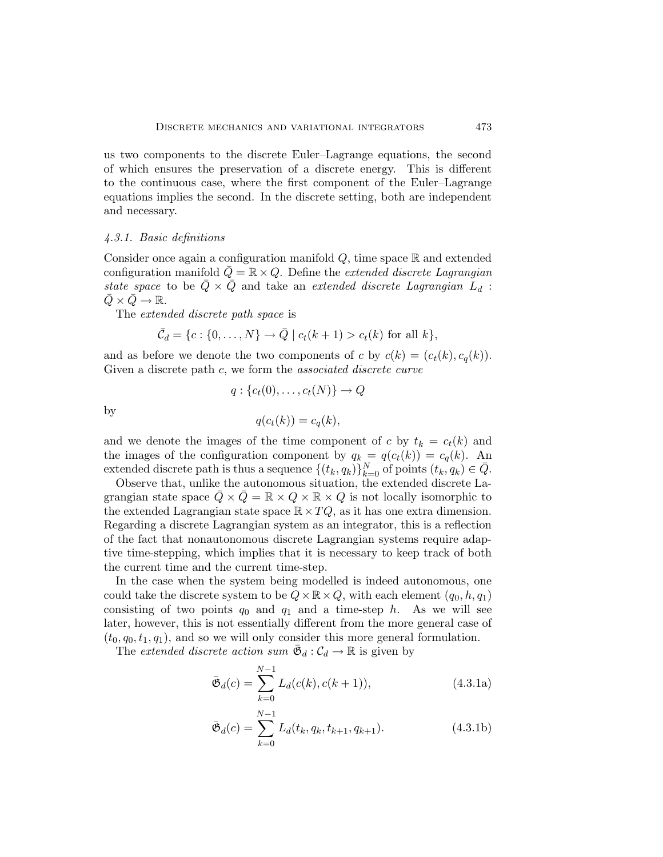us two components to the discrete Euler–Lagrange equations, the second of which ensures the preservation of a discrete energy. This is different to the continuous case, where the first component of the Euler–Lagrange equations implies the second. In the discrete setting, both are independent and necessary.

# 4.3.1. Basic definitions

Consider once again a configuration manifold  $Q$ , time space  $\mathbb R$  and extended configuration manifold  $Q = \mathbb{R} \times Q$ . Define the extended discrete Lagrangian state space to be  $\overline{Q} \times \overline{Q}$  and take an extended discrete Lagrangian  $L_d$ :  $\bar{Q} \times Q \to \mathbb{R}$ .

The extended discrete path space is

$$
\bar{\mathcal{C}}_d = \{c : \{0, \ldots, N\} \to \bar{Q} \mid c_t(k+1) > c_t(k) \text{ for all } k\},\
$$

and as before we denote the two components of c by  $c(k) = (c_t(k), c_q(k))$ . Given a discrete path c, we form the *associated discrete curve* 

$$
q: \{c_t(0), \ldots, c_t(N)\} \to Q
$$

by

$$
q(c_t(k)) = c_q(k),
$$

and we denote the images of the time component of c by  $t_k = c_t(k)$  and the images of the configuration component by  $q_k = q(c_t(k)) = c_q(k)$ . An extended discrete path is thus a sequence  $\{(t_k, q_k)\}_{k=0}^N$  of points  $(t_k, q_k) \in \overline{Q}$ .

Observe that, unlike the autonomous situation, the extended discrete Lagrangian state space  $Q \times Q = \mathbb{R} \times Q \times \mathbb{R} \times Q$  is not locally isomorphic to the extended Lagrangian state space  $\mathbb{R} \times TQ$ , as it has one extra dimension. Regarding a discrete Lagrangian system as an integrator, this is a reflection of the fact that nonautonomous discrete Lagrangian systems require adaptive time-stepping, which implies that it is necessary to keep track of both the current time and the current time-step.

In the case when the system being modelled is indeed autonomous, one could take the discrete system to be  $Q \times \mathbb{R} \times Q$ , with each element  $(q_0, h, q_1)$ consisting of two points  $q_0$  and  $q_1$  and a time-step h. As we will see later, however, this is not essentially different from the more general case of  $(t_0, q_0, t_1, q_1)$ , and so we will only consider this more general formulation.

The extended discrete action sum  $\bar{\mathfrak{G}}_d : \mathcal{C}_d \to \mathbb{R}$  is given by

$$
\bar{\mathfrak{G}}_d(c) = \sum_{k=0}^{N-1} L_d(c(k), c(k+1)),
$$
\n(4.3.1a)\n  
\n
$$
\bar{N-1}
$$

$$
\bar{\mathfrak{G}}_d(c) = \sum_{k=0}^{N-1} L_d(t_k, q_k, t_{k+1}, q_{k+1}). \tag{4.3.1b}
$$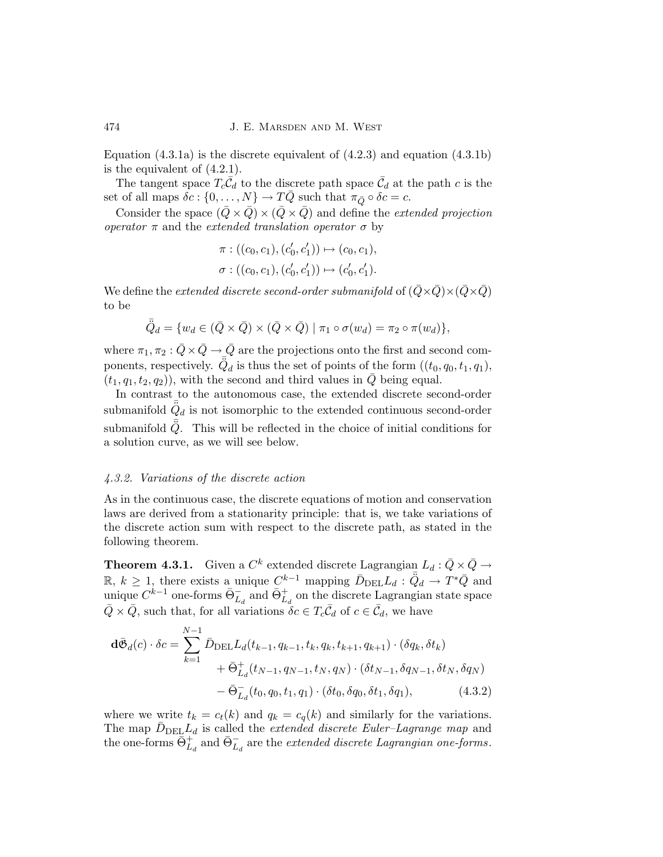Equation  $(4.3.1a)$  is the discrete equivalent of  $(4.2.3)$  and equation  $(4.3.1b)$ is the equivalent of (4.2.1).

The tangent space  $T_c \overline{C}_d$  to the discrete path space  $\overline{C}_d$  at the path c is the set of all maps  $\delta c : \{0, \ldots, N\} \to TQ$  such that  $\pi_{\bar{Q}} \circ \delta c = c$ .

Consider the space  $(Q \times Q) \times (Q \times Q)$  and define the *extended projection operator* π and the *extended translation operator*  $\sigma$  by

$$
\pi: ((c_0, c_1), (c'_0, c'_1)) \mapsto (c_0, c_1),
$$
  

$$
\sigma: ((c_0, c_1), (c'_0, c'_1)) \mapsto (c'_0, c'_1).
$$

We define the *extended discrete second-order submanifold* of  $(\bar{Q}\times\bar{Q})\times(\bar{Q}\times\bar{Q})$ to be

$$
\overline{\dot{Q}}_d = \{w_d \in (\overline{Q} \times \overline{Q}) \times (\overline{Q} \times \overline{Q}) \mid \pi_1 \circ \sigma(w_d) = \pi_2 \circ \pi(w_d)\},\
$$

where  $\pi_1, \pi_2 : \bar{Q} \times \bar{Q} \to \bar{Q}$  are the projections onto the first and second components, respectively.  $\overline{\ddot{Q}}_d$  is thus the set of points of the form  $((t_0, q_0, t_1, q_1))$ ,  $(t_1, q_1, t_2, q_2)$ , with the second and third values in Q being equal.

In contrast to the autonomous case, the extended discrete second-order submanifold  $\ddot{\bar{Q}}_d$  is not isomorphic to the extended continuous second-order submanifold  $\overline{\ddot{Q}}$ . This will be reflected in the choice of initial conditions for a solution curve, as we will see below.

### 4.3.2. Variations of the discrete action

As in the continuous case, the discrete equations of motion and conservation laws are derived from a stationarity principle: that is, we take variations of the discrete action sum with respect to the discrete path, as stated in the following theorem.

**Theorem 4.3.1.** Given a  $C^k$  extended discrete Lagrangian  $L_d : \bar{Q} \times \bar{Q} \to$ R,  $k \geq 1$ , there exists a unique  $C^{k-1}$  mapping  $\overline{D}_{\text{DEL}}L_d$ :  $\overline{\ddot{Q}}_d \rightarrow T^*\overline{Q}$  and unique  $C^{k-1}$  one-forms  $\bar{\Theta}_{L_d}^-$  and  $\bar{\Theta}_{L_d}^+$  on the discrete Lagrangian state space  $\overline{Q} \times \overline{Q}$ , such that, for all variations  $\delta c \in T_c \overline{C}_d$  of  $c \in \overline{C}_d$ , we have

$$
\mathbf{d}\bar{\mathfrak{G}}_{d}(c) \cdot \delta c = \sum_{k=1}^{N-1} \bar{D}_{\text{DEL}}L_{d}(t_{k-1}, q_{k-1}, t_{k}, q_{k}, t_{k+1}, q_{k+1}) \cdot (\delta q_{k}, \delta t_{k}) \n+ \bar{\Theta}_{L_{d}}^{+}(t_{N-1}, q_{N-1}, t_{N}, q_{N}) \cdot (\delta t_{N-1}, \delta q_{N-1}, \delta t_{N}, \delta q_{N}) \n- \bar{\Theta}_{L_{d}}^{-}(t_{0}, q_{0}, t_{1}, q_{1}) \cdot (\delta t_{0}, \delta q_{0}, \delta t_{1}, \delta q_{1}), \qquad (4.3.2)
$$

where we write  $t_k = c_t(k)$  and  $q_k = c_q(k)$  and similarly for the variations. The map  $\bar{D}_{\text{DEL}}L_d$  is called the *extended discrete Euler–Lagrange map* and the one-forms  $\bar{\Theta}_{L_d}^+$  and  $\bar{\Theta}_{L_d}^-$  are the *extended discrete Lagrangian one-forms*.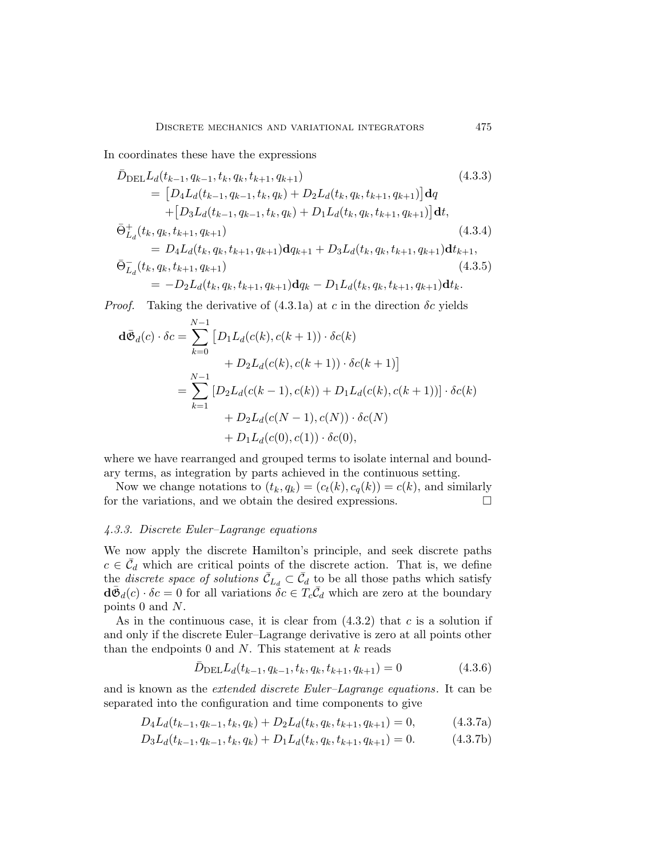In coordinates these have the expressions

$$
\bar{D}_{\text{DEL}}L_d(t_{k-1}, q_{k-1}, t_k, q_k, t_{k+1}, q_{k+1})
$$
\n
$$
= [D_4L_d(t_{k-1}, q_{k-1}, t_k, q_k) + D_2L_d(t_k, q_k, t_{k+1}, q_{k+1})] \mathbf{d}q
$$
\n
$$
+ [D_3L_d(t_{k-1}, q_{k-1}, t_k, q_k) + D_1L_d(t_k, q_k, t_{k+1}, q_{k+1})] \mathbf{d}t,
$$
\n
$$
\bar{\Theta}_{L_d}^+(t_k, q_k, t_{k+1}, q_{k+1})
$$
\n
$$
= D_4L_d(t_k, q_k, t_{k+1}, q_{k+1}) \mathbf{d}q_{k+1} + D_3L_d(t_k, q_k, t_{k+1}, q_{k+1}) \mathbf{d}t_{k+1},
$$
\n
$$
\bar{\Theta}_{L_d}^-(t_k, q_k, t_{k+1}, q_{k+1})
$$
\n
$$
= -D_2L_d(t_k, q_k, t_{k+1}, q_{k+1}) \mathbf{d}q_k - D_1L_d(t_k, q_k, t_{k+1}, q_{k+1}) \mathbf{d}t_k.
$$
\n(4.3.5)

*Proof.* Taking the derivative of  $(4.3.1a)$  at c in the direction  $\delta c$  yields

$$
\begin{split} \mathbf{d}\bar{\mathfrak{G}}_{d}(c)\cdot\delta c &= \sum_{k=0}^{N-1} \left[ D_{1}L_{d}(c(k),c(k+1))\cdot\delta c(k) \right. \\ &\quad \left. + D_{2}L_{d}(c(k),c(k+1))\cdot\delta c(k+1) \right] \\ &= \sum_{k=1}^{N-1} \left[ D_{2}L_{d}(c(k-1),c(k)) + D_{1}L_{d}(c(k),c(k+1)) \right] \cdot\delta c(k) \\ &\quad \left. + D_{2}L_{d}(c(N-1),c(N))\cdot\delta c(N) \right. \\ &\quad \left. + D_{1}L_{d}(c(0),c(1))\cdot\delta c(0), \right. \end{split}
$$

where we have rearranged and grouped terms to isolate internal and boundary terms, as integration by parts achieved in the continuous setting.

Now we change notations to  $(t_k, q_k) = (c_t(k), c_q(k)) = c(k)$ , and similarly for the variations, and we obtain the desired expressions.  $\Box$ 

#### 4.3.3. Discrete Euler–Lagrange equations

We now apply the discrete Hamilton's principle, and seek discrete paths  $c \in \bar{\mathcal{C}}_d$  which are critical points of the discrete action. That is, we define the *discrete space of solutions*  $\bar{C}_{L_d} \subset \bar{C}_d$  to be all those paths which satisfy  $d\bar{\mathfrak{G}}_d(c) \cdot \delta c = 0$  for all variations  $\delta c \in T_c \bar{\mathcal{C}}_d$  which are zero at the boundary points 0 and N.

As in the continuous case, it is clear from  $(4.3.2)$  that c is a solution if and only if the discrete Euler–Lagrange derivative is zero at all points other than the endpoints  $0$  and  $N$ . This statement at  $k$  reads

$$
\bar{D}_{\text{DEL}}L_d(t_{k-1}, q_{k-1}, t_k, q_k, t_{k+1}, q_{k+1}) = 0 \tag{4.3.6}
$$

and is known as the extended discrete Euler–Lagrange equations. It can be separated into the configuration and time components to give

$$
D_4L_d(t_{k-1}, q_{k-1}, t_k, q_k) + D_2L_d(t_k, q_k, t_{k+1}, q_{k+1}) = 0,
$$
\n(4.3.7a)

$$
D_3L_d(t_{k-1}, q_{k-1}, t_k, q_k) + D_1L_d(t_k, q_k, t_{k+1}, q_{k+1}) = 0.
$$
 (4.3.7b)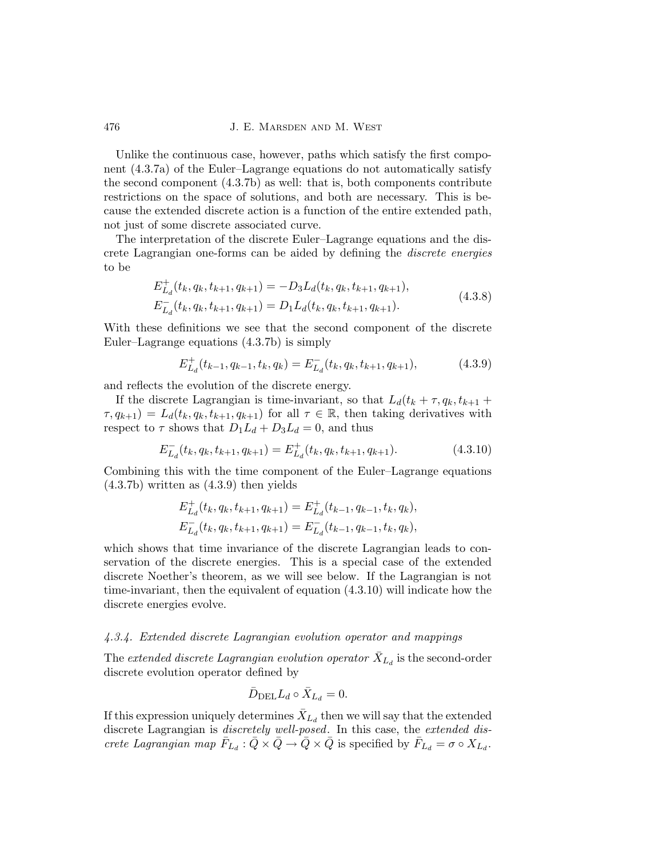Unlike the continuous case, however, paths which satisfy the first component (4.3.7a) of the Euler–Lagrange equations do not automatically satisfy the second component (4.3.7b) as well: that is, both components contribute restrictions on the space of solutions, and both are necessary. This is because the extended discrete action is a function of the entire extended path, not just of some discrete associated curve.

The interpretation of the discrete Euler–Lagrange equations and the discrete Lagrangian one-forms can be aided by defining the discrete energies to be

$$
E_{L_d}^+(t_k, q_k, t_{k+1}, q_{k+1}) = -D_3 L_d(t_k, q_k, t_{k+1}, q_{k+1}),
$$
  
\n
$$
E_{L_d}^-(t_k, q_k, t_{k+1}, q_{k+1}) = D_1 L_d(t_k, q_k, t_{k+1}, q_{k+1}).
$$
\n(4.3.8)

With these definitions we see that the second component of the discrete Euler–Lagrange equations (4.3.7b) is simply

$$
E_{L_d}^+(t_{k-1}, q_{k-1}, t_k, q_k) = E_{L_d}^-(t_k, q_k, t_{k+1}, q_{k+1}),
$$
\n(4.3.9)

and reflects the evolution of the discrete energy.

If the discrete Lagrangian is time-invariant, so that  $L_d(t_k + \tau, q_k, t_{k+1} +$  $\tau, q_{k+1}$ ) =  $L_d(t_k, q_k, t_{k+1}, q_{k+1})$  for all  $\tau \in \mathbb{R}$ , then taking derivatives with respect to  $\tau$  shows that  $D_1L_d + D_3L_d = 0$ , and thus

$$
E_{L_d}^-(t_k, q_k, t_{k+1}, q_{k+1}) = E_{L_d}^+(t_k, q_k, t_{k+1}, q_{k+1}).
$$
\n(4.3.10)

Combining this with the time component of the Euler–Lagrange equations  $(4.3.7b)$  written as  $(4.3.9)$  then yields

$$
E_{L_d}^+(t_k, q_k, t_{k+1}, q_{k+1}) = E_{L_d}^+(t_{k-1}, q_{k-1}, t_k, q_k),
$$
  

$$
E_{L_d}^-(t_k, q_k, t_{k+1}, q_{k+1}) = E_{L_d}^-(t_{k-1}, q_{k-1}, t_k, q_k),
$$

which shows that time invariance of the discrete Lagrangian leads to conservation of the discrete energies. This is a special case of the extended discrete Noether's theorem, as we will see below. If the Lagrangian is not time-invariant, then the equivalent of equation (4.3.10) will indicate how the discrete energies evolve.

# 4.3.4. Extended discrete Lagrangian evolution operator and mappings

The extended discrete Lagrangian evolution operator  $\bar{X}_{L_d}$  is the second-order discrete evolution operator defined by

$$
\bar{D}_{\text{DEL}}L_d \circ \bar{X}_{L_d} = 0.
$$

If this expression uniquely determines  $\bar{X}_{L_d}$  then we will say that the extended discrete Lagrangian is *discretely well-posed*. In this case, the extended discrete Lagrangian map  $\bar{F}_{L_d} : \bar{Q} \times \bar{Q} \to \bar{Q} \times \bar{Q}$  is specified by  $\bar{F}_{L_d} = \sigma \circ X_{L_d}$ .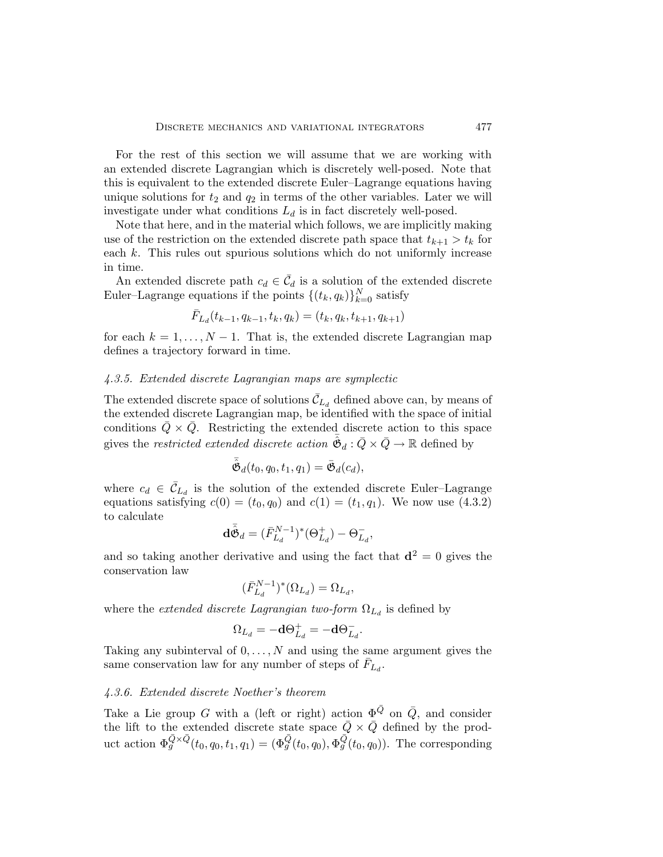For the rest of this section we will assume that we are working with an extended discrete Lagrangian which is discretely well-posed. Note that this is equivalent to the extended discrete Euler–Lagrange equations having unique solutions for  $t_2$  and  $q_2$  in terms of the other variables. Later we will investigate under what conditions  $L_d$  is in fact discretely well-posed.

Note that here, and in the material which follows, we are implicitly making use of the restriction on the extended discrete path space that  $t_{k+1} > t_k$  for each k. This rules out spurious solutions which do not uniformly increase in time.

An extended discrete path  $c_d \in \overline{C}_d$  is a solution of the extended discrete Euler–Lagrange equations if the points  $\{(t_k, q_k)\}_{k=0}^N$  satisfy

$$
\bar{F}_{L_d}(t_{k-1},q_{k-1},t_k,q_k)=(t_k,q_k,t_{k+1},q_{k+1})
$$

for each  $k = 1, \ldots, N - 1$ . That is, the extended discrete Lagrangian map defines a trajectory forward in time.

#### 4.3.5. Extended discrete Lagrangian maps are symplectic

The extended discrete space of solutions  $\bar{\mathcal{C}}_{L_d}$  defined above can, by means of the extended discrete Lagrangian map, be identified with the space of initial conditions  $\overline{Q} \times \overline{Q}$ . Restricting the extended discrete action to this space gives the restricted extended discrete action  $\overline{\hat{\mathfrak{G}}}_d : \overline{Q} \times \overline{Q} \to \mathbb{R}$  defined by

$$
\bar{\hat{\mathfrak{G}}}_d(t_0,q_0,t_1,q_1)=\bar{\mathfrak{G}}_d(c_d),
$$

where  $c_d \in \bar{\mathcal{C}}_{L_d}$  is the solution of the extended discrete Euler–Lagrange equations satisfying  $c(0) = (t_0, q_0)$  and  $c(1) = (t_1, q_1)$ . We now use (4.3.2) to calculate

$$
\mathbf{d}\overline{\hat{\mathfrak{G}}}_{d}=(\overline{F}_{L_d}^{N-1})^*(\Theta^+_{L_d})-\Theta^-_{L_d},
$$

and so taking another derivative and using the fact that  $\mathbf{d}^2 = 0$  gives the conservation law

$$
(\bar{F}_{L_d}^{N-1})^*(\Omega_{L_d}) = \Omega_{L_d},
$$

where the *extended discrete Lagrangian two-form*  $\Omega_{L_d}$  is defined by

$$
\Omega_{L_d}=-{\mathbf{d}}\Theta^+_{L_d}=-{\mathbf{d}}\Theta^-_{L_d}.
$$

Taking any subinterval of  $0, \ldots, N$  and using the same argument gives the same conservation law for any number of steps of  $\bar{F}_{L_d}$ .

# 4.3.6. Extended discrete Noether's theorem

Take a Lie group G with a (left or right) action  $\Phi^{\bar{Q}}$  on  $\bar{Q}$ , and consider the lift to the extended discrete state space  $\overline{Q} \times \overline{Q}$  defined by the product action  $\Phi_{g}^{\bar{Q}\times \bar{Q}}(t_0, q_0, t_1, q_1) = (\Phi_{g}^{\bar{Q}}(t_0, q_0), \Phi_{g}^{\bar{Q}}(t_0, q_0)).$  The corresponding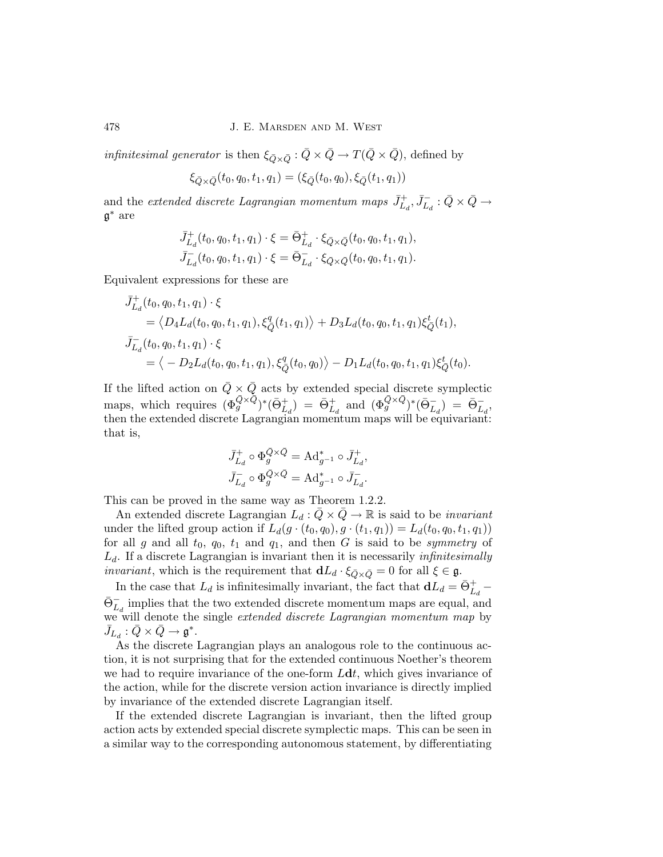*infinitesimal generator* is then  $\xi_{\bar{Q}\times\bar{Q}}$ :  $\bar{Q}\times\bar{Q}\rightarrow T(\bar{Q}\times\bar{Q})$ , defined by

 $\xi_{\bar{Q}\times\bar{Q}}(t_0, q_0, t_1, q_1) = (\xi_{\bar{Q}}(t_0, q_0), \xi_{\bar{Q}}(t_1, q_1))$ 

and the extended discrete Lagrangian momentum maps  $\bar{J}_{L_d}^+$ ,  $\bar{J}_{L_d}^-$  :  $\bar{Q} \times \bar{Q} \to$ g <sup>∗</sup> are

$$
\bar{J}_{L_d}^+(t_0, q_0, t_1, q_1) \cdot \xi = \bar{\Theta}_{L_d}^+ \cdot \xi_{\bar{Q} \times \bar{Q}}(t_0, q_0, t_1, q_1), \bar{J}_{L_d}^-(t_0, q_0, t_1, q_1) \cdot \xi = \bar{\Theta}_{L_d}^- \cdot \xi_{\bar{Q} \times \bar{Q}}(t_0, q_0, t_1, q_1).
$$

Equivalent expressions for these are

$$
\begin{split} \bar{J}_{L_d}^+(t_0, q_0, t_1, q_1) \cdot \xi \\ &= \left\langle D_4 L_d(t_0, q_0, t_1, q_1), \xi_{\bar{Q}}^q(t_1, q_1) \right\rangle + D_3 L_d(t_0, q_0, t_1, q_1) \xi_{\bar{Q}}^t(t_1), \\ \bar{J}_{L_d}^-(t_0, q_0, t_1, q_1) \cdot \xi \\ &= \left\langle -D_2 L_d(t_0, q_0, t_1, q_1), \xi_{\bar{Q}}^q(t_0, q_0) \right\rangle - D_1 L_d(t_0, q_0, t_1, q_1) \xi_{\bar{Q}}^t(t_0). \end{split}
$$

If the lifted action on  $\bar Q \times \bar Q$  acts by extended special discrete symplectic maps, which requires  $(\Phi_g^{\bar{Q}\times\bar{Q}})^*(\bar{\Theta}_{L_d}^+) = \bar{\Theta}_{L_d}^+$  and  $(\Phi_g^{\bar{Q}\times\bar{Q}})^*(\bar{\Theta}_{L_d}^-) = \bar{\Theta}_{L_d}^$ then the extended discrete Lagrangian momentum maps will be equivariant. that is,

$$
\begin{aligned} \bar{J}^+_{L_d} \circ \Phi_g^{\bar{Q} \times \bar{Q}} &= \mathrm{Ad}^*_{g^{-1}} \circ \bar{J}^+_{L_d}, \\ \bar{J}^-_{L_d} \circ \Phi_g^{\bar{Q} \times \bar{Q}} &= \mathrm{Ad}^*_{g^{-1}} \circ \bar{J}^-_{L_d}. \end{aligned}
$$

This can be proved in the same way as Theorem 1.2.2.

An extended discrete Lagrangian  $L_d : \overline{Q} \times \overline{Q} \to \mathbb{R}$  is said to be *invariant* under the lifted group action if  $L_d(g \cdot (t_0, q_0), g \cdot (t_1, q_1)) = L_d(t_0, q_0, t_1, q_1))$ for all g and all  $t_0$ ,  $q_0$ ,  $t_1$  and  $q_1$ , and then G is said to be symmetry of  $L_d$ . If a discrete Lagrangian is invariant then it is necessarily *infinitesimally invariant*, which is the requirement that  $dL_d \cdot \xi_{\bar{Q}\times \bar{Q}} = 0$  for all  $\xi \in \mathfrak{g}$ .

In the case that  $L_d$  is infinitesimally invariant, the fact that  $\mathbf{d}L_d = \bar{\Theta}_{L_d}^+ \bar{\Theta}_{L_d}^-$  implies that the two extended discrete momentum maps are equal, and we will denote the single *extended discrete Lagrangian momentum map* by  $\bar{J}_{L_d} : \bar{Q} \times \bar{Q} \to \mathfrak{g}^*.$ 

As the discrete Lagrangian plays an analogous role to the continuous action, it is not surprising that for the extended continuous Noether's theorem we had to require invariance of the one-form  $L \, dt$ , which gives invariance of the action, while for the discrete version action invariance is directly implied by invariance of the extended discrete Lagrangian itself.

If the extended discrete Lagrangian is invariant, then the lifted group action acts by extended special discrete symplectic maps. This can be seen in a similar way to the corresponding autonomous statement, by differentiating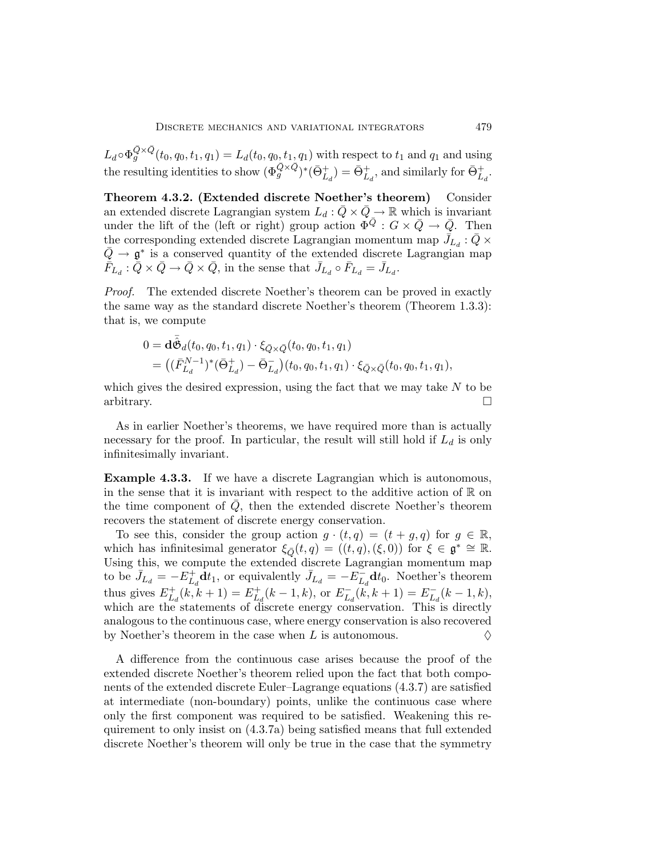$L_d \circ \Phi_g^{\bar{Q} \times \bar{Q}}(t_0, q_0, t_1, q_1) = L_d(t_0, q_0, t_1, q_1)$  with respect to  $t_1$  and  $q_1$  and using the resulting identities to show  $(\Phi_g^{\bar{Q} \times \bar{Q}})^*(\bar{\Theta}_{L_d}^+) = \bar{\Theta}_{L_d}^+$ , and similarly for  $\bar{\Theta}_{L_d}^+$ .

Theorem 4.3.2. (Extended discrete Noether's theorem) Consider an extended discrete Lagrangian system  $L_d : \overline{Q} \times \overline{Q} \to \mathbb{R}$  which is invariant under the lift of the (left or right) group action  $\Phi^{\bar{Q}}: G \times \bar{Q} \to \bar{Q}$ . Then the corresponding extended discrete Lagrangian momentum map  $\bar{J}_{L_d}$  :  $\bar{Q} \times$  $\overline{Q} \to \mathfrak{g}^*$  is a conserved quantity of the extended discrete Lagrangian map  $\bar{F}_{L_d} : \bar{Q} \times \bar{Q} \to \bar{Q} \times \bar{Q}$ , in the sense that  $\bar{J}_{L_d} \circ \bar{F}_{L_d} = \bar{J}_{L_d}$ .

Proof. The extended discrete Noether's theorem can be proved in exactly the same way as the standard discrete Noether's theorem (Theorem 1.3.3): that is, we compute

$$
0 = \mathbf{d}\overline{\hat{\mathfrak{G}}}_{d}(t_{0}, q_{0}, t_{1}, q_{1}) \cdot \xi_{\overline{Q} \times \overline{Q}}(t_{0}, q_{0}, t_{1}, q_{1})
$$
  
= 
$$
((\overline{F}_{L_{d}}^{N-1})^{*}(\overline{\Theta}_{L_{d}}^{+}) - \overline{\Theta}_{L_{d}}^{-})(t_{0}, q_{0}, t_{1}, q_{1}) \cdot \xi_{\overline{Q} \times \overline{Q}}(t_{0}, q_{0}, t_{1}, q_{1}),
$$

which gives the desired expression, using the fact that we may take  $N$  to be arbitrary.  $\Box$ 

As in earlier Noether's theorems, we have required more than is actually necessary for the proof. In particular, the result will still hold if  $L_d$  is only infinitesimally invariant.

Example 4.3.3. If we have a discrete Lagrangian which is autonomous, in the sense that it is invariant with respect to the additive action of  $\mathbb{R}$  on the time component of  $Q$ , then the extended discrete Noether's theorem recovers the statement of discrete energy conservation.

To see this, consider the group action  $g \cdot (t, q) = (t + g, q)$  for  $g \in \mathbb{R}$ , which has infinitesimal generator  $\xi_{\bar{Q}}(t,q) = ((t,q),(\xi,0))$  for  $\xi \in \mathfrak{g}^* \cong \mathbb{R}$ . Using this, we compute the extended discrete Lagrangian momentum map to be  $\bar{J}_{L_d} = -E_{L_d}^+$  $\bar{L}_d \mathbf{d} t_1$ , or equivalently  $\bar{J}_{L_d} = -E_{L_d}^{-1}$  $_{L_d}^{\text{--}} dt_0$ . Noether's theorem thus gives  $E_L^+$  $L_d^+(k, k+1) = E_{L_d}^+$  $L_d^+(k-1,k)$ , or  $E_{L_d}^ L_d(k, k + 1) = E_{L_d}^{-1}$  $L_d(k-1,k),$ which are the statements of discrete energy conservation. This is directly analogous to the continuous case, where energy conservation is also recovered by Noether's theorem in the case when L is autonomous.  $\Diamond$ 

A difference from the continuous case arises because the proof of the extended discrete Noether's theorem relied upon the fact that both components of the extended discrete Euler–Lagrange equations (4.3.7) are satisfied at intermediate (non-boundary) points, unlike the continuous case where only the first component was required to be satisfied. Weakening this requirement to only insist on (4.3.7a) being satisfied means that full extended discrete Noether's theorem will only be true in the case that the symmetry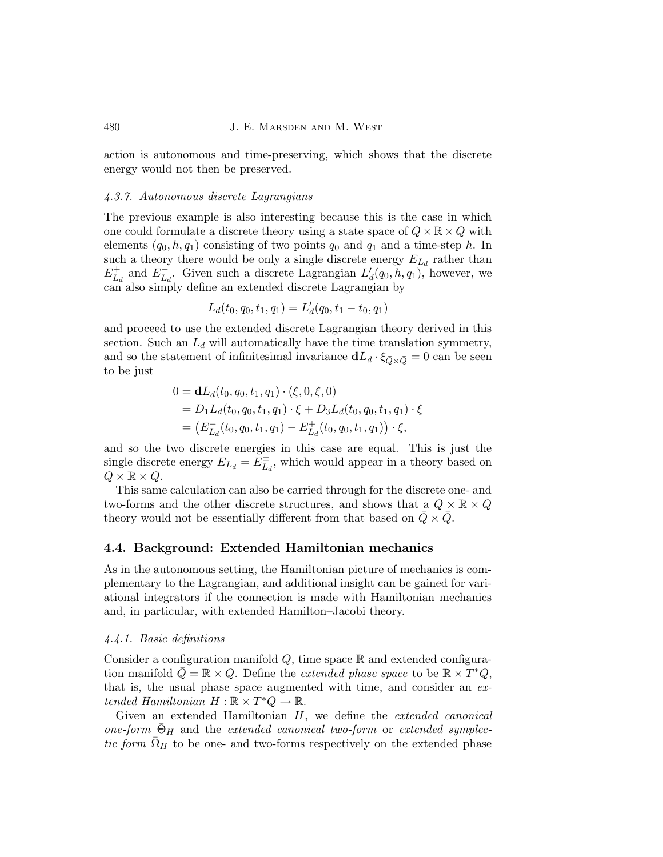action is autonomous and time-preserving, which shows that the discrete energy would not then be preserved.

#### 4.3.7. Autonomous discrete Lagrangians

The previous example is also interesting because this is the case in which one could formulate a discrete theory using a state space of  $Q \times \mathbb{R} \times Q$  with elements  $(q_0, h, q_1)$  consisting of two points  $q_0$  and  $q_1$  and a time-step h. In such a theory there would be only a single discrete energy  $E_{L_d}$  rather than  $E_L^+$  $L_d$  and  $E_L^ L_d$ . Given such a discrete Lagrangian  $L'_d(q_0, h, q_1)$ , however, we can also simply define an extended discrete Lagrangian by

$$
L_d(t_0, q_0, t_1, q_1) = L'_d(q_0, t_1 - t_0, q_1)
$$

and proceed to use the extended discrete Lagrangian theory derived in this section. Such an  $L_d$  will automatically have the time translation symmetry, and so the statement of infinitesimal invariance  $dL_d \cdot \xi_{\bar{Q}\times \bar{Q}} = 0$  can be seen to be just

$$
0 = \mathbf{d}L_d(t_0, q_0, t_1, q_1) \cdot (\xi, 0, \xi, 0)
$$
  
=  $D_1 L_d(t_0, q_0, t_1, q_1) \cdot \xi + D_3 L_d(t_0, q_0, t_1, q_1) \cdot \xi$   
=  $(E_{L_d}^-(t_0, q_0, t_1, q_1) - E_{L_d}^+(t_0, q_0, t_1, q_1)) \cdot \xi,$ 

and so the two discrete energies in this case are equal. This is just the single discrete energy  $E_{L_d} = E_{L_d}^{\pm}$  $\mathcal{L}_d^{\pm}$ , which would appear in a theory based on  $Q \times \mathbb{R} \times Q$ .

This same calculation can also be carried through for the discrete one- and two-forms and the other discrete structures, and shows that a  $Q \times \mathbb{R} \times Q$ theory would not be essentially different from that based on  $\overline{Q} \times \overline{Q}$ .

# 4.4. Background: Extended Hamiltonian mechanics

As in the autonomous setting, the Hamiltonian picture of mechanics is complementary to the Lagrangian, and additional insight can be gained for variational integrators if the connection is made with Hamiltonian mechanics and, in particular, with extended Hamilton–Jacobi theory.

#### 4.4.1. Basic definitions

Consider a configuration manifold  $Q$ , time space  $\mathbb R$  and extended configuration manifold  $\overline{Q} = \mathbb{R} \times Q$ . Define the *extended phase space* to be  $\mathbb{R} \times \overline{T}^*Q$ , that is, the usual phase space augmented with time, and consider an  $ex$ tended Hamiltonian  $H : \mathbb{R} \times T^*Q \to \mathbb{R}$ .

Given an extended Hamiltonian H, we define the extended canonical one-form  $\Theta_H$  and the extended canonical two-form or extended symplectic form  $\Omega_H$  to be one- and two-forms respectively on the extended phase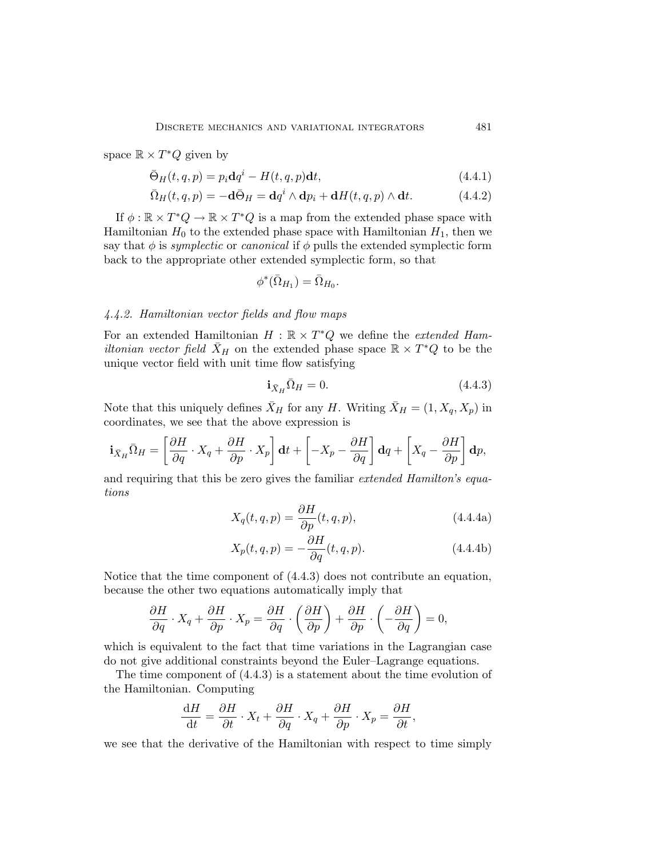space  $\mathbb{R} \times T^*Q$  given by

$$
\bar{\Theta}_H(t,q,p) = p_i \mathbf{d}q^i - H(t,q,p) \mathbf{d}t,\tag{4.4.1}
$$

$$
\bar{\Omega}_H(t,q,p) = -\mathbf{d}\bar{\Theta}_H = \mathbf{d}q^i \wedge \mathbf{d}p_i + \mathbf{d}H(t,q,p) \wedge \mathbf{d}t. \tag{4.4.2}
$$

If  $\phi : \mathbb{R} \times T^*Q \to \mathbb{R} \times T^*Q$  is a map from the extended phase space with Hamiltonian  $H_0$  to the extended phase space with Hamiltonian  $H_1$ , then we say that  $\phi$  is *symplectic* or *canonical* if  $\phi$  pulls the extended symplectic form back to the appropriate other extended symplectic form, so that

$$
\phi^*(\bar{\Omega}_{H_1}) = \bar{\Omega}_{H_0}.
$$

# 4.4.2. Hamiltonian vector fields and flow maps

For an extended Hamiltonian  $H : \mathbb{R} \times T^*Q$  we define the *extended Hamiltonian vector field*  $\bar{X}_H$  on the extended phase space  $\mathbb{R} \times T^*Q$  to be the unique vector field with unit time flow satisfying

$$
\mathbf{i}_{\bar{X}_H} \bar{\Omega}_H = 0. \tag{4.4.3}
$$

Note that this uniquely defines  $\bar{X}_H$  for any H. Writing  $\bar{X}_H = (1, X_q, X_p)$  in coordinates, we see that the above expression is

$$
\mathbf{i}_{\bar{X}_H} \bar{\Omega}_H = \left[ \frac{\partial H}{\partial q} \cdot X_q + \frac{\partial H}{\partial p} \cdot X_p \right] \mathbf{d}t + \left[ -X_p - \frac{\partial H}{\partial q} \right] \mathbf{d}q + \left[ X_q - \frac{\partial H}{\partial p} \right] \mathbf{d}p,
$$

and requiring that this be zero gives the familiar *extended Hamilton's equa*tions

$$
X_q(t,q,p) = \frac{\partial H}{\partial p}(t,q,p),\tag{4.4.4a}
$$

$$
X_p(t,q,p) = -\frac{\partial H}{\partial q}(t,q,p). \tag{4.4.4b}
$$

Notice that the time component of (4.4.3) does not contribute an equation, because the other two equations automatically imply that

$$
\frac{\partial H}{\partial q} \cdot X_q + \frac{\partial H}{\partial p} \cdot X_p = \frac{\partial H}{\partial q} \cdot \left(\frac{\partial H}{\partial p}\right) + \frac{\partial H}{\partial p} \cdot \left(-\frac{\partial H}{\partial q}\right) = 0,
$$

which is equivalent to the fact that time variations in the Lagrangian case do not give additional constraints beyond the Euler–Lagrange equations.

The time component of (4.4.3) is a statement about the time evolution of the Hamiltonian. Computing

$$
\frac{\mathrm{d}H}{\mathrm{d}t} = \frac{\partial H}{\partial t} \cdot X_t + \frac{\partial H}{\partial q} \cdot X_q + \frac{\partial H}{\partial p} \cdot X_p = \frac{\partial H}{\partial t},
$$

we see that the derivative of the Hamiltonian with respect to time simply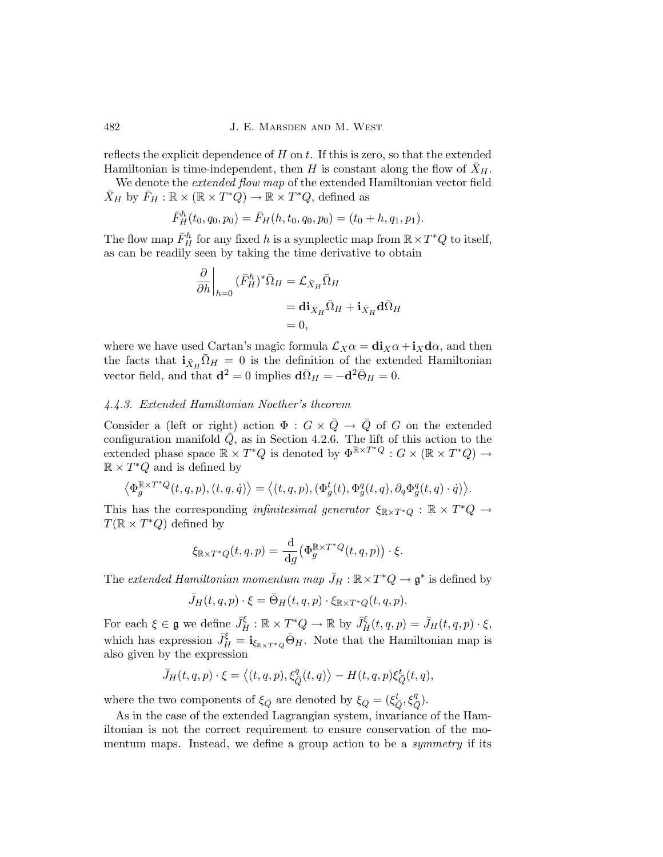reflects the explicit dependence of  $H$  on  $t$ . If this is zero, so that the extended Hamiltonian is time-independent, then H is constant along the flow of  $X_H$ .

We denote the *extended flow map* of the extended Hamiltonian vector field  $\bar{X}_H$  by  $\bar{F}_H : \mathbb{R} \times (\mathbb{R} \times T^*Q) \to \mathbb{R} \times T^*Q$ , defined as

$$
\bar{F}_{H}^{h}(t_{0}, q_{0}, p_{0}) = \bar{F}_{H}(h, t_{0}, q_{0}, p_{0}) = (t_{0} + h, q_{1}, p_{1}).
$$

The flow map  $\bar{F}_{H}^{h}$  for any fixed h is a symplectic map from  $\mathbb{R} \times T^*Q$  to itself, as can be readily seen by taking the time derivative to obtain

$$
\frac{\partial}{\partial h}\Big|_{h=0} (\bar{F}_H^h)^* \bar{\Omega}_H = \mathcal{L}_{\bar{X}_H} \bar{\Omega}_H
$$
  
=  $\mathbf{d}\mathbf{i}_{\bar{X}_H} \bar{\Omega}_H + \mathbf{i}_{\bar{X}_H} \mathbf{d}\bar{\Omega}_H$   
= 0,

where we have used Cartan's magic formula  $\mathcal{L}_X\alpha = \mathbf{di}_X\alpha + \mathbf{i}_X\mathbf{d}\alpha$ , and then the facts that  $i_{\bar{X}_H} \bar{\Omega}_H = 0$  is the definition of the extended Hamiltonian vector field, and that  $\mathbf{d}^2 = 0$  implies  $\mathbf{d}\overline{\Omega}_H = -\mathbf{d}^2 \overline{\Theta}_H = 0$ .

# 4.4.3. Extended Hamiltonian Noether's theorem

Consider a (left or right) action  $\Phi : G \times \overline{Q} \to \overline{Q}$  of G on the extended configuration manifold  $\overline{Q}$ , as in Section 4.2.6. The lift of this action to the extended phase space  $\mathbb{R} \times T^*Q$  is denoted by  $\Phi^{\mathbb{R} \times T^*Q} : G \times (\mathbb{R} \times T^*Q) \to$  $\mathbb{R} \times T^*Q$  and is defined by

$$
\left\langle \Phi_g^{\mathbb{R}\times T^*Q}(t,q,p),(t,q,\dot{q})\right\rangle=\left\langle (t,q,p),(\Phi_g^t(t),\Phi_g^q(t,q),\partial_q\Phi_g^q(t,q)\cdot\dot{q})\right\rangle.
$$

This has the corresponding *infinitesimal generator*  $\xi_{\mathbb{R}\times T^*Q}$  :  $\mathbb{R}\times T^*Q \to$  $T(\mathbb{R} \times T^*Q)$  defined by

$$
\xi_{\mathbb{R}\times T^*Q}(t,q,p) = \frac{\mathrm{d}}{\mathrm{d}g} \big(\Phi_g^{\mathbb{R}\times T^*Q}(t,q,p)\big) \cdot \xi.
$$

The extended Hamiltonian momentum map  $\bar{J}_H : \mathbb{R} \times T^*Q \to \mathfrak{g}^*$  is defined by

$$
\bar{J}_H(t,q,p)\cdot\xi=\bar{\Theta}_H(t,q,p)\cdot\xi_{\mathbb{R}\times T^*Q}(t,q,p).
$$

For each  $\xi \in \mathfrak{g}$  we define  $\bar{J}_H^{\xi} : \mathbb{R} \times T^*Q \to \mathbb{R}$  by  $\bar{J}_H^{\xi}(t, q, p) = \bar{J}_H(t, q, p) \cdot \xi$ , which has expression  $\bar{J}_{H}^{\xi} = \mathbf{i}_{\xi_{\mathbb{R}\times T^*Q}} \bar{\Theta}_{H}$ . Note that the Hamiltonian map is also given by the expression

$$
\bar{J}_H(t,q,p)\cdot\xi = \langle (t,q,p), \xi_{\bar{Q}}^q(t,q)\rangle - H(t,q,p)\xi_{\bar{Q}}^t(t,q),
$$

where the two components of  $\xi_{\bar{Q}}$  are denoted by  $\xi_{\bar{Q}} = (\xi_{\bar{Q}}^t, \xi_{\bar{Q}}^q)$ .

As in the case of the extended Lagrangian system, invariance of the Hamiltonian is not the correct requirement to ensure conservation of the momentum maps. Instead, we define a group action to be a *symmetry* if its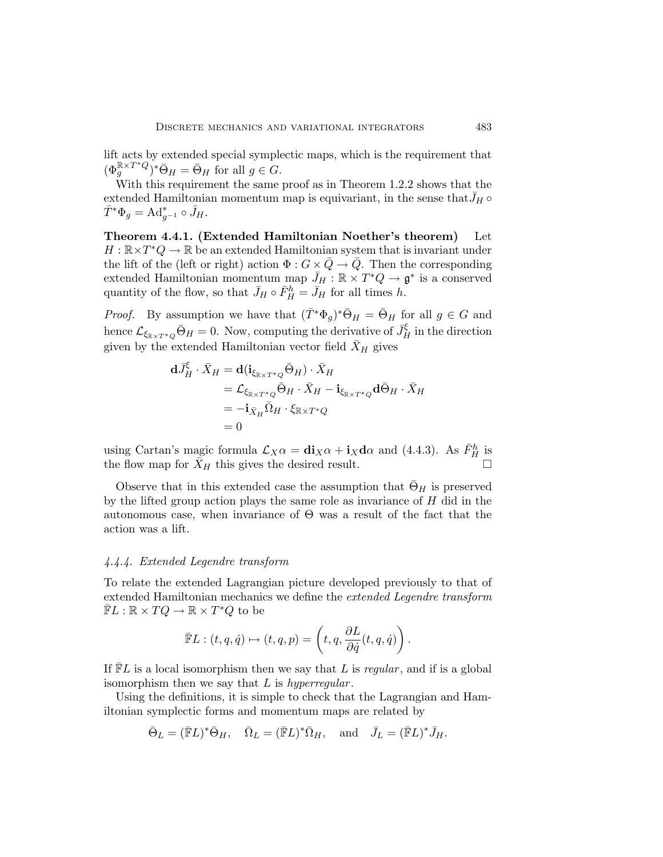lift acts by extended special symplectic maps, which is the requirement that  $(\Phi_g^{\mathbb{R} \times T^*Q})^* \bar{\Theta}_H = \bar{\Theta}_H$  for all  $g \in G$ .

With this requirement the same proof as in Theorem 1.2.2 shows that the extended Hamiltonian momentum map is equivariant, in the sense that  $\bar{J}_H \circ$  $\bar{T}^*\Phi_g = \mathrm{Ad}^*_{g^{-1}} \circ \bar{J}_H.$ 

Theorem 4.4.1. (Extended Hamiltonian Noether's theorem) Let  $H: \mathbb{R} \times T^*Q \to \mathbb{R}$  be an extended Hamiltonian system that is invariant under the lift of the (left or right) action  $\Phi: G \times \overline{Q} \to \overline{Q}$ . Then the corresponding extended Hamiltonian momentum map  $\bar{J}_H : \mathbb{R} \times T^*Q \to \mathfrak{g}^*$  is a conserved quantity of the flow, so that  $\bar{J}_H \circ \bar{F}_H^h = \bar{J}_H$  for all times h.

*Proof.* By assumption we have that  $(T^*\Phi_g)^*\bar{\Theta}_H = \bar{\Theta}_H$  for all  $g \in G$  and hence  $\mathcal{L}_{\xi_{\mathbb{R}\times T^*Q}}\bar{\Theta}_H=0$ . Now, computing the derivative of  $\bar{J}_{H}^{\xi}$  in the direction given by the extended Hamiltonian vector field  $\bar{X}_H$  gives

$$
\begin{aligned} \mathbf{d}\bar{J}_{H}^{\xi} \cdot \bar{X}_{H} &= \mathbf{d}(\mathbf{i}_{\xi_{\mathbb{R}\times T^{*}Q}}\bar{\Theta}_{H}) \cdot \bar{X}_{H} \\ &= \mathcal{L}_{\xi_{\mathbb{R}\times T^{*}Q}}\bar{\Theta}_{H} \cdot \bar{X}_{H} - \mathbf{i}_{\xi_{\mathbb{R}\times T^{*}Q}}\mathbf{d}\bar{\Theta}_{H} \cdot \bar{X}_{H} \\ &= -\mathbf{i}_{\bar{X}_{H}}\bar{\Omega}_{H} \cdot \xi_{\mathbb{R}\times T^{*}Q} \\ &= 0 \end{aligned}
$$

using Cartan's magic formula  $\mathcal{L}_X \alpha = \mathbf{di}_X \alpha + \mathbf{i}_X \mathbf{d} \alpha$  and (4.4.3). As  $\bar{F}_H^h$  is the flow map for  $\bar{X}_H$  this gives the desired result.

Observe that in this extended case the assumption that  $\Theta_H$  is preserved by the lifted group action plays the same role as invariance of  $H$  did in the autonomous case, when invariance of  $\Theta$  was a result of the fact that the action was a lift.

#### 4.4.4. Extended Legendre transform

To relate the extended Lagrangian picture developed previously to that of extended Hamiltonian mechanics we define the extended Legendre transform  $\overline{\mathbb{F}}L : \mathbb{R} \times TQ \to \mathbb{R} \times T^*Q$  to be

$$
\overline{\mathbb{F}}L : (t, q, \dot{q}) \mapsto (t, q, p) = \left(t, q, \frac{\partial L}{\partial \dot{q}}(t, q, \dot{q})\right).
$$

If  $\mathbb{F}L$  is a local isomorphism then we say that L is regular, and if is a global isomorphism then we say that  $L$  is hyperregular.

Using the definitions, it is simple to check that the Lagrangian and Hamiltonian symplectic forms and momentum maps are related by

$$
\bar{\Theta}_L = (\bar{\mathbb{F}}L)^* \bar{\Theta}_H
$$
,  $\bar{\Omega}_L = (\bar{\mathbb{F}}L)^* \bar{\Omega}_H$ , and  $\bar{J}_L = (\bar{\mathbb{F}}L)^* \bar{J}_H$ .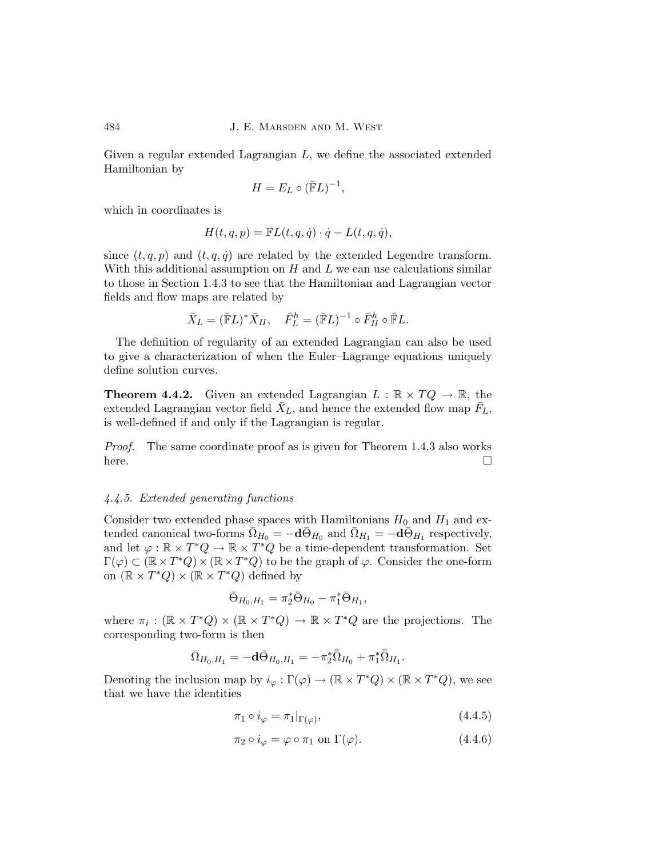Given a regular extended Lagrangian L, we define the associated extended Hamiltonian by

$$
H = E_L \circ (\bar{\mathbb{F}}L)^{-1},
$$

which in coordinates is

$$
H(t, q, p) = \mathbb{F}L(t, q, \dot{q}) \cdot \dot{q} - L(t, q, \dot{q}),
$$

since  $(t, q, p)$  and  $(t, q, \dot{q})$  are related by the extended Legendre transform. With this additional assumption on  $H$  and  $L$  we can use calculations similar to those in Section 1.4.3 to see that the Hamiltonian and Lagrangian vector fields and flow maps are related by

$$
\bar{X}_L = (\bar{\mathbb{F}}L)^* \bar{X}_H, \quad \bar{F}_L^h = (\bar{\mathbb{F}}L)^{-1} \circ \bar{F}_H^h \circ \bar{\mathbb{F}}L.
$$

The definition of regularity of an extended Lagrangian can also be used to give a characterization of when the Euler–Lagrange equations uniquely define solution curves.

**Theorem 4.4.2.** Given an extended Lagrangian  $L : \mathbb{R} \times TQ \to \mathbb{R}$ , the extended Lagrangian vector field  $\bar{X}_L$ , and hence the extended flow map  $\bar{F}_L$ , is well-defined if and only if the Lagrangian is regular.

Proof. The same coordinate proof as is given for Theorem 1.4.3 also works here.  $\Box$ 

#### 4.4.5. Extended generating functions

Consider two extended phase spaces with Hamiltonians  $H_0$  and  $H_1$  and extended canonical two-forms  $\bar{\Omega}_{H_0} = -\mathbf{d}\bar{\Theta}_{H_0}$  and  $\bar{\Omega}_{H_1} = -\mathbf{d}\bar{\Theta}_{H_1}$  respectively, and let  $\varphi : \mathbb{R} \times T^*Q \to \mathbb{R} \times T^*Q$  be a time-dependent transformation. Set  $\Gamma(\varphi) \subset (\mathbb{R} \times T^*Q) \times (\mathbb{R} \times T^*Q)$  to be the graph of  $\varphi$ . Consider the one-form on  $(\mathbb{R} \times T^*Q) \times (\mathbb{R} \times T^*Q)$  defined by

$$
\bar{\Theta}_{H_0,H_1} = \pi_2^* \bar{\Theta}_{H_0} - \pi_1^* \bar{\Theta}_{H_1},
$$

where  $\pi_i : (\mathbb{R} \times T^*Q) \times (\mathbb{R} \times T^*Q) \to \mathbb{R} \times T^*Q$  are the projections. The corresponding two-form is then

$$
\bar{\Omega}_{H_0,H_1} = -\mathbf{d}\bar{\Theta}_{H_0,H_1} = -\pi_2^* \bar{\Omega}_{H_0} + \pi_1^* \bar{\Omega}_{H_1}.
$$

Denoting the inclusion map by  $i_{\varphi} : \Gamma(\varphi) \to (\mathbb{R} \times T^*Q) \times (\mathbb{R} \times T^*Q)$ , we see that we have the identities

$$
\pi_1 \circ i_\varphi = \pi_1|_{\Gamma(\varphi)},\tag{4.4.5}
$$

$$
\pi_2 \circ i_\varphi = \varphi \circ \pi_1 \text{ on } \Gamma(\varphi). \tag{4.4.6}
$$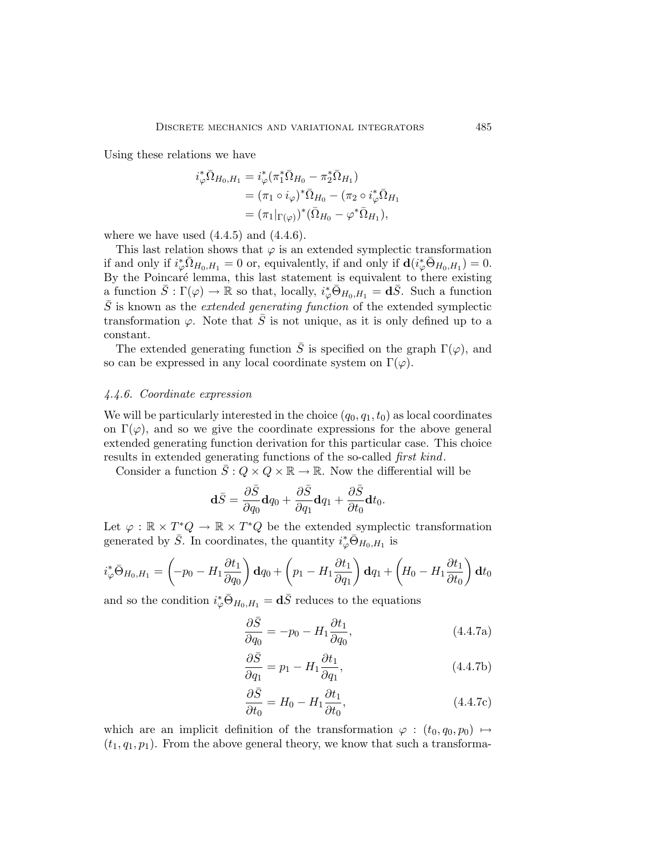Using these relations we have

$$
i_{\varphi}^* \bar{\Omega}_{H_0, H_1} = i_{\varphi}^* (\pi_1^* \bar{\Omega}_{H_0} - \pi_2^* \bar{\Omega}_{H_1})
$$
  
=  $(\pi_1 \circ i_{\varphi})^* \bar{\Omega}_{H_0} - (\pi_2 \circ i_{\varphi}^* \bar{\Omega}_{H_1})$   
=  $(\pi_1|_{\Gamma(\varphi)})^* (\bar{\Omega}_{H_0} - \varphi^* \bar{\Omega}_{H_1}),$ 

where we have used  $(4.4.5)$  and  $(4.4.6)$ .

This last relation shows that  $\varphi$  is an extended symplectic transformation if and only if  $i_{\varphi}^* \bar{\Omega}_{H_0,H_1} = 0$  or, equivalently, if and only if  $\mathbf{d}(i_{\varphi}^* \bar{\Theta}_{H_0,H_1}) = 0$ . By the Poincaré lemma, this last statement is equivalent to there existing a function  $\bar{S}: \Gamma(\varphi) \to \mathbb{R}$  so that, locally,  $i_{\varphi}^* \bar{\Theta}_{H_0,H_1} = \mathbf{d}\bar{S}$ . Such a function  $\overline{S}$  is known as the *extended generating function* of the extended symplectic transformation  $\varphi$ . Note that  $\overline{S}$  is not unique, as it is only defined up to a constant.

The extended generating function  $\bar{S}$  is specified on the graph  $\Gamma(\varphi)$ , and so can be expressed in any local coordinate system on  $\Gamma(\varphi)$ .

### 4.4.6. Coordinate expression

We will be particularly interested in the choice  $(q_0, q_1, t_0)$  as local coordinates on  $\Gamma(\varphi)$ , and so we give the coordinate expressions for the above general extended generating function derivation for this particular case. This choice results in extended generating functions of the so-called *first kind*.

Consider a function  $\bar{S}: Q \times Q \times \mathbb{R} \to \mathbb{R}$ . Now the differential will be

$$
\mathbf{d}\bar{S} = \frac{\partial \bar{S}}{\partial q_0}\mathbf{d}q_0 + \frac{\partial \bar{S}}{\partial q_1}\mathbf{d}q_1 + \frac{\partial \bar{S}}{\partial t_0}\mathbf{d}t_0.
$$

Let  $\varphi : \mathbb{R} \times T^*Q \to \mathbb{R} \times T^*Q$  be the extended symplectic transformation generated by  $\bar{S}$ . In coordinates, the quantity  $i_{\varphi}^* \bar{\Theta}_{H_0,H_1}$  is

$$
i_{\varphi}^* \bar{\Theta}_{H_0,H_1} = \left(-p_0 - H_1 \frac{\partial t_1}{\partial q_0}\right) \mathbf{d}q_0 + \left(p_1 - H_1 \frac{\partial t_1}{\partial q_1}\right) \mathbf{d}q_1 + \left(H_0 - H_1 \frac{\partial t_1}{\partial t_0}\right) \mathbf{d}t_0
$$

and so the condition  $i_{\varphi}^* \bar{\Theta}_{H_0,H_1} = \mathbf{d}\bar{S}$  reduces to the equations

$$
\frac{\partial \bar{S}}{\partial q_0} = -p_0 - H_1 \frac{\partial t_1}{\partial q_0},\tag{4.4.7a}
$$

$$
\frac{\partial \bar{S}}{\partial q_1} = p_1 - H_1 \frac{\partial t_1}{\partial q_1},\tag{4.4.7b}
$$

$$
\frac{\partial \bar{S}}{\partial t_0} = H_0 - H_1 \frac{\partial t_1}{\partial t_0},\tag{4.4.7c}
$$

which are an implicit definition of the transformation  $\varphi : (t_0, q_0, p_0) \mapsto$  $(t_1, q_1, p_1)$ . From the above general theory, we know that such a transforma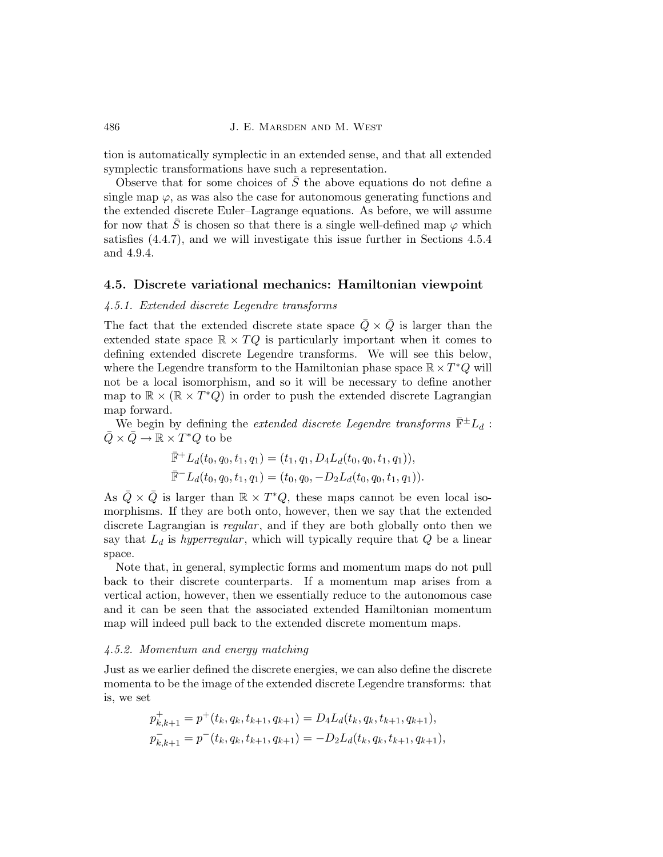tion is automatically symplectic in an extended sense, and that all extended symplectic transformations have such a representation.

Observe that for some choices of  $S$  the above equations do not define a single map  $\varphi$ , as was also the case for autonomous generating functions and the extended discrete Euler–Lagrange equations. As before, we will assume for now that  $\overline{S}$  is chosen so that there is a single well-defined map  $\varphi$  which satisfies (4.4.7), and we will investigate this issue further in Sections 4.5.4 and 4.9.4.

# 4.5. Discrete variational mechanics: Hamiltonian viewpoint

#### 4.5.1. Extended discrete Legendre transforms

The fact that the extended discrete state space  $\overline{Q} \times \overline{Q}$  is larger than the extended state space  $\mathbb{R} \times TQ$  is particularly important when it comes to defining extended discrete Legendre transforms. We will see this below, where the Legendre transform to the Hamiltonian phase space  $\mathbb{R}\times T^{\ast}Q$  will not be a local isomorphism, and so it will be necessary to define another map to  $\mathbb{R} \times (\mathbb{R} \times T^*Q)$  in order to push the extended discrete Lagrangian map forward.

We begin by defining the extended discrete Legendre transforms  $\bar{\mathbb{F}}^{\pm}L_d$ :  $\bar{Q} \times \bar{Q} \to \mathbb{R} \times T^*Q$  to be

$$
\overline{\mathbb{F}}^+ L_d(t_0, q_0, t_1, q_1) = (t_1, q_1, D_4 L_d(t_0, q_0, t_1, q_1)),
$$
  

$$
\overline{\mathbb{F}}^- L_d(t_0, q_0, t_1, q_1) = (t_0, q_0, -D_2 L_d(t_0, q_0, t_1, q_1)).
$$

As  $\bar{Q} \times \bar{Q}$  is larger than  $\mathbb{R} \times T^*Q$ , these maps cannot be even local isomorphisms. If they are both onto, however, then we say that the extended discrete Lagrangian is regular, and if they are both globally onto then we say that  $L_d$  is *hyperregular*, which will typically require that  $Q$  be a linear space.

Note that, in general, symplectic forms and momentum maps do not pull back to their discrete counterparts. If a momentum map arises from a vertical action, however, then we essentially reduce to the autonomous case and it can be seen that the associated extended Hamiltonian momentum map will indeed pull back to the extended discrete momentum maps.

### 4.5.2. Momentum and energy matching

Just as we earlier defined the discrete energies, we can also define the discrete momenta to be the image of the extended discrete Legendre transforms: that is, we set

$$
p_{k,k+1}^+ = p^+(t_k, q_k, t_{k+1}, q_{k+1}) = D_4 L_d(t_k, q_k, t_{k+1}, q_{k+1}),
$$
  

$$
p_{k,k+1}^- = p^-(t_k, q_k, t_{k+1}, q_{k+1}) = -D_2 L_d(t_k, q_k, t_{k+1}, q_{k+1}),
$$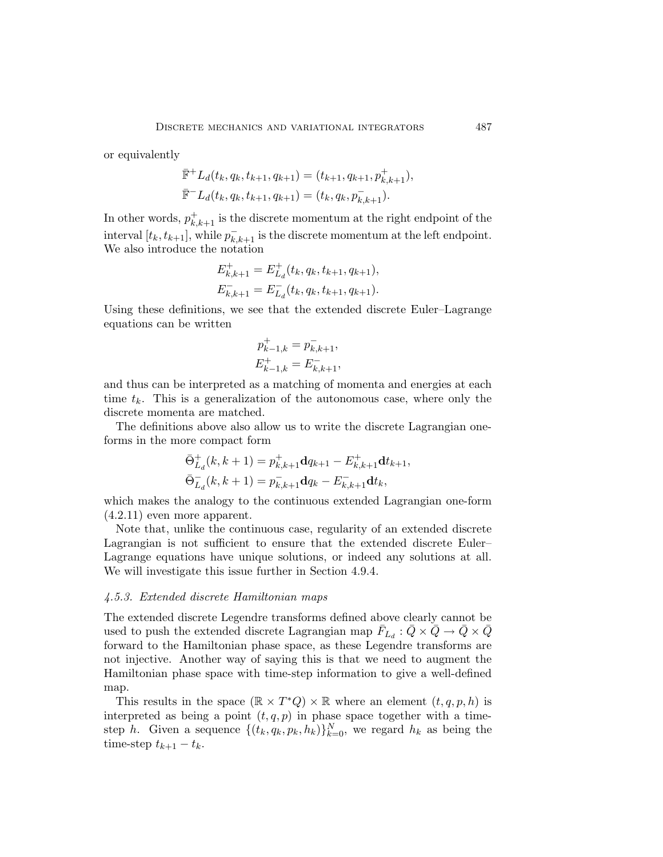or equivalently

$$
\bar{\mathbb{F}}^+ L_d(t_k, q_k, t_{k+1}, q_{k+1}) = (t_{k+1}, q_{k+1}, p_{k,k+1}^+),
$$
  

$$
\bar{\mathbb{F}}^- L_d(t_k, q_k, t_{k+1}, q_{k+1}) = (t_k, q_k, p_{k,k+1}^-).
$$

In other words,  $p_{k,k+1}^+$  is the discrete momentum at the right endpoint of the interval  $[t_k, t_{k+1}]$ , while  $p_{k,k+1}^-$  is the discrete momentum at the left endpoint. We also introduce the notation

$$
E_{k,k+1}^{+} = E_{L_d}^{+}(t_k, q_k, t_{k+1}, q_{k+1}),
$$
  

$$
E_{k,k+1}^{-} = E_{L_d}^{-}(t_k, q_k, t_{k+1}, q_{k+1}).
$$

Using these definitions, we see that the extended discrete Euler–Lagrange equations can be written

$$
p_{k-1,k}^+ = p_{k,k+1}^-,
$$
  

$$
E_{k-1,k}^+ = E_{k,k+1}^-,
$$

and thus can be interpreted as a matching of momenta and energies at each time  $t_k$ . This is a generalization of the autonomous case, where only the discrete momenta are matched.

The definitions above also allow us to write the discrete Lagrangian oneforms in the more compact form

$$
\bar{\Theta}_{L_d}^+(k, k+1) = p_{k,k+1}^+ \mathbf{d}q_{k+1} - E_{k,k+1}^+ \mathbf{d}t_{k+1},
$$
  

$$
\bar{\Theta}_{L_d}^-(k, k+1) = p_{k,k+1}^- \mathbf{d}q_k - E_{k,k+1}^- \mathbf{d}t_k,
$$

which makes the analogy to the continuous extended Lagrangian one-form (4.2.11) even more apparent.

Note that, unlike the continuous case, regularity of an extended discrete Lagrangian is not sufficient to ensure that the extended discrete Euler– Lagrange equations have unique solutions, or indeed any solutions at all. We will investigate this issue further in Section 4.9.4.

#### 4.5.3. Extended discrete Hamiltonian maps

The extended discrete Legendre transforms defined above clearly cannot be used to push the extended discrete Lagrangian map  $\bar{F}_{L_d}$  :  $\bar{Q} \times \bar{Q} \to \bar{Q} \times \bar{Q}$ forward to the Hamiltonian phase space, as these Legendre transforms are not injective. Another way of saying this is that we need to augment the Hamiltonian phase space with time-step information to give a well-defined map.

This results in the space  $(\mathbb{R} \times T^*Q) \times \mathbb{R}$  where an element  $(t, q, p, h)$  is interpreted as being a point  $(t, q, p)$  in phase space together with a timestep h. Given a sequence  $\{(t_k, q_k, p_k, h_k)\}_{k=0}^N$ , we regard  $h_k$  as being the time-step  $t_{k+1} - t_k$ .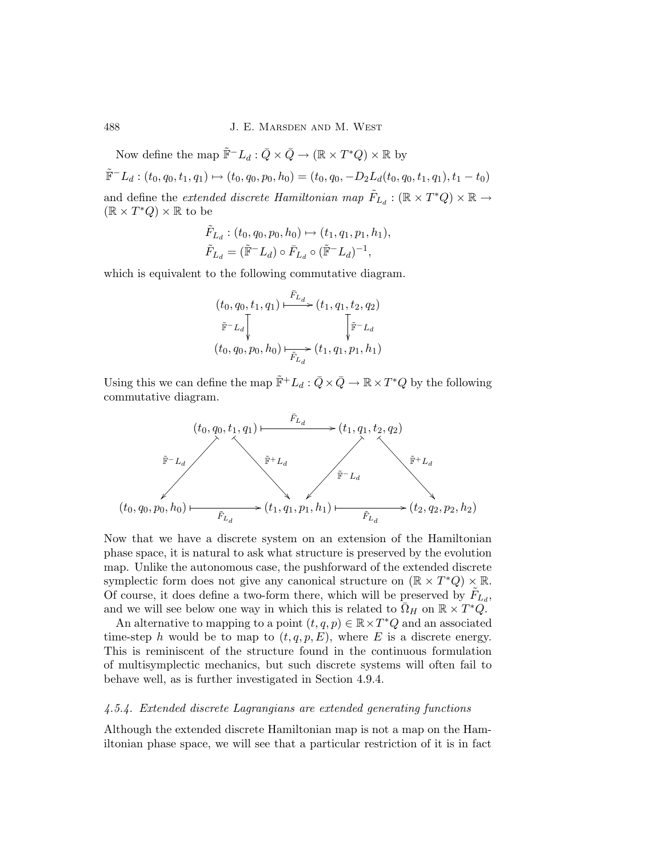488 J. E. MARSDEN AND M. WEST

Now define the map  $\tilde{\mathbb{F}}$ <sup>-</sup> $L_d$ :  $\bar{Q} \times \bar{Q} \to (\mathbb{R} \times T^*Q) \times \mathbb{R}$  by  $\widetilde{\mathbb{F}}^{-}L_d$  :  $(t_0, q_0, t_1, q_1) \mapsto (t_0, q_0, p_0, h_0) = (t_0, q_0, -D_2L_d(t_0, q_0, t_1, q_1), t_1 - t_0)$ and define the *extended discrete Hamiltonian map*  $\tilde{F}_{L_d} : (\mathbb{R} \times T^*Q) \times \mathbb{R} \to$  $(\mathbb{R}\times T^*Q)\times \mathbb{R}$  to be

$$
\tilde{F}_{L_d} : (t_0, q_0, p_0, h_0) \mapsto (t_1, q_1, p_1, h_1), \n\tilde{F}_{L_d} = (\tilde{\mathbb{F}}^{-} L_d) \circ \bar{F}_{L_d} \circ (\tilde{\mathbb{F}}^{-} L_d)^{-1},
$$

which is equivalent to the following commutative diagram.

$$
(t_0, q_0, t_1, q_1) \xrightarrow{\bar{F}_{L_d}} (t_1, q_1, t_2, q_2)
$$
  

$$
\tilde{F}^{-L_d} \downarrow \qquad \qquad \downarrow \tilde{F}_{L_d}
$$
  

$$
(t_0, q_0, p_0, h_0) \xrightarrow{\bar{F}_{L_d}} (t_1, q_1, p_1, h_1)
$$

Using this we can define the map  $\tilde{F}^+L_d : \bar{Q} \times \bar{Q} \to \mathbb{R} \times T^*Q$  by the following commutative diagram.



Now that we have a discrete system on an extension of the Hamiltonian phase space, it is natural to ask what structure is preserved by the evolution map. Unlike the autonomous case, the pushforward of the extended discrete symplectic form does not give any canonical structure on  $(\mathbb{R} \times T^*Q) \times \mathbb{R}$ . Of course, it does define a two-form there, which will be preserved by  $\tilde{F}_{L_d}$ , and we will see below one way in which this is related to  $\overline{\Omega}_H$  on  $\mathbb{R} \times T^*Q$ .

An alternative to mapping to a point  $(t, q, p) \in \mathbb{R} \times T^*Q$  and an associated time-step h would be to map to  $(t, q, p, E)$ , where E is a discrete energy. This is reminiscent of the structure found in the continuous formulation of multisymplectic mechanics, but such discrete systems will often fail to behave well, as is further investigated in Section 4.9.4.

# 4.5.4. Extended discrete Lagrangians are extended generating functions

Although the extended discrete Hamiltonian map is not a map on the Hamiltonian phase space, we will see that a particular restriction of it is in fact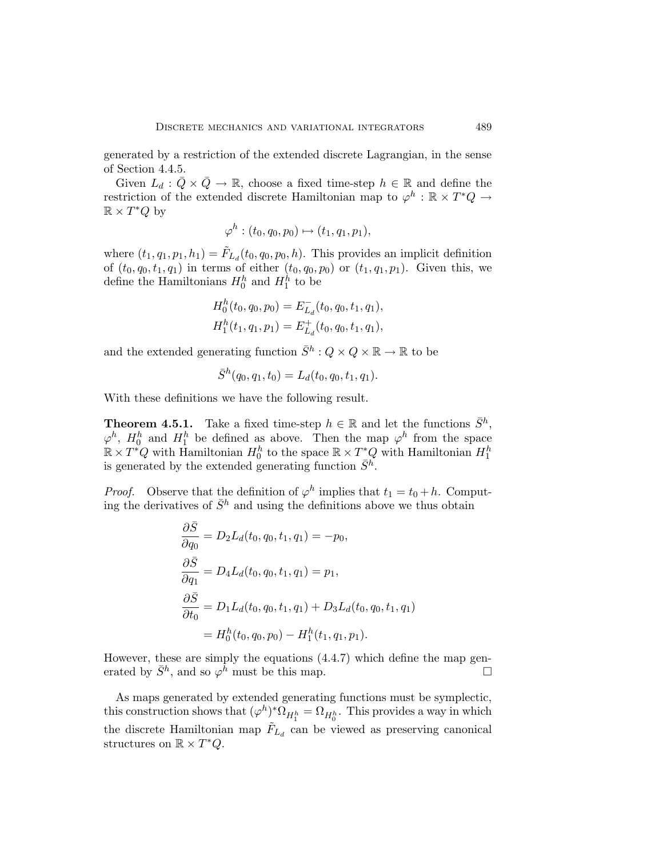generated by a restriction of the extended discrete Lagrangian, in the sense of Section 4.4.5.

Given  $L_d : \overline{Q} \times \overline{Q} \to \mathbb{R}$ , choose a fixed time-step  $h \in \mathbb{R}$  and define the restriction of the extended discrete Hamiltonian map to  $\varphi^h : \mathbb{R} \times T^*Q \to$  $\mathbb{R} \times T^*Q$  by

$$
\varphi^h : (t_0, q_0, p_0) \mapsto (t_1, q_1, p_1),
$$

where  $(t_1, q_1, p_1, h_1) = \tilde{F}_{L_d}(t_0, q_0, p_0, h)$ . This provides an implicit definition of  $(t_0, q_0, t_1, q_1)$  in terms of either  $(t_0, q_0, p_0)$  or  $(t_1, q_1, p_1)$ . Given this, we define the Hamiltonians  $H_0^h$  and  $H_1^h$  to be

$$
H_0^h(t_0, q_0, p_0) = E_{L_d}^-(t_0, q_0, t_1, q_1),
$$
  

$$
H_1^h(t_1, q_1, p_1) = E_{L_d}^+(t_0, q_0, t_1, q_1),
$$

and the extended generating function  $\bar{S}^h: Q \times Q \times \mathbb{R} \to \mathbb{R}$  to be

$$
\bar{S}^h(q_0, q_1, t_0) = L_d(t_0, q_0, t_1, q_1).
$$

With these definitions we have the following result.

**Theorem 4.5.1.** Take a fixed time-step  $h \in \mathbb{R}$  and let the functions  $\bar{S}^h$ ,  $\varphi^h$ ,  $H_0^h$  and  $H_1^h$  be defined as above. Then the map  $\varphi^h$  from the space  $\mathbb{R} \times T^*Q$  with Hamiltonian  $H_0^h$  to the space  $\mathbb{R} \times T^*Q$  with Hamiltonian  $H_1^h$  is generated by the extended generating function  $\bar{S}^h$ .

*Proof.* Observe that the definition of  $\varphi^h$  implies that  $t_1 = t_0 + h$ . Computing the derivatives of  $\bar{S}^h$  and using the definitions above we thus obtain

$$
\frac{\partial \bar{S}}{\partial q_0} = D_2 L_d(t_0, q_0, t_1, q_1) = -p_0,
$$
  
\n
$$
\frac{\partial \bar{S}}{\partial q_1} = D_4 L_d(t_0, q_0, t_1, q_1) = p_1,
$$
  
\n
$$
\frac{\partial \bar{S}}{\partial t_0} = D_1 L_d(t_0, q_0, t_1, q_1) + D_3 L_d(t_0, q_0, t_1, q_1)
$$
  
\n
$$
= H_0^h(t_0, q_0, p_0) - H_1^h(t_1, q_1, p_1).
$$

However, these are simply the equations (4.4.7) which define the map generated by  $\bar{S}^h$ , and so  $\varphi^{\bar{h}}$  must be this map.  $\Box$ 

As maps generated by extended generating functions must be symplectic, this construction shows that  $(\varphi^h)^*\Omega_{H_1^h} = \Omega_{H_0^h}$ . This provides a way in which the discrete Hamiltonian map  $\tilde{F}_{L_d}$  can be viewed as preserving canonical structures on  $\mathbb{R} \times T^*Q$ .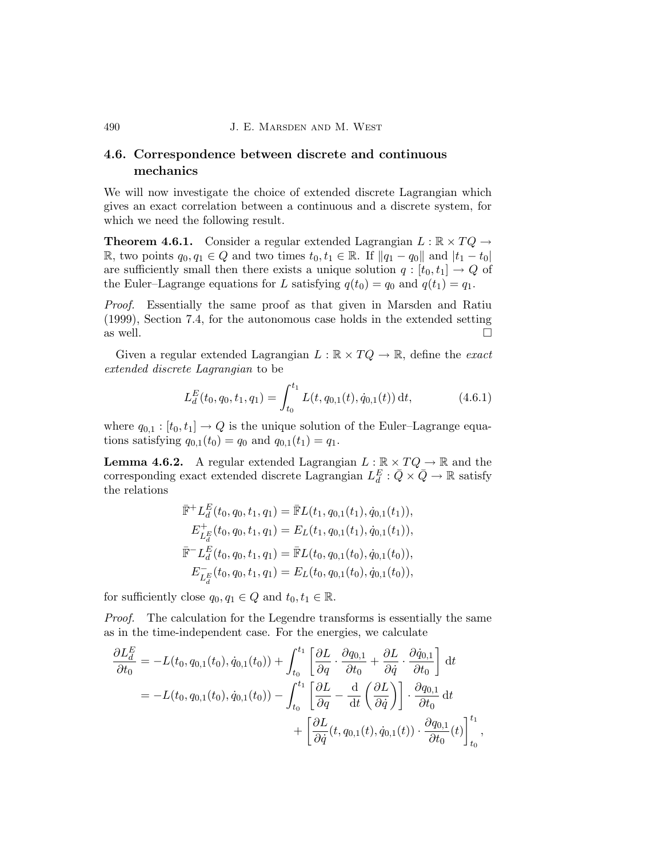# 4.6. Correspondence between discrete and continuous mechanics

We will now investigate the choice of extended discrete Lagrangian which gives an exact correlation between a continuous and a discrete system, for which we need the following result.

**Theorem 4.6.1.** Consider a regular extended Lagrangian  $L : \mathbb{R} \times TQ \rightarrow$ R, two points  $q_0, q_1 \in Q$  and two times  $t_0, t_1 \in \mathbb{R}$ . If  $||q_1 - q_0||$  and  $|t_1 - t_0|$ are sufficiently small then there exists a unique solution  $q : [t_0, t_1] \to Q$  of the Euler–Lagrange equations for L satisfying  $q(t_0) = q_0$  and  $q(t_1) = q_1$ .

Proof. Essentially the same proof as that given in Marsden and Ratiu (1999), Section 7.4, for the autonomous case holds in the extended setting as well.  $\Box$ 

Given a regular extended Lagrangian  $L : \mathbb{R} \times TQ \to \mathbb{R}$ , define the *exact* extended discrete Lagrangian to be

$$
L_d^E(t_0, q_0, t_1, q_1) = \int_{t_0}^{t_1} L(t, q_{0,1}(t), \dot{q}_{0,1}(t)) dt,
$$
\n(4.6.1)

where  $q_{0,1} : [t_0, t_1] \to Q$  is the unique solution of the Euler–Lagrange equations satisfying  $q_{0,1}(t_0) = q_0$  and  $q_{0,1}(t_1) = q_1$ .

**Lemma 4.6.2.** A regular extended Lagrangian  $L : \mathbb{R} \times TQ \to \mathbb{R}$  and the corresponding exact extended discrete Lagrangian  $L_d^E: \bar{Q} \times \bar{Q} \to \mathbb{R}$  satisfy the relations

$$
\bar{\mathbb{F}}^+ L_d^E(t_0, q_0, t_1, q_1) = \bar{\mathbb{F}}L(t_1, q_{0,1}(t_1), \dot{q}_{0,1}(t_1)),
$$
\n
$$
E_{L_d^E}^+(t_0, q_0, t_1, q_1) = E_L(t_1, q_{0,1}(t_1), \dot{q}_{0,1}(t_1)),
$$
\n
$$
\bar{\mathbb{F}}^- L_d^E(t_0, q_0, t_1, q_1) = \bar{\mathbb{F}}L(t_0, q_{0,1}(t_0), \dot{q}_{0,1}(t_0)),
$$
\n
$$
E_{L_d^E}^-(t_0, q_0, t_1, q_1) = E_L(t_0, q_{0,1}(t_0), \dot{q}_{0,1}(t_0)),
$$

for sufficiently close  $q_0, q_1 \in Q$  and  $t_0, t_1 \in \mathbb{R}$ .

Proof. The calculation for the Legendre transforms is essentially the same as in the time-independent case. For the energies, we calculate

$$
\frac{\partial L_d^E}{\partial t_0} = -L(t_0, q_{0,1}(t_0), \dot{q}_{0,1}(t_0)) + \int_{t_0}^{t_1} \left[ \frac{\partial L}{\partial q} \cdot \frac{\partial q_{0,1}}{\partial t_0} + \frac{\partial L}{\partial \dot{q}} \cdot \frac{\partial \dot{q}_{0,1}}{\partial t_0} \right] dt
$$
  
\n
$$
= -L(t_0, q_{0,1}(t_0), \dot{q}_{0,1}(t_0)) - \int_{t_0}^{t_1} \left[ \frac{\partial L}{\partial q} - \frac{d}{dt} \left( \frac{\partial L}{\partial \dot{q}} \right) \right] \cdot \frac{\partial q_{0,1}}{\partial t_0} dt
$$
  
\n
$$
+ \left[ \frac{\partial L}{\partial \dot{q}}(t, q_{0,1}(t), \dot{q}_{0,1}(t)) \cdot \frac{\partial q_{0,1}}{\partial t_0}(t) \right]_{t_0}^{t_1}
$$

,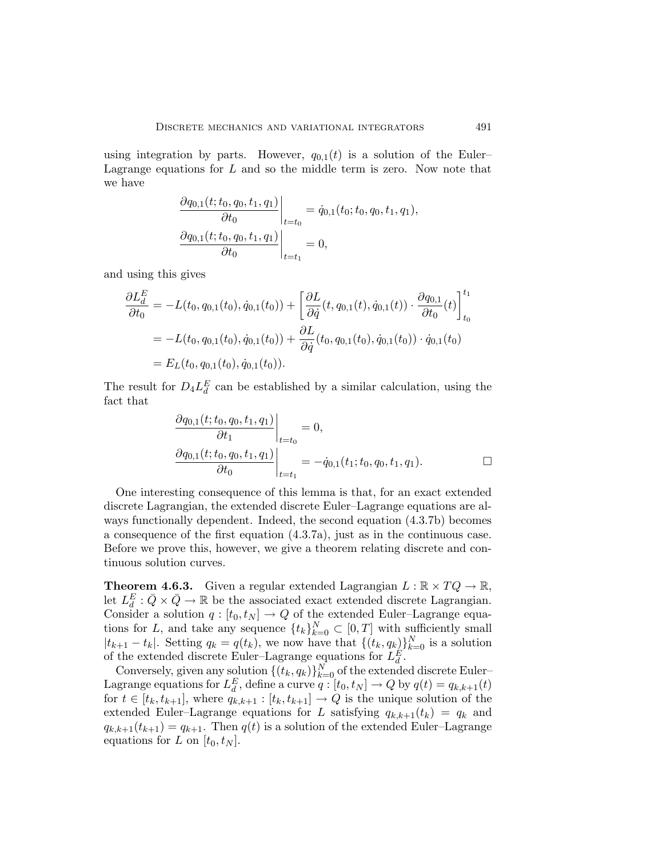using integration by parts. However,  $q_{0,1}(t)$  is a solution of the Euler– Lagrange equations for  $L$  and so the middle term is zero. Now note that we have

$$
\frac{\partial q_{0,1}(t; t_0, q_0, t_1, q_1)}{\partial t_0}\Big|_{t=t_0} = \dot{q}_{0,1}(t_0; t_0, q_0, t_1, q_1),
$$
  

$$
\frac{\partial q_{0,1}(t; t_0, q_0, t_1, q_1)}{\partial t_0}\Big|_{t=t_1} = 0,
$$

and using this gives

$$
\frac{\partial L_d^E}{\partial t_0} = -L(t_0, q_{0,1}(t_0), \dot{q}_{0,1}(t_0)) + \left[\frac{\partial L}{\partial \dot{q}}(t, q_{0,1}(t), \dot{q}_{0,1}(t)) \cdot \frac{\partial q_{0,1}}{\partial t_0}(t)\right]_{t_0}^{t_1}
$$
\n
$$
= -L(t_0, q_{0,1}(t_0), \dot{q}_{0,1}(t_0)) + \frac{\partial L}{\partial \dot{q}}(t_0, q_{0,1}(t_0), \dot{q}_{0,1}(t_0)) \cdot \dot{q}_{0,1}(t_0)
$$
\n
$$
= E_L(t_0, q_{0,1}(t_0), \dot{q}_{0,1}(t_0)).
$$

The result for  $D_4 L_d^E$  can be established by a similar calculation, using the fact that

$$
\frac{\partial q_{0,1}(t; t_0, q_0, t_1, q_1)}{\partial t_1}\Big|_{t=t_0} = 0,
$$
\n
$$
\frac{\partial q_{0,1}(t; t_0, q_0, t_1, q_1)}{\partial t_0}\Big|_{t=t_1} = -\dot{q}_{0,1}(t_1; t_0, q_0, t_1, q_1).
$$

One interesting consequence of this lemma is that, for an exact extended discrete Lagrangian, the extended discrete Euler–Lagrange equations are always functionally dependent. Indeed, the second equation (4.3.7b) becomes a consequence of the first equation (4.3.7a), just as in the continuous case. Before we prove this, however, we give a theorem relating discrete and continuous solution curves.

**Theorem 4.6.3.** Given a regular extended Lagrangian  $L : \mathbb{R} \times TQ \to \mathbb{R}$ , let  $L_d^E: \bar{Q} \times \bar{Q} \to \mathbb{R}$  be the associated exact extended discrete Lagrangian. Consider a solution  $q : [t_0, t_N] \to Q$  of the extended Euler–Lagrange equations for L, and take any sequence  $\{t_k\}_{k=0}^N \subset [0, T]$  with sufficiently small  $|t_{k+1}-t_k|$ . Setting  $q_k = q(t_k)$ , we now have that  $\{(t_k, q_k)\}_{k=0}^N$  is a solution of the extended discrete Euler–Lagrange equations for  $L_d^E$ .

Conversely, given any solution  $\{(t_k, q_k)\}_{k=0}^N$  of the extended discrete Euler– Lagrange equations for  $L_d^E$ , define a curve  $q : [t_0, t_N] \to Q$  by  $q(t) = q_{k,k+1}(t)$ for  $t \in [t_k, t_{k+1}]$ , where  $q_{k,k+1} : [t_k, t_{k+1}] \rightarrow Q$  is the unique solution of the extended Euler–Lagrange equations for L satisfying  $q_{k,k+1}(t_k) = q_k$  and  $q_{k,k+1}(t_{k+1}) = q_{k+1}$ . Then  $q(t)$  is a solution of the extended Euler–Lagrange equations for L on  $[t_0, t_N]$ .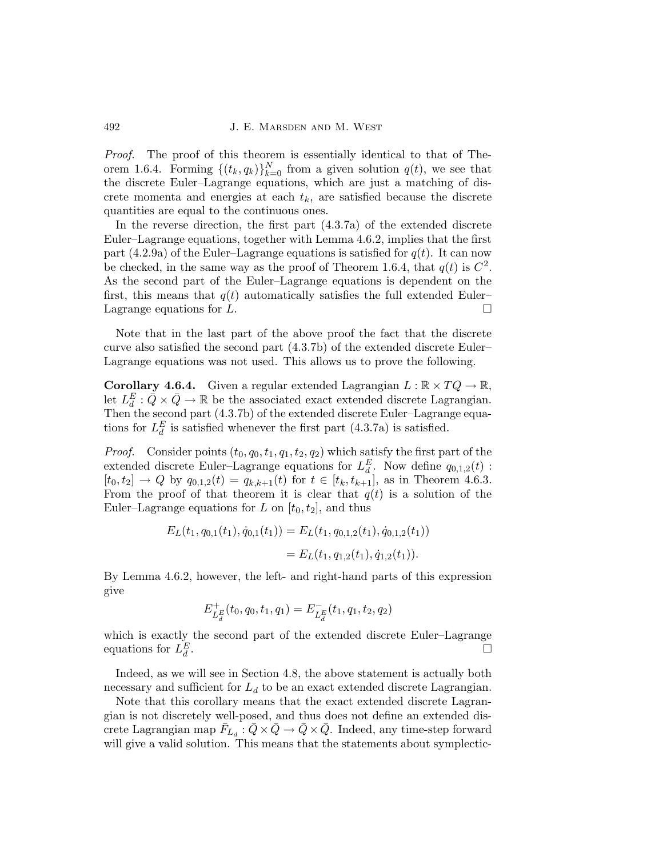Proof. The proof of this theorem is essentially identical to that of Theorem 1.6.4. Forming  $\{(t_k, q_k)\}_{k=0}^N$  from a given solution  $q(t)$ , we see that the discrete Euler–Lagrange equations, which are just a matching of discrete momenta and energies at each  $t_k$ , are satisfied because the discrete quantities are equal to the continuous ones.

In the reverse direction, the first part (4.3.7a) of the extended discrete Euler–Lagrange equations, together with Lemma 4.6.2, implies that the first part (4.2.9a) of the Euler–Lagrange equations is satisfied for  $q(t)$ . It can now be checked, in the same way as the proof of Theorem 1.6.4, that  $q(t)$  is  $C^2$ . As the second part of the Euler–Lagrange equations is dependent on the first, this means that  $q(t)$  automatically satisfies the full extended Euler– Lagrange equations for  $L$ .

Note that in the last part of the above proof the fact that the discrete curve also satisfied the second part (4.3.7b) of the extended discrete Euler– Lagrange equations was not used. This allows us to prove the following.

**Corollary 4.6.4.** Given a regular extended Lagrangian  $L : \mathbb{R} \times TQ \to \mathbb{R}$ , let  $L_d^E: \bar{Q} \times \bar{Q} \to \mathbb{R}$  be the associated exact extended discrete Lagrangian. Then the second part (4.3.7b) of the extended discrete Euler–Lagrange equations for  $L_d^E$  is satisfied whenever the first part (4.3.7a) is satisfied.

*Proof.* Consider points  $(t_0, q_0, t_1, q_1, t_2, q_2)$  which satisfy the first part of the extended discrete Euler-Lagrange equations for  $L_d^E$ . Now define  $q_{0,1,2}(t)$ :  $[t_0,t_2] \to Q$  by  $q_{0,1,2}(t) = q_{k,k+1}(t)$  for  $t \in [t_k,t_{k+1}]$ , as in Theorem 4.6.3. From the proof of that theorem it is clear that  $q(t)$  is a solution of the Euler–Lagrange equations for L on  $[t_0,t_2]$ , and thus

$$
E_L(t_1, q_{0,1}(t_1), \dot{q}_{0,1}(t_1)) = E_L(t_1, q_{0,1,2}(t_1), \dot{q}_{0,1,2}(t_1))
$$
  
=  $E_L(t_1, q_{1,2}(t_1), \dot{q}_{1,2}(t_1)).$ 

By Lemma 4.6.2, however, the left- and right-hand parts of this expression give

$$
E_{L_d}^+(t_0, q_0, t_1, q_1) = E_{L_d}^-(t_1, q_1, t_2, q_2)
$$

which is exactly the second part of the extended discrete Euler–Lagrange equations for  $L_d^E$ .  $\Box$ 

Indeed, as we will see in Section 4.8, the above statement is actually both necessary and sufficient for  $L_d$  to be an exact extended discrete Lagrangian.

Note that this corollary means that the exact extended discrete Lagrangian is not discretely well-posed, and thus does not define an extended discrete Lagrangian map  $\bar{F}_{L_d}$ :  $\bar{Q} \times \bar{Q} \to \bar{Q} \times \bar{Q}$ . Indeed, any time-step forward will give a valid solution. This means that the statements about symplectic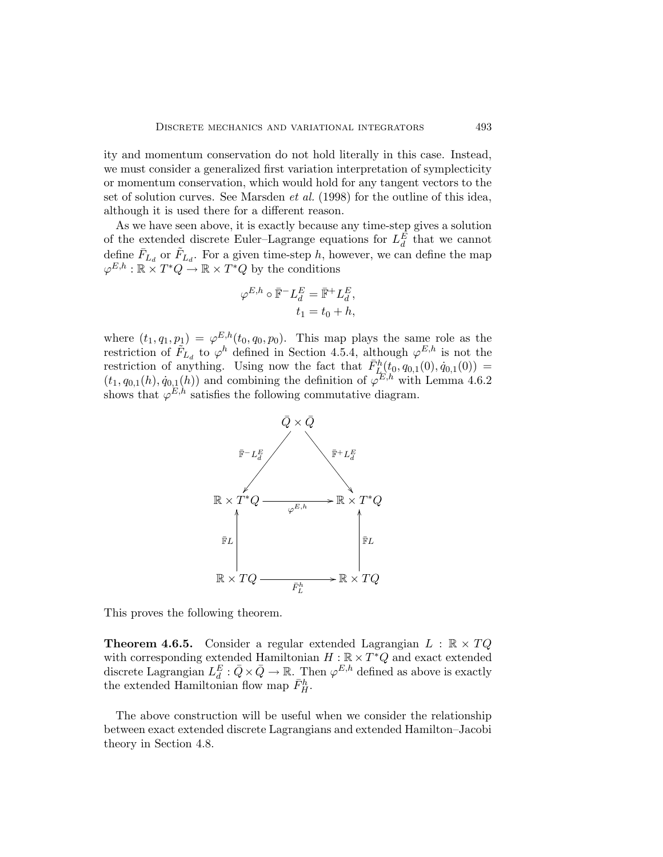ity and momentum conservation do not hold literally in this case. Instead, we must consider a generalized first variation interpretation of symplecticity or momentum conservation, which would hold for any tangent vectors to the set of solution curves. See Marsden et al. (1998) for the outline of this idea, although it is used there for a different reason.

As we have seen above, it is exactly because any time-step gives a solution of the extended discrete Euler–Lagrange equations for  $L_d^E$  that we cannot define  $\bar{F}_{L_d}$  or  $\tilde{F}_{L_d}$ . For a given time-step h, however, we can define the map  $\varphi^{E,h}: \mathbb{R} \times T^*Q \to \mathbb{R} \times T^*Q$  by the conditions

$$
\varphi^{E,h} \circ \bar{\mathbb{F}}^{-} L_d^E = \bar{\mathbb{F}}^{+} L_d^E,
$$
  

$$
t_1 = t_0 + h,
$$

where  $(t_1, q_1, p_1) = \varphi^{E,h}(t_0, q_0, p_0)$ . This map plays the same role as the restriction of  $\tilde{F}_{L_d}$  to  $\varphi^h$  defined in Section 4.5.4, although  $\varphi^{E,h}$  is not the restriction of anything. Using now the fact that  $\bar{F}_{L_1}^h(t_0, q_{0,1}(0), \dot{q}_{0,1}(0)) =$  $(t_1, q_{0,1}(h), \dot{q}_{0,1}(h))$  and combining the definition of  $\varphi^{E,h}$  with Lemma 4.6.2 shows that  $\varphi^{E,h}$  satisfies the following commutative diagram.



This proves the following theorem.

**Theorem 4.6.5.** Consider a regular extended Lagrangian  $L : \mathbb{R} \times TQ$ with corresponding extended Hamiltonian  $H : \mathbb{R} \times T^*Q$  and exact extended discrete Lagrangian  $L_d^E: \bar{Q} \times \bar{Q} \to \mathbb{R}$ . Then  $\varphi^{E,h}$  defined as above is exactly the extended Hamiltonian flow map  $\bar{F}_{H}^{h}$ .

The above construction will be useful when we consider the relationship between exact extended discrete Lagrangians and extended Hamilton–Jacobi theory in Section 4.8.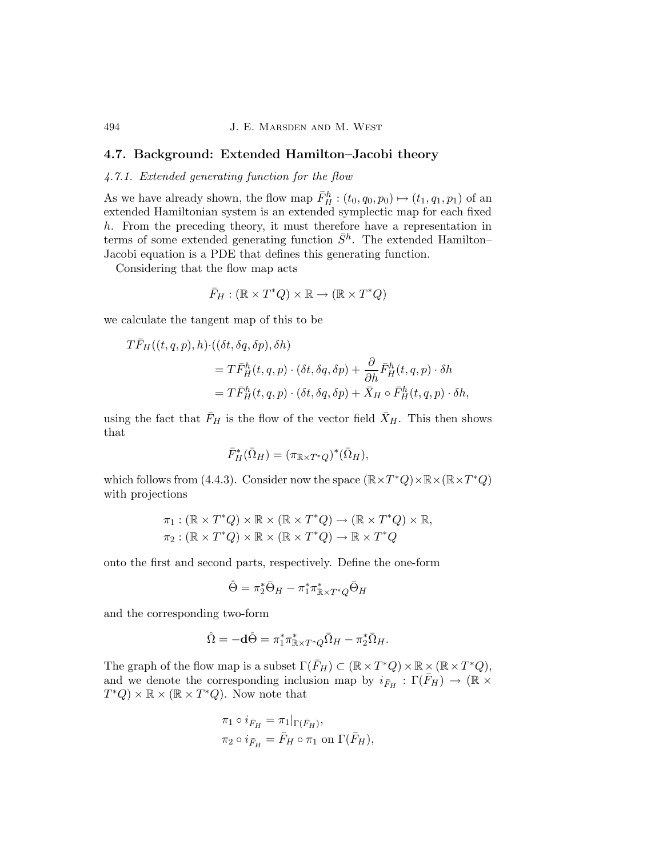# 4.7. Background: Extended Hamilton–Jacobi theory

# 4.7.1. Extended generating function for the flow

As we have already shown, the flow map  $\bar{F}_{H}^{h}$  :  $(t_0, q_0, p_0) \mapsto (t_1, q_1, p_1)$  of an extended Hamiltonian system is an extended symplectic map for each fixed h. From the preceding theory, it must therefore have a representation in terms of some extended generating function  $\bar{S}^h$ . The extended Hamilton– Jacobi equation is a PDE that defines this generating function.

Considering that the flow map acts

$$
\bar{F}_H : (\mathbb{R} \times T^*Q) \times \mathbb{R} \to (\mathbb{R} \times T^*Q)
$$

we calculate the tangent map of this to be

$$
\begin{aligned}\nT\bar{F}_H((t,q,p),h) \cdot ((\delta t,\delta q,\delta p),\delta h) \\
&= T\bar{F}_H^h(t,q,p) \cdot (\delta t,\delta q,\delta p) + \frac{\partial}{\partial h} \bar{F}_H^h(t,q,p) \cdot \delta h \\
&= T\bar{F}_H^h(t,q,p) \cdot (\delta t,\delta q,\delta p) + \bar{X}_H \circ \bar{F}_H^h(t,q,p) \cdot \delta h,\n\end{aligned}
$$

using the fact that  $\bar{F}_H$  is the flow of the vector field  $\bar{X}_H$ . This then shows that

$$
\bar{F}_H^*(\bar{\Omega}_H) = (\pi_{\mathbb{R} \times T^*Q})^*(\bar{\Omega}_H),
$$

which follows from (4.4.3). Consider now the space  $(\mathbb{R} \times T^*Q) \times \mathbb{R} \times (\mathbb{R} \times T^*Q)$ with projections

$$
\pi_1 : (\mathbb{R} \times T^*Q) \times \mathbb{R} \times (\mathbb{R} \times T^*Q) \to (\mathbb{R} \times T^*Q) \times \mathbb{R},
$$
  

$$
\pi_2 : (\mathbb{R} \times T^*Q) \times \mathbb{R} \times (\mathbb{R} \times T^*Q) \to \mathbb{R} \times T^*Q
$$

onto the first and second parts, respectively. Define the one-form

$$
\hat{\Theta} = \pi_2^* \bar{\Theta}_H - \pi_1^* \pi_{\mathbb{R} \times T^* Q}^* \bar{\Theta}_H
$$

and the corresponding two-form

$$
\hat{\Omega} = -\mathbf{d}\hat{\Theta} = \pi_1^* \pi_{\mathbb{R} \times T^*Q}^* \bar{\Omega}_H - \pi_2^* \bar{\Omega}_H.
$$

The graph of the flow map is a subset  $\Gamma(F_H) \subset (\mathbb{R} \times T^*Q) \times \mathbb{R} \times (\mathbb{R} \times T^*Q)$ , and we denote the corresponding inclusion map by  $i_{\bar{F}_H} : \Gamma(\bar{F}_H) \to (\mathbb{R} \times$  $T^*Q \times \mathbb{R} \times (\mathbb{R} \times T^*Q)$ . Now note that

$$
\pi_1 \circ i_{\bar{F}_H} = \pi_1|_{\Gamma(\bar{F}_H)},
$$
  
\n
$$
\pi_2 \circ i_{\bar{F}_H} = \bar{F}_H \circ \pi_1 \text{ on } \Gamma(\bar{F}_H),
$$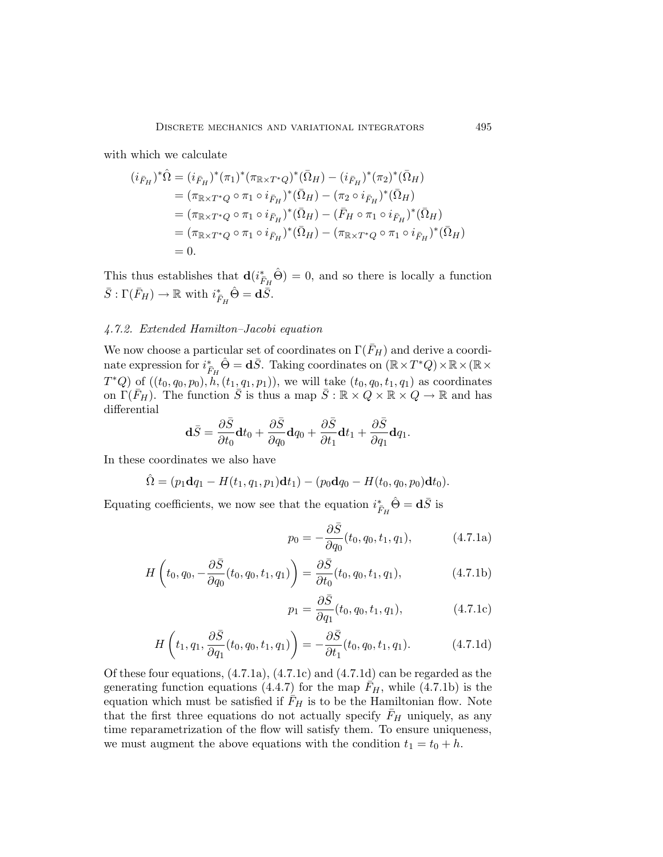with which we calculate

$$
(i_{\bar{F}_H})^*\hat{\Omega} = (i_{\bar{F}_H})^*(\pi_1)^*(\pi_{\mathbb{R}\times T^*Q})^*(\bar{\Omega}_H) - (i_{\bar{F}_H})^*(\pi_2)^*(\bar{\Omega}_H)
$$
  
\n
$$
= (\pi_{\mathbb{R}\times T^*Q} \circ \pi_1 \circ i_{\bar{F}_H})^*(\bar{\Omega}_H) - (\pi_2 \circ i_{\bar{F}_H})^*(\bar{\Omega}_H)
$$
  
\n
$$
= (\pi_{\mathbb{R}\times T^*Q} \circ \pi_1 \circ i_{\bar{F}_H})^*(\bar{\Omega}_H) - (\bar{F}_H \circ \pi_1 \circ i_{\bar{F}_H})^*(\bar{\Omega}_H)
$$
  
\n
$$
= (\pi_{\mathbb{R}\times T^*Q} \circ \pi_1 \circ i_{\bar{F}_H})^*(\bar{\Omega}_H) - (\pi_{\mathbb{R}\times T^*Q} \circ \pi_1 \circ i_{\bar{F}_H})^*(\bar{\Omega}_H)
$$
  
\n
$$
= 0.
$$

This thus establishes that  $\mathbf{d}(i_{\bar{F}_H}^*\hat{\Theta})=0$ , and so there is locally a function  $\bar{S} : \Gamma(\bar{F}_H) \to \mathbb{R}$  with  $i_{\bar{F}_H}^* \hat{\Theta} = \mathbf{d}\bar{S}$ .

# 4.7.2. Extended Hamilton–Jacobi equation

We now choose a particular set of coordinates on  $\Gamma(\bar{F}_H)$  and derive a coordinate expression for  $i_{\overline{F}_H}^* \hat{\Theta} = \mathbf{d}\overline{S}$ . Taking coordinates on  $(\mathbb{R} \times T^*Q) \times \mathbb{R} \times (\mathbb{R} \times T^*Q)$  $T^*(Q)$  of  $((t_0, q_0, p_0), \ddot{h}, (t_1, q_1, p_1)),$  we will take  $(t_0, q_0, t_1, q_1)$  as coordinates on  $\Gamma(\bar{F}_H)$ . The function  $\bar{S}$  is thus a map  $\bar{S}$ :  $\mathbb{R} \times Q \times \mathbb{R} \times Q \to \mathbb{R}$  and has differential

$$
\mathbf{d} \bar S = \frac{\partial \bar S}{\partial t_0} \mathbf{d} t_0 + \frac{\partial \bar S}{\partial q_0} \mathbf{d} q_0 + \frac{\partial \bar S}{\partial t_1} \mathbf{d} t_1 + \frac{\partial \bar S}{\partial q_1} \mathbf{d} q_1.
$$

In these coordinates we also have

$$
\hat{\Omega} = (p_1 dq_1 - H(t_1, q_1, p_1) dt_1) - (p_0 dq_0 - H(t_0, q_0, p_0) dt_0).
$$

Equating coefficients, we now see that the equation  $i_{\bar{F}_H}^* \hat{\Theta} = \mathbf{d}\bar{S}$  is

$$
p_0 = -\frac{\partial \bar{S}}{\partial q_0}(t_0, q_0, t_1, q_1), \qquad (4.7.1a)
$$

$$
H\left(t_0, q_0, -\frac{\partial \bar{S}}{\partial q_0}(t_0, q_0, t_1, q_1)\right) = \frac{\partial \bar{S}}{\partial t_0}(t_0, q_0, t_1, q_1),\tag{4.7.1b}
$$

$$
p_1 = \frac{\partial \bar{S}}{\partial q_1}(t_0, q_0, t_1, q_1), \qquad (4.7.1c)
$$

$$
H\left(t_1, q_1, \frac{\partial \bar{S}}{\partial q_1}(t_0, q_0, t_1, q_1)\right) = -\frac{\partial \bar{S}}{\partial t_1}(t_0, q_0, t_1, q_1).
$$
 (4.7.1d)

Of these four equations, (4.7.1a), (4.7.1c) and (4.7.1d) can be regarded as the generating function equations (4.4.7) for the map  $F_H$ , while (4.7.1b) is the equation which must be satisfied if  $\bar{F}_H$  is to be the Hamiltonian flow. Note that the first three equations do not actually specify  $\bar{F}_H$  uniquely, as any time reparametrization of the flow will satisfy them. To ensure uniqueness, we must augment the above equations with the condition  $t_1 = t_0 + h$ .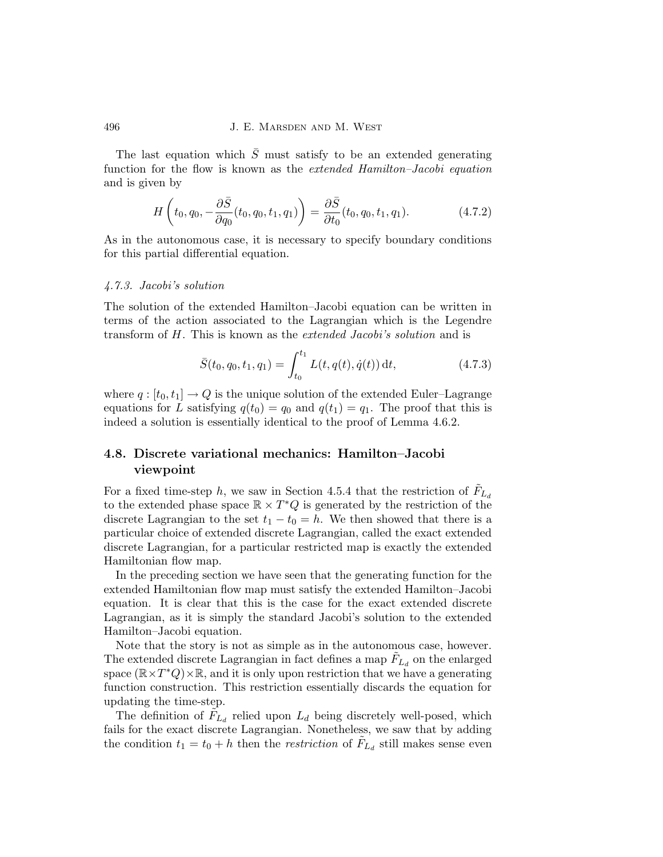The last equation which  $\overline{S}$  must satisfy to be an extended generating function for the flow is known as the extended Hamilton–Jacobi equation and is given by

$$
H\left(t_0, q_0, -\frac{\partial \bar{S}}{\partial q_0}(t_0, q_0, t_1, q_1)\right) = \frac{\partial \bar{S}}{\partial t_0}(t_0, q_0, t_1, q_1).
$$
 (4.7.2)

As in the autonomous case, it is necessary to specify boundary conditions for this partial differential equation.

#### 4.7.3. Jacobi's solution

The solution of the extended Hamilton–Jacobi equation can be written in terms of the action associated to the Lagrangian which is the Legendre transform of H. This is known as the *extended Jacobi's solution* and is

$$
\bar{S}(t_0, q_0, t_1, q_1) = \int_{t_0}^{t_1} L(t, q(t), \dot{q}(t)) dt,
$$
\n(4.7.3)

where  $q : [t_0, t_1] \to Q$  is the unique solution of the extended Euler–Lagrange equations for L satisfying  $q(t_0) = q_0$  and  $q(t_1) = q_1$ . The proof that this is indeed a solution is essentially identical to the proof of Lemma 4.6.2.

# 4.8. Discrete variational mechanics: Hamilton–Jacobi viewpoint

For a fixed time-step h, we saw in Section 4.5.4 that the restriction of  $\tilde{F}_{L_d}$ to the extended phase space  $\mathbb{R} \times T^*Q$  is generated by the restriction of the discrete Lagrangian to the set  $t_1 - t_0 = h$ . We then showed that there is a particular choice of extended discrete Lagrangian, called the exact extended discrete Lagrangian, for a particular restricted map is exactly the extended Hamiltonian flow map.

In the preceding section we have seen that the generating function for the extended Hamiltonian flow map must satisfy the extended Hamilton–Jacobi equation. It is clear that this is the case for the exact extended discrete Lagrangian, as it is simply the standard Jacobi's solution to the extended Hamilton–Jacobi equation.

Note that the story is not as simple as in the autonomous case, however. The extended discrete Lagrangian in fact defines a map  $\tilde{F}_{L_d}$  on the enlarged space  $(\mathbb{R} \times T^*Q) \times \mathbb{R}$ , and it is only upon restriction that we have a generating function construction. This restriction essentially discards the equation for updating the time-step.

The definition of  $\tilde{F}_{L_d}$  relied upon  $L_d$  being discretely well-posed, which fails for the exact discrete Lagrangian. Nonetheless, we saw that by adding the condition  $t_1 = t_0 + h$  then the *restriction* of  $F_{L_d}$  still makes sense even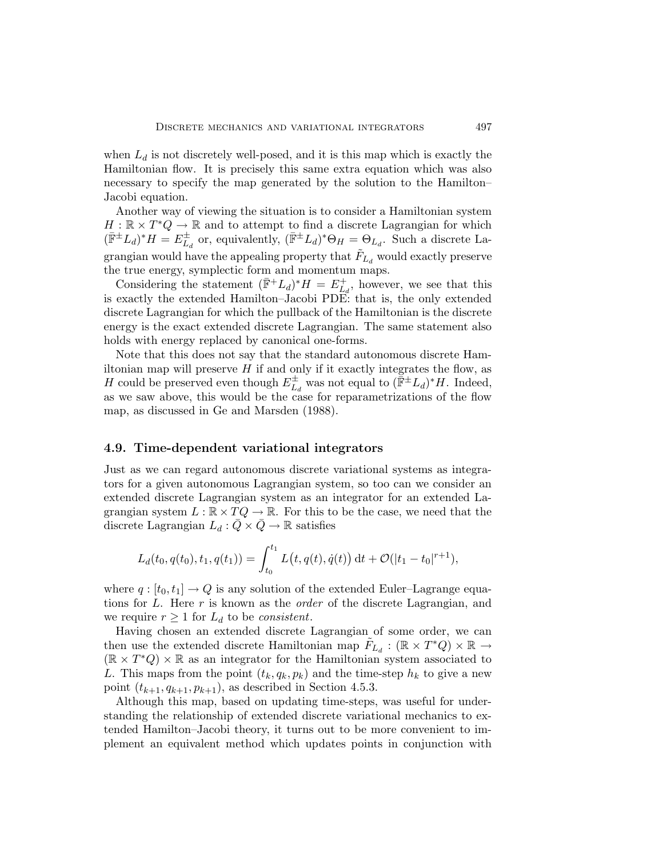when  $L_d$  is not discretely well-posed, and it is this map which is exactly the Hamiltonian flow. It is precisely this same extra equation which was also necessary to specify the map generated by the solution to the Hamilton– Jacobi equation.

Another way of viewing the situation is to consider a Hamiltonian system  $H : \mathbb{R} \times T^*Q \to \mathbb{R}$  and to attempt to find a discrete Lagrangian for which  $(\bar{\mathbb{F}}^{\pm}L_d)^*H = E_{L_d}^{\pm}$  $_{L_d}^{\pm}$  or, equivalently,  $(\bar{\mathbb{F}}^{\pm}L_d)^*\Theta_H = \Theta_{L_d}$ . Such a discrete Lagrangian would have the appealing property that  $\tilde{F}_{L_d}$  would exactly preserve the true energy, symplectic form and momentum maps.

Considering the statement  $(\bar{F}^+L_d)^*H = E_L^+$  $L_d$ , however, we see that this is exactly the extended Hamilton–Jacobi PDE: that is, the only extended discrete Lagrangian for which the pullback of the Hamiltonian is the discrete energy is the exact extended discrete Lagrangian. The same statement also holds with energy replaced by canonical one-forms.

Note that this does not say that the standard autonomous discrete Hamiltonian map will preserve  $H$  if and only if it exactly integrates the flow, as H could be preserved even though  $E_L^{\pm}$  $\mathcal{L}_d$  was not equal to  $(\bar{\mathbb{F}}^{\pm} L_d)^* H$ . Indeed, as we saw above, this would be the case for reparametrizations of the flow map, as discussed in Ge and Marsden (1988).

# 4.9. Time-dependent variational integrators

Just as we can regard autonomous discrete variational systems as integrators for a given autonomous Lagrangian system, so too can we consider an extended discrete Lagrangian system as an integrator for an extended Lagrangian system  $L : \mathbb{R} \times TQ \to \mathbb{R}$ . For this to be the case, we need that the discrete Lagrangian  $L_d : \bar{Q} \times \bar{Q} \to \mathbb{R}$  satisfies

$$
L_d(t_0, q(t_0), t_1, q(t_1)) = \int_{t_0}^{t_1} L(t, q(t), \dot{q}(t)) dt + \mathcal{O}(|t_1 - t_0|^{r+1}),
$$

where  $q : [t_0, t_1] \rightarrow Q$  is any solution of the extended Euler–Lagrange equations for  $L$ . Here r is known as the *order* of the discrete Lagrangian, and we require  $r \geq 1$  for  $L_d$  to be *consistent*.

Having chosen an extended discrete Lagrangian of some order, we can then use the extended discrete Hamiltonian map  $\tilde{F}_{L_d} : (\mathbb{R} \times T^*Q) \times \mathbb{R} \to$  $(\mathbb{R} \times T^*Q) \times \mathbb{R}$  as an integrator for the Hamiltonian system associated to L. This maps from the point  $(t_k, q_k, p_k)$  and the time-step  $h_k$  to give a new point  $(t_{k+1}, q_{k+1}, p_{k+1})$ , as described in Section 4.5.3.

Although this map, based on updating time-steps, was useful for understanding the relationship of extended discrete variational mechanics to extended Hamilton–Jacobi theory, it turns out to be more convenient to implement an equivalent method which updates points in conjunction with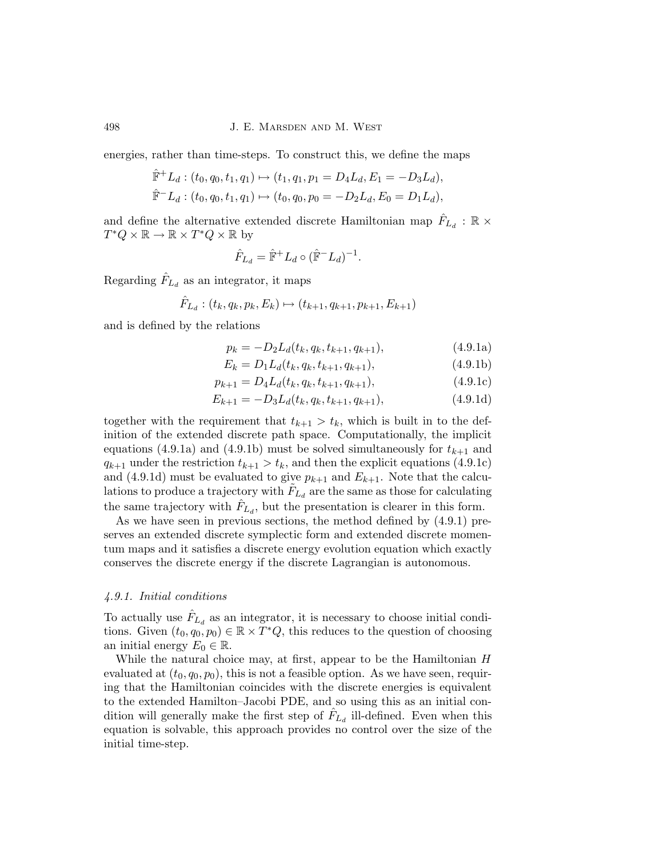energies, rather than time-steps. To construct this, we define the maps

$$
\hat{\mathbb{F}}^+ L_d : (t_0, q_0, t_1, q_1) \mapsto (t_1, q_1, p_1 = D_4 L_d, E_1 = -D_3 L_d),
$$
  

$$
\hat{\mathbb{F}}^- L_d : (t_0, q_0, t_1, q_1) \mapsto (t_0, q_0, p_0 = -D_2 L_d, E_0 = D_1 L_d),
$$

and define the alternative extended discrete Hamiltonian map  $\hat{F}_{L_d}$  :  $\mathbb{R} \times$  $T^*Q \times \mathbb{R} \to \mathbb{R} \times T^*Q \times \mathbb{R}$  by

$$
\hat{F}_{L_d} = \hat{\mathbb{F}}^+ L_d \circ (\hat{\mathbb{F}}^- L_d)^{-1}.
$$

Regarding  $\hat{F}_{L_d}$  as an integrator, it maps

$$
\hat{F}_{L_d} : (t_k, q_k, p_k, E_k) \mapsto (t_{k+1}, q_{k+1}, p_{k+1}, E_{k+1})
$$

and is defined by the relations

$$
p_k = -D_2 L_d(t_k, q_k, t_{k+1}, q_{k+1}),
$$
\n(4.9.1a)

$$
E_k = D_1 L_d(t_k, q_k, t_{k+1}, q_{k+1}),
$$
\n(4.9.1b)

$$
p_{k+1} = D_4 L_d(t_k, q_k, t_{k+1}, q_{k+1}),
$$
\n(4.9.1c)

$$
E_{k+1} = -D_3 L_d(t_k, q_k, t_{k+1}, q_{k+1}),
$$
\n(4.9.1d)

together with the requirement that  $t_{k+1} > t_k$ , which is built in to the definition of the extended discrete path space. Computationally, the implicit equations (4.9.1a) and (4.9.1b) must be solved simultaneously for  $t_{k+1}$  and  $q_{k+1}$  under the restriction  $t_{k+1} > t_k$ , and then the explicit equations (4.9.1c) and (4.9.1d) must be evaluated to give  $p_{k+1}$  and  $E_{k+1}$ . Note that the calculations to produce a trajectory with  $\tilde{F}_{L_d}$  are the same as those for calculating the same trajectory with  $\hat{F}_{L_d}$ , but the presentation is clearer in this form.

As we have seen in previous sections, the method defined by (4.9.1) preserves an extended discrete symplectic form and extended discrete momentum maps and it satisfies a discrete energy evolution equation which exactly conserves the discrete energy if the discrete Lagrangian is autonomous.

### 4.9.1. Initial conditions

To actually use  $\hat{F}_{L_d}$  as an integrator, it is necessary to choose initial conditions. Given  $(t_0, q_0, p_0) \in \mathbb{R} \times T^*Q$ , this reduces to the question of choosing an initial energy  $E_0 \in \mathbb{R}$ .

While the natural choice may, at first, appear to be the Hamiltonian H evaluated at  $(t_0, q_0, p_0)$ , this is not a feasible option. As we have seen, requiring that the Hamiltonian coincides with the discrete energies is equivalent to the extended Hamilton–Jacobi PDE, and so using this as an initial condition will generally make the first step of  $\hat{F}_{L_d}$  ill-defined. Even when this equation is solvable, this approach provides no control over the size of the initial time-step.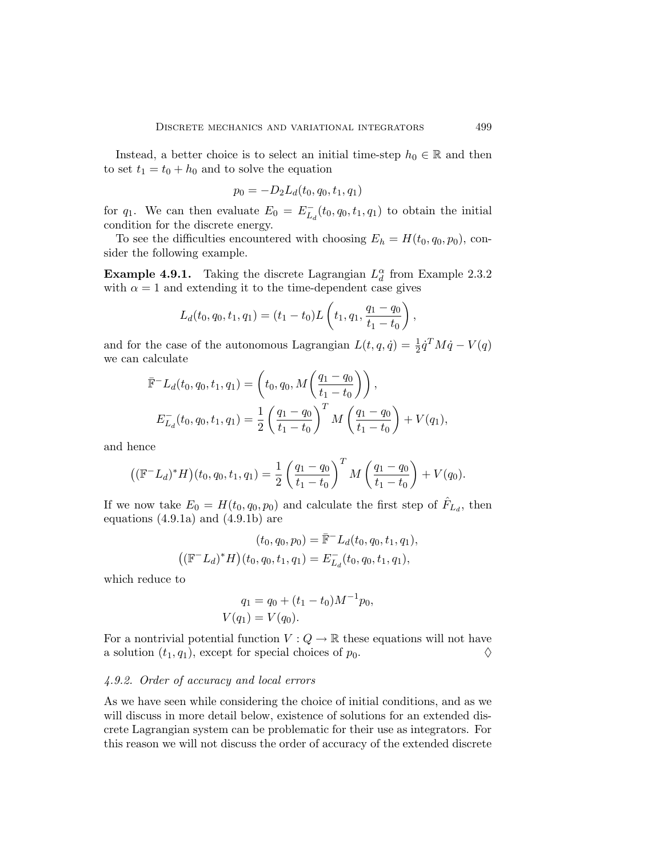Instead, a better choice is to select an initial time-step  $h_0 \in \mathbb{R}$  and then to set  $t_1 = t_0 + h_0$  and to solve the equation

$$
p_0 = -D_2 L_d(t_0, q_0, t_1, q_1)
$$

for  $q_1$ . We can then evaluate  $E_0 = E_L^ L_d(t_0, q_0, t_1, q_1)$  to obtain the initial condition for the discrete energy.

To see the difficulties encountered with choosing  $E_h = H(t_0, q_0, p_0)$ , consider the following example.

**Example 4.9.1.** Taking the discrete Lagrangian  $L_d^{\alpha}$  from Example 2.3.2 with  $\alpha = 1$  and extending it to the time-dependent case gives

$$
L_d(t_0, q_0, t_1, q_1) = (t_1 - t_0)L\left(t_1, q_1, \frac{q_1 - q_0}{t_1 - t_0}\right),
$$

and for the case of the autonomous Lagrangian  $L(t, q, \dot{q}) = \frac{1}{2}$  $\frac{1}{2}\dot{q}^T M \dot{q} - V(q)$ we can calculate

$$
\overline{\mathbb{F}}^{-}L_d(t_0, q_0, t_1, q_1) = \left(t_0, q_0, M\left(\frac{q_1 - q_0}{t_1 - t_0}\right)\right),
$$
\n
$$
E_{L_d}^{-}(t_0, q_0, t_1, q_1) = \frac{1}{2} \left(\frac{q_1 - q_0}{t_1 - t_0}\right)^T M \left(\frac{q_1 - q_0}{t_1 - t_0}\right) + V(q_1),
$$

and hence

$$
((\mathbb{F}^{-}L_{d})^{*}H)(t_{0},q_{0},t_{1},q_{1})=\frac{1}{2}\left(\frac{q_{1}-q_{0}}{t_{1}-t_{0}}\right)^{T}M\left(\frac{q_{1}-q_{0}}{t_{1}-t_{0}}\right)+V(q_{0}).
$$

If we now take  $E_0 = H(t_0, q_0, p_0)$  and calculate the first step of  $\hat{F}_{L_d}$ , then equations (4.9.1a) and (4.9.1b) are

$$
(t_0, q_0, p_0) = \overline{\mathbb{F}}^{-} L_d(t_0, q_0, t_1, q_1),
$$
  

$$
((\mathbb{F}^{-} L_d)^* H)(t_0, q_0, t_1, q_1) = E_{L_d}^{-}(t_0, q_0, t_1, q_1),
$$

which reduce to

$$
q_1 = q_0 + (t_1 - t_0)M^{-1}p_0,
$$
  

$$
V(q_1) = V(q_0).
$$

For a nontrivial potential function  $V: Q \to \mathbb{R}$  these equations will not have a solution  $(t_1, q_1)$ , except for special choices of  $p_0$ .

# 4.9.2. Order of accuracy and local errors

As we have seen while considering the choice of initial conditions, and as we will discuss in more detail below, existence of solutions for an extended discrete Lagrangian system can be problematic for their use as integrators. For this reason we will not discuss the order of accuracy of the extended discrete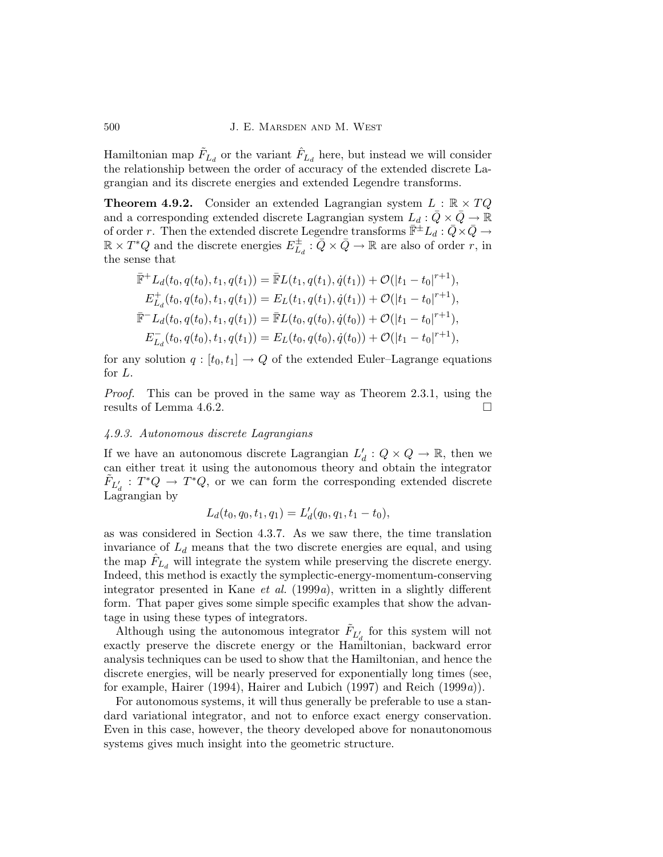Hamiltonian map  $\tilde{F}_{L_d}$  or the variant  $\hat{F}_{L_d}$  here, but instead we will consider the relationship between the order of accuracy of the extended discrete Lagrangian and its discrete energies and extended Legendre transforms.

**Theorem 4.9.2.** Consider an extended Lagrangian system  $L : \mathbb{R} \times TQ$ and a corresponding extended discrete Lagrangian system  $L_d : \overline{Q} \times \overline{Q} \to \mathbb{R}$ of order r. Then the extended discrete Legendre transforms  $\bar{\mathbb{F}}^{\pm}L_d : \bar{Q} \times \bar{Q} \to$  $\mathbb{R} \times T^*Q$  and the discrete energies  $E_L^{\pm}$  $\overline{L}_d^{\pm} : \overline{Q} \times \overline{Q} \to \mathbb{R}$  are also of order r, in the sense that

$$
\bar{\mathbb{F}}^{+}L_{d}(t_{0}, q(t_{0}), t_{1}, q(t_{1})) = \bar{\mathbb{F}}L(t_{1}, q(t_{1}), \dot{q}(t_{1})) + \mathcal{O}(|t_{1} - t_{0}|^{r+1}),
$$
\n
$$
E_{L_{d}}^{+}(t_{0}, q(t_{0}), t_{1}, q(t_{1})) = E_{L}(t_{1}, q(t_{1}), \dot{q}(t_{1})) + \mathcal{O}(|t_{1} - t_{0}|^{r+1}),
$$
\n
$$
\bar{\mathbb{F}}^{-}L_{d}(t_{0}, q(t_{0}), t_{1}, q(t_{1})) = \bar{\mathbb{F}}L(t_{0}, q(t_{0}), \dot{q}(t_{0})) + \mathcal{O}(|t_{1} - t_{0}|^{r+1}),
$$
\n
$$
E_{L_{d}}^{-}(t_{0}, q(t_{0}), t_{1}, q(t_{1})) = E_{L}(t_{0}, q(t_{0}), \dot{q}(t_{0})) + \mathcal{O}(|t_{1} - t_{0}|^{r+1}),
$$

for any solution  $q : [t_0, t_1] \to Q$  of the extended Euler–Lagrange equations for L.

Proof. This can be proved in the same way as Theorem 2.3.1, using the results of Lemma 4.6.2.  $\Box$ 

# 4.9.3. Autonomous discrete Lagrangians

If we have an autonomous discrete Lagrangian  $L'_d: Q \times Q \to \mathbb{R}$ , then we can either treat it using the autonomous theory and obtain the integrator  $\tilde{F}_{L_d}: T^*Q \to T^*Q$ , or we can form the corresponding extended discrete Lagrangian by

$$
L_d(t_0, q_0, t_1, q_1) = L'_d(q_0, q_1, t_1 - t_0),
$$

as was considered in Section 4.3.7. As we saw there, the time translation invariance of  $L_d$  means that the two discrete energies are equal, and using the map  $\hat{F}_{L_d}$  will integrate the system while preserving the discrete energy. Indeed, this method is exactly the symplectic-energy-momentum-conserving integrator presented in Kane et al. (1999a), written in a slightly different form. That paper gives some simple specific examples that show the advantage in using these types of integrators.

Although using the autonomous integrator  $\tilde{F}_{L_d}$  for this system will not exactly preserve the discrete energy or the Hamiltonian, backward error analysis techniques can be used to show that the Hamiltonian, and hence the discrete energies, will be nearly preserved for exponentially long times (see, for example, Hairer (1994), Hairer and Lubich (1997) and Reich (1999 $a$ ).

For autonomous systems, it will thus generally be preferable to use a standard variational integrator, and not to enforce exact energy conservation. Even in this case, however, the theory developed above for nonautonomous systems gives much insight into the geometric structure.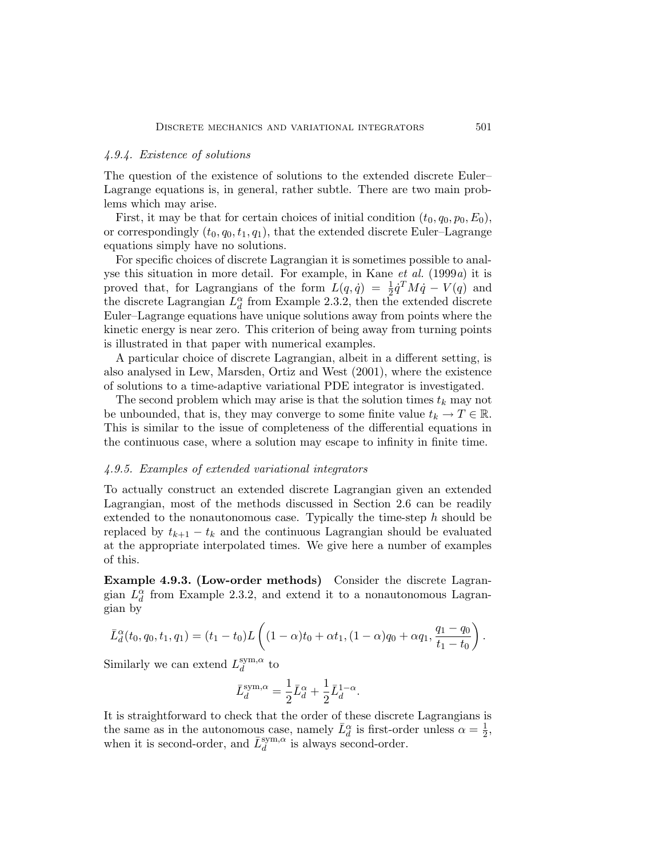#### 4.9.4. Existence of solutions

The question of the existence of solutions to the extended discrete Euler– Lagrange equations is, in general, rather subtle. There are two main problems which may arise.

First, it may be that for certain choices of initial condition  $(t_0, q_0, p_0, E_0)$ , or correspondingly  $(t_0, q_0, t_1, q_1)$ , that the extended discrete Euler–Lagrange equations simply have no solutions.

For specific choices of discrete Lagrangian it is sometimes possible to analyse this situation in more detail. For example, in Kane et al. (1999a) it is proved that, for Lagrangians of the form  $L(q, \dot{q}) = \frac{1}{2}$  $\frac{1}{2}\dot{q}^TM\dot{q} - V(q)$  and the discrete Lagrangian  $L_d^{\alpha}$  from Example 2.3.2, then the extended discrete Euler–Lagrange equations have unique solutions away from points where the kinetic energy is near zero. This criterion of being away from turning points is illustrated in that paper with numerical examples.

A particular choice of discrete Lagrangian, albeit in a different setting, is also analysed in Lew, Marsden, Ortiz and West (2001), where the existence of solutions to a time-adaptive variational PDE integrator is investigated.

The second problem which may arise is that the solution times  $t_k$  may not be unbounded, that is, they may converge to some finite value  $t_k \to T \in \mathbb{R}$ . This is similar to the issue of completeness of the differential equations in the continuous case, where a solution may escape to infinity in finite time.

### 4.9.5. Examples of extended variational integrators

To actually construct an extended discrete Lagrangian given an extended Lagrangian, most of the methods discussed in Section 2.6 can be readily extended to the nonautonomous case. Typically the time-step  $h$  should be replaced by  $t_{k+1} - t_k$  and the continuous Lagrangian should be evaluated at the appropriate interpolated times. We give here a number of examples of this.

Example 4.9.3. (Low-order methods) Consider the discrete Lagrangian  $L_d^{\alpha}$  from Example 2.3.2, and extend it to a nonautonomous Lagrangian by

$$
\bar{L}_d^{\alpha}(t_0, q_0, t_1, q_1) = (t_1 - t_0)L\left((1 - \alpha)t_0 + \alpha t_1, (1 - \alpha)q_0 + \alpha q_1, \frac{q_1 - q_0}{t_1 - t_0}\right).
$$

Similarly we can extend  $L_d^{\text{sym},\alpha}$  $\frac{1}{d}$  to

$$
\bar{L}_d^{\text{sym},\alpha} = \frac{1}{2}\bar{L}_d^{\alpha} + \frac{1}{2}\bar{L}_d^{1-\alpha}.
$$

It is straightforward to check that the order of these discrete Lagrangians is the same as in the autonomous case, namely  $\bar{L}_d^{\alpha}$  is first-order unless  $\alpha = \frac{1}{2}$  $\frac{1}{2}$ , when it is second-order, and  $\bar{L}_d^{\text{sym},\alpha}$  is always second-order.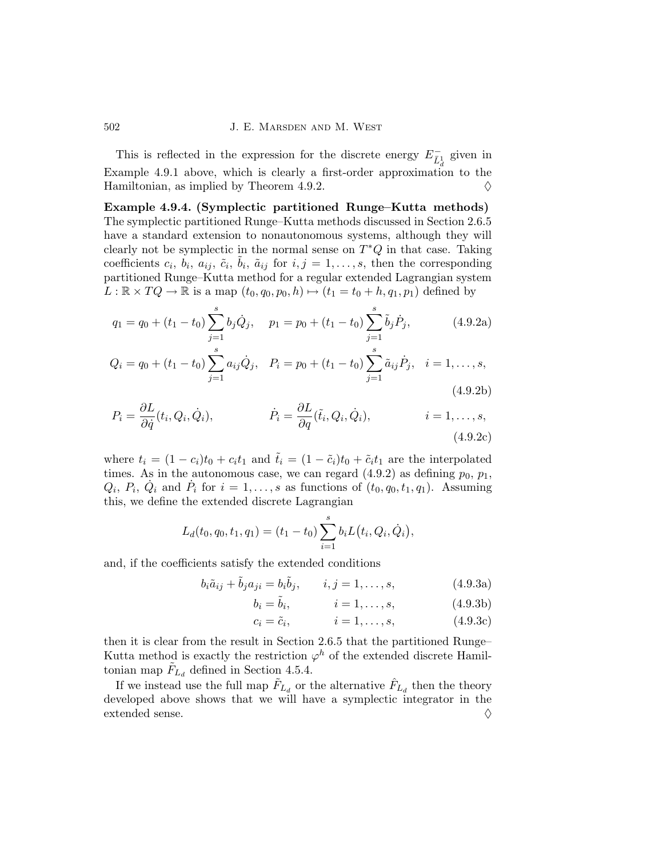This is reflected in the expression for the discrete energy  $E_{\bar{L}^1_d}^-$  given in Example 4.9.1 above, which is clearly a first-order approximation to the Hamiltonian, as implied by Theorem 4.9.2.  $\Diamond$ 

Example 4.9.4. (Symplectic partitioned Runge–Kutta methods) The symplectic partitioned Runge–Kutta methods discussed in Section 2.6.5 have a standard extension to nonautonomous systems, although they will clearly not be symplectic in the normal sense on  $T^*Q$  in that case. Taking coefficients  $c_i$ ,  $\overline{b}_i$ ,  $\overline{a}_{ij}$ ,  $\overline{c}_i$ ,  $\overline{b}_i$ ,  $\overline{a}_{ij}$  for  $i, j = 1, \ldots, s$ , then the corresponding partitioned Runge–Kutta method for a regular extended Lagrangian system  $L : \mathbb{R} \times TQ \to \mathbb{R}$  is a map  $(t_0, q_0, p_0, h) \mapsto (t_1 = t_0 + h, q_1, p_1)$  defined by

$$
q_1 = q_0 + (t_1 - t_0) \sum_{j=1}^{s} b_j \dot{Q}_j, \quad p_1 = p_0 + (t_1 - t_0) \sum_{j=1}^{s} \tilde{b}_j \dot{P}_j,
$$
 (4.9.2a)

$$
Q_i = q_0 + (t_1 - t_0) \sum_{j=1}^s a_{ij} \dot{Q}_j, \quad P_i = p_0 + (t_1 - t_0) \sum_{j=1}^s \tilde{a}_{ij} \dot{P}_j, \quad i = 1, ..., s,
$$
\n(4.9.2b)

$$
P_i = \frac{\partial L}{\partial \dot{q}}(t_i, Q_i, \dot{Q}_i), \qquad \dot{P}_i = \frac{\partial L}{\partial q}(\tilde{t}_i, Q_i, \dot{Q}_i), \qquad i = 1, \dots, s,
$$
\n(4.9.2c)

where  $t_i = (1 - c_i)t_0 + c_it_1$  and  $\tilde{t}_i = (1 - \tilde{c}_i)t_0 + \tilde{c}_it_1$  are the interpolated times. As in the autonomous case, we can regard  $(4.9.2)$  as defining  $p_0$ ,  $p_1$ ,  $Q_i$ ,  $P_i$ ,  $\dot{Q}_i$  and  $\dot{P}_i$  for  $i = 1, \ldots, s$  as functions of  $(t_0, q_0, t_1, q_1)$ . Assuming this, we define the extended discrete Lagrangian

$$
L_d(t_0, q_0, t_1, q_1) = (t_1 - t_0) \sum_{i=1}^s b_i L(t_i, Q_i, \dot{Q}_i),
$$

and, if the coefficients satisfy the extended conditions

$$
b_i \tilde{a}_{ij} + \tilde{b}_j a_{ji} = b_i \tilde{b}_j, \qquad i, j = 1, \dots, s,
$$
\n
$$
(4.9.3a)
$$

$$
b_i = \tilde{b}_i, \qquad i = 1, \dots, s,
$$
\n
$$
(4.9.3b)
$$

$$
c_i = \tilde{c}_i, \qquad i = 1, \dots, s,
$$
\n
$$
(4.9.3c)
$$

then it is clear from the result in Section 2.6.5 that the partitioned Runge– Kutta method is exactly the restriction  $\varphi^h$  of the extended discrete Hamiltonian map  $\tilde{F}_{L_d}$  defined in Section 4.5.4.

If we instead use the full map  $\tilde{F}_{L_d}$  or the alternative  $\hat{F}_{L_d}$  then the theory developed above shows that we will have a symplectic integrator in the extended sense.  $\Diamond$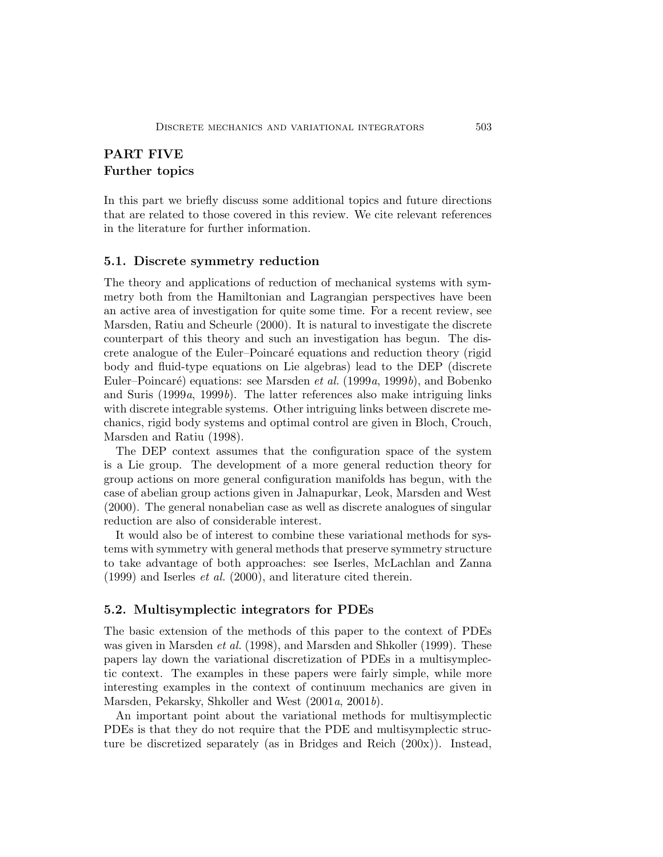# PART FIVE Further topics

In this part we briefly discuss some additional topics and future directions that are related to those covered in this review. We cite relevant references in the literature for further information.

## 5.1. Discrete symmetry reduction

The theory and applications of reduction of mechanical systems with symmetry both from the Hamiltonian and Lagrangian perspectives have been an active area of investigation for quite some time. For a recent review, see Marsden, Ratiu and Scheurle (2000). It is natural to investigate the discrete counterpart of this theory and such an investigation has begun. The discrete analogue of the Euler–Poincar´e equations and reduction theory (rigid body and fluid-type equations on Lie algebras) lead to the DEP (discrete Euler–Poincaré) equations: see Marsden et al. (1999a, 1999b), and Bobenko and Suris (1999a, 1999b). The latter references also make intriguing links with discrete integrable systems. Other intriguing links between discrete mechanics, rigid body systems and optimal control are given in Bloch, Crouch, Marsden and Ratiu (1998).

The DEP context assumes that the configuration space of the system is a Lie group. The development of a more general reduction theory for group actions on more general configuration manifolds has begun, with the case of abelian group actions given in Jalnapurkar, Leok, Marsden and West (2000). The general nonabelian case as well as discrete analogues of singular reduction are also of considerable interest.

It would also be of interest to combine these variational methods for systems with symmetry with general methods that preserve symmetry structure to take advantage of both approaches: see Iserles, McLachlan and Zanna (1999) and Iserles et al. (2000), and literature cited therein.

## 5.2. Multisymplectic integrators for PDEs

The basic extension of the methods of this paper to the context of PDEs was given in Marsden *et al.* (1998), and Marsden and Shkoller (1999). These papers lay down the variational discretization of PDEs in a multisymplectic context. The examples in these papers were fairly simple, while more interesting examples in the context of continuum mechanics are given in Marsden, Pekarsky, Shkoller and West (2001a, 2001b).

An important point about the variational methods for multisymplectic PDEs is that they do not require that the PDE and multisymplectic structure be discretized separately (as in Bridges and Reich (200x)). Instead,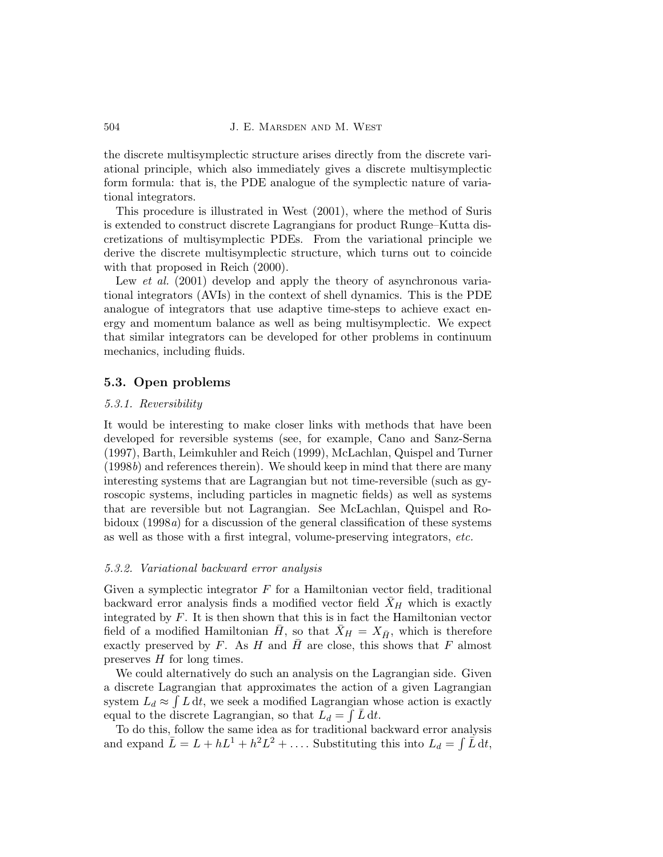#### 504 J. E. MARSDEN AND M. WEST

the discrete multisymplectic structure arises directly from the discrete variational principle, which also immediately gives a discrete multisymplectic form formula: that is, the PDE analogue of the symplectic nature of variational integrators.

This procedure is illustrated in West (2001), where the method of Suris is extended to construct discrete Lagrangians for product Runge–Kutta discretizations of multisymplectic PDEs. From the variational principle we derive the discrete multisymplectic structure, which turns out to coincide with that proposed in Reich (2000).

Lew *et al.* (2001) develop and apply the theory of asynchronous variational integrators (AVIs) in the context of shell dynamics. This is the PDE analogue of integrators that use adaptive time-steps to achieve exact energy and momentum balance as well as being multisymplectic. We expect that similar integrators can be developed for other problems in continuum mechanics, including fluids.

## 5.3. Open problems

#### 5.3.1. Reversibility

It would be interesting to make closer links with methods that have been developed for reversible systems (see, for example, Cano and Sanz-Serna (1997), Barth, Leimkuhler and Reich (1999), McLachlan, Quispel and Turner  $(1998b)$  and references therein). We should keep in mind that there are many interesting systems that are Lagrangian but not time-reversible (such as gyroscopic systems, including particles in magnetic fields) as well as systems that are reversible but not Lagrangian. See McLachlan, Quispel and Robidoux (1998a) for a discussion of the general classification of these systems as well as those with a first integral, volume-preserving integrators, etc.

#### 5.3.2. Variational backward error analysis

Given a symplectic integrator  $F$  for a Hamiltonian vector field, traditional backward error analysis finds a modified vector field  $\bar{X}_H$  which is exactly integrated by  $F$ . It is then shown that this is in fact the Hamiltonian vector field of a modified Hamiltonian H, so that  $X_H = X_{\bar{H}}$ , which is therefore exactly preserved by  $F$ . As  $H$  and  $H$  are close, this shows that  $F$  almost preserves H for long times.

We could alternatively do such an analysis on the Lagrangian side. Given a discrete Lagrangian that approximates the action of a given Lagrangian system  $L_d \approx \int L dt$ , we seek a modified Lagrangian whose action is exactly equal to the discrete Lagrangian, so that  $\overline{L_d} = \int \overline{L} dt$ .

To do this, follow the same idea as for traditional backward error analysis and expand  $\bar{L} = L + hL^1 + h^2L^2 + \dots$ . Substituting this into  $L_d = \int \bar{L} dt$ ,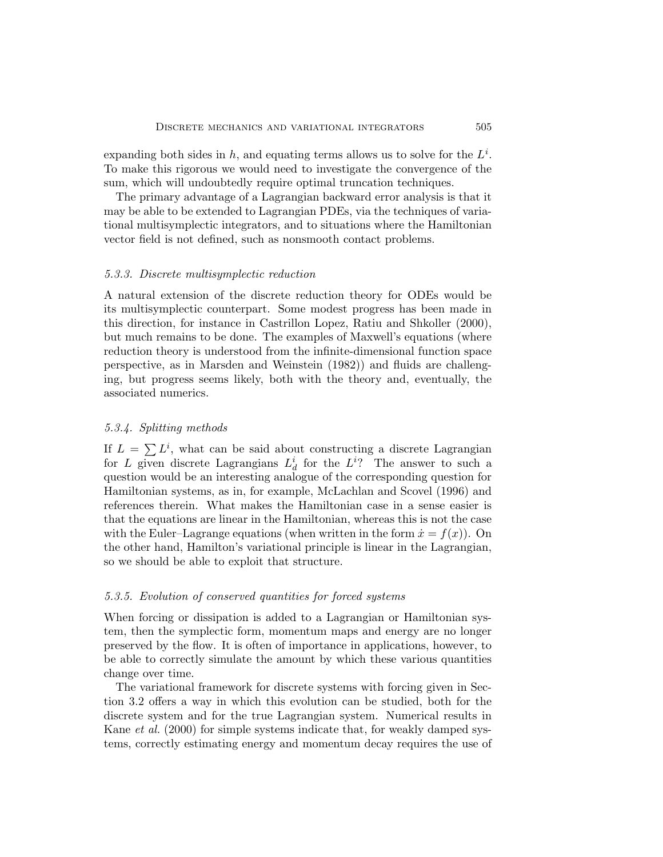expanding both sides in  $h$ , and equating terms allows us to solve for the  $L^i$ . To make this rigorous we would need to investigate the convergence of the sum, which will undoubtedly require optimal truncation techniques.

The primary advantage of a Lagrangian backward error analysis is that it may be able to be extended to Lagrangian PDEs, via the techniques of variational multisymplectic integrators, and to situations where the Hamiltonian vector field is not defined, such as nonsmooth contact problems.

#### 5.3.3. Discrete multisymplectic reduction

A natural extension of the discrete reduction theory for ODEs would be its multisymplectic counterpart. Some modest progress has been made in this direction, for instance in Castrillon Lopez, Ratiu and Shkoller (2000), but much remains to be done. The examples of Maxwell's equations (where reduction theory is understood from the infinite-dimensional function space perspective, as in Marsden and Weinstein (1982)) and fluids are challenging, but progress seems likely, both with the theory and, eventually, the associated numerics.

## 5.3.4. Splitting methods

If  $L = \sum L^i$ , what can be said about constructing a discrete Lagrangian for L given discrete Lagrangians  $L_d^i$  for the  $L^{i}$ ? The answer to such a question would be an interesting analogue of the corresponding question for Hamiltonian systems, as in, for example, McLachlan and Scovel (1996) and references therein. What makes the Hamiltonian case in a sense easier is that the equations are linear in the Hamiltonian, whereas this is not the case with the Euler–Lagrange equations (when written in the form  $\dot{x} = f(x)$ ). On the other hand, Hamilton's variational principle is linear in the Lagrangian, so we should be able to exploit that structure.

#### 5.3.5. Evolution of conserved quantities for forced systems

When forcing or dissipation is added to a Lagrangian or Hamiltonian system, then the symplectic form, momentum maps and energy are no longer preserved by the flow. It is often of importance in applications, however, to be able to correctly simulate the amount by which these various quantities change over time.

The variational framework for discrete systems with forcing given in Section 3.2 offers a way in which this evolution can be studied, both for the discrete system and for the true Lagrangian system. Numerical results in Kane *et al.* (2000) for simple systems indicate that, for weakly damped systems, correctly estimating energy and momentum decay requires the use of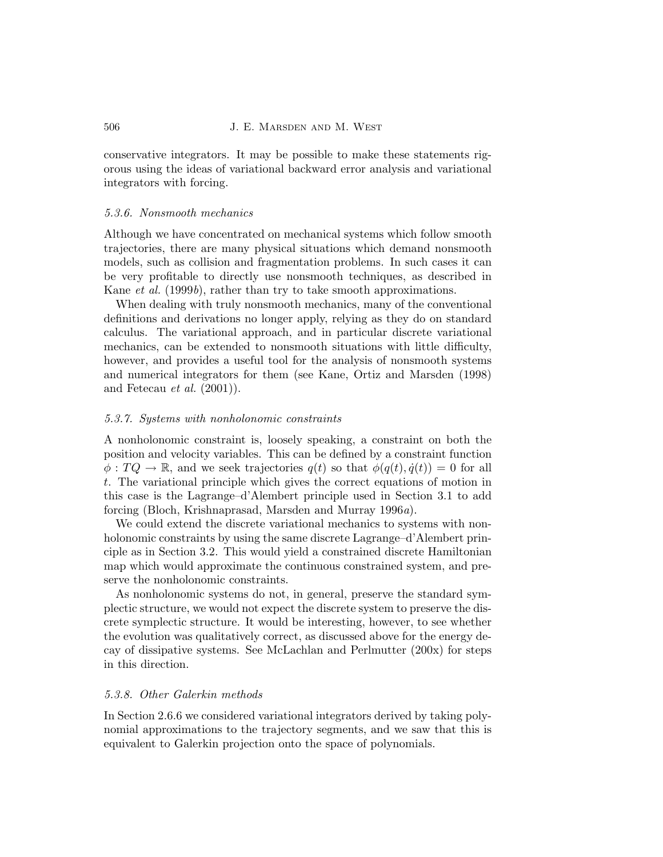conservative integrators. It may be possible to make these statements rigorous using the ideas of variational backward error analysis and variational integrators with forcing.

#### 5.3.6. Nonsmooth mechanics

Although we have concentrated on mechanical systems which follow smooth trajectories, there are many physical situations which demand nonsmooth models, such as collision and fragmentation problems. In such cases it can be very profitable to directly use nonsmooth techniques, as described in Kane *et al.* (1999*b*), rather than try to take smooth approximations.

When dealing with truly nonsmooth mechanics, many of the conventional definitions and derivations no longer apply, relying as they do on standard calculus. The variational approach, and in particular discrete variational mechanics, can be extended to nonsmooth situations with little difficulty, however, and provides a useful tool for the analysis of nonsmooth systems and numerical integrators for them (see Kane, Ortiz and Marsden (1998) and Fetecau  $et \ al. (2001)$ .

#### 5.3.7. Systems with nonholonomic constraints

A nonholonomic constraint is, loosely speaking, a constraint on both the position and velocity variables. This can be defined by a constraint function  $\phi: TQ \to \mathbb{R}$ , and we seek trajectories  $q(t)$  so that  $\phi(q(t), \dot{q}(t)) = 0$  for all t. The variational principle which gives the correct equations of motion in this case is the Lagrange–d'Alembert principle used in Section 3.1 to add forcing (Bloch, Krishnaprasad, Marsden and Murray 1996a).

We could extend the discrete variational mechanics to systems with nonholonomic constraints by using the same discrete Lagrange–d'Alembert principle as in Section 3.2. This would yield a constrained discrete Hamiltonian map which would approximate the continuous constrained system, and preserve the nonholonomic constraints.

As nonholonomic systems do not, in general, preserve the standard symplectic structure, we would not expect the discrete system to preserve the discrete symplectic structure. It would be interesting, however, to see whether the evolution was qualitatively correct, as discussed above for the energy decay of dissipative systems. See McLachlan and Perlmutter (200x) for steps in this direction.

#### 5.3.8. Other Galerkin methods

In Section 2.6.6 we considered variational integrators derived by taking polynomial approximations to the trajectory segments, and we saw that this is equivalent to Galerkin projection onto the space of polynomials.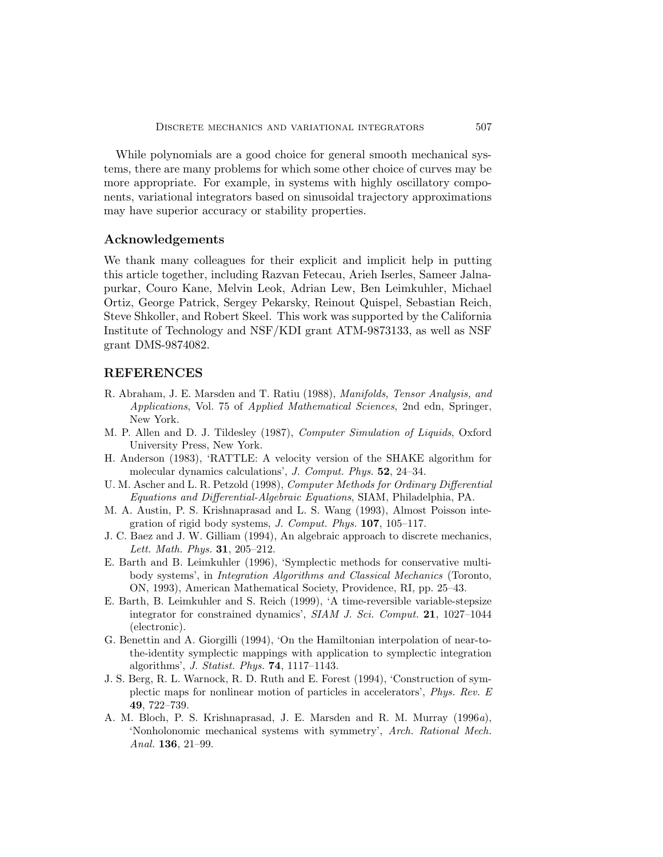While polynomials are a good choice for general smooth mechanical systems, there are many problems for which some other choice of curves may be more appropriate. For example, in systems with highly oscillatory components, variational integrators based on sinusoidal trajectory approximations may have superior accuracy or stability properties.

## Acknowledgements

We thank many colleagues for their explicit and implicit help in putting this article together, including Razvan Fetecau, Arieh Iserles, Sameer Jalnapurkar, Couro Kane, Melvin Leok, Adrian Lew, Ben Leimkuhler, Michael Ortiz, George Patrick, Sergey Pekarsky, Reinout Quispel, Sebastian Reich, Steve Shkoller, and Robert Skeel. This work was supported by the California Institute of Technology and NSF/KDI grant ATM-9873133, as well as NSF grant DMS-9874082.

## REFERENCES

- R. Abraham, J. E. Marsden and T. Ratiu (1988), Manifolds, Tensor Analysis, and Applications, Vol. 75 of Applied Mathematical Sciences, 2nd edn, Springer, New York.
- M. P. Allen and D. J. Tildesley (1987), Computer Simulation of Liquids, Oxford University Press, New York.
- H. Anderson (1983), 'RATTLE: A velocity version of the SHAKE algorithm for molecular dynamics calculations', J. Comput. Phys. 52, 24–34.
- U. M. Ascher and L. R. Petzold (1998), Computer Methods for Ordinary Differential Equations and Differential-Algebraic Equations, SIAM, Philadelphia, PA.
- M. A. Austin, P. S. Krishnaprasad and L. S. Wang (1993), Almost Poisson integration of rigid body systems,  $J.$  Comput. Phys.  $107$ ,  $105-117$ .
- J. C. Baez and J. W. Gilliam (1994), An algebraic approach to discrete mechanics, Lett. Math. Phys. 31, 205–212.
- E. Barth and B. Leimkuhler (1996), 'Symplectic methods for conservative multibody systems', in Integration Algorithms and Classical Mechanics (Toronto, ON, 1993), American Mathematical Society, Providence, RI, pp. 25–43.
- E. Barth, B. Leimkuhler and S. Reich (1999), 'A time-reversible variable-stepsize integrator for constrained dynamics', SIAM J. Sci. Comput. 21, 1027–1044 (electronic).
- G. Benettin and A. Giorgilli (1994), 'On the Hamiltonian interpolation of near-tothe-identity symplectic mappings with application to symplectic integration algorithms', J. Statist. Phys. 74, 1117–1143.
- J. S. Berg, R. L. Warnock, R. D. Ruth and E. Forest (1994), 'Construction of symplectic maps for nonlinear motion of particles in accelerators', Phys. Rev. E 49, 722–739.
- A. M. Bloch, P. S. Krishnaprasad, J. E. Marsden and R. M. Murray (1996a), 'Nonholonomic mechanical systems with symmetry', Arch. Rational Mech. Anal. **136**, 21–99.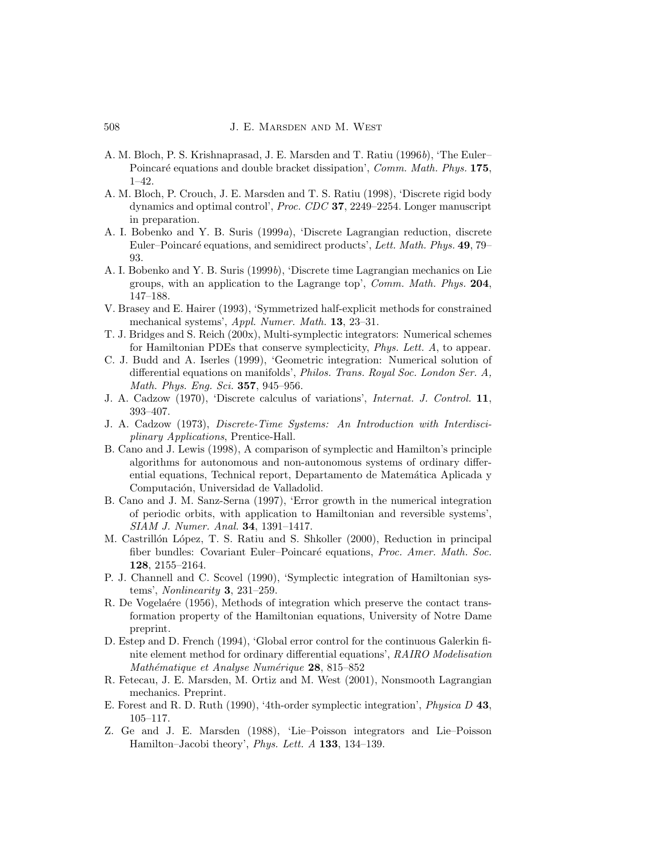- A. M. Bloch, P. S. Krishnaprasad, J. E. Marsden and T. Ratiu (1996b), 'The Euler– Poincaré equations and double bracket dissipation', Comm. Math. Phys. 175, 1–42.
- A. M. Bloch, P. Crouch, J. E. Marsden and T. S. Ratiu (1998), 'Discrete rigid body dynamics and optimal control', Proc. CDC 37, 2249-2254. Longer manuscript in preparation.
- A. I. Bobenko and Y. B. Suris (1999a), 'Discrete Lagrangian reduction, discrete Euler–Poincaré equations, and semidirect products', Lett. Math. Phys. 49, 79– 93.
- A. I. Bobenko and Y. B. Suris (1999b), 'Discrete time Lagrangian mechanics on Lie groups, with an application to the Lagrange top', Comm. Math. Phys. 204, 147–188.
- V. Brasey and E. Hairer (1993), 'Symmetrized half-explicit methods for constrained mechanical systems', Appl. Numer. Math. 13, 23–31.
- T. J. Bridges and S. Reich (200x), Multi-symplectic integrators: Numerical schemes for Hamiltonian PDEs that conserve symplecticity, Phys. Lett. A, to appear.
- C. J. Budd and A. Iserles (1999), 'Geometric integration: Numerical solution of differential equations on manifolds', *Philos. Trans. Royal Soc. London Ser. A*, Math. Phys. Eng. Sci. 357, 945–956.
- J. A. Cadzow (1970), 'Discrete calculus of variations', Internat. J. Control. 11, 393–407.
- J. A. Cadzow (1973), Discrete-Time Systems: An Introduction with Interdisciplinary Applications, Prentice-Hall.
- B. Cano and J. Lewis (1998), A comparison of symplectic and Hamilton's principle algorithms for autonomous and non-autonomous systems of ordinary differential equations, Technical report, Departamento de Matemática Aplicada y Computación, Universidad de Valladolid.
- B. Cano and J. M. Sanz-Serna (1997), 'Error growth in the numerical integration of periodic orbits, with application to Hamiltonian and reversible systems', SIAM J. Numer. Anal. 34, 1391–1417.
- M. Castrillón López, T. S. Ratiu and S. Shkoller (2000), Reduction in principal fiber bundles: Covariant Euler-Poincaré equations, Proc. Amer. Math. Soc. 128, 2155–2164.
- P. J. Channell and C. Scovel (1990), 'Symplectic integration of Hamiltonian systems', Nonlinearity  $3, 231-259$ .
- R. De Vogelaére (1956), Methods of integration which preserve the contact transformation property of the Hamiltonian equations, University of Notre Dame preprint.
- D. Estep and D. French (1994), 'Global error control for the continuous Galerkin finite element method for ordinary differential equations', RAIRO Modelisation Mathématique et Analyse Numérique 28, 815–852
- R. Fetecau, J. E. Marsden, M. Ortiz and M. West (2001), Nonsmooth Lagrangian mechanics. Preprint.
- E. Forest and R. D. Ruth (1990), '4th-order symplectic integration', Physica D 43, 105–117.
- Z. Ge and J. E. Marsden (1988), 'Lie–Poisson integrators and Lie–Poisson Hamilton–Jacobi theory', Phys. Lett. A 133, 134–139.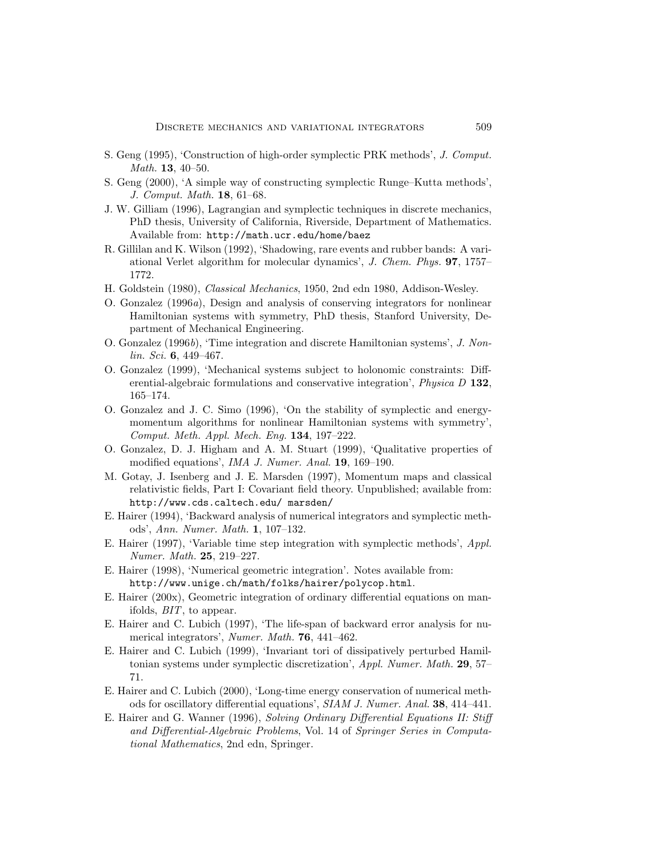- S. Geng (1995), 'Construction of high-order symplectic PRK methods', J. Comput. *Math.* **13**, 40–50.
- S. Geng (2000), 'A simple way of constructing symplectic Runge–Kutta methods', J. Comput. Math. 18, 61–68.
- J. W. Gilliam (1996), Lagrangian and symplectic techniques in discrete mechanics, PhD thesis, University of California, Riverside, Department of Mathematics. Available from: http://math.ucr.edu/home/baez
- R. Gillilan and K. Wilson (1992), 'Shadowing, rare events and rubber bands: A variational Verlet algorithm for molecular dynamics', J. Chem. Phys. 97, 1757– 1772.
- H. Goldstein (1980), Classical Mechanics, 1950, 2nd edn 1980, Addison-Wesley.
- O. Gonzalez (1996a), Design and analysis of conserving integrators for nonlinear Hamiltonian systems with symmetry, PhD thesis, Stanford University, Department of Mechanical Engineering.
- O. Gonzalez (1996b), 'Time integration and discrete Hamiltonian systems', J. Nonlin. Sci. **6**, 449–467.
- O. Gonzalez (1999), 'Mechanical systems subject to holonomic constraints: Differential-algebraic formulations and conservative integration', *Physica D* 132, 165–174.
- O. Gonzalez and J. C. Simo (1996), 'On the stability of symplectic and energymomentum algorithms for nonlinear Hamiltonian systems with symmetry', Comput. Meth. Appl. Mech. Eng. 134, 197–222.
- O. Gonzalez, D. J. Higham and A. M. Stuart (1999), 'Qualitative properties of modified equations', IMA J. Numer. Anal. 19, 169-190.
- M. Gotay, J. Isenberg and J. E. Marsden (1997), Momentum maps and classical relativistic fields, Part I: Covariant field theory. Unpublished; available from: http://www.cds.caltech.edu/ marsden/
- E. Hairer (1994), 'Backward analysis of numerical integrators and symplectic methods', Ann. Numer. Math. 1, 107–132.
- E. Hairer (1997), 'Variable time step integration with symplectic methods', Appl. Numer. Math. 25, 219–227.
- E. Hairer (1998), 'Numerical geometric integration'. Notes available from: http://www.unige.ch/math/folks/hairer/polycop.html.
- E. Hairer (200x), Geometric integration of ordinary differential equations on manifolds, BIT, to appear.
- E. Hairer and C. Lubich (1997), 'The life-span of backward error analysis for numerical integrators', Numer. Math. 76, 441–462.
- E. Hairer and C. Lubich (1999), 'Invariant tori of dissipatively perturbed Hamiltonian systems under symplectic discretization', *Appl. Numer. Math.* 29, 57– 71.
- E. Hairer and C. Lubich (2000), 'Long-time energy conservation of numerical methods for oscillatory differential equations', SIAM J. Numer. Anal. 38, 414–441.
- E. Hairer and G. Wanner (1996), Solving Ordinary Differential Equations II: Stiff and Differential-Algebraic Problems, Vol. 14 of Springer Series in Computational Mathematics, 2nd edn, Springer.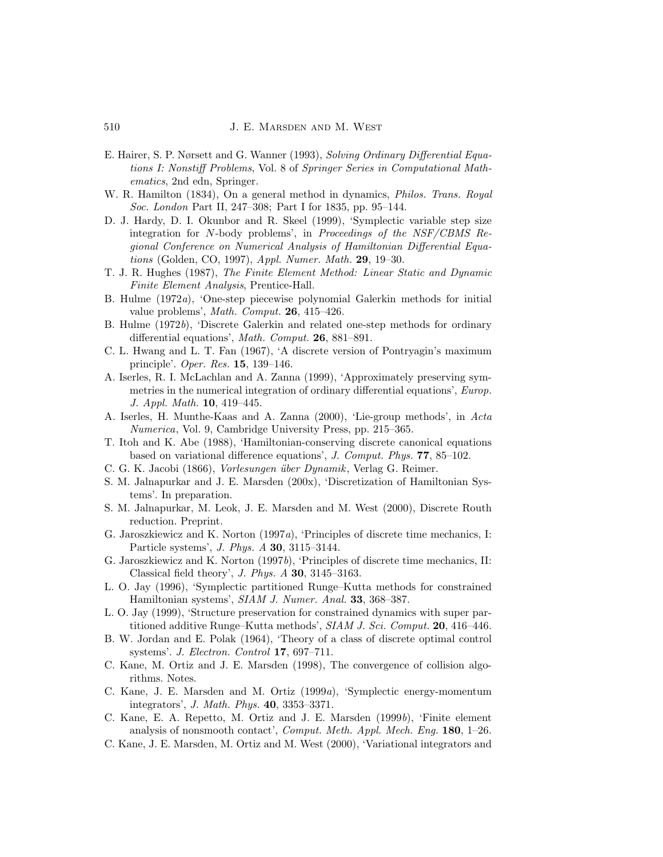- E. Hairer, S. P. Nørsett and G. Wanner (1993), Solving Ordinary Differential Equations I: Nonstiff Problems, Vol. 8 of Springer Series in Computational Mathematics, 2nd edn, Springer.
- W. R. Hamilton (1834), On a general method in dynamics, *Philos. Trans. Royal* Soc. London Part II, 247–308; Part I for 1835, pp. 95–144.
- D. J. Hardy, D. I. Okunbor and R. Skeel (1999), 'Symplectic variable step size integration for N-body problems', in Proceedings of the NSF/CBMS Regional Conference on Numerical Analysis of Hamiltonian Differential Equations (Golden, CO, 1997), Appl. Numer. Math. 29, 19–30.
- T. J. R. Hughes (1987), The Finite Element Method: Linear Static and Dynamic Finite Element Analysis, Prentice-Hall.
- B. Hulme (1972a), 'One-step piecewise polynomial Galerkin methods for initial value problems', *Math. Comput.* **26**, 415–426.
- B. Hulme (1972b), 'Discrete Galerkin and related one-step methods for ordinary differential equations', Math. Comput. 26, 881-891.
- C. L. Hwang and L. T. Fan (1967), 'A discrete version of Pontryagin's maximum principle'. Oper. Res. 15, 139–146.
- A. Iserles, R. I. McLachlan and A. Zanna (1999), 'Approximately preserving symmetries in the numerical integration of ordinary differential equations', *Europ*. J. Appl. Math. 10, 419–445.
- A. Iserles, H. Munthe-Kaas and A. Zanna (2000), 'Lie-group methods', in Acta Numerica, Vol. 9, Cambridge University Press, pp. 215–365.
- T. Itoh and K. Abe (1988), 'Hamiltonian-conserving discrete canonical equations based on variational difference equations', J. Comput. Phys. 77, 85–102.
- C. G. K. Jacobi (1866), Vorlesungen über Dynamik, Verlag G. Reimer.
- S. M. Jalnapurkar and J. E. Marsden (200x), 'Discretization of Hamiltonian Systems'. In preparation.
- S. M. Jalnapurkar, M. Leok, J. E. Marsden and M. West (2000), Discrete Routh reduction. Preprint.
- G. Jaroszkiewicz and K. Norton (1997a), 'Principles of discrete time mechanics, I: Particle systems', J. Phys. A 30, 3115–3144.
- G. Jaroszkiewicz and K. Norton (1997b), 'Principles of discrete time mechanics, II: Classical field theory', J. Phys.  $A$  30, 3145–3163.
- L. O. Jay (1996), 'Symplectic partitioned Runge–Kutta methods for constrained Hamiltonian systems', SIAM J. Numer. Anal. 33, 368-387.
- L. O. Jay (1999), 'Structure preservation for constrained dynamics with super partitioned additive Runge–Kutta methods', SIAM J. Sci. Comput. 20, 416–446.
- B. W. Jordan and E. Polak (1964), 'Theory of a class of discrete optimal control systems'. J. Electron. Control 17, 697–711.
- C. Kane, M. Ortiz and J. E. Marsden (1998), The convergence of collision algorithms. Notes.
- C. Kane, J. E. Marsden and M. Ortiz (1999a), 'Symplectic energy-momentum integrators', J. Math. Phys. 40, 3353–3371.
- C. Kane, E. A. Repetto, M. Ortiz and J. E. Marsden (1999b), 'Finite element analysis of nonsmooth contact', Comput. Meth. Appl. Mech. Eng. 180, 1-26.
- C. Kane, J. E. Marsden, M. Ortiz and M. West (2000), 'Variational integrators and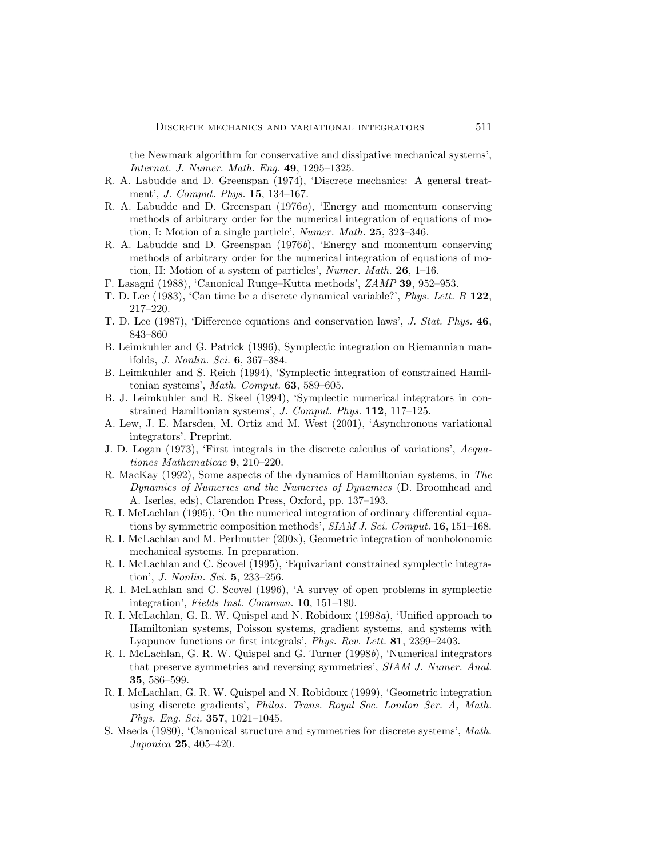the Newmark algorithm for conservative and dissipative mechanical systems', Internat. J. Numer. Math. Eng. 49, 1295–1325.

- R. A. Labudde and D. Greenspan (1974), 'Discrete mechanics: A general treatment', *J. Comput. Phys.* **15**, 134–167.
- R. A. Labudde and D. Greenspan (1976a), 'Energy and momentum conserving methods of arbitrary order for the numerical integration of equations of motion, I: Motion of a single particle', Numer. Math. 25, 323-346.
- R. A. Labudde and D. Greenspan (1976b), 'Energy and momentum conserving methods of arbitrary order for the numerical integration of equations of motion, II: Motion of a system of particles', *Numer. Math.* 26,  $1\n-16$ .
- F. Lasagni (1988), 'Canonical Runge–Kutta methods', ZAMP 39, 952–953.
- T. D. Lee (1983), 'Can time be a discrete dynamical variable?', Phys. Lett. B 122, 217–220.
- T. D. Lee (1987), 'Difference equations and conservation laws', J. Stat. Phys. 46, 843–860
- B. Leimkuhler and G. Patrick (1996), Symplectic integration on Riemannian manifolds, J. Nonlin. Sci. 6, 367–384.
- B. Leimkuhler and S. Reich (1994), 'Symplectic integration of constrained Hamiltonian systems', Math. Comput.  $63, 589-605$ .
- B. J. Leimkuhler and R. Skeel (1994), 'Symplectic numerical integrators in constrained Hamiltonian systems', J. Comput. Phys.  $112$ ,  $117-125$ .
- A. Lew, J. E. Marsden, M. Ortiz and M. West (2001), 'Asynchronous variational integrators'. Preprint.
- J. D. Logan (1973), 'First integrals in the discrete calculus of variations', Aequationes Mathematicae 9, 210–220.
- R. MacKay (1992), Some aspects of the dynamics of Hamiltonian systems, in The Dynamics of Numerics and the Numerics of Dynamics (D. Broomhead and A. Iserles, eds), Clarendon Press, Oxford, pp. 137–193.
- R. I. McLachlan (1995), 'On the numerical integration of ordinary differential equations by symmetric composition methods', SIAM J. Sci. Comput. 16, 151-168.
- R. I. McLachlan and M. Perlmutter (200x), Geometric integration of nonholonomic mechanical systems. In preparation.
- R. I. McLachlan and C. Scovel (1995), 'Equivariant constrained symplectic integration', *J. Nonlin. Sci.* 5, 233–256.
- R. I. McLachlan and C. Scovel (1996), 'A survey of open problems in symplectic integration', Fields Inst. Commun. 10, 151–180.
- R. I. McLachlan, G. R. W. Quispel and N. Robidoux (1998a), 'Unified approach to Hamiltonian systems, Poisson systems, gradient systems, and systems with Lyapunov functions or first integrals', *Phys. Rev. Lett.* **81**, 2399–2403.
- R. I. McLachlan, G. R. W. Quispel and G. Turner (1998b), 'Numerical integrators that preserve symmetries and reversing symmetries', SIAM J. Numer. Anal. 35, 586–599.
- R. I. McLachlan, G. R. W. Quispel and N. Robidoux (1999), 'Geometric integration using discrete gradients', Philos. Trans. Royal Soc. London Ser. A, Math. Phys. Eng. Sci. 357, 1021–1045.
- S. Maeda (1980), 'Canonical structure and symmetries for discrete systems', Math. Japonica 25, 405–420.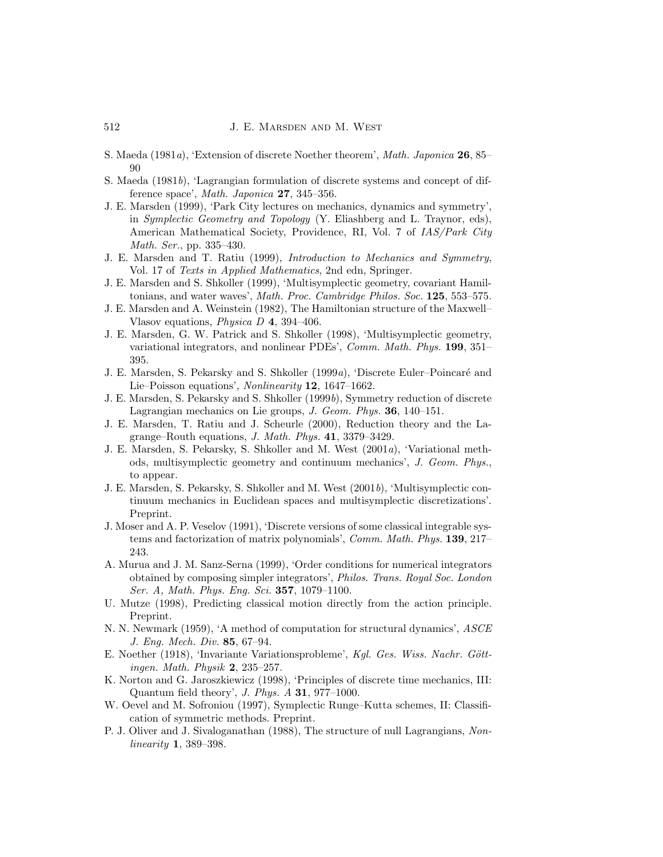- S. Maeda (1981a), 'Extension of discrete Noether theorem', Math. Japonica 26, 85– 90
- S. Maeda (1981b), 'Lagrangian formulation of discrete systems and concept of difference space', *Math. Japonica* 27, 345–356.
- J. E. Marsden (1999), 'Park City lectures on mechanics, dynamics and symmetry', in Symplectic Geometry and Topology (Y. Eliashberg and L. Traynor, eds), American Mathematical Society, Providence, RI, Vol. 7 of IAS/Park City Math. Ser., pp. 335–430.
- J. E. Marsden and T. Ratiu (1999), Introduction to Mechanics and Symmetry, Vol. 17 of Texts in Applied Mathematics, 2nd edn, Springer.
- J. E. Marsden and S. Shkoller (1999), 'Multisymplectic geometry, covariant Hamiltonians, and water waves', Math. Proc. Cambridge Philos. Soc. 125, 553–575.
- J. E. Marsden and A. Weinstein (1982), The Hamiltonian structure of the Maxwell– Vlasov equations, Physica D 4, 394–406.
- J. E. Marsden, G. W. Patrick and S. Shkoller (1998), 'Multisymplectic geometry, variational integrators, and nonlinear PDEs', Comm. Math. Phys. 199, 351-395.
- J. E. Marsden, S. Pekarsky and S. Shkoller (1999a), 'Discrete Euler–Poincaré and Lie–Poisson equations', Nonlinearity 12, 1647–1662.
- J. E. Marsden, S. Pekarsky and S. Shkoller (1999b), Symmetry reduction of discrete Lagrangian mechanics on Lie groups, J. Geom. Phys. 36, 140-151.
- J. E. Marsden, T. Ratiu and J. Scheurle (2000), Reduction theory and the Lagrange–Routh equations,  $J. \text{ Math. Phys. } 41, 3379-3429.$
- J. E. Marsden, S. Pekarsky, S. Shkoller and M. West (2001a), 'Variational methods, multisymplectic geometry and continuum mechanics', J. Geom. Phys., to appear.
- J. E. Marsden, S. Pekarsky, S. Shkoller and M. West (2001b), 'Multisymplectic continuum mechanics in Euclidean spaces and multisymplectic discretizations'. Preprint.
- J. Moser and A. P. Veselov (1991), 'Discrete versions of some classical integrable systems and factorization of matrix polynomials', *Comm. Math. Phys.* **139**, 217– 243.
- A. Murua and J. M. Sanz-Serna (1999), 'Order conditions for numerical integrators obtained by composing simpler integrators', Philos. Trans. Royal Soc. London Ser. A, Math. Phys. Eng. Sci. 357, 1079–1100.
- U. Mutze (1998), Predicting classical motion directly from the action principle. Preprint.
- N. N. Newmark (1959), 'A method of computation for structural dynamics', ASCE J. Eng. Mech. Div. 85, 67–94.
- E. Noether (1918), 'Invariante Variationsprobleme', Kgl. Ges. Wiss. Nachr. Göttingen. Math. Physik 2, 235–257.
- K. Norton and G. Jaroszkiewicz (1998), 'Principles of discrete time mechanics, III: Quantum field theory', J. Phys. A 31, 977–1000.
- W. Oevel and M. Sofroniou (1997), Symplectic Runge–Kutta schemes, II: Classification of symmetric methods. Preprint.
- P. J. Oliver and J. Sivaloganathan (1988), The structure of null Lagrangians, Nonlinearity 1, 389–398.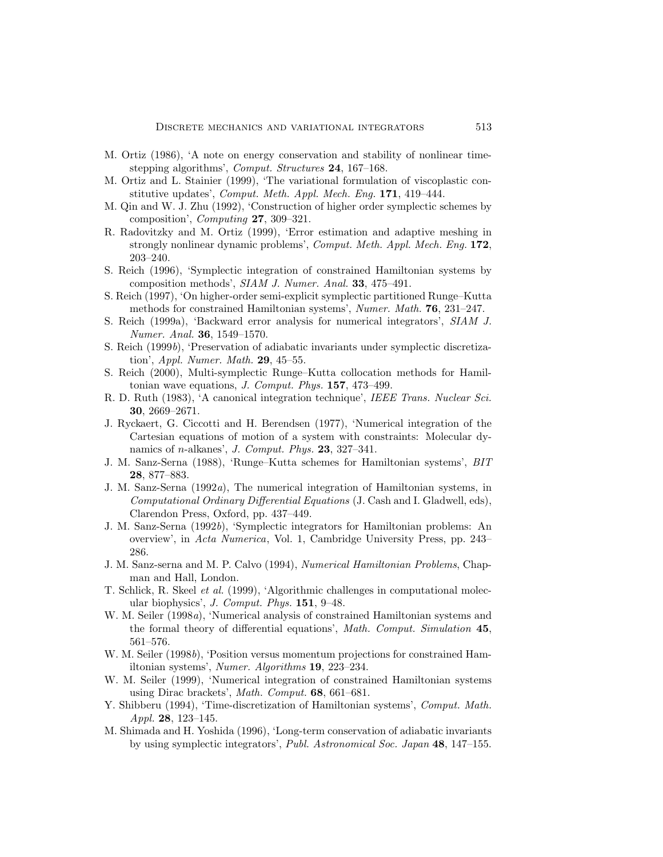- M. Ortiz (1986), 'A note on energy conservation and stability of nonlinear timestepping algorithms', Comput. Structures 24, 167–168.
- M. Ortiz and L. Stainier (1999), 'The variational formulation of viscoplastic constitutive updates', *Comput. Meth. Appl. Mech. Eng.* **171**, 419–444.
- M. Qin and W. J. Zhu (1992), 'Construction of higher order symplectic schemes by composition', Computing 27, 309–321.
- R. Radovitzky and M. Ortiz (1999), 'Error estimation and adaptive meshing in strongly nonlinear dynamic problems', Comput. Meth. Appl. Mech. Eng. 172, 203–240.
- S. Reich (1996), 'Symplectic integration of constrained Hamiltonian systems by composition methods', SIAM J. Numer. Anal. 33, 475–491.
- S. Reich (1997), 'On higher-order semi-explicit symplectic partitioned Runge–Kutta methods for constrained Hamiltonian systems', Numer. Math. 76, 231-247.
- S. Reich (1999a), 'Backward error analysis for numerical integrators', SIAM J. Numer. Anal. 36, 1549–1570.
- S. Reich (1999b), 'Preservation of adiabatic invariants under symplectic discretization', Appl. Numer. Math. 29, 45–55.
- S. Reich (2000), Multi-symplectic Runge–Kutta collocation methods for Hamiltonian wave equations, J. Comput. Phys. 157, 473-499.
- R. D. Ruth (1983), 'A canonical integration technique', IEEE Trans. Nuclear Sci. 30, 2669–2671.
- J. Ryckaert, G. Ciccotti and H. Berendsen (1977), 'Numerical integration of the Cartesian equations of motion of a system with constraints: Molecular dynamics of *n*-alkanes', *J. Comput. Phys.* **23**, 327-341.
- J. M. Sanz-Serna (1988), 'Runge–Kutta schemes for Hamiltonian systems', BIT 28, 877–883.
- J. M. Sanz-Serna (1992a), The numerical integration of Hamiltonian systems, in Computational Ordinary Differential Equations (J. Cash and I. Gladwell, eds), Clarendon Press, Oxford, pp. 437–449.
- J. M. Sanz-Serna (1992b), 'Symplectic integrators for Hamiltonian problems: An overview', in Acta Numerica, Vol. 1, Cambridge University Press, pp. 243– 286.
- J. M. Sanz-serna and M. P. Calvo (1994), Numerical Hamiltonian Problems, Chapman and Hall, London.
- T. Schlick, R. Skeel et al. (1999), 'Algorithmic challenges in computational molecular biophysics', J. Comput. Phys.  $151, 9-48$ .
- W. M. Seiler (1998a), 'Numerical analysis of constrained Hamiltonian systems and the formal theory of differential equations', Math. Comput. Simulation 45, 561–576.
- W. M. Seiler (1998b), 'Position versus momentum projections for constrained Hamiltonian systems', Numer. Algorithms 19, 223-234.
- W. M. Seiler (1999), 'Numerical integration of constrained Hamiltonian systems using Dirac brackets', *Math. Comput.*  $68, 661-681$ .
- Y. Shibberu (1994), 'Time-discretization of Hamiltonian systems', Comput. Math. Appl. 28, 123–145.
- M. Shimada and H. Yoshida (1996), 'Long-term conservation of adiabatic invariants by using symplectic integrators', Publ. Astronomical Soc. Japan 48, 147–155.